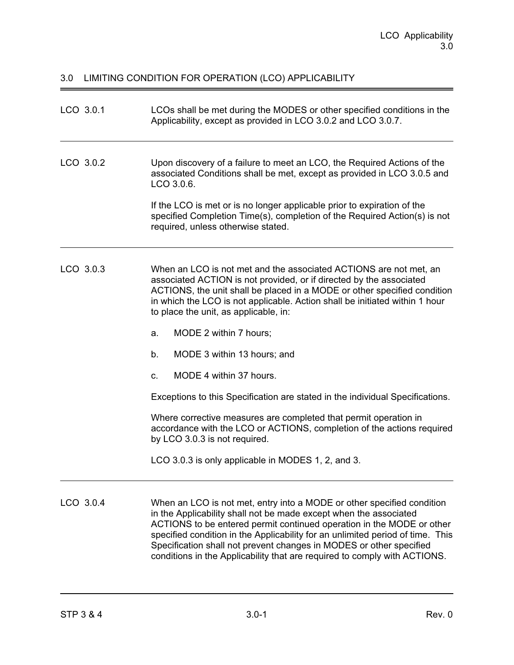# 3.0 LIMITING CONDITION FOR OPERATION (LCO) APPLICABILITY

| LCO 3.0.1 | LCOs shall be met during the MODES or other specified conditions in the<br>Applicability, except as provided in LCO 3.0.2 and LCO 3.0.7.                                                                                                                                                                                                                                                                                                                                                                                                                                                                                                                                                                           |
|-----------|--------------------------------------------------------------------------------------------------------------------------------------------------------------------------------------------------------------------------------------------------------------------------------------------------------------------------------------------------------------------------------------------------------------------------------------------------------------------------------------------------------------------------------------------------------------------------------------------------------------------------------------------------------------------------------------------------------------------|
| LCO 3.0.2 | Upon discovery of a failure to meet an LCO, the Required Actions of the<br>associated Conditions shall be met, except as provided in LCO 3.0.5 and<br>LCO 3.0.6.<br>If the LCO is met or is no longer applicable prior to expiration of the<br>specified Completion Time(s), completion of the Required Action(s) is not<br>required, unless otherwise stated.                                                                                                                                                                                                                                                                                                                                                     |
| LCO 3.0.3 | When an LCO is not met and the associated ACTIONS are not met, an<br>associated ACTION is not provided, or if directed by the associated<br>ACTIONS, the unit shall be placed in a MODE or other specified condition<br>in which the LCO is not applicable. Action shall be initiated within 1 hour<br>to place the unit, as applicable, in:<br>MODE 2 within 7 hours;<br>a.<br>MODE 3 within 13 hours; and<br>b.<br>MODE 4 within 37 hours.<br>C.<br>Exceptions to this Specification are stated in the individual Specifications.<br>Where corrective measures are completed that permit operation in<br>accordance with the LCO or ACTIONS, completion of the actions required<br>by LCO 3.0.3 is not required. |
| LCO 3.0.4 | LCO 3.0.3 is only applicable in MODES 1, 2, and 3.<br>When an LCO is not met, entry into a MODE or other specified condition<br>in the Applicability shall not be made except when the associated<br>ACTIONS to be entered permit continued operation in the MODE or other<br>specified condition in the Applicability for an unlimited period of time. This<br>Specification shall not prevent changes in MODES or other specified                                                                                                                                                                                                                                                                                |

conditions in the Applicability that are required to comply with ACTIONS.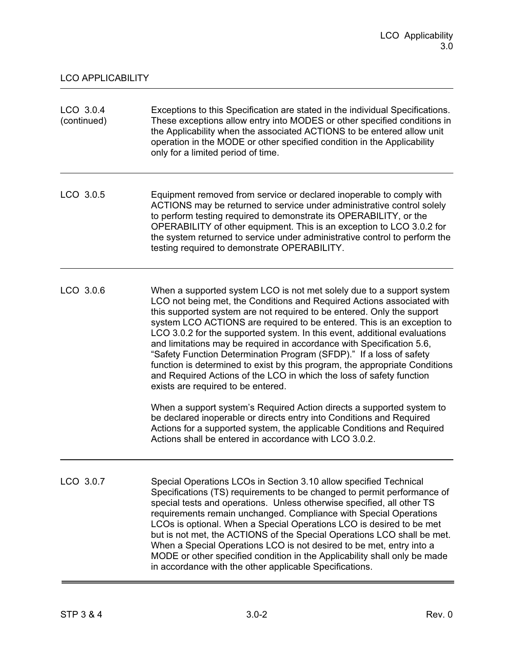| LCO 3.0.4<br>(continued) | Exceptions to this Specification are stated in the individual Specifications.<br>These exceptions allow entry into MODES or other specified conditions in<br>the Applicability when the associated ACTIONS to be entered allow unit<br>operation in the MODE or other specified condition in the Applicability<br>only for a limited period of time.                                                                                                                                                                                                                                                                                                                                                                          |
|--------------------------|-------------------------------------------------------------------------------------------------------------------------------------------------------------------------------------------------------------------------------------------------------------------------------------------------------------------------------------------------------------------------------------------------------------------------------------------------------------------------------------------------------------------------------------------------------------------------------------------------------------------------------------------------------------------------------------------------------------------------------|
| LCO 3.0.5                | Equipment removed from service or declared inoperable to comply with<br>ACTIONS may be returned to service under administrative control solely<br>to perform testing required to demonstrate its OPERABILITY, or the<br>OPERABILITY of other equipment. This is an exception to LCO 3.0.2 for<br>the system returned to service under administrative control to perform the<br>testing required to demonstrate OPERABILITY.                                                                                                                                                                                                                                                                                                   |
| LCO 3.0.6                | When a supported system LCO is not met solely due to a support system<br>LCO not being met, the Conditions and Required Actions associated with<br>this supported system are not required to be entered. Only the support<br>system LCO ACTIONS are required to be entered. This is an exception to<br>LCO 3.0.2 for the supported system. In this event, additional evaluations<br>and limitations may be required in accordance with Specification 5.6,<br>"Safety Function Determination Program (SFDP)." If a loss of safety<br>function is determined to exist by this program, the appropriate Conditions<br>and Required Actions of the LCO in which the loss of safety function<br>exists are required to be entered. |
|                          | When a support system's Required Action directs a supported system to<br>be declared inoperable or directs entry into Conditions and Required<br>Actions for a supported system, the applicable Conditions and Required<br>Actions shall be entered in accordance with LCO 3.0.2.                                                                                                                                                                                                                                                                                                                                                                                                                                             |
| LCO 3.0.7                | Special Operations LCOs in Section 3.10 allow specified Technical<br>Specifications (TS) requirements to be changed to permit performance of<br>special tests and operations. Unless otherwise specified, all other TS<br>requirements remain unchanged. Compliance with Special Operations<br>LCOs is optional. When a Special Operations LCO is desired to be met<br>but is not met, the ACTIONS of the Special Operations LCO shall be met.<br>When a Special Operations LCO is not desired to be met, entry into a<br>MODE or other specified condition in the Applicability shall only be made<br>in accordance with the other applicable Specifications.                                                                |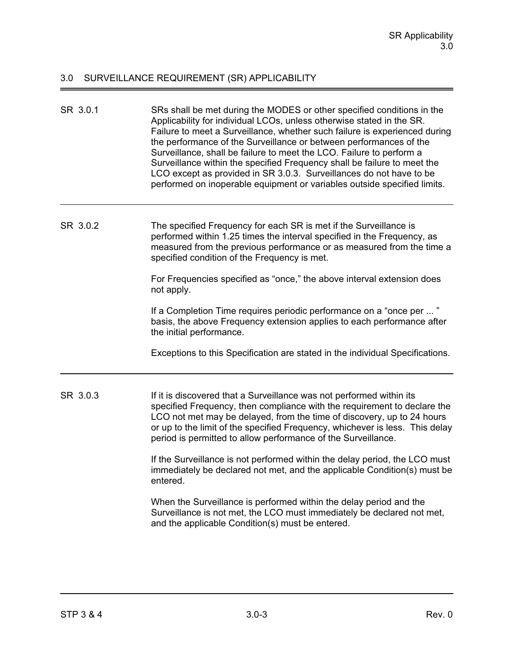# 3.0 SURVEILLANCE REQUIREMENT (SR) APPLICABILITY

| SR 3.0.1 | SRs shall be met during the MODES or other specified conditions in the<br>Applicability for individual LCOs, unless otherwise stated in the SR.<br>Failure to meet a Surveillance, whether such failure is experienced during<br>the performance of the Surveillance or between performances of the<br>Surveillance, shall be failure to meet the LCO. Failure to perform a<br>Surveillance within the specified Frequency shall be failure to meet the<br>LCO except as provided in SR 3.0.3. Surveillances do not have to be<br>performed on inoperable equipment or variables outside specified limits. |
|----------|------------------------------------------------------------------------------------------------------------------------------------------------------------------------------------------------------------------------------------------------------------------------------------------------------------------------------------------------------------------------------------------------------------------------------------------------------------------------------------------------------------------------------------------------------------------------------------------------------------|
| SR 3.0.2 | The specified Frequency for each SR is met if the Surveillance is<br>performed within 1.25 times the interval specified in the Frequency, as<br>measured from the previous performance or as measured from the time a<br>specified condition of the Frequency is met.                                                                                                                                                                                                                                                                                                                                      |
|          | For Frequencies specified as "once," the above interval extension does<br>not apply.                                                                                                                                                                                                                                                                                                                                                                                                                                                                                                                       |
|          | If a Completion Time requires periodic performance on a "once per "<br>basis, the above Frequency extension applies to each performance after<br>the initial performance.                                                                                                                                                                                                                                                                                                                                                                                                                                  |
|          | Exceptions to this Specification are stated in the individual Specifications.                                                                                                                                                                                                                                                                                                                                                                                                                                                                                                                              |
| SR 3.0.3 | If it is discovered that a Surveillance was not performed within its<br>specified Frequency, then compliance with the requirement to declare the<br>LCO not met may be delayed, from the time of discovery, up to 24 hours<br>or up to the limit of the specified Frequency, whichever is less. This delay<br>period is permitted to allow performance of the Surveillance.                                                                                                                                                                                                                                |
|          | If the Surveillance is not performed within the delay period, the LCO must<br>immediately be declared not met, and the applicable Condition(s) must be<br>entered.                                                                                                                                                                                                                                                                                                                                                                                                                                         |
|          | When the Surveillance is performed within the delay period and the<br>Surveillance is not met, the LCO must immediately be declared not met,<br>and the applicable Condition(s) must be entered.                                                                                                                                                                                                                                                                                                                                                                                                           |

 $\equiv$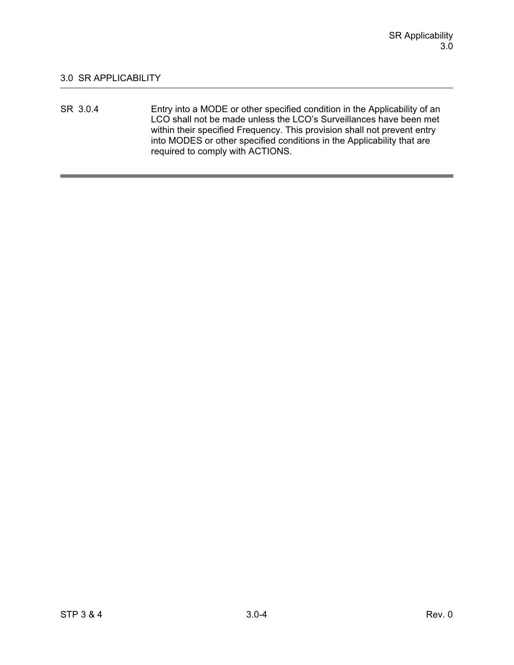SR 3.0.4 Entry into a MODE or other specified condition in the Applicability of an LCO shall not be made unless the LCO's Surveillances have been met within their specified Frequency. This provision shall not prevent entry into MODES or other specified conditions in the Applicability that are required to comply with ACTIONS.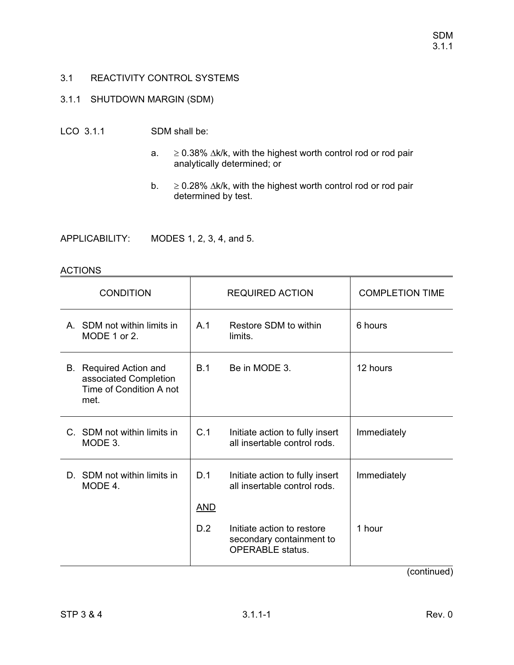# 3.1.1 SHUTDOWN MARGIN (SDM)

## LCO 3.1.1 SDM shall be:

- a.  $\geq$  $\geq$  0.38%  $\Delta$ k/k, with the highest worth control rod or rod pair analytically determined; or
- $\mathsf{b.} \geq$  $\geq$  0.28%  $\Delta$ k/k, with the highest worth control rod or rod pair determined by test.

APPLICABILITY: MODES 1, 2, 3, 4, and 5.

#### ACTIONS

| A. SDM not within limits in<br>A.1<br>Restore SDM to within<br>6 hours<br>MODE 1 or 2.<br>limits.<br>12 hours<br>B.1<br>Be in MODE 3.<br>B. Required Action and<br>associated Completion<br>Time of Condition A not<br>met.<br>C.1<br>C. SDM not within limits in<br>Initiate action to fully insert<br>Immediately<br>all insertable control rods.<br>MODE 3.<br>D. SDM not within limits in<br>D.1<br>Initiate action to fully insert<br>Immediately<br>all insertable control rods.<br>MODE 4.<br><b>AND</b><br>D.2<br>Initiate action to restore<br>1 hour<br>secondary containment to<br><b>OPERABLE</b> status. | <b>CONDITION</b> | <b>REQUIRED ACTION</b> | <b>COMPLETION TIME</b> |
|-----------------------------------------------------------------------------------------------------------------------------------------------------------------------------------------------------------------------------------------------------------------------------------------------------------------------------------------------------------------------------------------------------------------------------------------------------------------------------------------------------------------------------------------------------------------------------------------------------------------------|------------------|------------------------|------------------------|
|                                                                                                                                                                                                                                                                                                                                                                                                                                                                                                                                                                                                                       |                  |                        |                        |
|                                                                                                                                                                                                                                                                                                                                                                                                                                                                                                                                                                                                                       |                  |                        |                        |
|                                                                                                                                                                                                                                                                                                                                                                                                                                                                                                                                                                                                                       |                  |                        |                        |
|                                                                                                                                                                                                                                                                                                                                                                                                                                                                                                                                                                                                                       |                  |                        |                        |
|                                                                                                                                                                                                                                                                                                                                                                                                                                                                                                                                                                                                                       |                  |                        |                        |
|                                                                                                                                                                                                                                                                                                                                                                                                                                                                                                                                                                                                                       |                  |                        |                        |

(continued)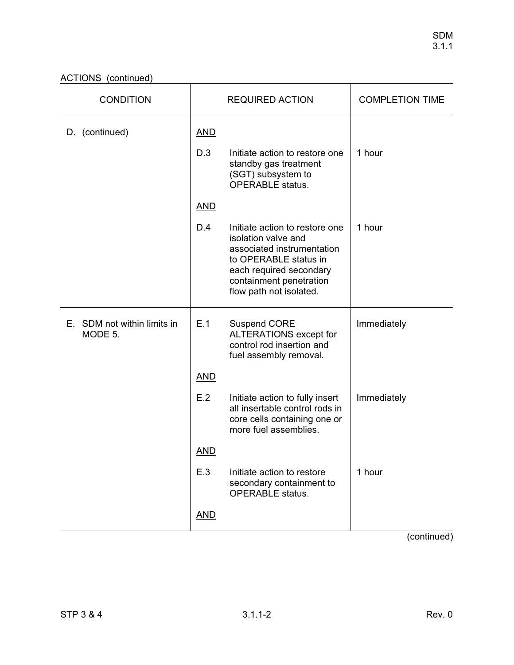ACTIONS (continued)

| <b>CONDITION</b>                       | <b>REQUIRED ACTION</b> |                                                                                                                                                                                               | <b>COMPLETION TIME</b> |
|----------------------------------------|------------------------|-----------------------------------------------------------------------------------------------------------------------------------------------------------------------------------------------|------------------------|
| D. (continued)                         | <b>AND</b>             |                                                                                                                                                                                               |                        |
|                                        | D.3                    | Initiate action to restore one<br>standby gas treatment<br>(SGT) subsystem to<br><b>OPERABLE</b> status.                                                                                      | 1 hour                 |
|                                        | <b>AND</b>             |                                                                                                                                                                                               |                        |
|                                        | D.4                    | Initiate action to restore one<br>isolation valve and<br>associated instrumentation<br>to OPERABLE status in<br>each required secondary<br>containment penetration<br>flow path not isolated. | 1 hour                 |
| E. SDM not within limits in<br>MODE 5. | E.1                    | <b>Suspend CORE</b><br>ALTERATIONS except for<br>control rod insertion and<br>fuel assembly removal.                                                                                          | Immediately            |
|                                        | <b>AND</b>             |                                                                                                                                                                                               |                        |
|                                        | E.2                    | Initiate action to fully insert<br>all insertable control rods in<br>core cells containing one or<br>more fuel assemblies.                                                                    | Immediately            |
|                                        | <b>AND</b>             |                                                                                                                                                                                               |                        |
|                                        | E.3                    | Initiate action to restore<br>secondary containment to<br><b>OPERABLE</b> status.                                                                                                             | 1 hour                 |
|                                        | <b>AND</b>             |                                                                                                                                                                                               |                        |

(continued)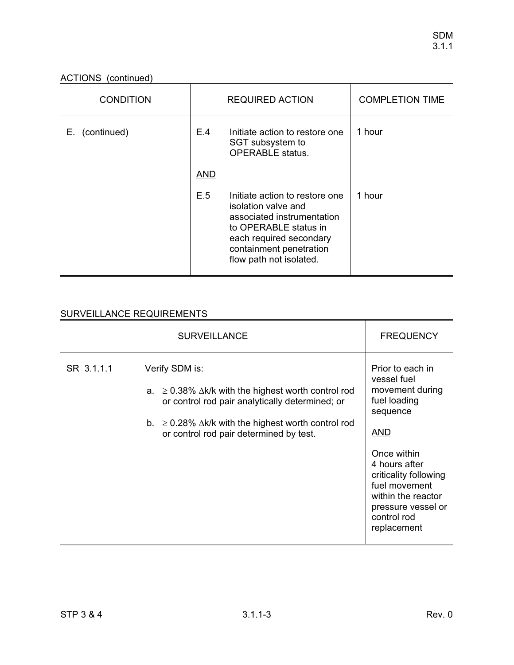ACTIONS (continued)

| <b>CONDITION</b>  | <b>REQUIRED ACTION</b> |                                                                                                                                                                                               | <b>COMPLETION TIME</b> |
|-------------------|------------------------|-----------------------------------------------------------------------------------------------------------------------------------------------------------------------------------------------|------------------------|
| (continued)<br>Е. | E.4                    | Initiate action to restore one<br>SGT subsystem to<br><b>OPERABLE</b> status.                                                                                                                 | 1 hour                 |
|                   | AND                    |                                                                                                                                                                                               |                        |
|                   | E.5                    | Initiate action to restore one<br>isolation valve and<br>associated instrumentation<br>to OPERABLE status in<br>each required secondary<br>containment penetration<br>flow path not isolated. | 1 hour                 |

|            | <b>SURVEILLANCE</b>                                                                                                                                                                                                                                | <b>FREQUENCY</b>                                                                                                                                                                                                                                 |
|------------|----------------------------------------------------------------------------------------------------------------------------------------------------------------------------------------------------------------------------------------------------|--------------------------------------------------------------------------------------------------------------------------------------------------------------------------------------------------------------------------------------------------|
| SR 3.1.1.1 | Verify SDM is:<br>a. $\geq$ 0.38% $\Delta$ k/k with the highest worth control rod<br>or control rod pair analytically determined; or<br>b. $\geq$ 0.28% $\Delta$ k/k with the highest worth control rod<br>or control rod pair determined by test. | Prior to each in<br>vessel fuel<br>movement during<br>fuel loading<br>sequence<br><b>AND</b><br>Once within<br>4 hours after<br>criticality following<br>fuel movement<br>within the reactor<br>pressure vessel or<br>control rod<br>replacement |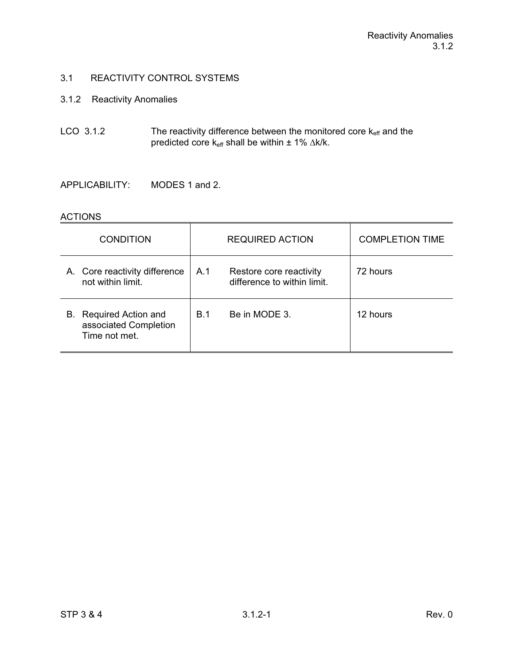# 3.1.2 Reactivity Anomalies

LCO 3.1.2 The reactivity difference between the monitored core  $k_{\text{eff}}$  and the predicted core  $k_{\text{eff}}$  shall be within  $\pm$  1%  $\Delta$ k/k.

APPLICABILITY: MODES 1 and 2.

### **ACTIONS**

| <b>CONDITION</b>                                                    | <b>REQUIRED ACTION</b> |                                                        | <b>COMPLETION TIME</b> |
|---------------------------------------------------------------------|------------------------|--------------------------------------------------------|------------------------|
| A. Core reactivity difference<br>not within limit.                  | A.1                    | Restore core reactivity<br>difference to within limit. | 72 hours               |
| Required Action and<br>В.<br>associated Completion<br>Time not met. | <b>B.1</b>             | Be in MODE 3.                                          | 12 hours               |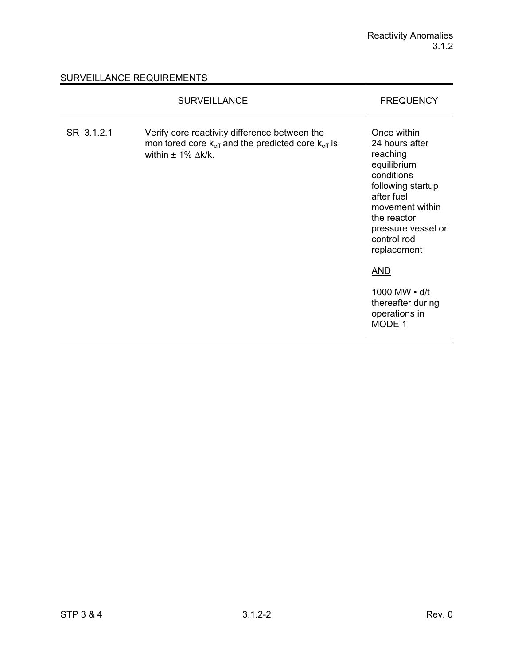|            | <b>SURVEILLANCE</b>                                                                                                                                          | <b>FREQUENCY</b>                                                                                                                                                                                                                                                               |
|------------|--------------------------------------------------------------------------------------------------------------------------------------------------------------|--------------------------------------------------------------------------------------------------------------------------------------------------------------------------------------------------------------------------------------------------------------------------------|
| SR 3.1.2.1 | Verify core reactivity difference between the<br>monitored core k <sub>eff</sub> and the predicted core k <sub>eff</sub> is<br>within $\pm$ 1% $\Delta$ k/k. | Once within<br>24 hours after<br>reaching<br>equilibrium<br>conditions<br>following startup<br>after fuel<br>movement within<br>the reactor<br>pressure vessel or<br>control rod<br>replacement<br><b>AND</b><br>1000 MW • d/t<br>thereafter during<br>operations in<br>MODE 1 |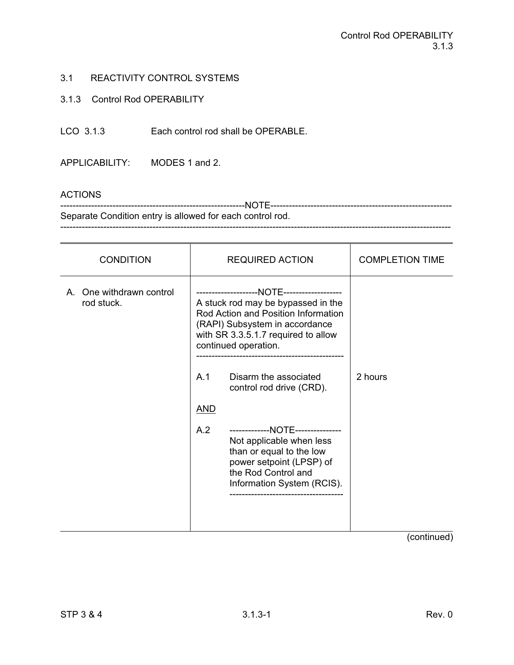### 3.1.3 Control Rod OPERABILITY

LCO 3.1.3 Each control rod shall be OPERABLE.

APPLICABILITY: MODES 1 and 2.

## ACTIONS

------------------------------------------------------------NOTE----------------------------------------------------------- Separate Condition entry is allowed for each control rod. -------------------------------------------------------------------------------------------------------------------------------

| <b>CONDITION</b>                       | <b>REQUIRED ACTION</b>                                                                                                                                                                                                                 | <b>COMPLETION TIME</b> |
|----------------------------------------|----------------------------------------------------------------------------------------------------------------------------------------------------------------------------------------------------------------------------------------|------------------------|
| A. One withdrawn control<br>rod stuck. | A stuck rod may be bypassed in the<br>Rod Action and Position Information<br>(RAPI) Subsystem in accordance<br>with SR 3.3.5.1.7 required to allow<br>continued operation.<br>A.1<br>Disarm the associated<br>control rod drive (CRD). | 2 hours                |
|                                        | <u>AND</u><br>A.2<br>-------------NOTE---------------<br>Not applicable when less<br>than or equal to the low<br>power setpoint (LPSP) of<br>the Rod Control and<br>Information System (RCIS).                                         |                        |

(continued)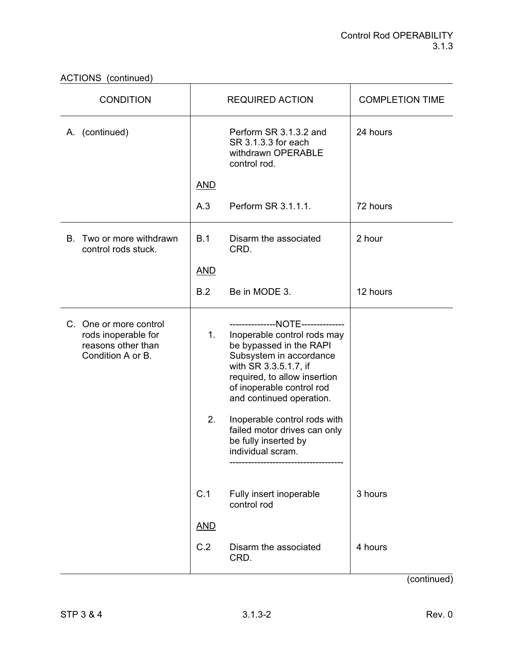| <b>CONDITION</b>                                                                         |            | <b>REQUIRED ACTION</b>                                                                                                                                                                                                                   | <b>COMPLETION TIME</b> |
|------------------------------------------------------------------------------------------|------------|------------------------------------------------------------------------------------------------------------------------------------------------------------------------------------------------------------------------------------------|------------------------|
| A. (continued)                                                                           |            | Perform SR 3.1.3.2 and<br>SR 3.1.3.3 for each<br>withdrawn OPERABLE<br>control rod.                                                                                                                                                      | 24 hours               |
|                                                                                          | <b>AND</b> |                                                                                                                                                                                                                                          |                        |
|                                                                                          | A.3        | Perform SR 3.1.1.1.                                                                                                                                                                                                                      | 72 hours               |
| B. Two or more withdrawn<br>control rods stuck.                                          | B.1        | Disarm the associated<br>CRD.                                                                                                                                                                                                            | 2 hour                 |
|                                                                                          | <b>AND</b> |                                                                                                                                                                                                                                          |                        |
|                                                                                          | B.2        | Be in MODE 3.                                                                                                                                                                                                                            | 12 hours               |
| C. One or more control<br>rods inoperable for<br>reasons other than<br>Condition A or B. | 1.         | ---------------NOTE--------------<br>Inoperable control rods may<br>be bypassed in the RAPI<br>Subsystem in accordance<br>with SR 3.3.5.1.7, if<br>required, to allow insertion<br>of inoperable control rod<br>and continued operation. |                        |
|                                                                                          | 2.         | Inoperable control rods with<br>failed motor drives can only<br>be fully inserted by<br>individual scram.                                                                                                                                |                        |
|                                                                                          | C.1        | Fully insert inoperable<br>control rod                                                                                                                                                                                                   | 3 hours                |
|                                                                                          | <b>AND</b> |                                                                                                                                                                                                                                          |                        |
|                                                                                          | C.2        | Disarm the associated<br>CRD.                                                                                                                                                                                                            | 4 hours                |

(continued)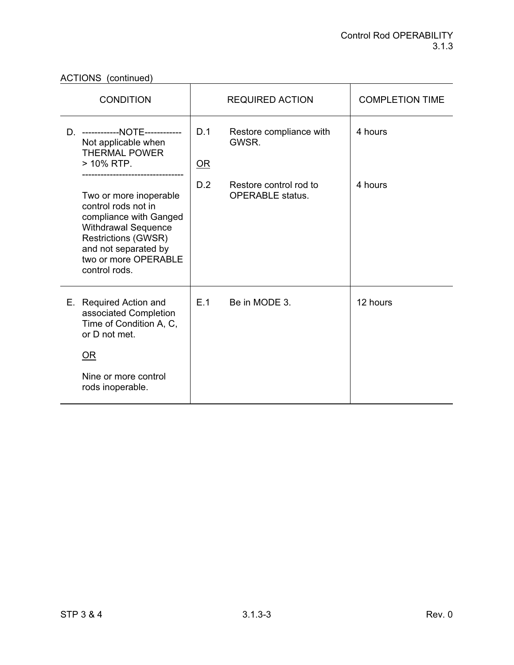| <b>CONDITION</b> |                                                                                                                                                                                                      | <b>REQUIRED ACTION</b> |                                                   | <b>COMPLETION TIME</b> |
|------------------|------------------------------------------------------------------------------------------------------------------------------------------------------------------------------------------------------|------------------------|---------------------------------------------------|------------------------|
| D.               | ------------NOTE------------<br>Not applicable when<br><b>THERMAL POWER</b><br>> 10% RTP.                                                                                                            | D.1<br>$OR$            | Restore compliance with<br>GWSR.                  | 4 hours                |
|                  | Two or more inoperable<br>control rods not in<br>compliance with Ganged<br><b>Withdrawal Sequence</b><br><b>Restrictions (GWSR)</b><br>and not separated by<br>two or more OPERABLE<br>control rods. | D.2                    | Restore control rod to<br><b>OPERABLE</b> status. | 4 hours                |
|                  | E. Required Action and<br>associated Completion<br>Time of Condition A, C,<br>or D not met.                                                                                                          | E.1                    | Be in MODE 3.                                     | 12 hours               |
|                  | $OR$                                                                                                                                                                                                 |                        |                                                   |                        |
|                  | Nine or more control<br>rods inoperable.                                                                                                                                                             |                        |                                                   |                        |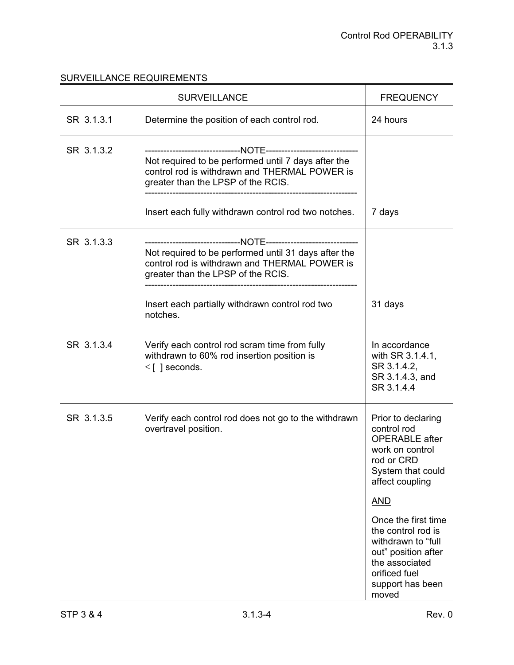|            | <b>SURVEILLANCE</b>                                                                                                                         | <b>FREQUENCY</b>                                                                                                                                       |
|------------|---------------------------------------------------------------------------------------------------------------------------------------------|--------------------------------------------------------------------------------------------------------------------------------------------------------|
| SR 3.1.3.1 | Determine the position of each control rod.                                                                                                 | 24 hours                                                                                                                                               |
| SR 3.1.3.2 | Not required to be performed until 7 days after the<br>control rod is withdrawn and THERMAL POWER is<br>greater than the LPSP of the RCIS.  |                                                                                                                                                        |
|            | Insert each fully withdrawn control rod two notches.                                                                                        | 7 days                                                                                                                                                 |
| SR 3.1.3.3 | Not required to be performed until 31 days after the<br>control rod is withdrawn and THERMAL POWER is<br>greater than the LPSP of the RCIS. |                                                                                                                                                        |
|            | Insert each partially withdrawn control rod two<br>notches.                                                                                 | 31 days                                                                                                                                                |
| SR 3.1.3.4 | Verify each control rod scram time from fully<br>withdrawn to 60% rod insertion position is<br>$\leq$ [ ] seconds.                          | In accordance<br>with SR 3.1.4.1,<br>SR 3.1.4.2,<br>SR 3.1.4.3, and<br>SR 3.1.4.4                                                                      |
| SR 3.1.3.5 | Verify each control rod does not go to the withdrawn<br>overtravel position.                                                                | Prior to declaring<br>control rod<br><b>OPERABLE</b> after<br>work on control<br>rod or CRD<br>System that could<br>affect coupling                    |
|            |                                                                                                                                             | <b>AND</b>                                                                                                                                             |
|            |                                                                                                                                             | Once the first time<br>the control rod is<br>withdrawn to "full<br>out" position after<br>the associated<br>orificed fuel<br>support has been<br>moved |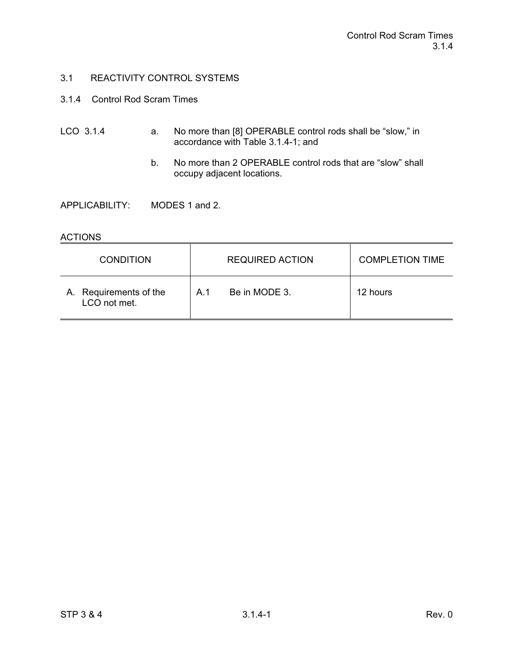- 3.1.4 Control Rod Scram Times
- LCO 3.1.4 a. No more than [8] OPERABLE control rods shall be "slow," in accordance with Table 3.1.4-1; and
	- b. No more than 2 OPERABLE control rods that are "slow" shall occupy adjacent locations.

APPLICABILITY: MODES 1 and 2.

## ACTIONS

| <b>CONDITION</b>                       | <b>REQUIRED ACTION</b> | <b>COMPLETION TIME</b> |
|----------------------------------------|------------------------|------------------------|
| A. Requirements of the<br>LCO not met. | Be in MODE 3.<br>A 1   | 12 hours               |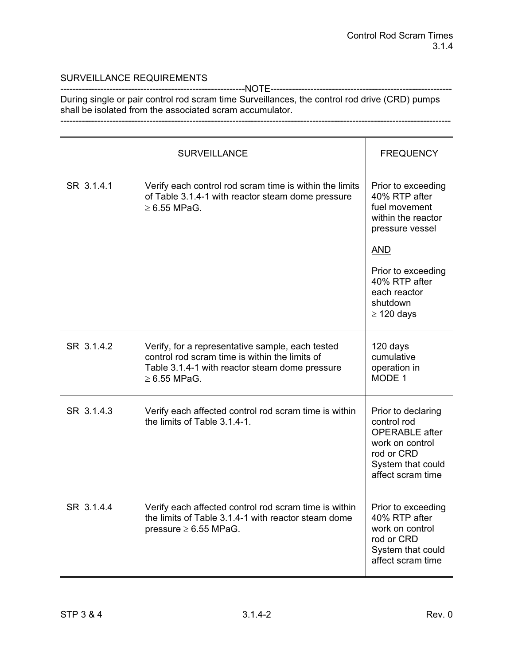------------------------------------------------------------NOTE----------------------------------------------------------- During single or pair control rod scram time Surveillances, the control rod drive (CRD) pumps shall be isolated from the associated scram accumulator.

-------------------------------------------------------------------------------------------------------------------------------

|            | <b>SURVEILLANCE</b>                                                                                                                                                       | <b>FREQUENCY</b>                                                                                                                                                                                  |
|------------|---------------------------------------------------------------------------------------------------------------------------------------------------------------------------|---------------------------------------------------------------------------------------------------------------------------------------------------------------------------------------------------|
| SR 3.1.4.1 | Verify each control rod scram time is within the limits<br>of Table 3.1.4-1 with reactor steam dome pressure<br>$\geq 6.55$ MPaG.                                         | Prior to exceeding<br>40% RTP after<br>fuel movement<br>within the reactor<br>pressure vessel<br><u>AND</u><br>Prior to exceeding<br>40% RTP after<br>each reactor<br>shutdown<br>$\geq$ 120 days |
| SR 3.1.4.2 | Verify, for a representative sample, each tested<br>control rod scram time is within the limits of<br>Table 3.1.4-1 with reactor steam dome pressure<br>$\geq 6.55$ MPaG. | 120 days<br>cumulative<br>operation in<br>MODE 1                                                                                                                                                  |
| SR 3.1.4.3 | Verify each affected control rod scram time is within<br>the limits of Table 3.1.4-1.                                                                                     | Prior to declaring<br>control rod<br><b>OPERABLE</b> after<br>work on control<br>rod or CRD<br>System that could<br>affect scram time                                                             |
| SR 3.1.4.4 | Verify each affected control rod scram time is within<br>the limits of Table 3.1.4-1 with reactor steam dome<br>pressure $\geq 6.55$ MPaG.                                | Prior to exceeding<br>40% RTP after<br>work on control<br>rod or CRD<br>System that could<br>affect scram time                                                                                    |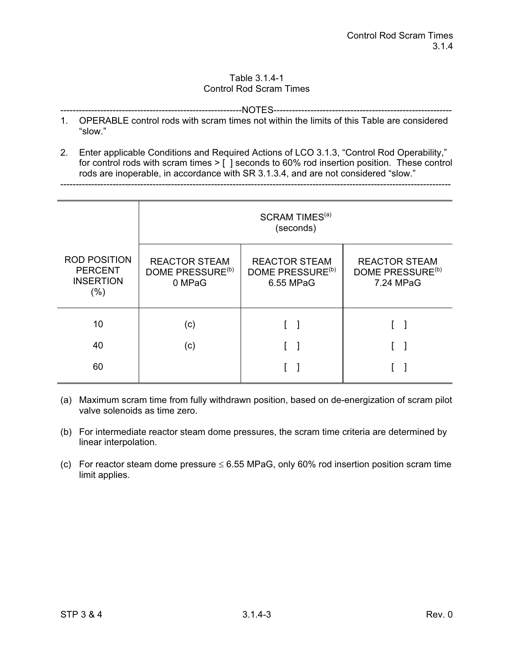#### Table 3.1.4-1 Control Rod Scram Times

-----------------------------------------------------------NOTES----------------------------------------------------------

- 1. OPERABLE control rods with scram times not within the limits of this Table are considered "slow."
- 2. Enter applicable Conditions and Required Actions of LCO 3.1.3, "Control Rod Operability," for control rods with scram times > [] seconds to 60% rod insertion position. These control rods are inoperable, in accordance with SR 3.1.3.4, and are not considered "slow."

-------------------------------------------------------------------------------------------------------------------------------

|                                                                      | SCRAM TIMES <sup>(a)</sup><br>(seconds)                        |                                                                   |                                                                   |  |  |
|----------------------------------------------------------------------|----------------------------------------------------------------|-------------------------------------------------------------------|-------------------------------------------------------------------|--|--|
| <b>ROD POSITION</b><br><b>PERCENT</b><br><b>INSERTION</b><br>$(\% )$ | <b>REACTOR STEAM</b><br>DOME PRESSURE <sup>(b)</sup><br>0 MPaG | <b>REACTOR STEAM</b><br>DOME PRESSURE <sup>(b)</sup><br>6.55 MPaG | <b>REACTOR STEAM</b><br>DOME PRESSURE <sup>(b)</sup><br>7.24 MPaG |  |  |
| 10                                                                   | (c)                                                            |                                                                   |                                                                   |  |  |
| 40                                                                   | (c)                                                            |                                                                   |                                                                   |  |  |
| 60                                                                   |                                                                |                                                                   |                                                                   |  |  |

- (a) Maximum scram time from fully withdrawn position, based on de-energization of scram pilot valve solenoids as time zero.
- (b) For intermediate reactor steam dome pressures, the scram time criteria are determined by linear interpolation.
- (c) For reactor steam dome pressure  $\leq 6.55$  MPaG, only 60% rod insertion position scram time limit applies.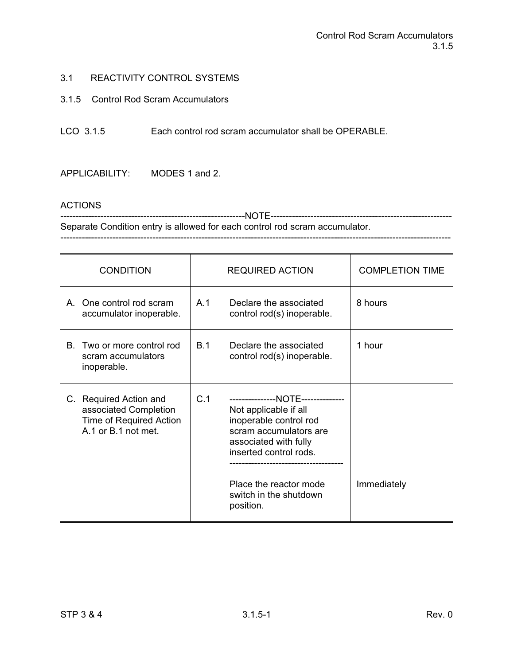### 3.1.5 Control Rod Scram Accumulators

LCO 3.1.5 Each control rod scram accumulator shall be OPERABLE.

APPLICABILITY: MODES 1 and 2.

#### **ACTIONS**

------------------------------------------------------------NOTE----------------------------------------------------------- Separate Condition entry is allowed for each control rod scram accumulator. -------------------------------------------------------------------------------------------------------------------------------

| <b>CONDITION</b>                                                                                  | <b>REQUIRED ACTION</b>                                                                                                                                                                                                                    | <b>COMPLETION TIME</b> |
|---------------------------------------------------------------------------------------------------|-------------------------------------------------------------------------------------------------------------------------------------------------------------------------------------------------------------------------------------------|------------------------|
| A. One control rod scram<br>accumulator inoperable.                                               | Declare the associated<br>A <sub>1</sub><br>control rod(s) inoperable.                                                                                                                                                                    | 8 hours                |
| Two or more control rod<br>B.<br>scram accumulators<br>inoperable.                                | Declare the associated<br><b>B.1</b><br>control rod(s) inoperable.                                                                                                                                                                        | 1 hour                 |
| C. Required Action and<br>associated Completion<br>Time of Required Action<br>A.1 or B.1 not met. | C.1<br>---------------NOTE--------------<br>Not applicable if all<br>inoperable control rod<br>scram accumulators are<br>associated with fully<br>inserted control rods.<br>Place the reactor mode<br>switch in the shutdown<br>position. | Immediately            |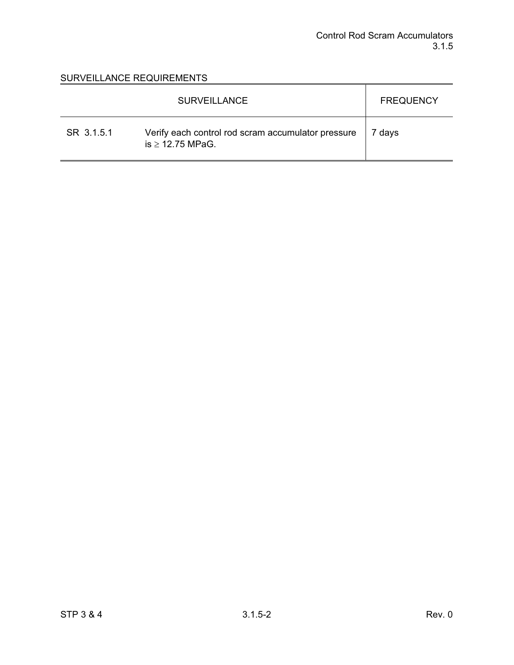|            | <b>SURVEILLANCE</b>                                                         | <b>FREQUENCY</b> |
|------------|-----------------------------------------------------------------------------|------------------|
| SR 3.1.5.1 | Verify each control rod scram accumulator pressure<br>is $\geq$ 12.75 MPaG. | 7 days           |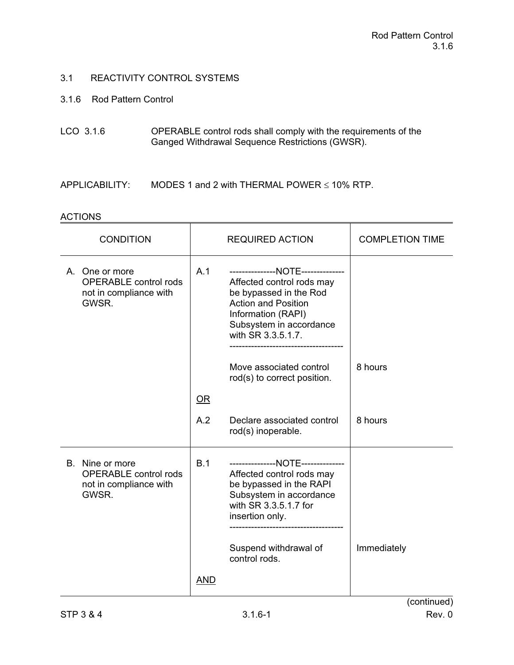### 3.1.6 Rod Pattern Control

- LCO 3.1.6 OPERABLE control rods shall comply with the requirements of the Ganged Withdrawal Sequence Restrictions (GWSR).
- APPLICABILITY: MODES 1 and 2 with THERMAL POWER  $\leq$  10% RTP.

#### **ACTIONS**

| <b>CONDITION</b>                                                                   |                        | <b>REQUIRED ACTION</b>                                                                                                                                                                        | <b>COMPLETION TIME</b> |
|------------------------------------------------------------------------------------|------------------------|-----------------------------------------------------------------------------------------------------------------------------------------------------------------------------------------------|------------------------|
| A. One or more<br><b>OPERABLE</b> control rods<br>not in compliance with<br>GWSR.  | A.1                    | ---------------NOTE--------------<br>Affected control rods may<br>be bypassed in the Rod<br><b>Action and Position</b><br>Information (RAPI)<br>Subsystem in accordance<br>with SR 3.3.5.1.7. |                        |
|                                                                                    |                        | Move associated control<br>rod(s) to correct position.                                                                                                                                        | 8 hours                |
|                                                                                    | $\overline{\text{OR}}$ |                                                                                                                                                                                               |                        |
|                                                                                    | A.2                    | Declare associated control<br>rod(s) inoperable.                                                                                                                                              | 8 hours                |
| B. Nine or more<br><b>OPERABLE</b> control rods<br>not in compliance with<br>GWSR. | B.1                    | ---------------NOTE--------------<br>Affected control rods may<br>be bypassed in the RAPI<br>Subsystem in accordance<br>with SR 3.3.5.1.7 for<br>insertion only.                              |                        |
|                                                                                    |                        | Suspend withdrawal of<br>control rods.                                                                                                                                                        | Immediately            |
|                                                                                    | AND                    |                                                                                                                                                                                               |                        |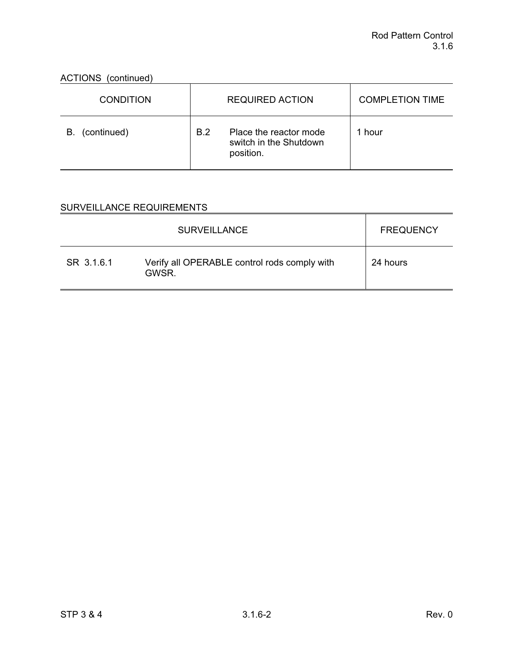ACTIONS (continued)

| <b>CONDITION</b>  |            | <b>REQUIRED ACTION</b>                                        | <b>COMPLETION TIME</b> |
|-------------------|------------|---------------------------------------------------------------|------------------------|
| (continued)<br>В. | <b>B.2</b> | Place the reactor mode<br>switch in the Shutdown<br>position. | 1 hour                 |

|            | <b>SURVEILLANCE</b>                                   | <b>FREQUENCY</b> |
|------------|-------------------------------------------------------|------------------|
| SR 3.1.6.1 | Verify all OPERABLE control rods comply with<br>GWSR. | 24 hours         |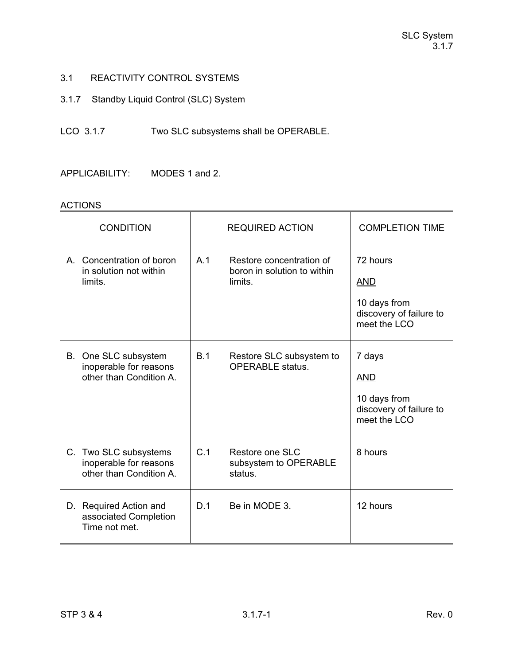3.1.7 Standby Liquid Control (SLC) System

LCO 3.1.7 Two SLC subsystems shall be OPERABLE.

APPLICABILITY: MODES 1 and 2.

## ACTIONS

| <b>CONDITION</b>                                                           | <b>REQUIRED ACTION</b>                                                    | <b>COMPLETION TIME</b>                                                            |
|----------------------------------------------------------------------------|---------------------------------------------------------------------------|-----------------------------------------------------------------------------------|
| A. Concentration of boron<br>in solution not within<br>limits.             | A.1<br>Restore concentration of<br>boron in solution to within<br>limits. | 72 hours<br><b>AND</b><br>10 days from<br>discovery of failure to<br>meet the LCO |
| B. One SLC subsystem<br>inoperable for reasons<br>other than Condition A.  | B.1<br>Restore SLC subsystem to<br><b>OPERABLE</b> status.                | 7 days<br><b>AND</b><br>10 days from<br>discovery of failure to<br>meet the LCO   |
| C. Two SLC subsystems<br>inoperable for reasons<br>other than Condition A. | C.1<br>Restore one SLC<br>subsystem to OPERABLE<br>status.                | 8 hours                                                                           |
| D. Required Action and<br>associated Completion<br>Time not met.           | D.1<br>Be in MODE 3.                                                      | 12 hours                                                                          |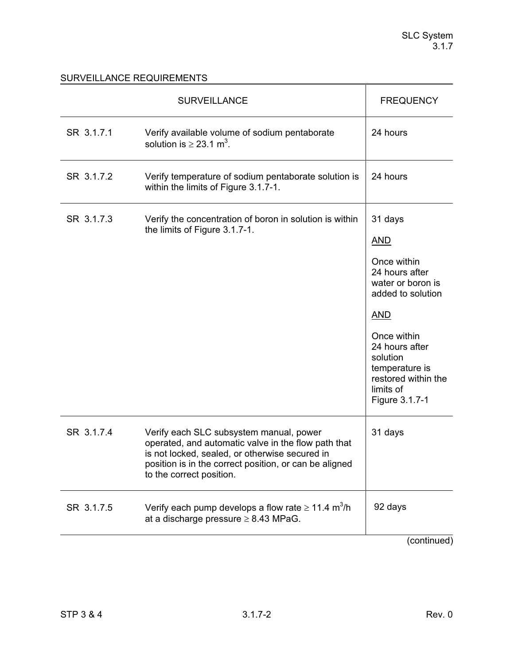|            | <b>SURVEILLANCE</b>                                                                                                                                                                                                                    | <b>FREQUENCY</b>                                                                                                                                                                                                                    |
|------------|----------------------------------------------------------------------------------------------------------------------------------------------------------------------------------------------------------------------------------------|-------------------------------------------------------------------------------------------------------------------------------------------------------------------------------------------------------------------------------------|
| SR 3.1.7.1 | Verify available volume of sodium pentaborate<br>solution is $\geq$ 23.1 m <sup>3</sup> .                                                                                                                                              | 24 hours                                                                                                                                                                                                                            |
| SR 3.1.7.2 | Verify temperature of sodium pentaborate solution is<br>within the limits of Figure 3.1.7-1.                                                                                                                                           | 24 hours                                                                                                                                                                                                                            |
| SR 3.1.7.3 | Verify the concentration of boron in solution is within<br>the limits of Figure 3.1.7-1.                                                                                                                                               | 31 days<br><b>AND</b><br>Once within<br>24 hours after<br>water or boron is<br>added to solution<br><b>AND</b><br>Once within<br>24 hours after<br>solution<br>temperature is<br>restored within the<br>limits of<br>Figure 3.1.7-1 |
| SR 3.1.7.4 | Verify each SLC subsystem manual, power<br>operated, and automatic valve in the flow path that<br>is not locked, sealed, or otherwise secured in<br>position is in the correct position, or can be aligned<br>to the correct position. | 31 days                                                                                                                                                                                                                             |
| SR 3.1.7.5 | Verify each pump develops a flow rate $\geq 11.4$ m <sup>3</sup> /h<br>at a discharge pressure $\geq 8.43$ MPaG.                                                                                                                       | 92 days                                                                                                                                                                                                                             |
|            |                                                                                                                                                                                                                                        | (continued)                                                                                                                                                                                                                         |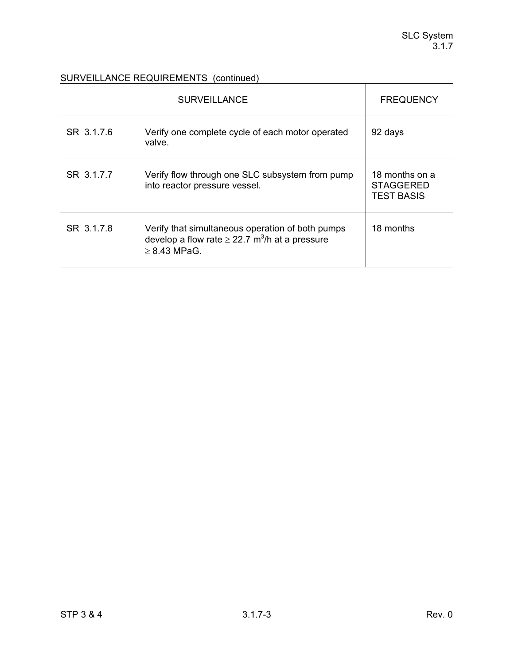## SURVEILLANCE REQUIREMENTS (continued)

|            | <b>SURVEILLANCE</b>                                                                                                                      | <b>FREQUENCY</b>                                        |
|------------|------------------------------------------------------------------------------------------------------------------------------------------|---------------------------------------------------------|
| SR 3.1.7.6 | Verify one complete cycle of each motor operated<br>valve.                                                                               | 92 days                                                 |
| SR 3.1.7.7 | Verify flow through one SLC subsystem from pump<br>into reactor pressure vessel.                                                         | 18 months on a<br><b>STAGGERED</b><br><b>TEST BASIS</b> |
| SR 3.1.7.8 | Verify that simultaneous operation of both pumps<br>develop a flow rate $\geq$ 22.7 m <sup>3</sup> /h at a pressure<br>$\geq$ 8.43 MPaG. | 18 months                                               |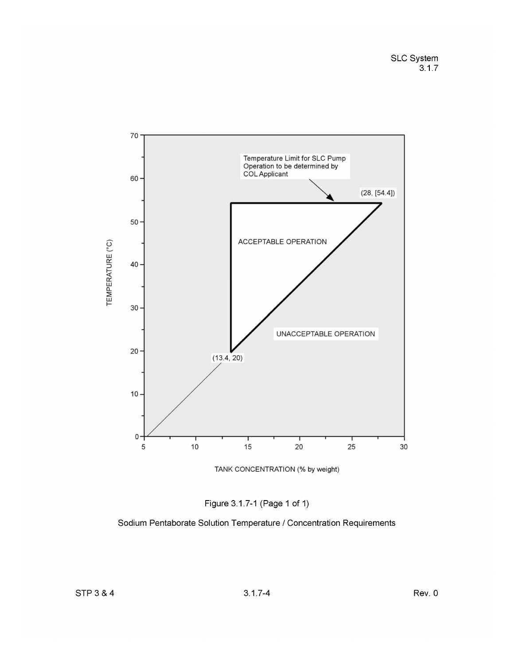



Sodium Pentaborate Solution Temperature / Concentration Requirements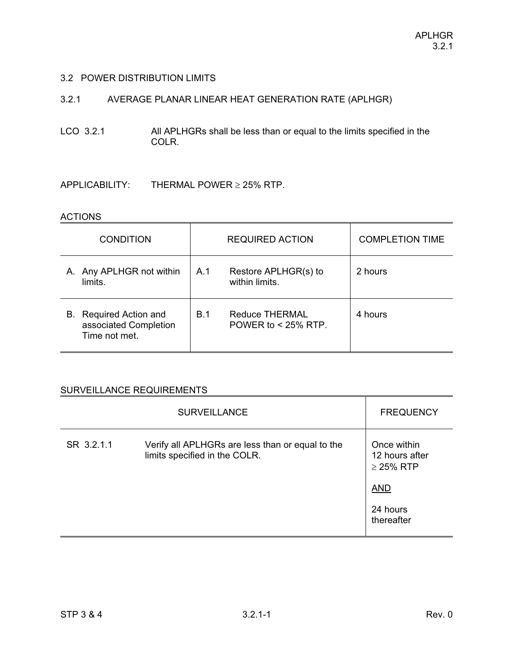### 3.2 POWER DISTRIBUTION LIMITS

# 3.2.1 AVERAGE PLANAR LINEAR HEAT GENERATION RATE (APLHGR)

LCO 3.2.1 All APLHGRs shall be less than or equal to the limits specified in the COLR.

 $APPLICABILITY:$  THERMAL POWER  $\geq$  25% RTP.

#### **ACTIONS**

| <b>CONDITION</b>                                                           | <b>REQUIRED ACTION</b>                                | <b>COMPLETION TIME</b> |
|----------------------------------------------------------------------------|-------------------------------------------------------|------------------------|
| A. Any APLHGR not within<br>limits.                                        | A.1<br>Restore APLHGR(s) to<br>within limits.         | 2 hours                |
| <b>Required Action and</b><br>В.<br>associated Completion<br>Time not met. | B.1<br><b>Reduce THERMAL</b><br>POWER to $<$ 25% RTP. | 4 hours                |

|            | <b>SURVEILLANCE</b>                                                               | <b>FREQUENCY</b>                                                                        |
|------------|-----------------------------------------------------------------------------------|-----------------------------------------------------------------------------------------|
| SR 3.2.1.1 | Verify all APLHGRs are less than or equal to the<br>limits specified in the COLR. | Once within<br>12 hours after<br>$\geq$ 25% RTP<br><b>AND</b><br>24 hours<br>thereafter |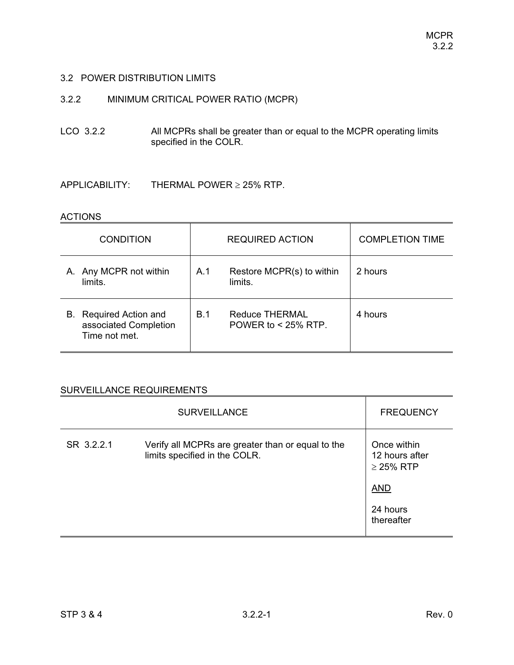## 3.2 POWER DISTRIBUTION LIMITS

# 3.2.2 MINIMUM CRITICAL POWER RATIO (MCPR)

LCO 3.2.2 All MCPRs shall be greater than or equal to the MCPR operating limits specified in the COLR.

 $APPLICABILITY:$  THERMAL POWER  $\geq$  25% RTP.

#### **ACTIONS**

| <b>CONDITION</b>                                                    | <b>REQUIRED ACTION</b>                                | <b>COMPLETION TIME</b> |
|---------------------------------------------------------------------|-------------------------------------------------------|------------------------|
| A. Any MCPR not within<br>limits.                                   | Restore MCPR(s) to within<br>A.1<br>limits.           | 2 hours                |
| Required Action and<br>В.<br>associated Completion<br>Time not met. | B.1<br><b>Reduce THERMAL</b><br>POWER to $<$ 25% RTP. | 4 hours                |

|            | <b>SURVEILLANCE</b>                                                                | <b>FREQUENCY</b>                                                                        |
|------------|------------------------------------------------------------------------------------|-----------------------------------------------------------------------------------------|
| SR 3.2.2.1 | Verify all MCPRs are greater than or equal to the<br>limits specified in the COLR. | Once within<br>12 hours after<br>$\geq$ 25% RTP<br><b>AND</b><br>24 hours<br>thereafter |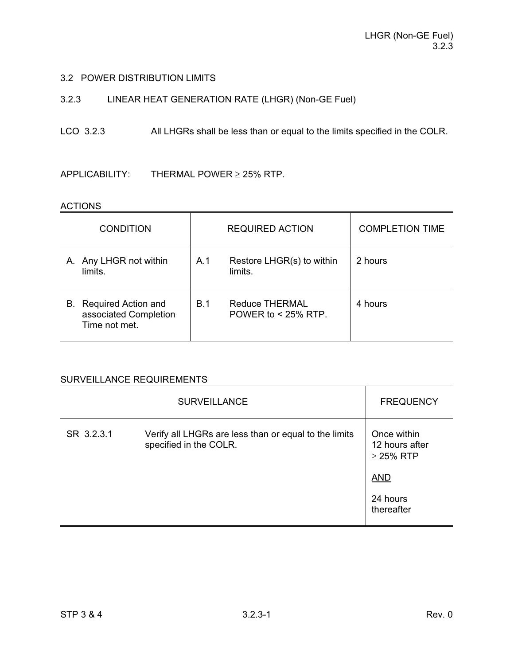## 3.2 POWER DISTRIBUTION LIMITS

# 3.2.3 LINEAR HEAT GENERATION RATE (LHGR) (Non-GE Fuel)

# LCO 3.2.3 All LHGRs shall be less than or equal to the limits specified in the COLR.

 $APPLICABILITY:$  THERMAL POWER  $\geq$  25% RTP.

#### ACTIONS

| <b>CONDITION</b>                                                           | <b>REQUIRED ACTION</b>                                | <b>COMPLETION TIME</b> |
|----------------------------------------------------------------------------|-------------------------------------------------------|------------------------|
| A. Any LHGR not within<br>limits.                                          | Restore LHGR(s) to within<br>A.1<br>limits.           | 2 hours                |
| <b>Required Action and</b><br>В.<br>associated Completion<br>Time not met. | B.1<br><b>Reduce THERMAL</b><br>POWER to $<$ 25% RTP. | 4 hours                |

|            | <b>SURVEILLANCE</b>                                                             | <b>FREQUENCY</b>                                                                        |
|------------|---------------------------------------------------------------------------------|-----------------------------------------------------------------------------------------|
| SR 3.2.3.1 | Verify all LHGRs are less than or equal to the limits<br>specified in the COLR. | Once within<br>12 hours after<br>$\geq$ 25% RTP<br><b>AND</b><br>24 hours<br>thereafter |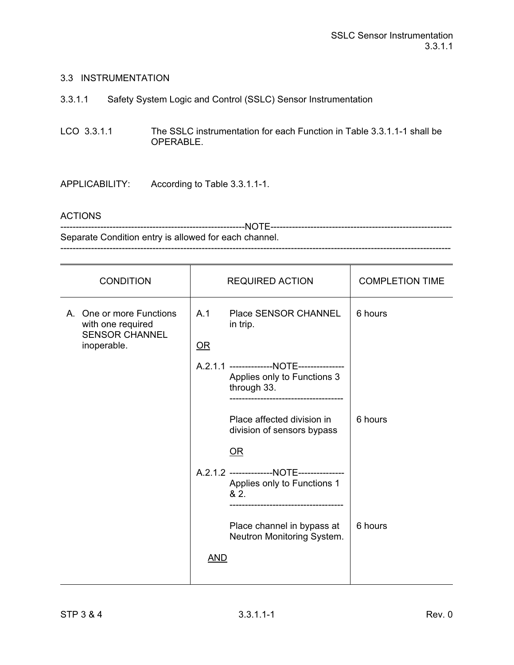#### 3.3 INSTRUMENTATION

3.3.1.1 Safety System Logic and Control (SSLC) Sensor Instrumentation

LCO 3.3.1.1 The SSLC instrumentation for each Function in Table 3.3.1.1-1 shall be OPERABLE.

APPLICABILITY: According to Table 3.3.1.1-1.

#### ACTIONS

------------------------------------------------------------NOTE----------------------------------------------------------- Separate Condition entry is allowed for each channel. -------------------------------------------------------------------------------------------------------------------------------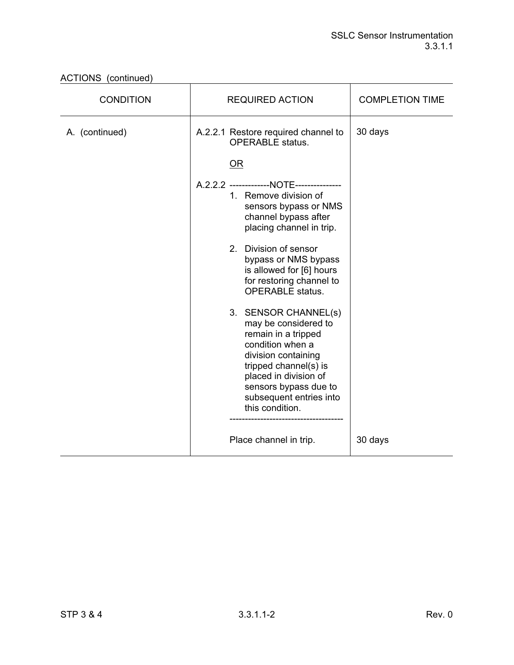| <b>CONDITION</b> | <b>REQUIRED ACTION</b>                                                                                                                                                                                                                                                                                                                                                                                                                                                                                                                      | <b>COMPLETION TIME</b> |
|------------------|---------------------------------------------------------------------------------------------------------------------------------------------------------------------------------------------------------------------------------------------------------------------------------------------------------------------------------------------------------------------------------------------------------------------------------------------------------------------------------------------------------------------------------------------|------------------------|
| A. (continued)   | A.2.2.1 Restore required channel to<br><b>OPERABLE</b> status.                                                                                                                                                                                                                                                                                                                                                                                                                                                                              | 30 days                |
|                  | <b>OR</b><br>A.2.2.2 --------------NOTE---------------<br>1. Remove division of<br>sensors bypass or NMS<br>channel bypass after<br>placing channel in trip.<br>2. Division of sensor<br>bypass or NMS bypass<br>is allowed for [6] hours<br>for restoring channel to<br><b>OPERABLE</b> status.<br>3. SENSOR CHANNEL(s)<br>may be considered to<br>remain in a tripped<br>condition when a<br>division containing<br>tripped channel(s) is<br>placed in division of<br>sensors bypass due to<br>subsequent entries into<br>this condition. |                        |
|                  | Place channel in trip.                                                                                                                                                                                                                                                                                                                                                                                                                                                                                                                      | 30 days                |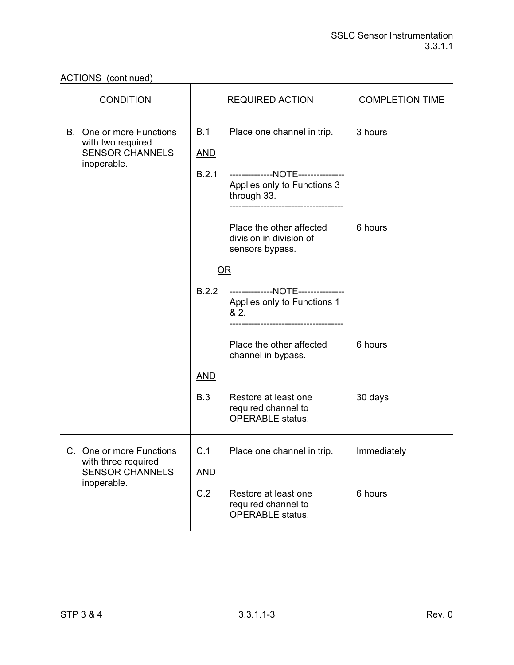| <b>CONDITION</b>                                                               |                   | <b>REQUIRED ACTION</b>                                                        | <b>COMPLETION TIME</b> |
|--------------------------------------------------------------------------------|-------------------|-------------------------------------------------------------------------------|------------------------|
| <b>B.</b> One or more Functions<br>with two required<br><b>SENSOR CHANNELS</b> | B.1<br><u>AND</u> | Place one channel in trip.                                                    | 3 hours                |
| inoperable.                                                                    | B.2.1             | --------------NOTE-------------<br>Applies only to Functions 3<br>through 33. |                        |
|                                                                                |                   | Place the other affected<br>division in division of<br>sensors bypass.        | 6 hours                |
|                                                                                | OR                |                                                                               |                        |
|                                                                                | B.2.2             | --------------NOTE---------------<br>Applies only to Functions 1<br>82.       |                        |
|                                                                                |                   | Place the other affected<br>channel in bypass.                                | 6 hours                |
|                                                                                | <b>AND</b>        |                                                                               |                        |
|                                                                                | B.3               | Restore at least one<br>required channel to<br><b>OPERABLE</b> status.        | 30 days                |
| C. One or more Functions<br>with three required<br><b>SENSOR CHANNELS</b>      | C.1               | Place one channel in trip.                                                    | Immediately            |
|                                                                                | <b>AND</b>        |                                                                               |                        |
| inoperable.                                                                    | C.2               | Restore at least one<br>required channel to<br><b>OPERABLE</b> status.        | 6 hours                |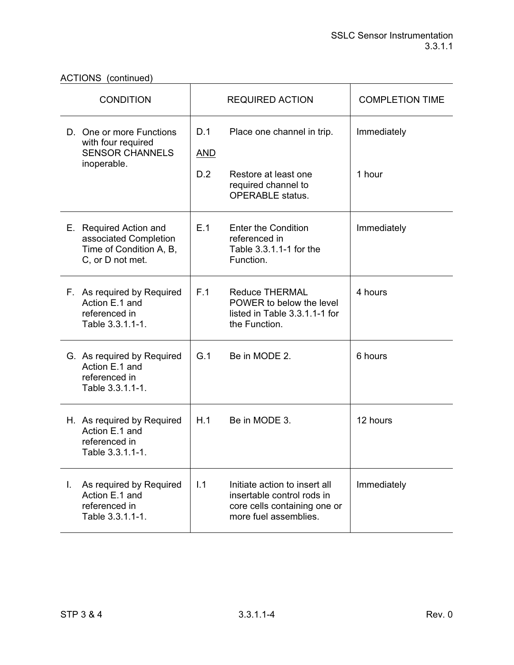| <b>CONDITION</b>                                                                               |                   | <b>REQUIRED ACTION</b>                                                                                               | <b>COMPLETION TIME</b> |
|------------------------------------------------------------------------------------------------|-------------------|----------------------------------------------------------------------------------------------------------------------|------------------------|
| D. One or more Functions<br>with four required<br><b>SENSOR CHANNELS</b>                       | D.1<br><b>AND</b> | Place one channel in trip.                                                                                           | Immediately            |
| inoperable.                                                                                    | D.2               | Restore at least one<br>required channel to<br><b>OPERABLE</b> status.                                               | 1 hour                 |
| E. Required Action and<br>associated Completion<br>Time of Condition A, B,<br>C, or D not met. | E.1               | <b>Enter the Condition</b><br>referenced in<br>Table 3.3.1.1-1 for the<br>Function.                                  | Immediately            |
| F. As required by Required<br>Action E.1 and<br>referenced in<br>Table 3.3.1.1-1.              | F.1               | <b>Reduce THERMAL</b><br>POWER to below the level<br>listed in Table 3.3.1.1-1 for<br>the Function.                  | 4 hours                |
| G. As required by Required<br>Action E.1 and<br>referenced in<br>Table 3.3.1.1-1.              | G.1               | Be in MODE 2.                                                                                                        | 6 hours                |
| H. As required by Required<br>Action E.1 and<br>referenced in<br>Table 3.3.1.1-1.              | H.1               | Be in MODE 3.                                                                                                        | 12 hours               |
| As required by Required<br>L.<br>Action E.1 and<br>referenced in<br>Table 3.3.1.1-1.           | 1.1               | Initiate action to insert all<br>insertable control rods in<br>core cells containing one or<br>more fuel assemblies. | Immediately            |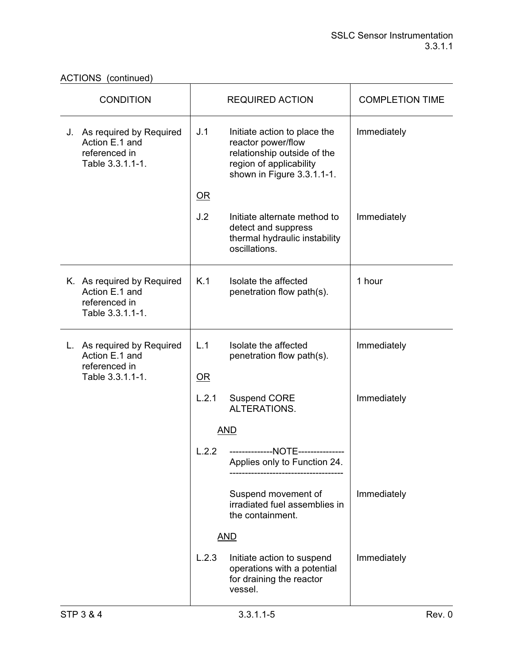| <b>CONDITION</b>                                                                  | <b>REQUIRED ACTION</b>                                                                                                                            | <b>COMPLETION TIME</b> |
|-----------------------------------------------------------------------------------|---------------------------------------------------------------------------------------------------------------------------------------------------|------------------------|
| J. As required by Required<br>Action E.1 and<br>referenced in<br>Table 3.3.1.1-1. | J.1<br>Initiate action to place the<br>reactor power/flow<br>relationship outside of the<br>region of applicability<br>shown in Figure 3.3.1.1-1. | Immediately            |
|                                                                                   | $\overline{\mathsf{OR}}$                                                                                                                          |                        |
|                                                                                   | J.2<br>Initiate alternate method to<br>detect and suppress<br>thermal hydraulic instability<br>oscillations.                                      | Immediately            |
| K. As required by Required<br>Action E.1 and<br>referenced in<br>Table 3.3.1.1-1. | K.1<br>Isolate the affected<br>penetration flow path(s).                                                                                          | 1 hour                 |
| L. As required by Required<br>Action E.1 and<br>referenced in                     | L.1<br>Isolate the affected<br>penetration flow path(s).                                                                                          | Immediately            |
| Table 3.3.1.1-1.                                                                  | OR                                                                                                                                                |                        |
|                                                                                   | L.2.1<br><b>Suspend CORE</b><br>ALTERATIONS.                                                                                                      | Immediately            |
|                                                                                   | <b>AND</b>                                                                                                                                        |                        |
|                                                                                   | L.2.2<br>--------------NOTE-------------<br>Applies only to Function 24.                                                                          |                        |
|                                                                                   | Suspend movement of<br>irradiated fuel assemblies in<br>the containment.                                                                          | Immediately            |
|                                                                                   | <b>AND</b>                                                                                                                                        |                        |
|                                                                                   | L.2.3<br>Initiate action to suspend<br>operations with a potential<br>for draining the reactor<br>vessel.                                         | Immediately            |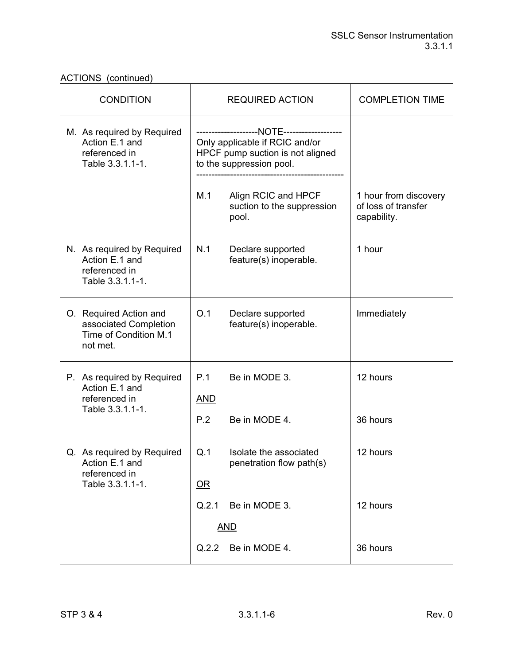ACTIONS (continued)

| <b>CONDITION</b>                                                                     | <b>REQUIRED ACTION</b>                                                                         | <b>COMPLETION TIME</b>                                      |
|--------------------------------------------------------------------------------------|------------------------------------------------------------------------------------------------|-------------------------------------------------------------|
| M. As required by Required<br>Action E.1 and<br>referenced in<br>Table 3.3.1.1-1.    | Only applicable if RCIC and/or<br>HPCF pump suction is not aligned<br>to the suppression pool. |                                                             |
|                                                                                      | M.1<br>Align RCIC and HPCF<br>suction to the suppression<br>pool.                              | 1 hour from discovery<br>of loss of transfer<br>capability. |
| N. As required by Required<br>Action E.1 and<br>referenced in<br>Table 3.3.1.1-1.    | N.1<br>Declare supported<br>feature(s) inoperable.                                             | 1 hour                                                      |
| O. Required Action and<br>associated Completion<br>Time of Condition M.1<br>not met. | O.1<br>Declare supported<br>feature(s) inoperable.                                             | Immediately                                                 |
| P. As required by Required<br>Action E.1 and<br>referenced in<br>Table 3.3.1.1-1.    | P.1<br>Be in MODE 3.<br><b>AND</b><br>P.2<br>Be in MODE 4.                                     | 12 hours<br>36 hours                                        |
| Q. As required by Required<br>Action E.1 and<br>referenced in<br>Table 3.3.1.1-1.    | Q.1<br>Isolate the associated<br>penetration flow path(s)<br>$OR$<br>Q.2.1<br>Be in MODE 3.    | 12 hours<br>12 hours                                        |
|                                                                                      | <b>AND</b>                                                                                     |                                                             |
|                                                                                      | Q.2.2<br>Be in MODE 4.                                                                         | 36 hours                                                    |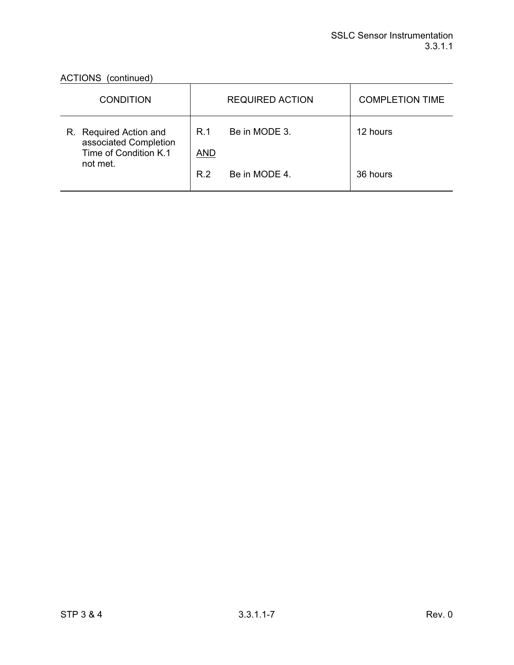| <b>CONDITION</b>                                                         |                   | <b>REQUIRED ACTION</b> | <b>COMPLETION TIME</b> |
|--------------------------------------------------------------------------|-------------------|------------------------|------------------------|
| R. Required Action and<br>associated Completion<br>Time of Condition K.1 | R.1<br><b>AND</b> | Be in MODE 3.          | 12 hours               |
| not met.                                                                 | R 2               | Be in MODE 4.          | 36 hours               |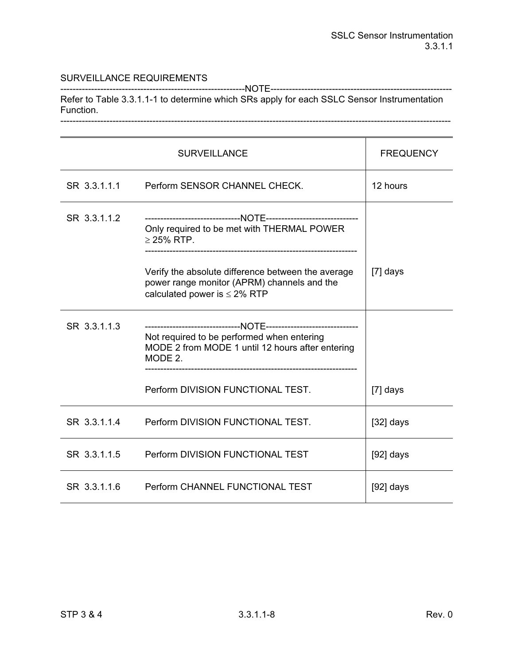------------------------------------------------------------NOTE----------------------------------------------------------- Refer to Table 3.3.1.1-1 to determine which SRs apply for each SSLC Sensor Instrumentation Function. -------------------------------------------------------------------------------------------------------------------------------

|              | <b>SURVEILLANCE</b>                                                                                                                    | <b>FREQUENCY</b> |
|--------------|----------------------------------------------------------------------------------------------------------------------------------------|------------------|
| SR 3.3.1.1.1 | Perform SENSOR CHANNEL CHECK.                                                                                                          | 12 hours         |
| SR 3.3.1.1.2 | Only required to be met with THERMAL POWER<br>$\geq$ 25% RTP.                                                                          |                  |
|              | Verify the absolute difference between the average<br>power range monitor (APRM) channels and the<br>calculated power is $\leq$ 2% RTP | $[7]$ days       |
| SR 3.3.1.1.3 | Not required to be performed when entering<br>MODE 2 from MODE 1 until 12 hours after entering<br>MODE 2.                              |                  |
|              | Perform DIVISION FUNCTIONAL TEST.                                                                                                      | [7] days         |
| SR 3.3.1.1.4 | Perform DIVISION FUNCTIONAL TEST.                                                                                                      | $[32]$ days      |
| SR 3.3.1.1.5 | Perform DIVISION FUNCTIONAL TEST                                                                                                       | $[92]$ days      |
| SR 3.3.1.1.6 | Perform CHANNEL FUNCTIONAL TEST                                                                                                        | $[92]$ days      |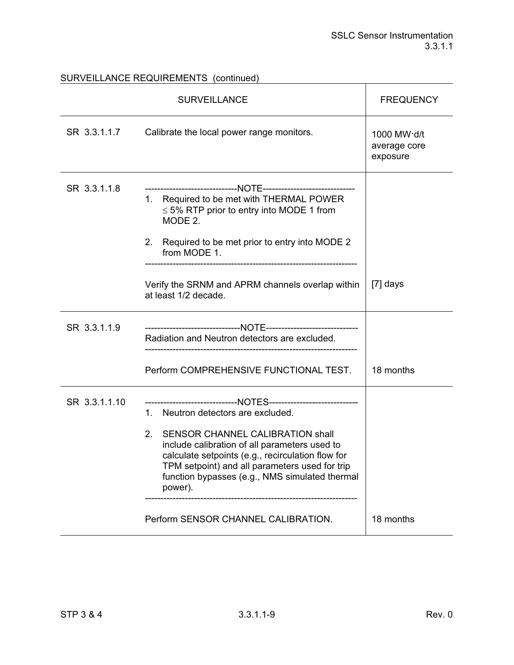# SURVEILLANCE REQUIREMENTS (continued)

| <b>SURVEILLANCE</b> |                                                                                                                                                                                                                                                                                                                                                                           | <b>FREQUENCY</b>                        |
|---------------------|---------------------------------------------------------------------------------------------------------------------------------------------------------------------------------------------------------------------------------------------------------------------------------------------------------------------------------------------------------------------------|-----------------------------------------|
| SR 3.3.1.1.7        | Calibrate the local power range monitors.                                                                                                                                                                                                                                                                                                                                 | 1000 MW·d/t<br>average core<br>exposure |
| SR 3.3.1.1.8        | 1. Required to be met with THERMAL POWER<br>$\leq$ 5% RTP prior to entry into MODE 1 from<br>MODE 2.<br>Required to be met prior to entry into MODE 2<br>2.<br>from MODE 1.                                                                                                                                                                                               |                                         |
|                     | Verify the SRNM and APRM channels overlap within<br>at least 1/2 decade.                                                                                                                                                                                                                                                                                                  | $[7]$ days                              |
| SR 3.3.1.1.9        | Radiation and Neutron detectors are excluded.                                                                                                                                                                                                                                                                                                                             |                                         |
|                     | Perform COMPREHENSIVE FUNCTIONAL TEST.                                                                                                                                                                                                                                                                                                                                    | 18 months                               |
| SR 3.3.1.1.10       | ----------------------NOTES-----------------------------<br>1. Neutron detectors are excluded.<br><b>SENSOR CHANNEL CALIBRATION shall</b><br>$2_{-}$<br>include calibration of all parameters used to<br>calculate setpoints (e.g., recirculation flow for<br>TPM setpoint) and all parameters used for trip<br>function bypasses (e.g., NMS simulated thermal<br>power). |                                         |
|                     | Perform SENSOR CHANNEL CALIBRATION.                                                                                                                                                                                                                                                                                                                                       | 18 months                               |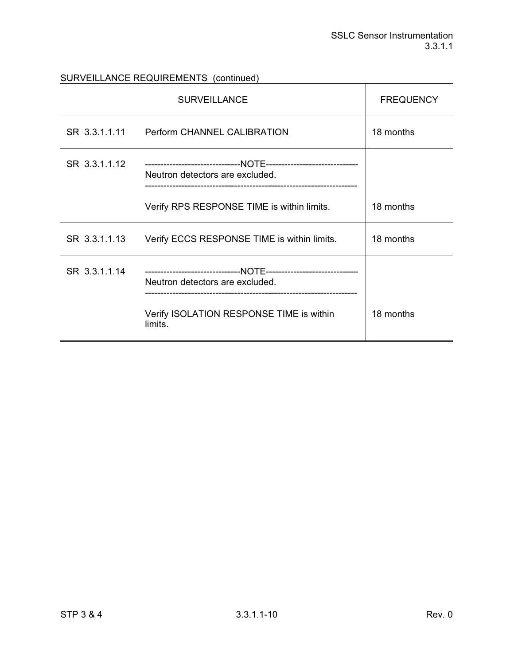SURVEILLANCE REQUIREMENTS (continued)

|               | <b>SURVEILLANCE</b>                                 | <b>FREQUENCY</b> |
|---------------|-----------------------------------------------------|------------------|
| SR 3.3.1.1.11 | Perform CHANNEL CALIBRATION                         | 18 months        |
| SR 3.3.1.1.12 | Neutron detectors are excluded.                     |                  |
|               | Verify RPS RESPONSE TIME is within limits.          | 18 months        |
| SR 3.3.1.1.13 | Verify ECCS RESPONSE TIME is within limits.         | 18 months        |
| SR 3.3.1.1.14 | Neutron detectors are excluded.                     |                  |
|               | Verify ISOLATION RESPONSE TIME is within<br>limits. | 18 months        |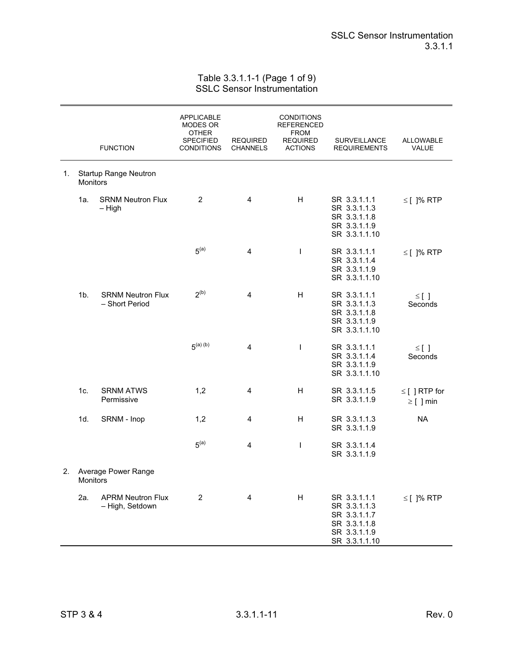Table 3.3.1.1-1 (Page 1 of 9) SSLC Sensor Instrumentation

|    |                 | <b>FUNCTION</b>                             | <b>APPLICABLE</b><br>MODES OR<br><b>OTHER</b><br><b>SPECIFIED</b><br><b>CONDITIONS</b> | <b>REQUIRED</b><br><b>CHANNELS</b> | <b>CONDITIONS</b><br>REFERENCED<br><b>FROM</b><br><b>REQUIRED</b><br><b>ACTIONS</b> | SURVEILLANCE<br><b>REQUIREMENTS</b>                                                           | <b>ALLOWABLE</b><br>VALUE            |
|----|-----------------|---------------------------------------------|----------------------------------------------------------------------------------------|------------------------------------|-------------------------------------------------------------------------------------|-----------------------------------------------------------------------------------------------|--------------------------------------|
| 1. | <b>Monitors</b> | Startup Range Neutron                       |                                                                                        |                                    |                                                                                     |                                                                                               |                                      |
|    | 1a.             | <b>SRNM Neutron Flux</b><br>$-$ High        | 2                                                                                      | 4                                  | H                                                                                   | SR 3.3.1.1.1<br>SR 3.3.1.1.3<br>SR 3.3.1.1.8<br>SR 3.3.1.1.9<br>SR 3.3.1.1.10                 | $\leq$ [ ]% RTP                      |
|    |                 |                                             | 5 <sup>(a)</sup>                                                                       | 4                                  | $\mathbf{I}$                                                                        | SR 3.3.1.1.1<br>SR 3.3.1.1.4<br>SR 3.3.1.1.9<br>SR 3.3.1.1.10                                 | $\le$ [ ]% RTP                       |
|    | 1b.             | <b>SRNM Neutron Flux</b><br>- Short Period  | 2 <sup>(b)</sup>                                                                       | 4                                  | H                                                                                   | SR 3.3.1.1.1<br>SR 3.3.1.1.3<br>SR 3.3.1.1.8<br>SR 3.3.1.1.9<br>SR 3.3.1.1.10                 | $\leq$ []<br>Seconds                 |
|    |                 |                                             | 5 <sup>(a)(b)</sup>                                                                    | 4                                  | $\mathbf{I}$                                                                        | SR 3.3.1.1.1<br>SR 3.3.1.1.4<br>SR 3.3.1.1.9<br>SR 3.3.1.1.10                                 | $\leq$ []<br>Seconds                 |
|    | 1c.             | <b>SRNM ATWS</b><br>Permissive              | 1,2                                                                                    | 4                                  | н                                                                                   | SR 3.3.1.1.5<br>SR 3.3.1.1.9                                                                  | $\leq$ [ ] RTP for<br>$\geq$ [ ] min |
|    | 1d.             | SRNM - Inop                                 | 1,2                                                                                    | 4                                  | H                                                                                   | SR 3.3.1.1.3<br>SR 3.3.1.1.9                                                                  | <b>NA</b>                            |
|    |                 |                                             | 5 <sup>(a)</sup>                                                                       | 4                                  | $\mathsf I$                                                                         | SR 3.3.1.1.4<br>SR 3.3.1.1.9                                                                  |                                      |
| 2. | <b>Monitors</b> | Average Power Range                         |                                                                                        |                                    |                                                                                     |                                                                                               |                                      |
|    | 2a.             | <b>APRM Neutron Flux</b><br>- High, Setdown | $\overline{2}$                                                                         | 4                                  | H                                                                                   | SR 3.3.1.1.1<br>SR 3.3.1.1.3<br>SR 3.3.1.1.7<br>SR 3.3.1.1.8<br>SR 3.3.1.1.9<br>SR 3.3.1.1.10 | $\leq$ [ ]% RTP                      |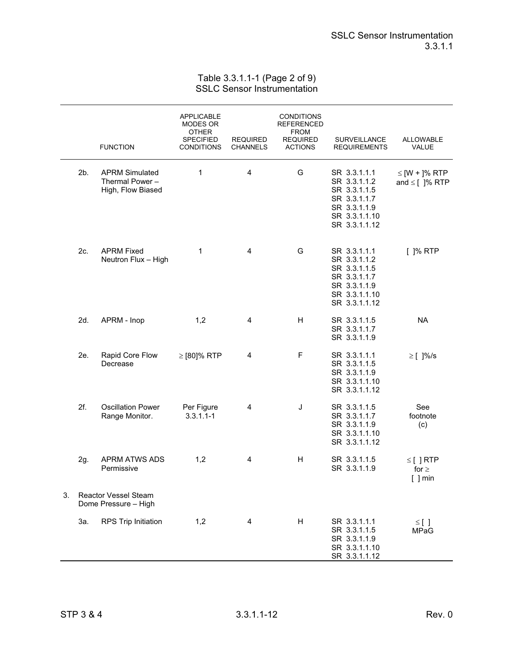## Table 3.3.1.1-1 (Page 2 of 9) SSLC Sensor Instrumentation

|    |     | <b>FUNCTION</b>                                               | <b>APPLICABLE</b><br>MODES OR<br><b>OTHER</b><br><b>SPECIFIED</b><br><b>CONDITIONS</b> | <b>REQUIRED</b><br><b>CHANNELS</b> | <b>CONDITIONS</b><br><b>REFERENCED</b><br><b>FROM</b><br><b>REQUIRED</b><br><b>ACTIONS</b> | <b>SURVEILLANCE</b><br><b>REQUIREMENTS</b>                                                                     | <b>ALLOWABLE</b><br>VALUE                 |
|----|-----|---------------------------------------------------------------|----------------------------------------------------------------------------------------|------------------------------------|--------------------------------------------------------------------------------------------|----------------------------------------------------------------------------------------------------------------|-------------------------------------------|
|    | 2b. | <b>APRM Simulated</b><br>Thermal Power -<br>High, Flow Biased | 1                                                                                      | 4                                  | G                                                                                          | SR 3.3.1.1.1<br>SR 3.3.1.1.2<br>SR 3.3.1.1.5<br>SR 3.3.1.1.7<br>SR 3.3.1.1.9<br>SR 3.3.1.1.10<br>SR 3.3.1.1.12 | $\leq$ [W + ]% RTP<br>and $\leq$ [ ]% RTP |
|    | 2c. | <b>APRM Fixed</b><br>Neutron Flux - High                      | 1                                                                                      | 4                                  | G                                                                                          | SR 3.3.1.1.1<br>SR 3.3.1.1.2<br>SR 3.3.1.1.5<br>SR 3.3.1.1.7<br>SR 3.3.1.1.9<br>SR 3.3.1.1.10<br>SR 3.3.1.1.12 | $[$ ]% RTP                                |
|    | 2d. | APRM - Inop                                                   | 1,2                                                                                    | 4                                  | H                                                                                          | SR 3.3.1.1.5<br>SR 3.3.1.1.7<br>SR 3.3.1.1.9                                                                   | <b>NA</b>                                 |
|    | 2e. | Rapid Core Flow<br>Decrease                                   | $\ge$ [80]% RTP                                                                        | 4                                  | F                                                                                          | SR 3.3.1.1.1<br>SR 3.3.1.1.5<br>SR 3.3.1.1.9<br>SR 3.3.1.1.10<br>SR 3.3.1.1.12                                 | $\geq$ [ ]%/s                             |
|    | 2f. | <b>Oscillation Power</b><br>Range Monitor.                    | Per Figure<br>$3.3.1.1 - 1$                                                            | 4                                  | J                                                                                          | SR 3.3.1.1.5<br>SR 3.3.1.1.7<br>SR 3.3.1.1.9<br>SR 3.3.1.1.10<br>SR 3.3.1.1.12                                 | See<br>footnote<br>(c)                    |
|    | 2g. | <b>APRM ATWS ADS</b><br>Permissive                            | 1,2                                                                                    | 4                                  | Н                                                                                          | SR 3.3.1.1.5<br>SR 3.3.1.1.9                                                                                   | $\leq$ [] RTP<br>for $\geq$<br>$[$ ] min  |
| 3. |     | <b>Reactor Vessel Steam</b><br>Dome Pressure - High           |                                                                                        |                                    |                                                                                            |                                                                                                                |                                           |
|    | За. | RPS Trip Initiation                                           | 1,2                                                                                    | 4                                  | н                                                                                          | SR 3.3.1.1.1<br>SR 3.3.1.1.5<br>SR 3.3.1.1.9<br>SR 3.3.1.1.10<br>SR 3.3.1.1.12                                 | $\leq$ []<br><b>MPaG</b>                  |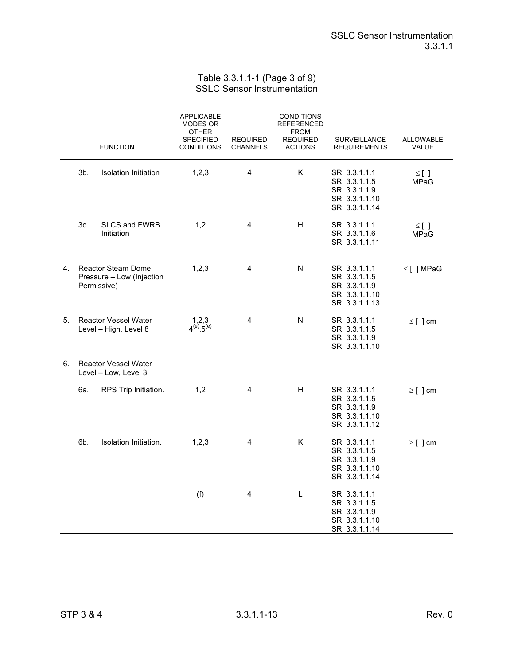## Table 3.3.1.1-1 (Page 3 of 9) SSLC Sensor Instrumentation

|    |     | <b>FUNCTION</b>                                                       | <b>APPLICABLE</b><br>MODES OR<br>OTHER<br><b>SPECIFIED</b><br><b>CONDITIONS</b> | <b>REQUIRED</b><br><b>CHANNELS</b> | <b>CONDITIONS</b><br><b>REFERENCED</b><br><b>FROM</b><br><b>REQUIRED</b><br><b>ACTIONS</b> | <b>SURVEILLANCE</b><br><b>REQUIREMENTS</b>                                     | <b>ALLOWABLE</b><br>VALUE |
|----|-----|-----------------------------------------------------------------------|---------------------------------------------------------------------------------|------------------------------------|--------------------------------------------------------------------------------------------|--------------------------------------------------------------------------------|---------------------------|
|    | 3b. | <b>Isolation Initiation</b>                                           | 1,2,3                                                                           | 4                                  | Κ                                                                                          | SR 3.3.1.1.1<br>SR 3.3.1.1.5<br>SR 3.3.1.1.9<br>SR 3.3.1.1.10<br>SR 3.3.1.1.14 | $\leq$ []<br><b>MPaG</b>  |
|    | 3c. | <b>SLCS and FWRB</b><br>Initiation                                    | 1,2                                                                             | 4                                  | H                                                                                          | SR 3.3.1.1.1<br>SR 3.3.1.1.6<br>SR 3.3.1.1.11                                  | $\leq$ []<br><b>MPaG</b>  |
| 4. |     | <b>Reactor Steam Dome</b><br>Pressure - Low (Injection<br>Permissive) | 1, 2, 3                                                                         | 4                                  | N                                                                                          | SR 3.3.1.1.1<br>SR 3.3.1.1.5<br>SR 3.3.1.1.9<br>SR 3.3.1.1.10<br>SR 3.3.1.1.13 | $\leq$ [ ] MPaG           |
| 5. |     | <b>Reactor Vessel Water</b><br>Level - High, Level 8                  | $1,2,3$<br>$4^{(e)}, 5^{(e)}$                                                   | 4                                  | N                                                                                          | SR 3.3.1.1.1<br>SR 3.3.1.1.5<br>SR 3.3.1.1.9<br>SR 3.3.1.1.10                  | $\leq$ [ ] cm             |
| 6. |     | <b>Reactor Vessel Water</b><br>Level - Low, Level 3                   |                                                                                 |                                    |                                                                                            |                                                                                |                           |
|    | 6а. | RPS Trip Initiation.                                                  | 1,2                                                                             | 4                                  | H                                                                                          | SR 3.3.1.1.1<br>SR 3.3.1.1.5<br>SR 3.3.1.1.9<br>SR 3.3.1.1.10<br>SR 3.3.1.1.12 | $\geq$ [ ] cm             |
|    | 6b. | Isolation Initiation.                                                 | 1,2,3                                                                           | 4                                  | Κ                                                                                          | SR 3.3.1.1.1<br>SR 3.3.1.1.5<br>SR 3.3.1.1.9<br>SR 3.3.1.1.10<br>SR 3.3.1.1.14 | $\geq$ [ ] cm             |
|    |     |                                                                       | (f)                                                                             | 4                                  | L                                                                                          | SR 3.3.1.1.1<br>SR 3.3.1.1.5<br>SR 3.3.1.1.9<br>SR 3.3.1.1.10<br>SR 3.3.1.1.14 |                           |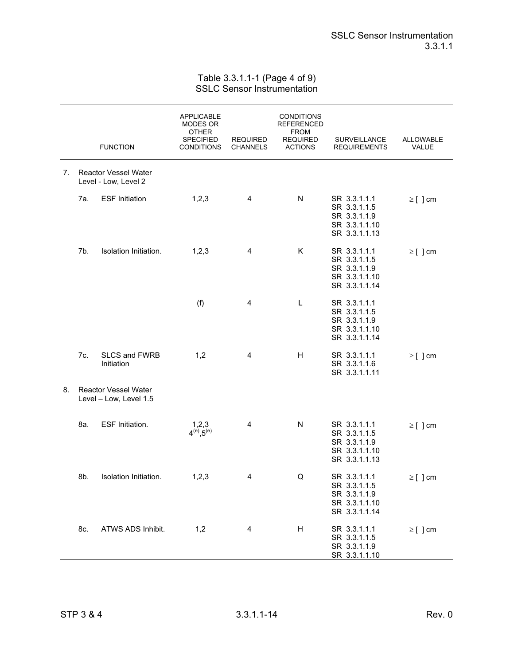## Table 3.3.1.1-1 (Page 4 of 9) SSLC Sensor Instrumentation

|    |     | <b>FUNCTION</b>                                       | <b>APPLICABLE</b><br>MODES OR<br><b>OTHER</b><br><b>SPECIFIED</b><br><b>CONDITIONS</b> | <b>REQUIRED</b><br><b>CHANNELS</b> | <b>CONDITIONS</b><br><b>REFERENCED</b><br><b>FROM</b><br><b>REQUIRED</b><br><b>ACTIONS</b> | SURVEILLANCE<br><b>REQUIREMENTS</b>                                            | ALLOWABLE<br>VALUE |
|----|-----|-------------------------------------------------------|----------------------------------------------------------------------------------------|------------------------------------|--------------------------------------------------------------------------------------------|--------------------------------------------------------------------------------|--------------------|
| 7. |     | <b>Reactor Vessel Water</b><br>Level - Low, Level 2   |                                                                                        |                                    |                                                                                            |                                                                                |                    |
|    | 7а. | <b>ESF Initiation</b>                                 | 1,2,3                                                                                  | 4                                  | N                                                                                          | SR 3.3.1.1.1<br>SR 3.3.1.1.5<br>SR 3.3.1.1.9<br>SR 3.3.1.1.10<br>SR 3.3.1.1.13 | $\geq$ [ ] cm      |
|    | 7b. | Isolation Initiation.                                 | 1,2,3                                                                                  | 4                                  | Κ                                                                                          | SR 3.3.1.1.1<br>SR 3.3.1.1.5<br>SR 3.3.1.1.9<br>SR 3.3.1.1.10<br>SR 3.3.1.1.14 | $\geq$ [ ] cm      |
|    |     |                                                       | (f)                                                                                    | 4                                  | L                                                                                          | SR 3.3.1.1.1<br>SR 3.3.1.1.5<br>SR 3.3.1.1.9<br>SR 3.3.1.1.10<br>SR 3.3.1.1.14 |                    |
|    | 7c. | SLCS and FWRB<br>Initiation                           | 1,2                                                                                    | 4                                  | Н                                                                                          | SR 3.3.1.1.1<br>SR 3.3.1.1.6<br>SR 3.3.1.1.11                                  | $\geq$ [ ] cm      |
| 8. |     | <b>Reactor Vessel Water</b><br>Level - Low, Level 1.5 |                                                                                        |                                    |                                                                                            |                                                                                |                    |
|    | 8a. | ESF Initiation.                                       | $1,2,3$<br>4 <sup>(e)</sup> ,5 <sup>(e)</sup>                                          | 4                                  | ${\sf N}$                                                                                  | SR 3.3.1.1.1<br>SR 3.3.1.1.5<br>SR 3.3.1.1.9<br>SR 3.3.1.1.10<br>SR 3.3.1.1.13 | $\geq$ [ ] cm      |
|    | 8b. | Isolation Initiation.                                 | 1,2,3                                                                                  | 4                                  | Q                                                                                          | SR 3.3.1.1.1<br>SR 3.3.1.1.5<br>SR 3.3.1.1.9<br>SR 3.3.1.1.10<br>SR 3.3.1.1.14 | $\geq$ [ ] cm      |
|    | 8c. | ATWS ADS Inhibit.                                     | 1,2                                                                                    | 4                                  | H                                                                                          | SR 3.3.1.1.1<br>SR 3.3.1.1.5<br>SR 3.3.1.1.9<br>SR 3.3.1.1.10                  | $\geq$ [] cm       |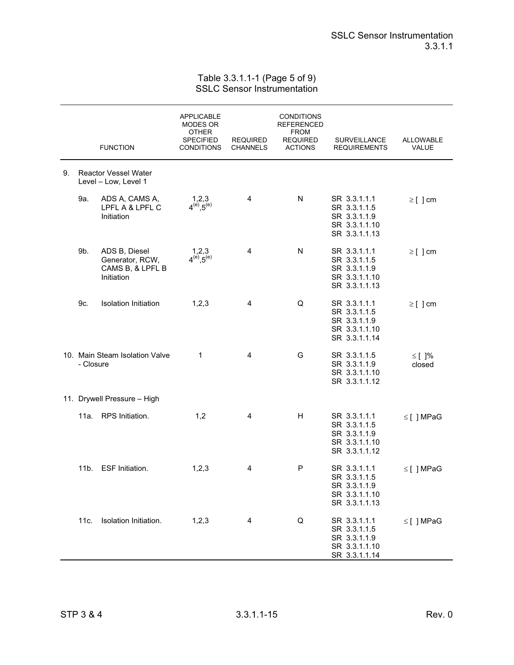## Table 3.3.1.1-1 (Page 5 of 9) SSLC Sensor Instrumentation

|    |           | <b>FUNCTION</b>                                                    | <b>APPLICABLE</b><br>MODES OR<br><b>OTHER</b><br><b>SPECIFIED</b><br><b>CONDITIONS</b> | <b>REQUIRED</b><br><b>CHANNELS</b> | <b>CONDITIONS</b><br>REFERENCED<br><b>FROM</b><br><b>REQUIRED</b><br><b>ACTIONS</b> | SURVEILLANCE<br><b>REQUIREMENTS</b>                                            | ALLOWABLE<br>VALUE    |
|----|-----------|--------------------------------------------------------------------|----------------------------------------------------------------------------------------|------------------------------------|-------------------------------------------------------------------------------------|--------------------------------------------------------------------------------|-----------------------|
| 9. |           | <b>Reactor Vessel Water</b><br>Level - Low, Level 1                |                                                                                        |                                    |                                                                                     |                                                                                |                       |
|    | 9a.       | ADS A, CAMS A,<br>LPFL A & LPFL C<br>Initiation                    | $1,2,3$<br>4 <sup>(e)</sup> ,5 <sup>(e)</sup>                                          | 4                                  | N                                                                                   | SR 3.3.1.1.1<br>SR 3.3.1.1.5<br>SR 3.3.1.1.9<br>SR 3.3.1.1.10<br>SR 3.3.1.1.13 | $\geq$ [ ] cm         |
|    | 9b.       | ADS B, Diesel<br>Generator, RCW,<br>CAMS B, & LPFL B<br>Initiation | $1,2,3$<br>4 <sup>(e)</sup> ,5 <sup>(e)</sup>                                          | 4                                  | N                                                                                   | SR 3.3.1.1.1<br>SR 3.3.1.1.5<br>SR 3.3.1.1.9<br>SR 3.3.1.1.10<br>SR 3.3.1.1.13 | $\geq$ [ ] cm         |
|    | 9c.       | <b>Isolation Initiation</b>                                        | 1,2,3                                                                                  | 4                                  | Q                                                                                   | SR 3.3.1.1.1<br>SR 3.3.1.1.5<br>SR 3.3.1.1.9<br>SR 3.3.1.1.10<br>SR 3.3.1.1.14 | $\geq$ [ ] cm         |
|    | - Closure | 10. Main Steam Isolation Valve                                     | 1                                                                                      | 4                                  | G                                                                                   | SR 3.3.1.1.5<br>SR 3.3.1.1.9<br>SR 3.3.1.1.10<br>SR 3.3.1.1.12                 | $\leq$ [ ]%<br>closed |
|    |           | 11. Drywell Pressure - High                                        |                                                                                        |                                    |                                                                                     |                                                                                |                       |
|    | 11a.      | RPS Initiation.                                                    | 1,2                                                                                    | 4                                  | H                                                                                   | SR 3.3.1.1.1<br>SR 3.3.1.1.5<br>SR 3.3.1.1.9<br>SR 3.3.1.1.10<br>SR 3.3.1.1.12 | $\leq$ [] MPaG        |
|    | $11b$ .   | ESF Initiation.                                                    | 1,2,3                                                                                  | 4                                  | P                                                                                   | SR 3.3.1.1.1<br>SR 3.3.1.1.5<br>SR 3.3.1.1.9<br>SR 3.3.1.1.10<br>SR 3.3.1.1.13 | $\leq$ [ ] MPaG       |
|    | 11c.      | Isolation Initiation.                                              | 1, 2, 3                                                                                | 4                                  | Q                                                                                   | SR 3.3.1.1.1<br>SR 3.3.1.1.5<br>SR 3.3.1.1.9<br>SR 3.3.1.1.10<br>SR 3.3.1.1.14 | $\leq$ [ ] MPaG       |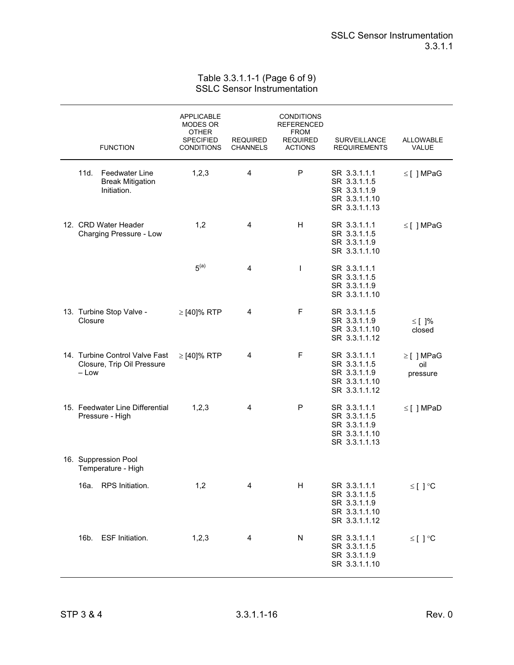## Table 3.3.1.1-1 (Page 6 of 9) SSLC Sensor Instrumentation

|         | <b>FUNCTION</b>                                                 | APPLICABLE<br>MODES OR<br>OTHER<br><b>SPECIFIED</b><br><b>CONDITIONS</b> | <b>REQUIRED</b><br><b>CHANNELS</b> | <b>CONDITIONS</b><br><b>REFERENCED</b><br><b>FROM</b><br><b>REQUIRED</b><br><b>ACTIONS</b> | SURVEILLANCE<br><b>REQUIREMENTS</b>                                            | <b>ALLOWABLE</b><br>VALUE   |
|---------|-----------------------------------------------------------------|--------------------------------------------------------------------------|------------------------------------|--------------------------------------------------------------------------------------------|--------------------------------------------------------------------------------|-----------------------------|
| 11d.    | <b>Feedwater Line</b><br><b>Break Mitigation</b><br>Initiation. | 1,2,3                                                                    | 4                                  | P                                                                                          | SR 3.3.1.1.1<br>SR 3.3.1.1.5<br>SR 3.3.1.1.9<br>SR 3.3.1.1.10<br>SR 3.3.1.1.13 | $\leq$ [ ] MPaG             |
|         | 12. CRD Water Header<br>Charging Pressure - Low                 | 1,2                                                                      | 4                                  | H                                                                                          | SR 3.3.1.1.1<br>SR 3.3.1.1.5<br>SR 3.3.1.1.9<br>SR 3.3.1.1.10                  | $\leq$ [ ] MPaG             |
|         |                                                                 | 5 <sup>(a)</sup>                                                         | 4                                  | $\mathbf{I}$                                                                               | SR 3.3.1.1.1<br>SR 3.3.1.1.5<br>SR 3.3.1.1.9<br>SR 3.3.1.1.10                  |                             |
| Closure | 13. Turbine Stop Valve -                                        | $\geq$ [40]% RTP                                                         | 4                                  | F                                                                                          | SR 3.3.1.1.5<br>SR 3.3.1.1.9<br>SR 3.3.1.1.10<br>SR 3.3.1.1.12                 | $\leq$ [ ]%<br>closed       |
| – Low   | 14. Turbine Control Valve Fast<br>Closure, Trip Oil Pressure    | $\geq$ [40]% RTP                                                         | 4                                  | F                                                                                          | SR 3.3.1.1.1<br>SR 3.3.1.1.5<br>SR 3.3.1.1.9<br>SR 3.3.1.1.10<br>SR 3.3.1.1.12 | ≥[] MPaG<br>oil<br>pressure |
|         | 15. Feedwater Line Differential<br>Pressure - High              | 1,2,3                                                                    | 4                                  | P                                                                                          | SR 3.3.1.1.1<br>SR 3.3.1.1.5<br>SR 3.3.1.1.9<br>SR 3.3.1.1.10<br>SR 3.3.1.1.13 | $\leq$ [] MPaD              |
|         | 16. Suppression Pool<br>Temperature - High                      |                                                                          |                                    |                                                                                            |                                                                                |                             |
|         | 16a. RPS Initiation.                                            | 1,2                                                                      |                                    | Н                                                                                          | SR 3.3.1.1.1<br>SR 3.3.1.1.5<br>SR 3.3.1.1.9<br>SR 3.3.1.1.10<br>SR 3.3.1.1.12 | $\leq$ [ ] $\circ$ C        |
| 16b.    | <b>ESF Initiation.</b>                                          | 1,2,3                                                                    | 4                                  | N                                                                                          | SR 3.3.1.1.1<br>SR 3.3.1.1.5<br>SR 3.3.1.1.9<br>SR 3.3.1.1.10                  | ≤[] $°C$                    |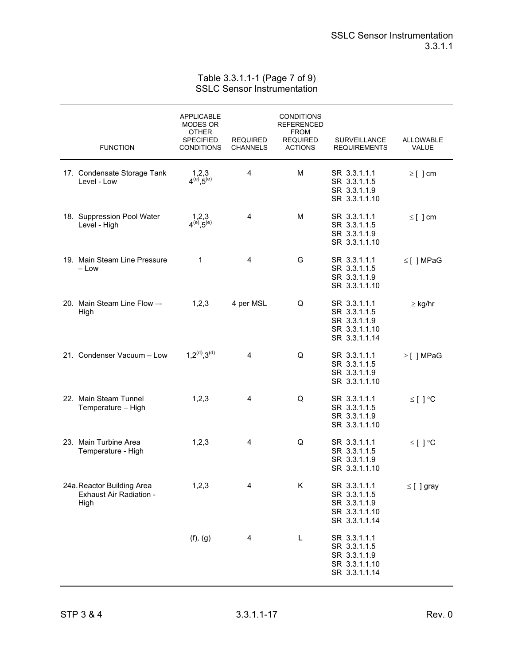Table 3.3.1.1-1 (Page 7 of 9) SSLC Sensor Instrumentation

| <b>FUNCTION</b>                                               | <b>APPLICABLE</b><br>MODES OR<br><b>OTHER</b><br>SPECIFIED<br><b>CONDITIONS</b> | <b>REQUIRED</b><br>CHANNELS | <b>CONDITIONS</b><br><b>REFERENCED</b><br><b>FROM</b><br><b>REQUIRED</b><br><b>ACTIONS</b> | SURVEILLANCE<br><b>REQUIREMENTS</b>                                            | ALLOWABLE<br>VALUE |
|---------------------------------------------------------------|---------------------------------------------------------------------------------|-----------------------------|--------------------------------------------------------------------------------------------|--------------------------------------------------------------------------------|--------------------|
| 17. Condensate Storage Tank<br>Level - Low                    | $1,2,3$<br>4 <sup>(e)</sup> ,5 <sup>(e)</sup>                                   | 4                           | M                                                                                          | SR 3.3.1.1.1<br>SR 3.3.1.1.5<br>SR 3.3.1.1.9<br>SR 3.3.1.1.10                  | $\geq$ [ ] cm      |
| 18. Suppression Pool Water<br>Level - High                    | $1,2,3$<br>4 <sup>(e)</sup> ,5 <sup>(e)</sup>                                   | 4                           | м                                                                                          | SR 3.3.1.1.1<br>SR 3.3.1.1.5<br>SR 3.3.1.1.9<br>SR 3.3.1.1.10                  | $\leq$ [ ] cm      |
| 19. Main Steam Line Pressure<br>– Low                         | 1                                                                               | $\overline{4}$              | G                                                                                          | SR 3.3.1.1.1<br>SR 3.3.1.1.5<br>SR 3.3.1.1.9<br>SR 3.3.1.1.10                  | $\leq$ [] MPaG     |
| 20. Main Steam Line Flow --<br>High                           | 1,2,3                                                                           | 4 per MSL                   | Q                                                                                          | SR 3.3.1.1.1<br>SR 3.3.1.1.5<br>SR 3.3.1.1.9<br>SR 3.3.1.1.10<br>SR 3.3.1.1.14 | $\geq$ kg/hr       |
| 21. Condenser Vacuum - Low                                    | $1,2^{(d)},3^{(d)}$                                                             | 4                           | Q                                                                                          | SR 3.3.1.1.1<br>SR 3.3.1.1.5<br>SR 3.3.1.1.9<br>SR 3.3.1.1.10                  | $\geq$ [] MPaG     |
| 22. Main Steam Tunnel<br>Temperature - High                   | 1,2,3                                                                           | 4                           | Q                                                                                          | SR 3.3.1.1.1<br>SR 3.3.1.1.5<br>SR 3.3.1.1.9<br>SR 3.3.1.1.10                  | ≤[]°C              |
| 23. Main Turbine Area<br>Temperature - High                   | 1,2,3                                                                           | 4                           | Q                                                                                          | SR 3.3.1.1.1<br>SR 3.3.1.1.5<br>SR 3.3.1.1.9<br>SR 3.3.1.1.10                  | ≤ [ ]°C            |
| 24a. Reactor Building Area<br>Exhaust Air Radiation -<br>High | 1,2,3                                                                           | Λ                           | Κ                                                                                          | SR 3.3.1.1.1<br>SR 3.3.1.1.5<br>SR 3.3.1.1.9<br>SR 3.3.1.1.10<br>SR 3.3.1.1.14 | $\leq$ [ ] gray    |
|                                                               | (f), (g)                                                                        | 4                           | L                                                                                          | SR 3.3.1.1.1<br>SR 3.3.1.1.5<br>SR 3.3.1.1.9<br>SR 3.3.1.1.10<br>SR 3.3.1.1.14 |                    |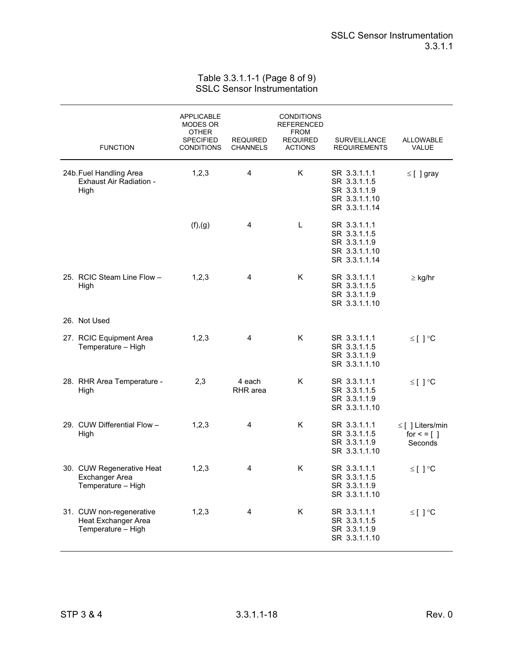## Table 3.3.1.1-1 (Page 8 of 9) SSLC Sensor Instrumentation

| <b>FUNCTION</b>                                                              | <b>APPLICABLE</b><br>MODES OR<br>OTHER<br><b>SPECIFIED</b><br><b>CONDITIONS</b> | <b>REQUIRED</b><br>CHANNELS | <b>CONDITIONS</b><br>REFERENCED<br><b>FROM</b><br><b>REQUIRED</b><br><b>ACTIONS</b> | <b>SURVEILLANCE</b><br><b>REQUIREMENTS</b>                                     | <b>ALLOWABLE</b><br>VALUE                            |
|------------------------------------------------------------------------------|---------------------------------------------------------------------------------|-----------------------------|-------------------------------------------------------------------------------------|--------------------------------------------------------------------------------|------------------------------------------------------|
| 24b. Fuel Handling Area<br>Exhaust Air Radiation -<br>High                   | 1,2,3                                                                           | 4                           | K                                                                                   | SR 3.3.1.1.1<br>SR 3.3.1.1.5<br>SR 3.3.1.1.9<br>SR 3.3.1.1.10<br>SR 3.3.1.1.14 | $\leq$ [ ] gray                                      |
|                                                                              | (f),(g)                                                                         | 4                           | Г                                                                                   | SR 3.3.1.1.1<br>SR 3.3.1.1.5<br>SR 3.3.1.1.9<br>SR 3.3.1.1.10<br>SR 3.3.1.1.14 |                                                      |
| 25. RCIC Steam Line Flow -<br>High                                           | 1,2,3                                                                           | 4                           | Κ                                                                                   | SR 3.3.1.1.1<br>SR 3.3.1.1.5<br>SR 3.3.1.1.9<br>SR 3.3.1.1.10                  | $\geq$ kg/hr                                         |
| 26. Not Used                                                                 |                                                                                 |                             |                                                                                     |                                                                                |                                                      |
| 27. RCIC Equipment Area<br>Temperature - High                                | 1,2,3                                                                           | 4                           | Κ                                                                                   | SR 3.3.1.1.1<br>SR 3.3.1.1.5<br>SR 3.3.1.1.9<br>SR 3.3.1.1.10                  | ≤[]°C                                                |
| 28. RHR Area Temperature -<br>High                                           | 2,3                                                                             | 4 each<br>RHR area          | K                                                                                   | SR 3.3.1.1.1<br>SR 3.3.1.1.5<br>SR 3.3.1.1.9<br>SR 3.3.1.1.10                  | ≤ [ ]°C                                              |
| 29. CUW Differential Flow -<br>High                                          | 1,2,3                                                                           | 4                           | K                                                                                   | SR 3.3.1.1.1<br>SR 3.3.1.1.5<br>SR 3.3.1.1.9<br>SR 3.3.1.1.10                  | $\leq$ [ ] Liters/min<br>for $\leq$ = [ ]<br>Seconds |
| 30. CUW Regenerative Heat<br><b>Exchanger Area</b><br>Temperature - High     | 1,2,3                                                                           | 4                           | Κ                                                                                   | SR 3.3.1.1.1<br>SR 3.3.1.1.5<br>SR 3.3.1.1.9<br>SR 3.3.1.1.10                  | ≤ [ ]°C                                              |
| 31. CUW non-regenerative<br><b>Heat Exchanger Area</b><br>Temperature - High | 1,2,3                                                                           | 4                           | K                                                                                   | SR 3.3.1.1.1<br>SR 3.3.1.1.5<br>SR 3.3.1.1.9<br>SR 3.3.1.1.10                  | ≤[ ] °C                                              |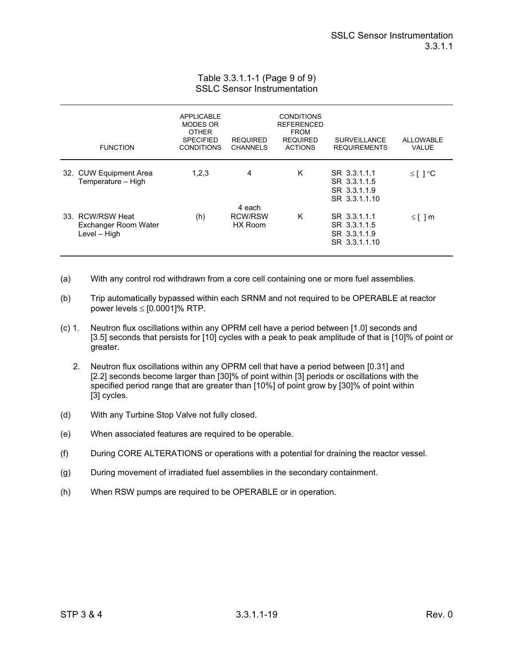## Table 3.3.1.1-1 (Page 9 of 9) SSLC Sensor Instrumentation

| <b>FUNCTION</b>                                          | <b>APPLICABLE</b><br>MODES OR<br><b>OTHER</b><br><b>SPECIFIED</b><br><b>CONDITIONS</b> | <b>REQUIRED</b><br><b>CHANNELS</b>  | <b>CONDITIONS</b><br><b>REFERENCED</b><br><b>FROM</b><br><b>REQUIRED</b><br><b>ACTIONS</b> | <b>SURVEILLANCE</b><br><b>REQUIREMENTS</b>                    | <b>ALLOWABLE</b><br><b>VALUE</b> |
|----------------------------------------------------------|----------------------------------------------------------------------------------------|-------------------------------------|--------------------------------------------------------------------------------------------|---------------------------------------------------------------|----------------------------------|
| 32. CUW Equipment Area<br>Temperature - High             | 1,2,3                                                                                  | 4                                   | K                                                                                          | SR 3.3.1.1.1<br>SR 3.3.1.1.5<br>SR 3.3.1.1.9<br>SR 3.3.1.1.10 | $≤$ [ ] °C                       |
| 33. RCW/RSW Heat<br>Exchanger Room Water<br>Level - High | (h)                                                                                    | 4 each<br><b>RCW/RSW</b><br>HX Room | K                                                                                          | SR 3.3.1.1.1<br>SR 3.3.1.1.5<br>SR 3.3.1.1.9<br>SR 3.3.1.1.10 | $\leq$ [ ] m                     |

- (a) With any control rod withdrawn from a core cell containing one or more fuel assemblies.
- (b) Trip automatically bypassed within each SRNM and not required to be OPERABLE at reactor power levels  $\le$  [0.0001]% RTP.
- (c) 1. Neutron flux oscillations within any OPRM cell have a period between [1.0] seconds and [3.5] seconds that persists for [10] cycles with a peak to peak amplitude of that is [10]% of point or greater.
	- 2. Neutron flux oscillations within any OPRM cell that have a period between [0.31] and [2.2] seconds become larger than [30]% of point within [3] periods or oscillations with the specified period range that are greater than [10%] of point grow by [30]% of point within [3] cycles.
- (d) With any Turbine Stop Valve not fully closed.
- (e) When associated features are required to be operable.
- (f) During CORE ALTERATIONS or operations with a potential for draining the reactor vessel.
- (g) During movement of irradiated fuel assemblies in the secondary containment.
- (h) When RSW pumps are required to be OPERABLE or in operation.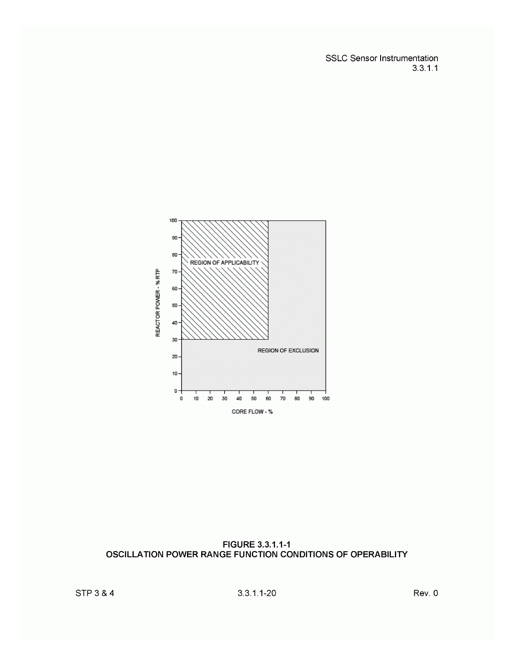**SSLC Sensor Instrumentation**  $3.3.1.1$ 



FIGURE 3.3.1.1-1 OSCILLATION POWER RANGE FUNCTION CONDITIONS OF OPERABILITY

 $3.3.1.1 - 20$ 

Rev. 0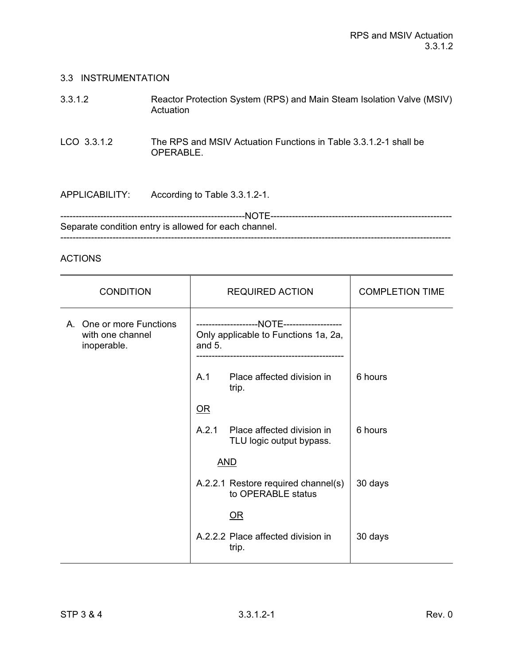## 3.3 INSTRUMENTATION

| 3.3.1.2               | Reactor Protection System (RPS) and Main Steam Isolation Valve (MSIV)<br>Actuation |
|-----------------------|------------------------------------------------------------------------------------|
| LCO 3.3.1.2           | The RPS and MSIV Actuation Functions in Table 3.3.1.2-1 shall be<br>OPERABLE.      |
| <b>APPLICABILITY:</b> | According to Table 3.3.1.2-1.                                                      |

------------------------------------------------------------NOTE----------------------------------------------------------- Separate condition entry is allowed for each channel. -------------------------------------------------------------------------------------------------------------------------------

## ACTIONS

| <b>CONDITION</b><br><b>REQUIRED ACTION</b>                  |                                                  |                                                           | <b>COMPLETION TIME</b> |
|-------------------------------------------------------------|--------------------------------------------------|-----------------------------------------------------------|------------------------|
| A. One or more Functions<br>with one channel<br>inoperable. | Only applicable to Functions 1a, 2a,<br>and $5.$ |                                                           |                        |
|                                                             | A.1                                              | Place affected division in<br>trip.                       | 6 hours                |
|                                                             | $OR$                                             |                                                           |                        |
|                                                             | A.2.1                                            | Place affected division in<br>TLU logic output bypass.    | 6 hours                |
|                                                             |                                                  | <b>AND</b>                                                |                        |
|                                                             |                                                  | A.2.2.1 Restore required channel(s)<br>to OPERABLE status | 30 days                |
|                                                             |                                                  | <u>OR</u>                                                 |                        |
|                                                             |                                                  | A.2.2.2 Place affected division in<br>trip.               | 30 days                |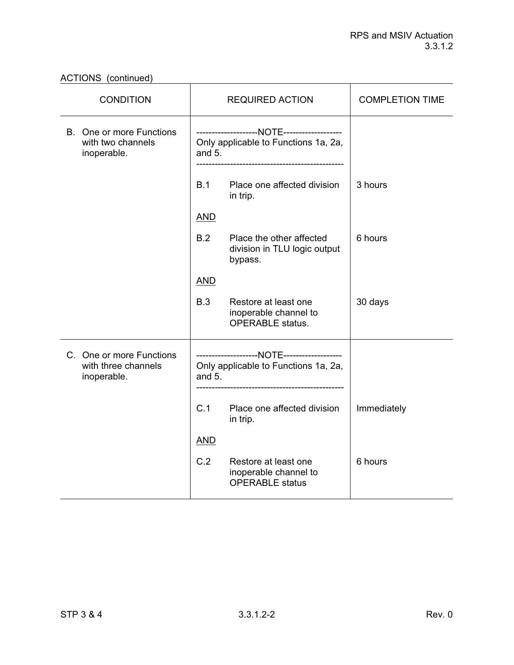| <b>CONDITION</b>                                               | <b>REQUIRED ACTION</b>                                                          | <b>COMPLETION TIME</b> |
|----------------------------------------------------------------|---------------------------------------------------------------------------------|------------------------|
| B. One or more Functions<br>with two channels<br>inoperable.   | Only applicable to Functions 1a, 2a,<br>and $5.$                                |                        |
|                                                                | B.1<br>Place one affected division<br>in trip.                                  | 3 hours                |
|                                                                | <b>AND</b>                                                                      |                        |
|                                                                | B.2<br>Place the other affected<br>division in TLU logic output<br>bypass.      | 6 hours                |
|                                                                | <b>AND</b>                                                                      |                        |
|                                                                | B.3<br>Restore at least one<br>inoperable channel to<br><b>OPERABLE</b> status. | 30 days                |
| C. One or more Functions<br>with three channels<br>inoperable. | Only applicable to Functions 1a, 2a,<br>and $5.$                                |                        |
|                                                                | C.1<br>Place one affected division<br>in trip.                                  | Immediately            |
|                                                                | <b>AND</b>                                                                      |                        |
|                                                                | C.2<br>Restore at least one<br>inoperable channel to<br><b>OPERABLE</b> status  | 6 hours                |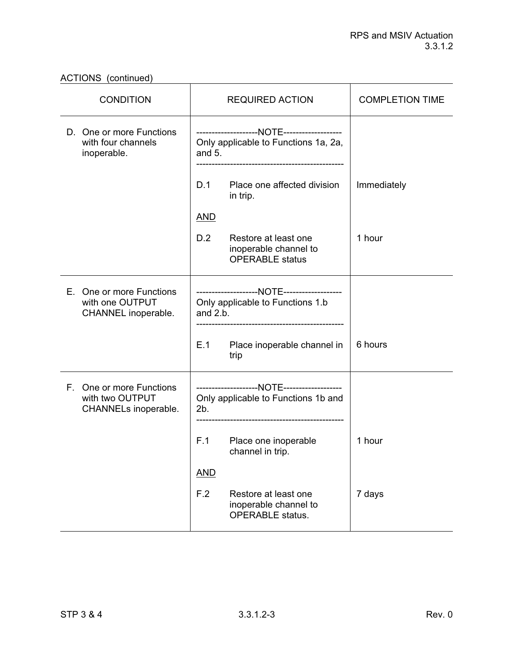| <b>CONDITION</b>                                                    | <b>REQUIRED ACTION</b>                                                          | <b>COMPLETION TIME</b> |
|---------------------------------------------------------------------|---------------------------------------------------------------------------------|------------------------|
| D. One or more Functions<br>with four channels<br>inoperable.       | Only applicable to Functions 1a, 2a,<br>and $5.$                                |                        |
|                                                                     | D.1<br>Place one affected division<br>in trip.                                  | Immediately            |
|                                                                     | <b>AND</b>                                                                      |                        |
|                                                                     | D.2<br>Restore at least one<br>inoperable channel to<br><b>OPERABLE</b> status  | 1 hour                 |
| E. One or more Functions<br>with one OUTPUT<br>CHANNEL inoperable.  | Only applicable to Functions 1.b<br>and $2.b.$                                  |                        |
|                                                                     | E.1<br>Place inoperable channel in<br>trip                                      | 6 hours                |
| F. One or more Functions<br>with two OUTPUT<br>CHANNELs inoperable. | Only applicable to Functions 1b and<br>2b.                                      |                        |
|                                                                     | F.1<br>Place one inoperable<br>channel in trip.                                 | 1 hour                 |
|                                                                     | <b>AND</b>                                                                      |                        |
|                                                                     | F.2<br>Restore at least one<br>inoperable channel to<br><b>OPERABLE</b> status. | 7 days                 |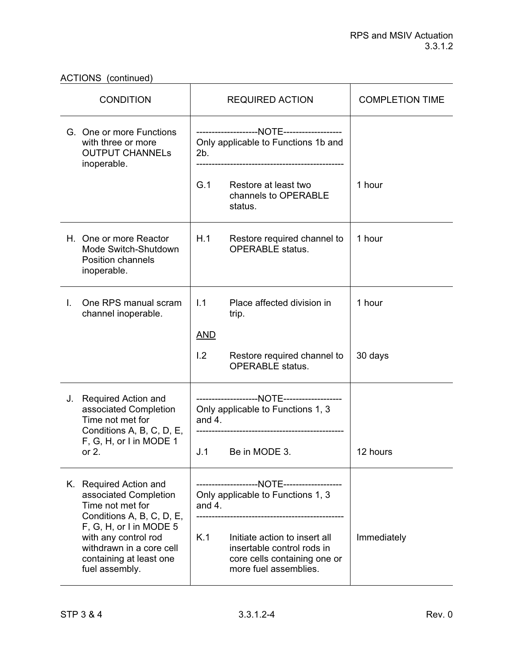| <b>CONDITION</b>                                                                                                                      | <b>REQUIRED ACTION</b>                                                                                                      | <b>COMPLETION TIME</b> |
|---------------------------------------------------------------------------------------------------------------------------------------|-----------------------------------------------------------------------------------------------------------------------------|------------------------|
| G. One or more Functions<br>with three or more<br><b>OUTPUT CHANNELS</b><br>inoperable.                                               | Only applicable to Functions 1b and<br>2b.                                                                                  |                        |
|                                                                                                                                       | G.1<br>Restore at least two<br>channels to OPERABLE<br>status.                                                              | 1 hour                 |
| H. One or more Reactor<br>Mode Switch-Shutdown<br><b>Position channels</b><br>inoperable.                                             | H.1<br>Restore required channel to<br><b>OPERABLE</b> status.                                                               | 1 hour                 |
| One RPS manual scram<br>L.<br>channel inoperable.                                                                                     | 1.1<br>Place affected division in<br>trip.<br><b>AND</b>                                                                    | 1 hour                 |
|                                                                                                                                       | 1.2<br>Restore required channel to<br><b>OPERABLE</b> status.                                                               | 30 days                |
| J.<br><b>Required Action and</b><br>associated Completion<br>Time not met for<br>Conditions A, B, C, D, E,<br>F, G, H, or I in MODE 1 | Only applicable to Functions 1, 3<br>and $4.$                                                                               |                        |
| or $2$ .                                                                                                                              | J.1<br>Be in MODE 3.                                                                                                        | 12 hours               |
| K. Required Action and<br>associated Completion<br>Time not met for<br>Conditions A, B, C, D, E,                                      | Only applicable to Functions 1, 3<br>and $4.$                                                                               |                        |
| F, G, H, or I in MODE 5<br>with any control rod<br>withdrawn in a core cell<br>containing at least one<br>fuel assembly.              | K.1<br>Initiate action to insert all<br>insertable control rods in<br>core cells containing one or<br>more fuel assemblies. | Immediately            |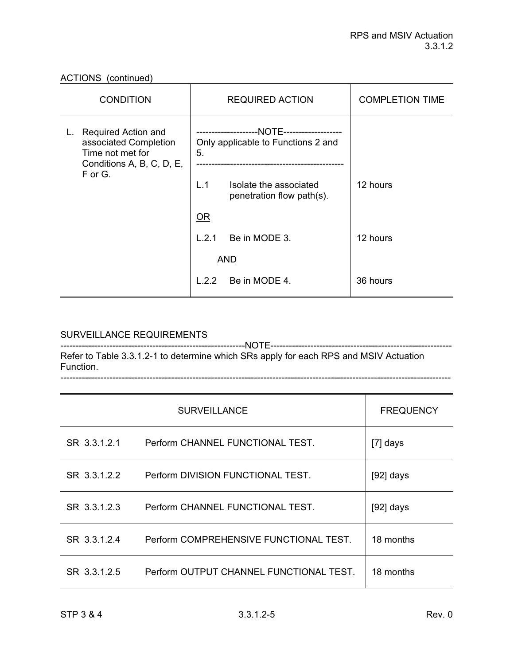| <b>CONDITION</b>                                                                                           | <b>REQUIRED ACTION</b>                                     | <b>COMPLETION TIME</b> |
|------------------------------------------------------------------------------------------------------------|------------------------------------------------------------|------------------------|
| <b>Required Action and</b><br>L.<br>associated Completion<br>Time not met for<br>Conditions A, B, C, D, E, | Only applicable to Functions 2 and<br>5.                   |                        |
| F or G.                                                                                                    | L.1<br>Isolate the associated<br>penetration flow path(s). | 12 hours               |
|                                                                                                            | OR                                                         |                        |
|                                                                                                            | L.2.1<br>Be in MODE 3.                                     | 12 hours               |
|                                                                                                            | <b>AND</b>                                                 |                        |
|                                                                                                            | Be in MODE 4.<br>L.2.2                                     | 36 hours               |

# SURVEILLANCE REQUIREMENTS

------------------------------------------------------------NOTE----------------------------------------------------------- Refer to Table 3.3.1.2-1 to determine which SRs apply for each RPS and MSIV Actuation Function.

-------------------------------------------------------------------------------------------------------------------------------

|              | <b>SURVEILLANCE</b>                     | <b>FREQUENCY</b> |
|--------------|-----------------------------------------|------------------|
| SR 3.3.1.2.1 | Perform CHANNEL FUNCTIONAL TEST.        | $[7]$ days       |
| SR 3.3.1.2.2 | Perform DIVISION FUNCTIONAL TEST.       | $[92]$ days      |
| SR 3.3.1.2.3 | Perform CHANNEL FUNCTIONAL TEST.        | $[92]$ days      |
| SR 3.3.1.2.4 | Perform COMPREHENSIVE FUNCTIONAL TEST.  | 18 months        |
| SR 3.3.1.2.5 | Perform OUTPUT CHANNEL FUNCTIONAL TEST. | 18 months        |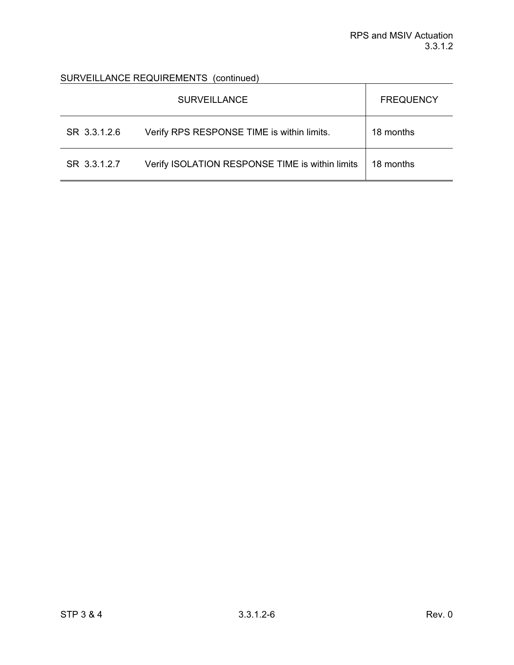# SURVEILLANCE REQUIREMENTS (continued)

|              | <b>SURVEILLANCE</b>                             | <b>FREQUENCY</b> |
|--------------|-------------------------------------------------|------------------|
| SR 3.3.1.2.6 | Verify RPS RESPONSE TIME is within limits.      | 18 months        |
| SR 3.3.1.2.7 | Verify ISOLATION RESPONSE TIME is within limits | 18 months        |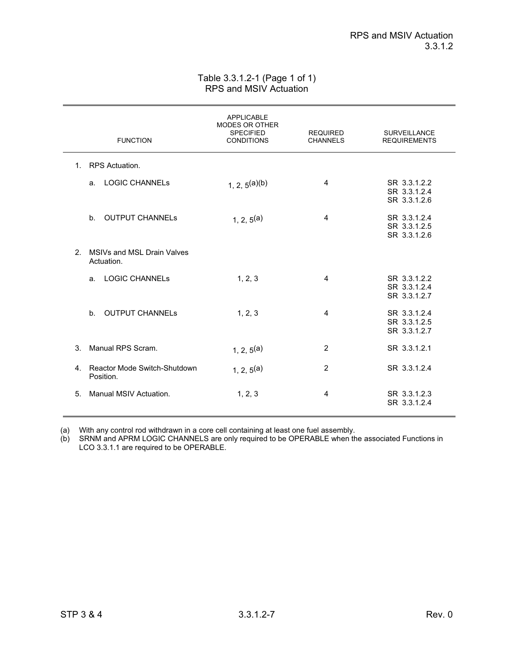## Table 3.3.1.2-1 (Page 1 of 1) RPS and MSIV Actuation

|             | <b>FUNCTION</b>                              | <b>APPLICABLE</b><br><b>MODES OR OTHER</b><br><b>SPECIFIED</b><br><b>CONDITIONS</b> | <b>REQUIRED</b><br><b>CHANNELS</b> | <b>SURVEILLANCE</b><br><b>REQUIREMENTS</b>   |
|-------------|----------------------------------------------|-------------------------------------------------------------------------------------|------------------------------------|----------------------------------------------|
|             | 1. RPS Actuation.                            |                                                                                     |                                    |                                              |
|             | <b>LOGIC CHANNELS</b><br>a.                  | $1, 2, 5^{(a)(b)}$                                                                  | 4                                  | SR 3.3.1.2.2<br>SR 3.3.1.2.4<br>SR 3.3.1.2.6 |
|             | b. OUTPUT CHANNELs                           | 1, 2, $5^{(a)}$                                                                     | 4                                  | SR 3.3.1.2.4<br>SR 3.3.1.2.5<br>SR 3.3.1.2.6 |
| $2^{\circ}$ | MSIVs and MSL Drain Valves<br>Actuation.     |                                                                                     |                                    |                                              |
|             | <b>LOGIC CHANNELS</b><br>a <sub>1</sub>      | 1, 2, 3                                                                             | 4                                  | SR 3.3.1.2.2<br>SR 3.3.1.2.4<br>SR 3.3.1.2.7 |
|             | <b>OUTPUT CHANNELs</b><br>b <sub>1</sub>     | 1, 2, 3                                                                             | 4                                  | SR 3.3.1.2.4<br>SR 3.3.1.2.5<br>SR 3.3.1.2.7 |
| $3_{-}$     | Manual RPS Scram.                            | 1, 2, $5^{(a)}$                                                                     | 2                                  | SR 3.3.1.2.1                                 |
|             | 4. Reactor Mode Switch-Shutdown<br>Position. | 1, 2, $5^{(a)}$                                                                     | $\overline{2}$                     | SR 3.3.1.2.4                                 |
| 5.          | Manual MSIV Actuation.                       | 1, 2, 3                                                                             | 4                                  | SR 3.3.1.2.3<br>SR 3.3.1.2.4                 |

(a) With any control rod withdrawn in a core cell containing at least one fuel assembly.

(b) SRNM and APRM LOGIC CHANNELS are only required to be OPERABLE when the associated Functions in LCO 3.3.1.1 are required to be OPERABLE.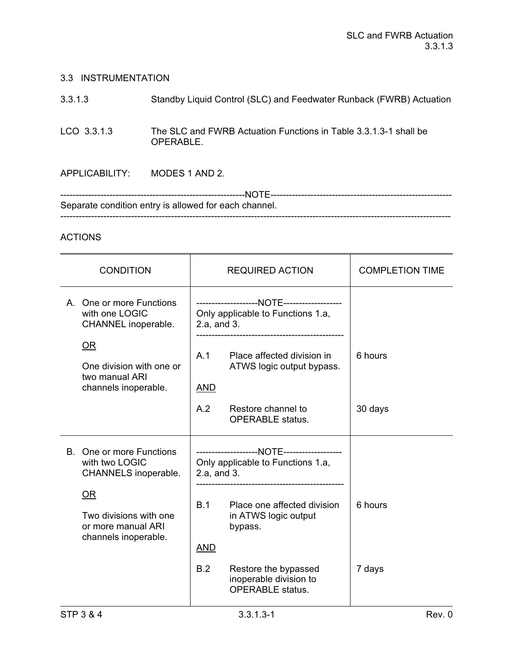## 3.3 INSTRUMENTATION

| 3.3.1.3 | Standby Liquid Control (SLC) and Feedwater Runback (FWRB) Actuation |
|---------|---------------------------------------------------------------------|
|---------|---------------------------------------------------------------------|

LCO 3.3.1.3 The SLC and FWRB Actuation Functions in Table 3.3.1.3-1 shall be OPERABLE.

APPLICABILITY: MODES 1 AND 2.

------------------------------------------------------------NOTE----------------------------------------------------------- Separate condition entry is allowed for each channel. -------------------------------------------------------------------------------------------------------------------------------

# ACTIONS

| <b>CONDITION</b>                                                                                                                                 |                                         | <b>REQUIRED ACTION</b>                                                                                                                                                           | <b>COMPLETION TIME</b> |
|--------------------------------------------------------------------------------------------------------------------------------------------------|-----------------------------------------|----------------------------------------------------------------------------------------------------------------------------------------------------------------------------------|------------------------|
| A. One or more Functions<br>with one LOGIC<br>CHANNEL inoperable.<br>OR<br>One division with one or<br>two manual ARI<br>channels inoperable.    | 2.a, and 3.<br>A.1<br><b>AND</b><br>A.2 | Only applicable to Functions 1.a,<br>Place affected division in<br>ATWS logic output bypass.<br>Restore channel to<br><b>OPERABLE</b> status.                                    | 6 hours<br>30 days     |
| B. One or more Functions<br>with two LOGIC<br>CHANNELS inoperable.<br>OR<br>Two divisions with one<br>or more manual ARI<br>channels inoperable. | 2.a, and 3.<br>B.1<br><b>AND</b><br>B.2 | Only applicable to Functions 1.a,<br>Place one affected division<br>in ATWS logic output<br>bypass.<br>Restore the bypassed<br>inoperable division to<br><b>OPERABLE</b> status. | 6 hours<br>7 days      |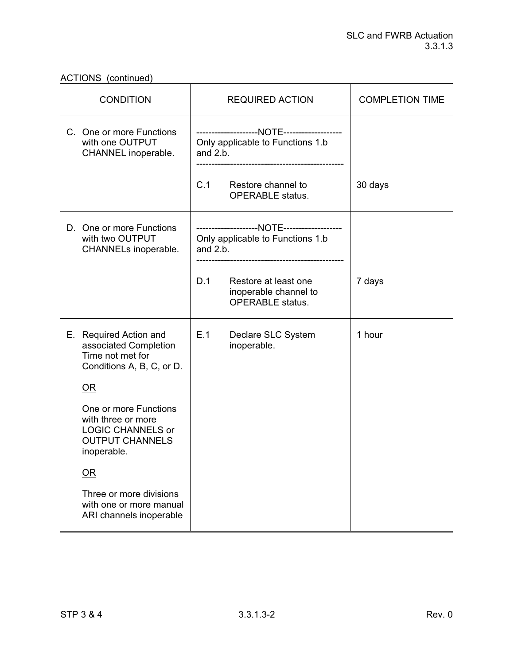ACTIONS (continued)

| <b>CONDITION</b>                                                                                                 | <b>REQUIRED ACTION</b>                                                          | <b>COMPLETION TIME</b> |
|------------------------------------------------------------------------------------------------------------------|---------------------------------------------------------------------------------|------------------------|
| C. One or more Functions<br>with one OUTPUT<br>CHANNEL inoperable.                                               | Only applicable to Functions 1.b<br>and $2.b.$                                  |                        |
|                                                                                                                  | C.1<br>Restore channel to<br><b>OPERABLE</b> status.                            | 30 days                |
| D. One or more Functions<br>with two OUTPUT<br>CHANNELs inoperable.                                              | Only applicable to Functions 1.b<br>and $2.b.$                                  |                        |
|                                                                                                                  | D.1<br>Restore at least one<br>inoperable channel to<br><b>OPERABLE</b> status. | 7 days                 |
| E. Required Action and<br>associated Completion<br>Time not met for<br>Conditions A, B, C, or D.                 | E.1<br>Declare SLC System<br>inoperable.                                        | 1 hour                 |
| OR                                                                                                               |                                                                                 |                        |
| One or more Functions<br>with three or more<br><b>LOGIC CHANNELS or</b><br><b>OUTPUT CHANNELS</b><br>inoperable. |                                                                                 |                        |
| $\overline{\text{OR}}$                                                                                           |                                                                                 |                        |
| Three or more divisions<br>with one or more manual<br>ARI channels inoperable                                    |                                                                                 |                        |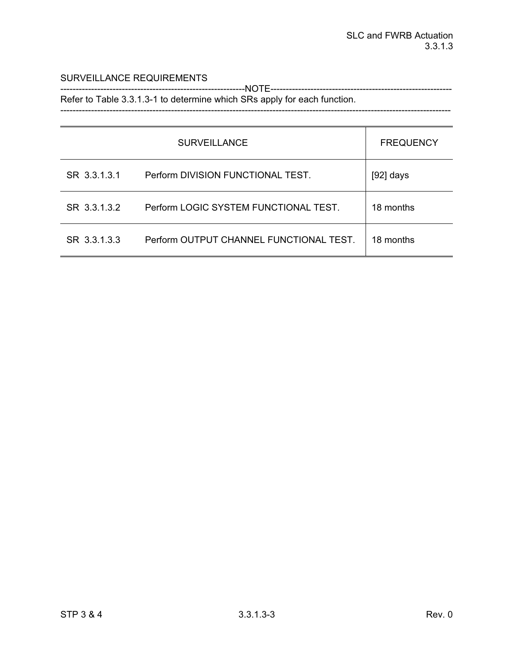## SURVEILLANCE REQUIREMENTS

------------------------------------------------------------NOTE----------------------------------------------------------- Refer to Table 3.3.1.3-1 to determine which SRs apply for each function.

-------------------------------------------------------------------------------------------------------------------------------

|              | <b>SURVEILLANCE</b>                     | <b>FREQUENCY</b> |
|--------------|-----------------------------------------|------------------|
| SR 3.3.1.3.1 | Perform DIVISION FUNCTIONAL TEST.       | $[92]$ days      |
| SR 3.3.1.3.2 | Perform LOGIC SYSTEM FUNCTIONAL TEST.   | 18 months        |
| SR 3.3.1.3.3 | Perform OUTPUT CHANNEL FUNCTIONAL TEST. | 18 months        |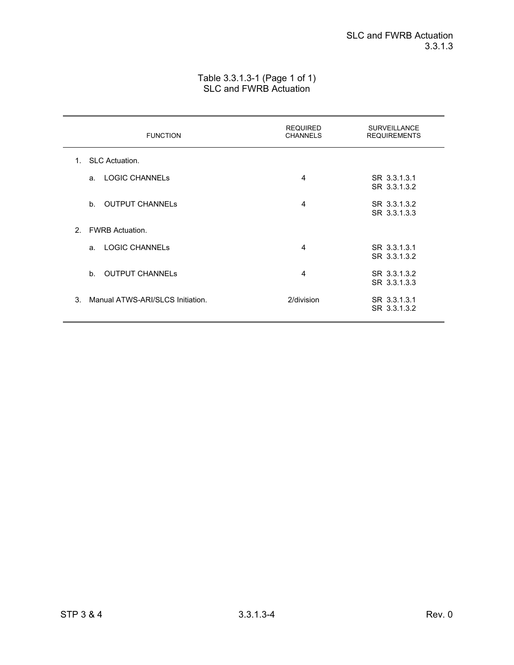## Table 3.3.1.3-1 (Page 1 of 1) SLC and FWRB Actuation

| <b>FUNCTION</b>                                   | <b>REQUIRED</b><br><b>CHANNELS</b> | <b>SURVEILLANCE</b><br><b>REQUIREMENTS</b> |
|---------------------------------------------------|------------------------------------|--------------------------------------------|
| <b>SLC Actuation.</b><br>$1_{-}$                  |                                    |                                            |
| <b>LOGIC CHANNELS</b><br>a.                       | 4                                  | SR 3.3.1.3.1<br>SR 3.3.1.3.2               |
| b <sub>1</sub><br><b>OUTPUT CHANNELS</b>          | 4                                  | SR 3.3.1.3.2<br>SR 3.3.1.3.3               |
| <b>FWRB Actuation.</b><br>$\mathcal{P}$           |                                    |                                            |
| <b>LOGIC CHANNELS</b><br>a <sub>1</sub>           | 4                                  | SR 3.3.1.3.1<br>SR 3.3.1.3.2               |
| <b>OUTPUT CHANNELS</b><br>$h_{-}$                 | 4                                  | SR 3.3.1.3.2<br>SR 3.3.1.3.3               |
| $\mathcal{S}$<br>Manual ATWS-ARI/SLCS Initiation. | 2/division                         | SR 3.3.1.3.1<br>SR 3.3.1.3.2               |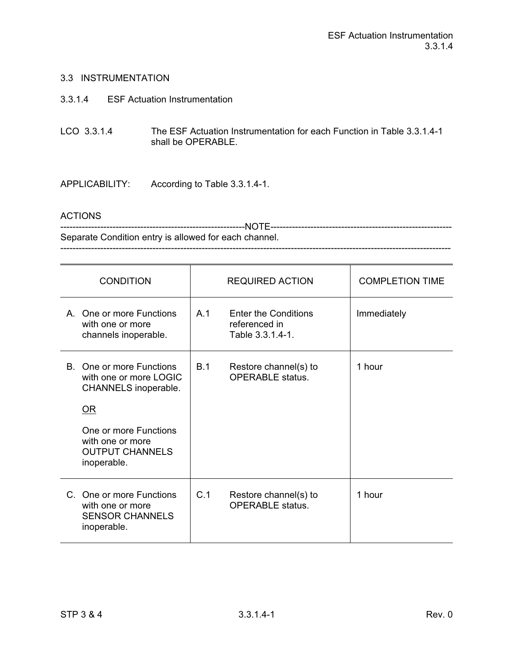## 3.3 INSTRUMENTATION

- 3.3.1.4 ESF Actuation Instrumentation
- LCO 3.3.1.4 The ESF Actuation Instrumentation for each Function in Table 3.3.1.4-1 shall be OPERABLE.

APPLICABILITY: According to Table 3.3.1.4-1.

### ACTIONS

------------------------------------------------------------NOTE----------------------------------------------------------- Separate Condition entry is allowed for each channel. -------------------------------------------------------------------------------------------------------------------------------

| <b>CONDITION</b>                                                                                                                                                       | <b>REQUIRED ACTION</b>                                                  | <b>COMPLETION TIME</b> |
|------------------------------------------------------------------------------------------------------------------------------------------------------------------------|-------------------------------------------------------------------------|------------------------|
| A. One or more Functions<br>with one or more<br>channels inoperable.                                                                                                   | A.1<br><b>Enter the Conditions</b><br>referenced in<br>Table 3.3.1.4-1. | Immediately            |
| B. One or more Functions<br>with one or more LOGIC<br>CHANNELS inoperable.<br>OR<br>One or more Functions<br>with one or more<br><b>OUTPUT CHANNELS</b><br>inoperable. | B.1<br>Restore channel(s) to<br><b>OPERABLE</b> status.                 | 1 hour                 |
| C. One or more Functions<br>with one or more<br><b>SENSOR CHANNELS</b><br>inoperable.                                                                                  | C.1<br>Restore channel(s) to<br><b>OPERABLE</b> status.                 | 1 hour                 |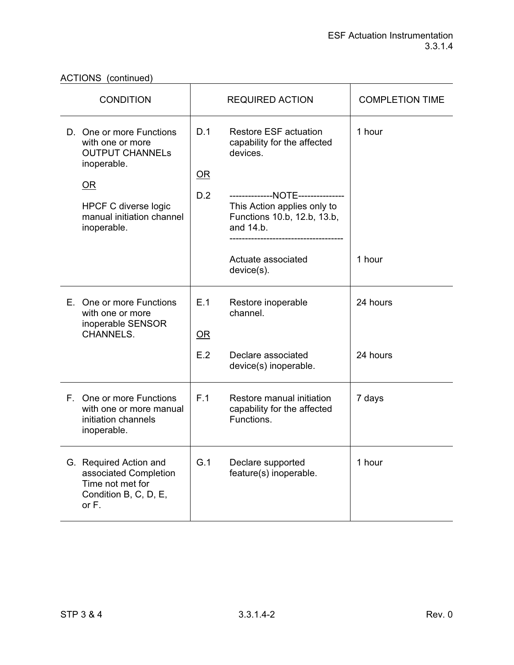ACTIONS (continued)

| <b>CONDITION</b>                                                                                                                                                              | <b>REQUIRED ACTION</b> |                                                                                                                                                                                                                             | <b>COMPLETION TIME</b> |
|-------------------------------------------------------------------------------------------------------------------------------------------------------------------------------|------------------------|-----------------------------------------------------------------------------------------------------------------------------------------------------------------------------------------------------------------------------|------------------------|
| D. One or more Functions<br>with one or more<br><b>OUTPUT CHANNELS</b><br>inoperable.<br><b>OR</b><br><b>HPCF C diverse logic</b><br>manual initiation channel<br>inoperable. | D.1<br>OR<br>D.2       | <b>Restore ESF actuation</b><br>capability for the affected<br>devices.<br>--------------NOTE---------------<br>This Action applies only to<br>Functions 10.b, 12.b, 13.b,<br>and 14.b.<br>Actuate associated<br>device(s). | 1 hour<br>1 hour       |
| E. One or more Functions<br>with one or more<br>inoperable SENSOR<br><b>CHANNELS.</b>                                                                                         | E.1<br>OR<br>E.2       | Restore inoperable<br>channel.<br>Declare associated<br>device(s) inoperable.                                                                                                                                               | 24 hours<br>24 hours   |
| F. One or more Functions<br>with one or more manual<br>initiation channels<br>inoperable.                                                                                     | F.1                    | Restore manual initiation<br>capability for the affected<br>Functions.                                                                                                                                                      | 7 days                 |
| G. Required Action and<br>associated Completion<br>Time not met for<br>Condition B, C, D, E,<br>or F.                                                                         | G.1                    | Declare supported<br>feature(s) inoperable.                                                                                                                                                                                 | 1 hour                 |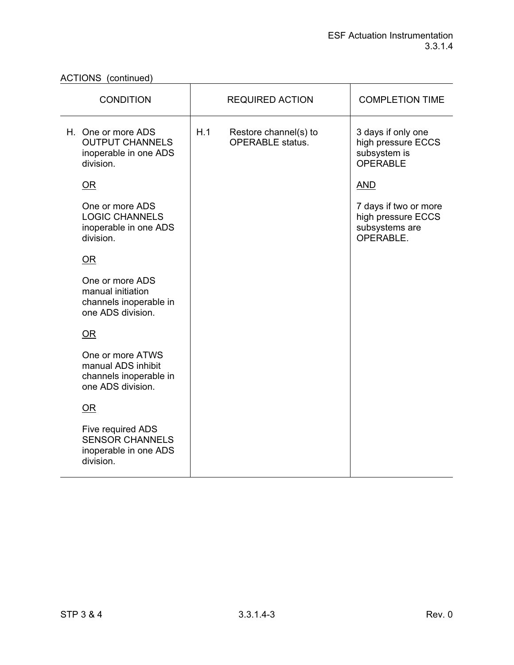ACTIONS (continued)

| <b>CONDITION</b>                                                                      | <b>REQUIRED ACTION</b>                                  | <b>COMPLETION TIME</b>                                                      |
|---------------------------------------------------------------------------------------|---------------------------------------------------------|-----------------------------------------------------------------------------|
| H. One or more ADS<br><b>OUTPUT CHANNELS</b><br>inoperable in one ADS<br>division.    | H.1<br>Restore channel(s) to<br><b>OPERABLE</b> status. | 3 days if only one<br>high pressure ECCS<br>subsystem is<br><b>OPERABLE</b> |
| $OR$                                                                                  |                                                         | <u>AND</u>                                                                  |
| One or more ADS<br><b>LOGIC CHANNELS</b><br>inoperable in one ADS<br>division.        |                                                         | 7 days if two or more<br>high pressure ECCS<br>subsystems are<br>OPERABLE.  |
| $OR$                                                                                  |                                                         |                                                                             |
| One or more ADS<br>manual initiation<br>channels inoperable in<br>one ADS division.   |                                                         |                                                                             |
| OR                                                                                    |                                                         |                                                                             |
| One or more ATWS<br>manual ADS inhibit<br>channels inoperable in<br>one ADS division. |                                                         |                                                                             |
| OR                                                                                    |                                                         |                                                                             |
| Five required ADS<br><b>SENSOR CHANNELS</b><br>inoperable in one ADS<br>division.     |                                                         |                                                                             |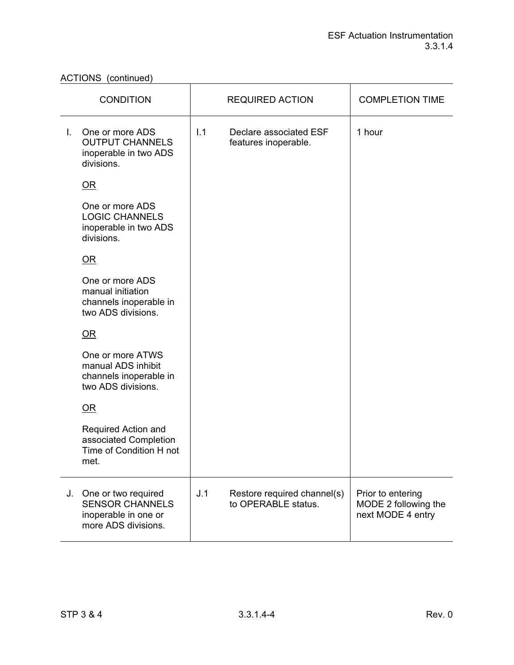ACTIONS (continued)

|    | <b>CONDITION</b>                                                                             |     | <b>REQUIRED ACTION</b>                             | <b>COMPLETION TIME</b>                                         |
|----|----------------------------------------------------------------------------------------------|-----|----------------------------------------------------|----------------------------------------------------------------|
| L. | One or more ADS<br><b>OUTPUT CHANNELS</b><br>inoperable in two ADS<br>divisions.             | 1.1 | Declare associated ESF<br>features inoperable.     | 1 hour                                                         |
|    | OR                                                                                           |     |                                                    |                                                                |
|    | One or more ADS<br><b>LOGIC CHANNELS</b><br>inoperable in two ADS<br>divisions.              |     |                                                    |                                                                |
|    | $OR$                                                                                         |     |                                                    |                                                                |
|    | One or more ADS<br>manual initiation<br>channels inoperable in<br>two ADS divisions.         |     |                                                    |                                                                |
|    | $OR$                                                                                         |     |                                                    |                                                                |
|    | One or more ATWS<br>manual ADS inhibit<br>channels inoperable in<br>two ADS divisions.       |     |                                                    |                                                                |
|    | OR                                                                                           |     |                                                    |                                                                |
|    | Required Action and<br>associated Completion<br>Time of Condition H not<br>met.              |     |                                                    |                                                                |
| J. | One or two required<br><b>SENSOR CHANNELS</b><br>inoperable in one or<br>more ADS divisions. | J.1 | Restore required channel(s)<br>to OPERABLE status. | Prior to entering<br>MODE 2 following the<br>next MODE 4 entry |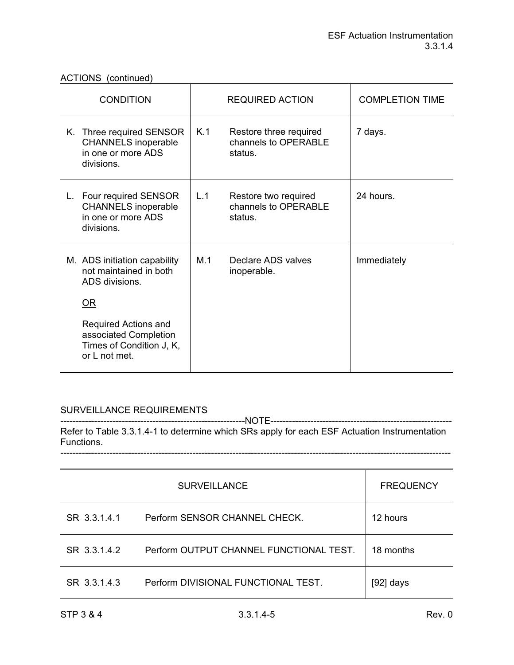| <b>CONDITION</b>                                                                                                                                                             | REQUIRED ACTION                                                  | <b>COMPLETION TIME</b> |
|------------------------------------------------------------------------------------------------------------------------------------------------------------------------------|------------------------------------------------------------------|------------------------|
| K. Three required SENSOR<br><b>CHANNELS</b> inoperable<br>in one or more ADS<br>divisions.                                                                                   | K.1<br>Restore three required<br>channels to OPERABLE<br>status. | 7 days.                |
| L. Four required SENSOR<br><b>CHANNELS</b> inoperable<br>in one or more ADS<br>divisions.                                                                                    | L.1<br>Restore two required<br>channels to OPERABLE<br>status.   | 24 hours.              |
| M. ADS initiation capability<br>not maintained in both<br>ADS divisions.<br>OR<br>Required Actions and<br>associated Completion<br>Times of Condition J, K,<br>or L not met. | M.1<br>Declare ADS valves<br>inoperable.                         | Immediately            |

# SURVEILLANCE REQUIREMENTS

------------------------------------------------------------NOTE----------------------------------------------------------- Refer to Table 3.3.1.4-1 to determine which SRs apply for each ESF Actuation Instrumentation Functions. -------------------------------------------------------------------------------------------------------------------------------

|              | <b>SURVEILLANCE</b>                     | <b>FREQUENCY</b> |
|--------------|-----------------------------------------|------------------|
| SR 3.3.1.4.1 | Perform SENSOR CHANNEL CHECK.           | 12 hours         |
| SR 3.3.1.4.2 | Perform OUTPUT CHANNEL FUNCTIONAL TEST. | 18 months        |
| SR 3.3.1.4.3 | Perform DIVISIONAL FUNCTIONAL TEST.     | [92] days        |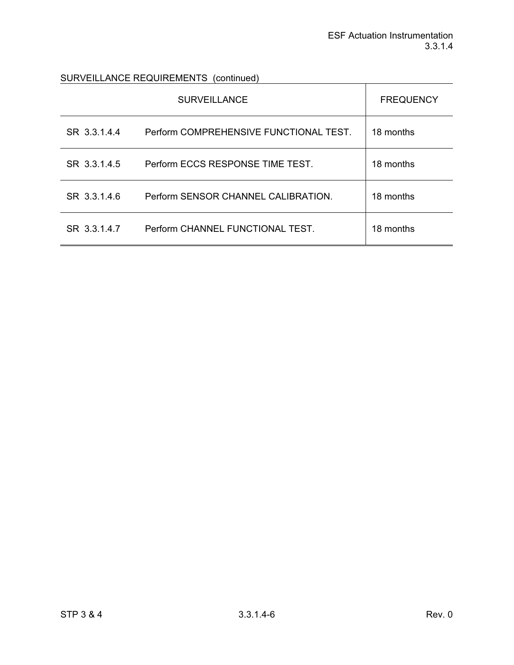SURVEILLANCE REQUIREMENTS (continued)

|              | <b>SURVEILLANCE</b>                    | <b>FREQUENCY</b> |
|--------------|----------------------------------------|------------------|
| SR 3.3.1.4.4 | Perform COMPREHENSIVE FUNCTIONAL TEST. | 18 months        |
| SR 3.3.1.4.5 | Perform ECCS RESPONSE TIME TEST.       | 18 months        |
| SR 3.3.1.4.6 | Perform SENSOR CHANNEL CALIBRATION.    | 18 months        |
| SR 3.3.1.4.7 | Perform CHANNEL FUNCTIONAL TEST.       | 18 months        |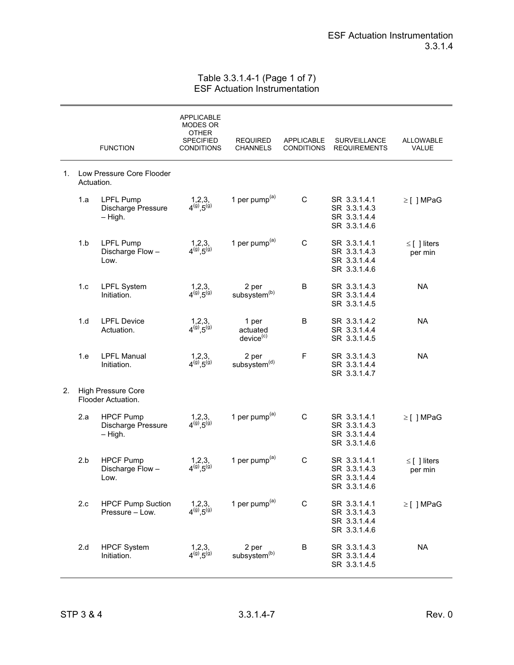### Table 3.3.1.4-1 (Page 1 of 7) ESF Actuation Instrumentation

|    |            | <b>FUNCTION</b>                                     | <b>APPLICABLE</b><br>MODES OR<br>OTHER<br><b>SPECIFIED</b><br><b>CONDITIONS</b> | <b>REQUIRED</b><br>CHANNELS                | <b>APPLICABLE</b><br><b>CONDITIONS</b> | SURVEILLANCE<br><b>REQUIREMENTS</b>                          | <b>ALLOWABLE</b><br>VALUE    |
|----|------------|-----------------------------------------------------|---------------------------------------------------------------------------------|--------------------------------------------|----------------------------------------|--------------------------------------------------------------|------------------------------|
| 1. | Actuation. | Low Pressure Core Flooder                           |                                                                                 |                                            |                                        |                                                              |                              |
|    | 1.a        | <b>LPFL Pump</b><br>Discharge Pressure<br>$-$ High. | $1,2,3,$<br>$4^{(9)},5^{(9)}$                                                   | 1 per pump $(a)$                           | $\mathbf C$                            | SR 3.3.1.4.1<br>SR 3.3.1.4.3<br>SR 3.3.1.4.4<br>SR 3.3.1.4.6 | $\geq$ [] MPaG               |
|    | 1.b        | <b>LPFL Pump</b><br>Discharge Flow-<br>Low.         | $1,2,3,$<br>$4^{(9)},5^{(9)}$                                                   | 1 per pump <sup>(a)</sup>                  | C                                      | SR 3.3.1.4.1<br>SR 3.3.1.4.3<br>SR 3.3.1.4.4<br>SR 3.3.1.4.6 | $\leq$ [ ] liters<br>per min |
|    | 1.c        | <b>LPFL System</b><br>Initiation.                   | $1,2,3,$<br>$4^{(9)},5^{(9)}$                                                   | 2 per<br>subsystem <sup>(b)</sup>          | B                                      | SR 3.3.1.4.3<br>SR 3.3.1.4.4<br>SR 3.3.1.4.5                 | <b>NA</b>                    |
|    | 1.d        | <b>LPFL Device</b><br>Actuation.                    | $1,2,3,$<br>$4^{(9)},5^{(9)}$                                                   | 1 per<br>actuated<br>device <sup>(c)</sup> | В                                      | SR 3.3.1.4.2<br>SR 3.3.1.4.4<br>SR 3.3.1.4.5                 | <b>NA</b>                    |
|    | 1.e        | <b>LPFL Manual</b><br>Initiation.                   | $1,2,3,$<br>$4^{(9)},5^{(9)}$                                                   | 2 per<br>subsystem <sup>(d)</sup>          | $\mathsf F$                            | SR 3.3.1.4.3<br>SR 3.3.1.4.4<br>SR 3.3.1.4.7                 | <b>NA</b>                    |
| 2. |            | <b>High Pressure Core</b><br>Flooder Actuation.     |                                                                                 |                                            |                                        |                                                              |                              |
|    | 2.a        | <b>HPCF Pump</b><br>Discharge Pressure<br>$-$ High. | $1,2,3,$<br>$4^{(9)},5^{(9)}$                                                   | 1 per pump <sup>(a)</sup>                  | C                                      | SR 3.3.1.4.1<br>SR 3.3.1.4.3<br>SR 3.3.1.4.4<br>SR 3.3.1.4.6 | $\geq$ [] MPaG               |
|    | 2.b        | <b>HPCF Pump</b><br>Discharge Flow-<br>Low.         | 1,2,3,<br>$4^{(9)}, 5^{(9)}$                                                    | 1 per pump $(a)$                           | $\mathsf C$                            | SR 3.3.1.4.1<br>SR 3.3.1.4.3<br>SR 3.3.1.4.4<br>SR 3.3.1.4.6 | $\leq$ [ ] liters<br>per min |
|    | 2.c        | <b>HPCF Pump Suction</b><br>Pressure - Low.         | $1,2,3,$<br>$4^{(g)}, 5^{(g)}$                                                  | 1 per pump <sup>(a)</sup>                  | $\mathsf C$                            | SR 3.3.1.4.1<br>SR 3.3.1.4.3<br>SR 3.3.1.4.4<br>SR 3.3.1.4.6 | $\geq$ [ ] MPaG              |
|    | 2.d        | <b>HPCF System</b><br>Initiation.                   | 1,2,3,<br>$4^{(9)}, 5^{(9)}$                                                    | 2 per<br>subsystem <sup>(b)</sup>          | B                                      | SR 3.3.1.4.3<br>SR 3.3.1.4.4<br>SR 3.3.1.4.5                 | <b>NA</b>                    |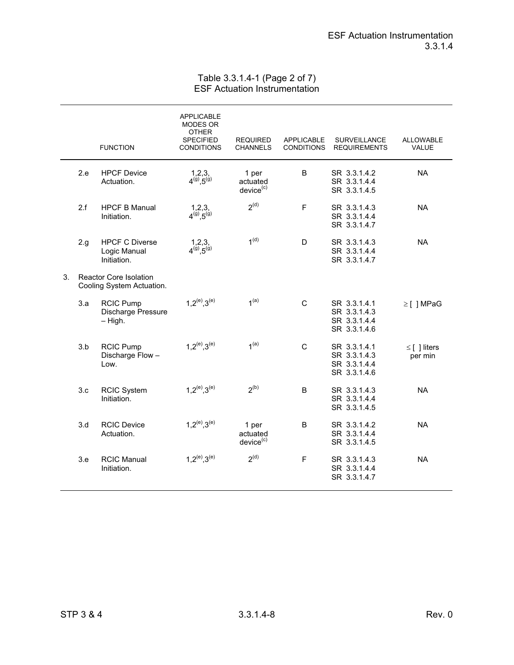## Table 3.3.1.4-1 (Page 2 of 7) ESF Actuation Instrumentation

|    |      | <b>FUNCTION</b>                                      | <b>APPLICABLE</b><br>MODES OR<br><b>OTHER</b><br><b>SPECIFIED</b><br><b>CONDITIONS</b> | <b>REQUIRED</b><br><b>CHANNELS</b>         | <b>APPLICABLE</b><br><b>CONDITIONS</b> | <b>SURVEILLANCE</b><br><b>REQUIREMENTS</b>                   | <b>ALLOWABLE</b><br>VALUE    |
|----|------|------------------------------------------------------|----------------------------------------------------------------------------------------|--------------------------------------------|----------------------------------------|--------------------------------------------------------------|------------------------------|
|    | 2.e  | <b>HPCF Device</b><br>Actuation.                     | $1,2,3,$<br>$4^{(9)},5^{(9)}$                                                          | 1 per<br>actuated<br>device <sup>(c)</sup> | B                                      | SR 3.3.1.4.2<br>SR 3.3.1.4.4<br>SR 3.3.1.4.5                 | <b>NA</b>                    |
|    | 2.f  | <b>HPCF B Manual</b><br>Initiation.                  | $1,2,3,$<br>$4^{(9)},5^{(9)}$                                                          | 2 <sup>(d)</sup>                           | $\mathsf F$                            | SR 3.3.1.4.3<br>SR 3.3.1.4.4<br>SR 3.3.1.4.7                 | <b>NA</b>                    |
|    | 2.g. | <b>HPCF C Diverse</b><br>Logic Manual<br>Initiation. | $1,2,3,$<br>$4^{(9)},5^{(9)}$                                                          | 1 <sup>(d)</sup>                           | D                                      | SR 3.3.1.4.3<br>SR 3.3.1.4.4<br>SR 3.3.1.4.7                 | <b>NA</b>                    |
| 3. |      | Reactor Core Isolation<br>Cooling System Actuation.  |                                                                                        |                                            |                                        |                                                              |                              |
|    | 3.a  | <b>RCIC Pump</b><br>Discharge Pressure<br>$-$ High.  | $1.2^{(e)}$ , $3^{(e)}$                                                                | 1 <sup>(a)</sup>                           | C                                      | SR 3.3.1.4.1<br>SR 3.3.1.4.3<br>SR 3.3.1.4.4<br>SR 3.3.1.4.6 | $\geq$ [ ] MPaG              |
|    | 3.b  | <b>RCIC Pump</b><br>Discharge Flow-<br>Low.          | $1.2^{(e)}.3^{(e)}$                                                                    | 1 <sup>(a)</sup>                           | C                                      | SR 3.3.1.4.1<br>SR 3.3.1.4.3<br>SR 3.3.1.4.4<br>SR 3.3.1.4.6 | $\leq$ [ ] liters<br>per min |
|    | 3.c  | <b>RCIC System</b><br>Initiation.                    | $1,2^{(e)},3^{(e)}$                                                                    | 2 <sup>(b)</sup>                           | B                                      | SR 3.3.1.4.3<br>SR 3.3.1.4.4<br>SR 3.3.1.4.5                 | <b>NA</b>                    |
|    | 3.d  | <b>RCIC Device</b><br>Actuation.                     | $1,2^{(e)},3^{(e)}$                                                                    | 1 per<br>actuated<br>device <sup>(c)</sup> | B                                      | SR 3.3.1.4.2<br>SR 3.3.1.4.4<br>SR 3.3.1.4.5                 | <b>NA</b>                    |
|    | 3.e  | <b>RCIC Manual</b><br>Initiation.                    | $1.2^{(e)}.3^{(e)}$                                                                    | 2 <sup>(d)</sup>                           | F                                      | SR 3.3.1.4.3<br>SR 3.3.1.4.4<br>SR 3.3.1.4.7                 | <b>NA</b>                    |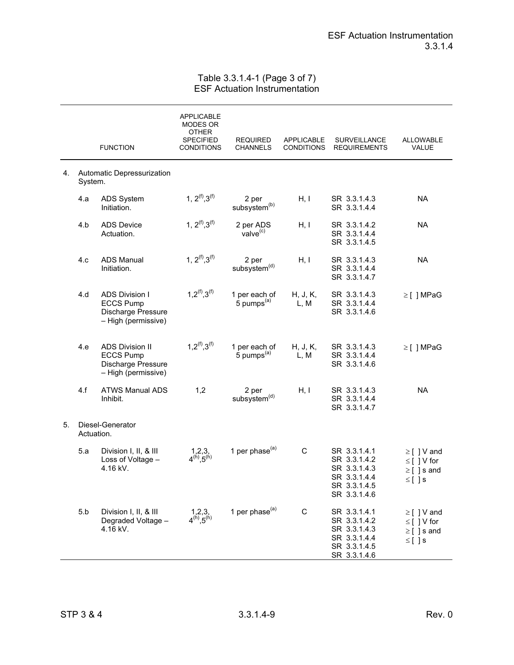## Table 3.3.1.4-1 (Page 3 of 7) ESF Actuation Instrumentation

|    |            | <b>FUNCTION</b>                                                                         | <b>APPLICABLE</b><br>MODES OR<br><b>OTHER</b><br>SPECIFIED<br><b>CONDITIONS</b> | <b>REQUIRED</b><br><b>CHANNELS</b>      | <b>APPLICABLE</b><br><b>CONDITIONS</b> | <b>SURVEILLANCE</b><br><b>REQUIREMENTS</b>                                                   | ALLOWABLE<br>VALUE                                                     |
|----|------------|-----------------------------------------------------------------------------------------|---------------------------------------------------------------------------------|-----------------------------------------|----------------------------------------|----------------------------------------------------------------------------------------------|------------------------------------------------------------------------|
| 4. | System.    | Automatic Depressurization                                                              |                                                                                 |                                         |                                        |                                                                                              |                                                                        |
|    | 4.a        | <b>ADS System</b><br>Initiation.                                                        | 1, $2^{(f)}$ , $3^{(f)}$                                                        | 2 per<br>subsystem <sup>(b)</sup>       | H, I                                   | SR 3.3.1.4.3<br>SR 3.3.1.4.4                                                                 | <b>NA</b>                                                              |
|    | 4.b        | <b>ADS Device</b><br>Actuation.                                                         | 1, $2^{(f)}$ , $3^{(f)}$                                                        | 2 per ADS<br>value <sup>(c)</sup>       | H, I                                   | SR 3.3.1.4.2<br>SR 3.3.1.4.4<br>SR 3.3.1.4.5                                                 | <b>NA</b>                                                              |
|    | 4.c        | <b>ADS Manual</b><br>Initiation.                                                        | 1, $2^{(f)}$ , $3^{(f)}$                                                        | 2 per<br>subsystem <sup>(d)</sup>       | H, I                                   | SR 3.3.1.4.3<br>SR 3.3.1.4.4<br>SR 3.3.1.4.7                                                 | <b>NA</b>                                                              |
|    | 4.d        | <b>ADS Division I</b><br><b>ECCS Pump</b><br>Discharge Pressure<br>- High (permissive)  | $1,2^{(f)},3^{(f)}$                                                             | 1 per each of<br>5 pumps <sup>(a)</sup> | H, J, K,<br>L, M                       | SR 3.3.1.4.3<br>SR 3.3.1.4.4<br>SR 3.3.1.4.6                                                 | $\geq$ [ ] MPaG                                                        |
|    | 4.e        | <b>ADS Division II</b><br><b>ECCS Pump</b><br>Discharge Pressure<br>- High (permissive) | $1.2^{(f)}$ , $3^{(f)}$                                                         | 1 per each of<br>5 pumps <sup>(a)</sup> | H, J, K,<br>L, M                       | SR 3.3.1.4.3<br>SR 3.3.1.4.4<br>SR 3.3.1.4.6                                                 | $\geq$ [] MPaG                                                         |
|    | 4.f        | <b>ATWS Manual ADS</b><br>Inhibit.                                                      | 1,2                                                                             | 2 per<br>subsystem <sup>(d)</sup>       | H, I                                   | SR 3.3.1.4.3<br>SR 3.3.1.4.4<br>SR 3.3.1.4.7                                                 | <b>NA</b>                                                              |
| 5. | Actuation. | Diesel-Generator                                                                        |                                                                                 |                                         |                                        |                                                                                              |                                                                        |
|    | 5.a        | Division I, II, & III<br>Loss of Voltage -<br>4.16 kV.                                  | $1,2,3,$<br>4 <sup>(h)</sup> ,5 <sup>(h)</sup>                                  | 1 per phase $(a)$                       | C                                      | SR 3.3.1.4.1<br>SR 3.3.1.4.2<br>SR 3.3.1.4.3<br>SR 3.3.1.4.4<br>SR 3.3.1.4.5<br>SR 3.3.1.4.6 | $\geq$ [ ] V and<br>$\leq$ [ ] V for<br>$\geq$ [ ] s and<br>$\leq$ []s |
|    | 5.b        | Division I, II, & III<br>Degraded Voltage -<br>4.16 kV.                                 | $1,2,3,$<br>$4^{(h)},5^{(h)}$                                                   | 1 per phase <sup>(a)</sup>              | $\mathsf C$                            | SR 3.3.1.4.1<br>SR 3.3.1.4.2<br>SR 3.3.1.4.3<br>SR 3.3.1.4.4<br>SR 3.3.1.4.5<br>SR 3.3.1.4.6 | $\geq$ [ ] V and<br>$\leq$ [ ] V for<br>$\geq$ [ ]s and<br>$\leq$ []s  |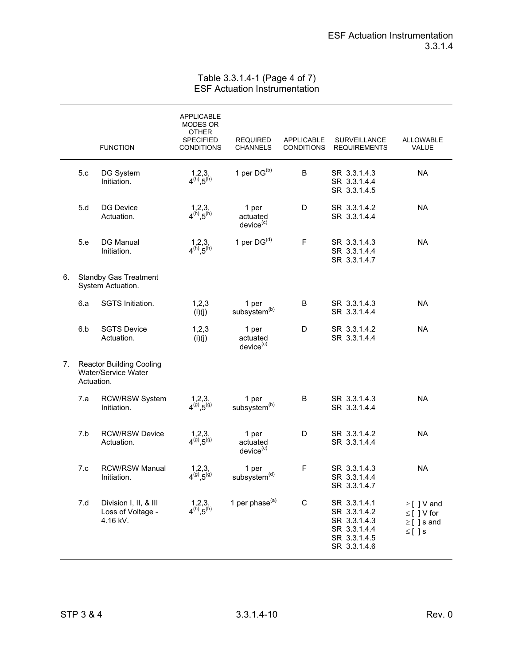## Table 3.3.1.4-1 (Page 4 of 7) ESF Actuation Instrumentation

|    |            | <b>FUNCTION</b>                                               | APPLICABLE<br>MODES OR<br>OTHER<br><b>SPECIFIED</b><br><b>CONDITIONS</b> | <b>REQUIRED</b><br><b>CHANNELS</b>         | <b>APPLICABLE</b><br><b>CONDITIONS</b> | <b>SURVEILLANCE</b><br><b>REQUIREMENTS</b>                                                   | <b>ALLOWABLE</b><br>VALUE                                              |
|----|------------|---------------------------------------------------------------|--------------------------------------------------------------------------|--------------------------------------------|----------------------------------------|----------------------------------------------------------------------------------------------|------------------------------------------------------------------------|
|    | 5.c        | DG System<br>Initiation.                                      | $1,2,3,$<br>4 <sup>(h)</sup> ,5 <sup>(h)</sup>                           | 1 per $DG^{(b)}$                           | B                                      | SR 3.3.1.4.3<br>SR 3.3.1.4.4<br>SR 3.3.1.4.5                                                 | <b>NA</b>                                                              |
|    | 5.d        | <b>DG Device</b><br>Actuation.                                | $1,2,3,$<br>4 <sup>(h)</sup> ,5 <sup>(h)</sup>                           | 1 per<br>actuated<br>device <sup>(c)</sup> | D                                      | SR 3.3.1.4.2<br>SR 3.3.1.4.4                                                                 | <b>NA</b>                                                              |
|    | 5.e        | <b>DG Manual</b><br>Initiation.                               | $1,2,3,$<br>4 <sup>(h)</sup> , 5 <sup>(h)</sup>                          | 1 per $DG^{(d)}$                           | $\mathsf F$                            | SR 3.3.1.4.3<br>SR 3.3.1.4.4<br>SR 3.3.1.4.7                                                 | <b>NA</b>                                                              |
| 6. |            | <b>Standby Gas Treatment</b><br>System Actuation.             |                                                                          |                                            |                                        |                                                                                              |                                                                        |
|    | 6.a        | SGTS Initiation.                                              | 1,2,3<br>(i)(j)                                                          | 1 per<br>subsystem <sup>(b)</sup>          | B                                      | SR 3.3.1.4.3<br>SR 3.3.1.4.4                                                                 | <b>NA</b>                                                              |
|    | 6.b        | <b>SGTS Device</b><br>Actuation.                              | 1,2,3<br>(i)(j)                                                          | 1 per<br>actuated<br>device <sup>(c)</sup> | D                                      | SR 3.3.1.4.2<br>SR 3.3.1.4.4                                                                 | <b>NA</b>                                                              |
| 7. | Actuation. | <b>Reactor Building Cooling</b><br><b>Water/Service Water</b> |                                                                          |                                            |                                        |                                                                                              |                                                                        |
|    | 7.a        | <b>RCW/RSW System</b><br>Initiation.                          | $1,2,3,$<br>$4^{(9)},5^{(9)}$                                            | 1 per<br>subsystem <sup>(b)</sup>          | B                                      | SR 3.3.1.4.3<br>SR 3.3.1.4.4                                                                 | <b>NA</b>                                                              |
|    | 7.b        | <b>RCW/RSW Device</b><br>Actuation.                           | $1,2,3,$<br>$4^{(9)},5^{(9)}$                                            | 1 per<br>actuated<br>device <sup>(c)</sup> | D                                      | SR 3.3.1.4.2<br>SR 3.3.1.4.4                                                                 | <b>NA</b>                                                              |
|    | 7.c        | <b>RCW/RSW Manual</b><br>Initiation.                          | 1,2,3,<br>$4^{(9)}, 5^{(9)}$                                             | 1 per<br>subsystem <sup>(d)</sup>          | $\mathsf F$                            | SR 3.3.1.4.3<br>SR 3.3.1.4.4<br>SR 3.3.1.4.7                                                 | <b>NA</b>                                                              |
|    | 7.d        | Division I, II, & III<br>Loss of Voltage -<br>4.16 kV.        | $1,2,3,$<br>4 <sup>(h)</sup> ,5 <sup>(h)</sup>                           | 1 per phase <sup>(a)</sup>                 | $\mathsf C$                            | SR 3.3.1.4.1<br>SR 3.3.1.4.2<br>SR 3.3.1.4.3<br>SR 3.3.1.4.4<br>SR 3.3.1.4.5<br>SR 3.3.1.4.6 | $\geq$ [ ] V and<br>$\leq$ [ ] V for<br>$\geq$ [ ] s and<br>$\leq$ []s |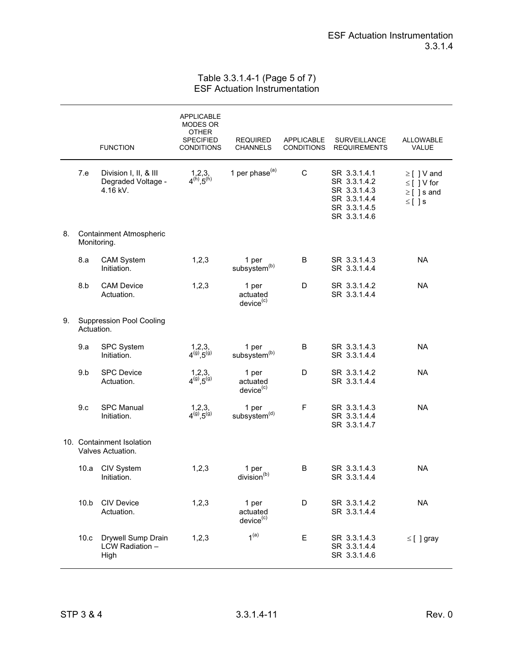## Table 3.3.1.4-1 (Page 5 of 7) ESF Actuation Instrumentation

|    |            | <b>FUNCTION</b>                                         | <b>APPLICABLE</b><br>MODES OR<br><b>OTHER</b><br><b>SPECIFIED</b><br><b>CONDITIONS</b> | <b>REQUIRED</b><br><b>CHANNELS</b>         | <b>APPLICABLE</b><br><b>CONDITIONS</b> | <b>SURVEILLANCE</b><br><b>REQUIREMENTS</b>                                                   | <b>ALLOWABLE</b><br>VALUE                                              |
|----|------------|---------------------------------------------------------|----------------------------------------------------------------------------------------|--------------------------------------------|----------------------------------------|----------------------------------------------------------------------------------------------|------------------------------------------------------------------------|
|    | 7.e        | Division I, II, & III<br>Degraded Voltage -<br>4.16 kV. | $1,2,3,$<br>4 <sup>(h)</sup> ,5 <sup>(h)</sup>                                         | 1 per phase <sup>(a)</sup>                 | C                                      | SR 3.3.1.4.1<br>SR 3.3.1.4.2<br>SR 3.3.1.4.3<br>SR 3.3.1.4.4<br>SR 3.3.1.4.5<br>SR 3.3.1.4.6 | $\geq$ [ ] V and<br>$\leq$ [ ] V for<br>$\geq$ [ ] s and<br>$\leq$ []s |
| 8. |            | <b>Containment Atmospheric</b><br>Monitoring.           |                                                                                        |                                            |                                        |                                                                                              |                                                                        |
|    | 8.a        | <b>CAM System</b><br>Initiation.                        | 1,2,3                                                                                  | 1 per<br>subsystem <sup>(b)</sup>          | B                                      | SR 3.3.1.4.3<br>SR 3.3.1.4.4                                                                 | <b>NA</b>                                                              |
|    | 8.b        | <b>CAM Device</b><br>Actuation.                         | 1,2,3                                                                                  | 1 per<br>actuated<br>device <sup>(c)</sup> | D                                      | SR 3.3.1.4.2<br>SR 3.3.1.4.4                                                                 | <b>NA</b>                                                              |
| 9. | Actuation. | <b>Suppression Pool Cooling</b>                         |                                                                                        |                                            |                                        |                                                                                              |                                                                        |
|    | 9.a        | SPC System<br>Initiation.                               | $1,2,3,$<br>$4^{(g)}, 5^{(g)}$                                                         | 1 per<br>subsystem <sup>(b)</sup>          | B                                      | SR 3.3.1.4.3<br>SR 3.3.1.4.4                                                                 | <b>NA</b>                                                              |
|    | 9.b        | <b>SPC Device</b><br>Actuation.                         | $1,2,3,$<br>$4^{(9)},5^{(9)}$                                                          | 1 per<br>actuated<br>device <sup>(c)</sup> | D                                      | SR 3.3.1.4.2<br>SR 3.3.1.4.4                                                                 | <b>NA</b>                                                              |
|    | 9.c        | <b>SPC Manual</b><br>Initiation.                        | $1,2,3,$<br>$4^{(9)},5^{(9)}$                                                          | 1 per<br>subsystem <sup>(d)</sup>          | F                                      | SR 3.3.1.4.3<br>SR 3.3.1.4.4<br>SR 3.3.1.4.7                                                 | <b>NA</b>                                                              |
|    |            | 10. Containment Isolation<br>Valves Actuation.          |                                                                                        |                                            |                                        |                                                                                              |                                                                        |
|    | 10.a       | CIV System<br>Initiation.                               | 1,2,3                                                                                  | 1 per<br>division <sup>(b)</sup>           | B                                      | SR 3.3.1.4.3<br>SR 3.3.1.4.4                                                                 | <b>NA</b>                                                              |
|    | 10.b       | <b>CIV Device</b><br>Actuation.                         | 1,2,3                                                                                  | 1 per<br>actuated<br>device <sup>(c)</sup> | D                                      | SR 3.3.1.4.2<br>SR 3.3.1.4.4                                                                 | <b>NA</b>                                                              |
|    | 10.c       | Drywell Sump Drain<br>LCW Radiation -<br>High           | 1,2,3                                                                                  | 1 <sup>(a)</sup>                           | E                                      | SR 3.3.1.4.3<br>SR 3.3.1.4.4<br>SR 3.3.1.4.6                                                 | $\leq$ [ ] gray                                                        |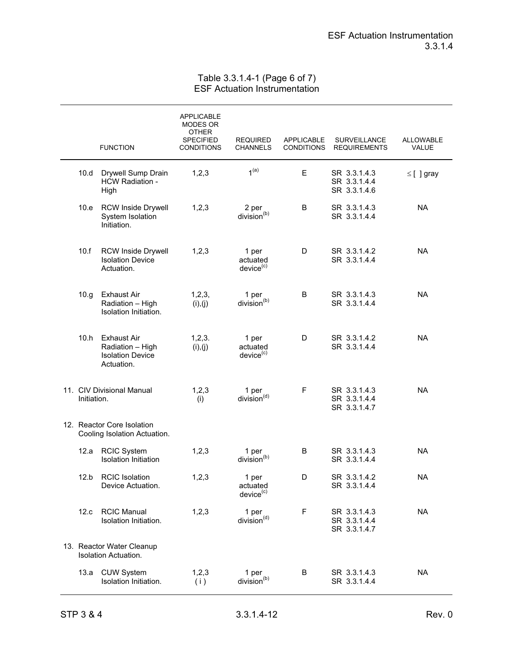## Table 3.3.1.4-1 (Page 6 of 7) ESF Actuation Instrumentation

|                                                            |                                                                                 | <b>APPLICABLE</b><br>MODES OR<br><b>OTHER</b><br><b>SPECIFIED</b> | <b>REQUIRED</b>                            | <b>APPLICABLE</b> | SURVEILLANCE                                 | <b>ALLOWABLE</b> |
|------------------------------------------------------------|---------------------------------------------------------------------------------|-------------------------------------------------------------------|--------------------------------------------|-------------------|----------------------------------------------|------------------|
|                                                            | <b>FUNCTION</b>                                                                 | <b>CONDITIONS</b>                                                 | <b>CHANNELS</b>                            | <b>CONDITIONS</b> | <b>REQUIREMENTS</b>                          | VALUE            |
| 10.d                                                       | Drywell Sump Drain<br><b>HCW Radiation -</b><br>High                            | 1, 2, 3                                                           | 1 <sup>(a)</sup>                           | E                 | SR 3.3.1.4.3<br>SR 3.3.1.4.4<br>SR 3.3.1.4.6 | $\leq$ [ ] gray  |
| 10.e                                                       | <b>RCW Inside Drywell</b><br>System Isolation<br>Initiation.                    | 1, 2, 3                                                           | 2 per<br>division <sup>(b)</sup>           | B                 | SR 3.3.1.4.3<br>SR 3.3.1.4.4                 | <b>NA</b>        |
| 10.f                                                       | <b>RCW Inside Drywell</b><br><b>Isolation Device</b><br>Actuation.              | 1,2,3                                                             | 1 per<br>actuated<br>device <sup>(c)</sup> | D                 | SR 3.3.1.4.2<br>SR 3.3.1.4.4                 | <b>NA</b>        |
| 10.g                                                       | <b>Exhaust Air</b><br>Radiation - High<br>Isolation Initiation.                 | 1, 2, 3,<br>(i), (j)                                              | 1 per<br>division <sup>(b)</sup>           | B                 | SR 3.3.1.4.3<br>SR 3.3.1.4.4                 | <b>NA</b>        |
| 10.h                                                       | <b>Exhaust Air</b><br>Radiation - High<br><b>Isolation Device</b><br>Actuation. | 1,2,3.<br>(i), (j)                                                | 1 per<br>actuated<br>device <sup>(c)</sup> | D                 | SR 3.3.1.4.2<br>SR 3.3.1.4.4                 | <b>NA</b>        |
| Initiation.                                                | 11. CIV Divisional Manual                                                       | 1, 2, 3<br>(i)                                                    | 1 per<br>division <sup>(d)</sup>           | F                 | SR 3.3.1.4.3<br>SR 3.3.1.4.4<br>SR 3.3.1.4.7 | <b>NA</b>        |
| 12. Reactor Core Isolation<br>Cooling Isolation Actuation. |                                                                                 |                                                                   |                                            |                   |                                              |                  |
| 12.a                                                       | <b>RCIC System</b><br><b>Isolation Initiation</b>                               | 1, 2, 3                                                           | 1 per<br>division <sup>(b)</sup>           | B                 | SR 3.3.1.4.3<br>SR 3.3.1.4.4                 | <b>NA</b>        |
| 12.b                                                       | <b>RCIC Isolation</b><br>Device Actuation.                                      | 1,2,3                                                             | 1 per<br>actuated<br>device <sup>(c)</sup> | D                 | SR 3.3.1.4.2<br>SR 3.3.1.4.4                 | <b>NA</b>        |
| 12.c                                                       | <b>RCIC Manual</b><br>Isolation Initiation.                                     | 1, 2, 3                                                           | 1 per<br>division <sup>(d)</sup>           | $\mathsf F$       | SR 3.3.1.4.3<br>SR 3.3.1.4.4<br>SR 3.3.1.4.7 | <b>NA</b>        |
|                                                            | 13. Reactor Water Cleanup<br>Isolation Actuation.                               |                                                                   |                                            |                   |                                              |                  |
| 13.a                                                       | <b>CUW System</b><br>Isolation Initiation.                                      | 1,2,3<br>(i)                                                      | 1 per<br>division <sup>(b)</sup>           | B                 | SR 3.3.1.4.3<br>SR 3.3.1.4.4                 | <b>NA</b>        |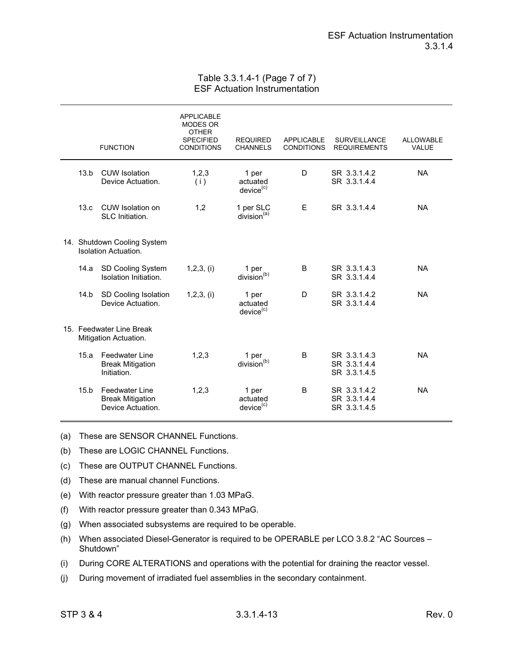### Table 3.3.1.4-1 (Page 7 of 7) ESF Actuation Instrumentation

|                                                            | <b>FUNCTION</b>                                                       | <b>APPLICABLE</b><br><b>MODES OR</b><br><b>OTHER</b><br><b>SPECIFIED</b><br><b>CONDITIONS</b> | <b>REQUIRED</b><br><b>CHANNELS</b>         | <b>APPLICABLE</b><br><b>CONDITIONS</b> | <b>SURVEILLANCE</b><br><b>REQUIREMENTS</b>   | <b>ALLOWABLE</b><br><b>VALUE</b> |
|------------------------------------------------------------|-----------------------------------------------------------------------|-----------------------------------------------------------------------------------------------|--------------------------------------------|----------------------------------------|----------------------------------------------|----------------------------------|
| 13.b                                                       | <b>CUW</b> Isolation<br>Device Actuation.                             | 1,2,3<br>(i)                                                                                  | 1 per<br>actuated<br>device <sup>(c)</sup> | D                                      | SR 3.3.1.4.2<br>SR 3.3.1.4.4                 | <b>NA</b>                        |
| 13.c                                                       | <b>CUW</b> Isolation on<br>SLC Initiation.                            | 1,2                                                                                           | 1 per SLC<br>division <sup>(a)</sup>       | E                                      | SR 3.3.1.4.4                                 | <b>NA</b>                        |
| 14. Shutdown Cooling System<br><b>Isolation Actuation.</b> |                                                                       |                                                                                               |                                            |                                        |                                              |                                  |
| 14.a                                                       | SD Cooling System<br>Isolation Initiation.                            | $1,2,3$ , (i)                                                                                 | 1 per<br>division <sup>(b)</sup>           | B                                      | SR 3.3.1.4.3<br>SR 3.3.1.4.4                 | <b>NA</b>                        |
| 14.b                                                       | SD Cooling Isolation<br>Device Actuation.                             | $1,2,3$ , (i)                                                                                 | 1 per<br>actuated<br>device <sup>(c)</sup> | D                                      | SR 3.3.1.4.2<br>SR 3.3.1.4.4                 | <b>NA</b>                        |
|                                                            | 15. Feedwater Line Break<br>Mitigation Actuation.                     |                                                                                               |                                            |                                        |                                              |                                  |
| 15.a                                                       | <b>Feedwater Line</b><br><b>Break Mitigation</b><br>Initiation.       | 1,2,3                                                                                         | 1 per<br>division $(b)$                    | B                                      | SR 3.3.1.4.3<br>SR 3.3.1.4.4<br>SR 3.3.1.4.5 | <b>NA</b>                        |
| 15.b                                                       | <b>Feedwater Line</b><br><b>Break Mitigation</b><br>Device Actuation. | 1,2,3                                                                                         | 1 per<br>actuated<br>device <sup>(c)</sup> | B                                      | SR 3.3.1.4.2<br>SR 3.3.1.4.4<br>SR 3.3.1.4.5 | <b>NA</b>                        |

(a) These are SENSOR CHANNEL Functions.

- (b) These are LOGIC CHANNEL Functions.
- (c) These are OUTPUT CHANNEL Functions.
- (d) These are manual channel Functions.
- (e) With reactor pressure greater than 1.03 MPaG.
- (f) With reactor pressure greater than 0.343 MPaG.
- (g) When associated subsystems are required to be operable.
- (h) When associated Diesel-Generator is required to be OPERABLE per LCO 3.8.2 "AC Sources Shutdown"
- (i) During CORE ALTERATIONS and operations with the potential for draining the reactor vessel.
- (j) During movement of irradiated fuel assemblies in the secondary containment.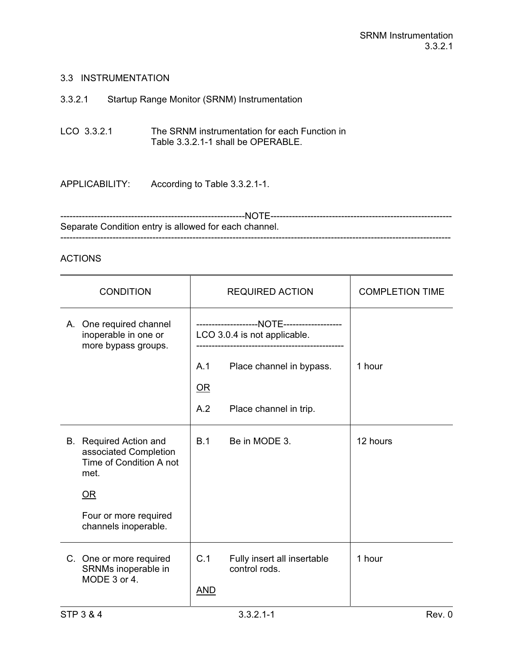## 3.3 INSTRUMENTATION

# 3.3.2.1 Startup Range Monitor (SRNM) Instrumentation

LCO 3.3.2.1 The SRNM instrumentation for each Function in Table 3.3.2.1-1 shall be OPERABLE.

APPLICABILITY: According to Table 3.3.2.1-1.

------------------------------------------------------------NOTE----------------------------------------------------------- Separate Condition entry is allowed for each channel. -------------------------------------------------------------------------------------------------------------------------------

## ACTIONS

| <b>CONDITION</b> |                                                                                           |                              | <b>REQUIRED ACTION</b>                       | <b>COMPLETION TIME</b> |
|------------------|-------------------------------------------------------------------------------------------|------------------------------|----------------------------------------------|------------------------|
|                  | A. One required channel<br>inoperable in one or<br>more bypass groups.                    | LCO 3.0.4 is not applicable. |                                              |                        |
|                  |                                                                                           | A.1                          | Place channel in bypass.                     | 1 hour                 |
|                  |                                                                                           | $OR$                         |                                              |                        |
|                  |                                                                                           | A.2                          | Place channel in trip.                       |                        |
|                  | <b>B.</b> Required Action and<br>associated Completion<br>Time of Condition A not<br>met. | B.1                          | Be in MODE 3.                                | 12 hours               |
|                  | OR                                                                                        |                              |                                              |                        |
|                  | Four or more required<br>channels inoperable.                                             |                              |                                              |                        |
|                  | C. One or more required<br>SRNMs inoperable in<br>MODE 3 or 4.                            | C.1<br><b>AND</b>            | Fully insert all insertable<br>control rods. | 1 hour                 |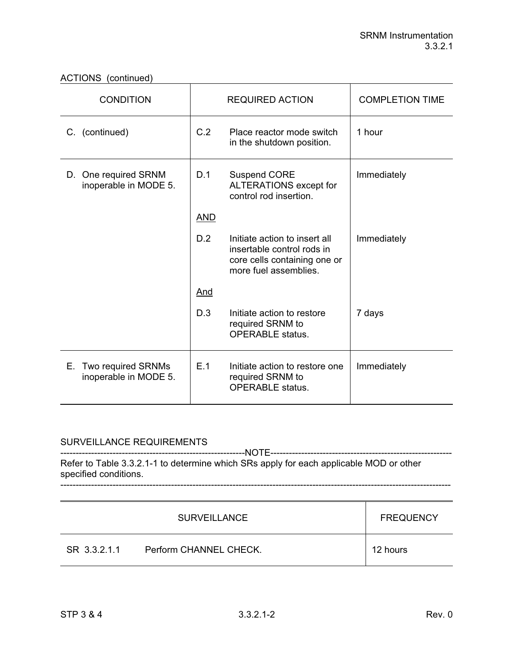| <b>CONDITION</b>                                  |            | <b>REQUIRED ACTION</b>                                                                                               | <b>COMPLETION TIME</b> |
|---------------------------------------------------|------------|----------------------------------------------------------------------------------------------------------------------|------------------------|
| C. (continued)                                    | C.2        | Place reactor mode switch<br>in the shutdown position.                                                               | 1 hour                 |
| One required SRNM<br>D.<br>inoperable in MODE 5.  | D.1        | <b>Suspend CORE</b><br>ALTERATIONS except for<br>control rod insertion.                                              | Immediately            |
|                                                   | <b>AND</b> |                                                                                                                      |                        |
|                                                   | D.2        | Initiate action to insert all<br>insertable control rods in<br>core cells containing one or<br>more fuel assemblies. | Immediately            |
|                                                   | <u>And</u> |                                                                                                                      |                        |
|                                                   | D.3        | Initiate action to restore<br>required SRNM to<br><b>OPERABLE</b> status.                                            | 7 days                 |
| Two required SRNMs<br>Е.<br>inoperable in MODE 5. | E.1        | Initiate action to restore one<br>required SRNM to<br><b>OPERABLE</b> status.                                        | Immediately            |

## SURVEILLANCE REQUIREMENTS

------------------------------------------------------------NOTE----------------------------------------------------------- Refer to Table 3.3.2.1-1 to determine which SRs apply for each applicable MOD or other specified conditions. -------------------------------------------------------------------------------------------------------------------------------

|              | <b>SURVEILLANCE</b>    | <b>FREQUENCY</b> |
|--------------|------------------------|------------------|
| SR 3.3.2.1.1 | Perform CHANNEL CHECK. | 12 hours         |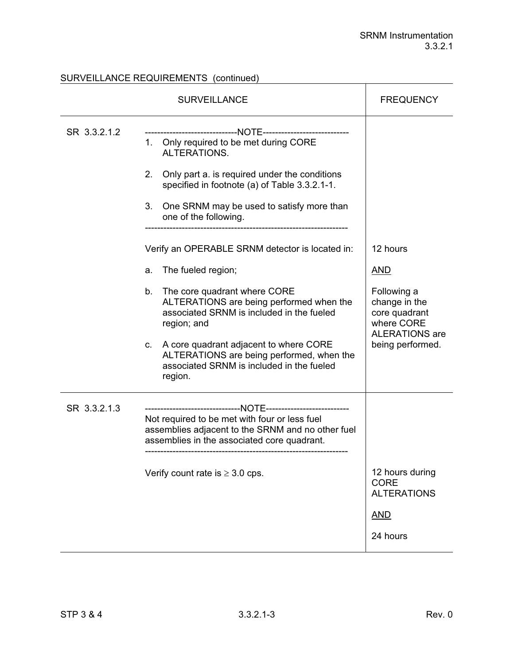# SURVEILLANCE REQUIREMENTS (continued)

|              | <b>SURVEILLANCE</b>                                                                                                                                                                                                                        | <b>FREQUENCY</b>                                                                                         |
|--------------|--------------------------------------------------------------------------------------------------------------------------------------------------------------------------------------------------------------------------------------------|----------------------------------------------------------------------------------------------------------|
| SR 3.3.2.1.2 | 1. Only required to be met during CORE<br>ALTERATIONS.<br>Only part a. is required under the conditions<br>2.<br>specified in footnote (a) of Table 3.3.2.1-1.<br>One SRNM may be used to satisfy more than<br>3.<br>one of the following. |                                                                                                          |
|              | Verify an OPERABLE SRNM detector is located in:                                                                                                                                                                                            | 12 hours                                                                                                 |
|              | The fueled region;<br>a.                                                                                                                                                                                                                   | <b>AND</b>                                                                                               |
|              | b.<br>The core quadrant where CORE<br>ALTERATIONS are being performed when the<br>associated SRNM is included in the fueled<br>region; and<br>A core quadrant adjacent to where CORE<br>C.                                                 | Following a<br>change in the<br>core quadrant<br>where CORE<br><b>ALERATIONS</b> are<br>being performed. |
|              | ALTERATIONS are being performed, when the<br>associated SRNM is included in the fueled<br>region.                                                                                                                                          |                                                                                                          |
| SR 3.3.2.1.3 | Not required to be met with four or less fuel<br>assemblies adjacent to the SRNM and no other fuel<br>assemblies in the associated core quadrant.                                                                                          |                                                                                                          |
|              | Verify count rate is $\geq 3.0$ cps.                                                                                                                                                                                                       | 12 hours during<br><b>CORE</b><br><b>ALTERATIONS</b><br><b>AND</b>                                       |
|              |                                                                                                                                                                                                                                            | 24 hours                                                                                                 |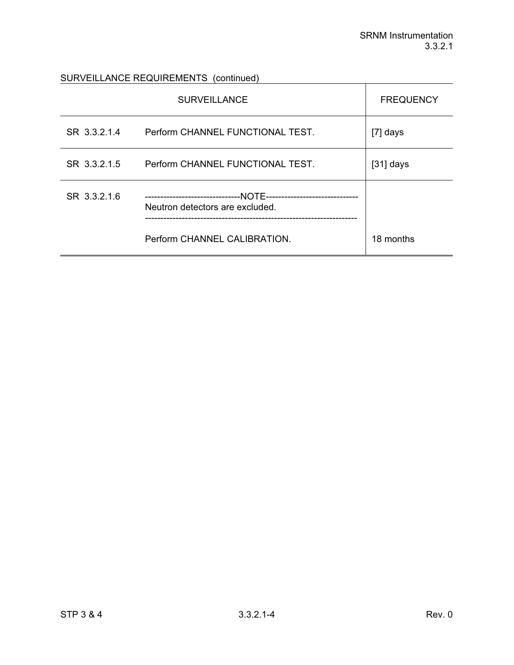# SURVEILLANCE REQUIREMENTS (continued)

|              | <b>SURVEILLANCE</b>                                                                             | <b>FREQUENCY</b> |
|--------------|-------------------------------------------------------------------------------------------------|------------------|
| SR 3.3.2.1.4 | Perform CHANNEL FUNCTIONAL TEST.                                                                | $[7]$ days       |
| SR 3.3.2.1.5 | Perform CHANNEL FUNCTIONAL TEST.                                                                | $[31]$ days      |
| SR 3.3.2.1.6 | --NOTE----------------------<br>----------------------------<br>Neutron detectors are excluded. |                  |
|              | Perform CHANNEL CALIBRATION.                                                                    | 18 months        |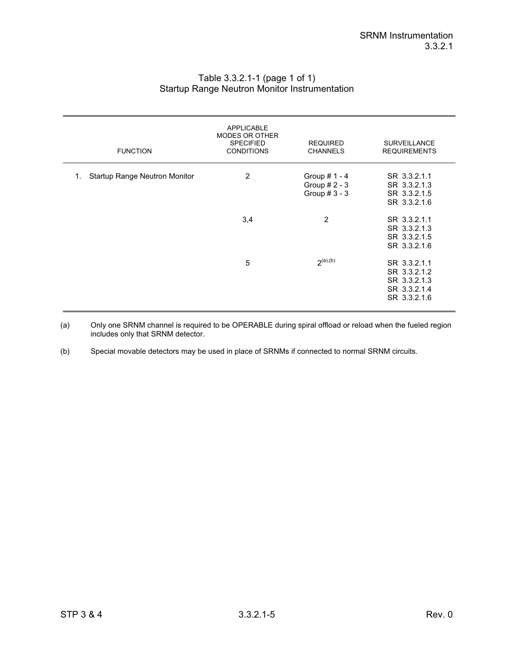| <b>FUNCTION</b>                            | <b>APPLICABLE</b><br><b>MODES OR OTHER</b><br><b>SPECIFIED</b><br><b>CONDITIONS</b> | <b>REQUIRED</b><br><b>CHANNELS</b>                    | <b>SURVEILLANCE</b><br><b>REQUIREMENTS</b>                                   |
|--------------------------------------------|-------------------------------------------------------------------------------------|-------------------------------------------------------|------------------------------------------------------------------------------|
| <b>Startup Range Neutron Monitor</b><br>1. | 2                                                                                   | Group $# 1 - 4$<br>Group $# 2 - 3$<br>Group $# 3 - 3$ | SR 3.3.2.1.1<br>SR 3.3.2.1.3<br>SR 3.3.2.1.5<br>SR 3.3.2.1.6                 |
|                                            | 3,4                                                                                 | 2                                                     | SR 3.3.2.1.1<br>SR 3.3.2.1.3<br>SR 3.3.2.1.5<br>SR 3.3.2.1.6                 |
|                                            | 5                                                                                   | 2 <sup>(a),(b)</sup>                                  | SR 3.3.2.1.1<br>SR 3.3.2.1.2<br>SR 3.3.2.1.3<br>SR 3.3.2.1.4<br>SR 3.3.2.1.6 |

## Table 3.3.2.1-1 (page 1 of 1) Startup Range Neutron Monitor Instrumentation

(a) Only one SRNM channel is required to be OPERABLE during spiral offload or reload when the fueled region includes only that SRNM detector.

(b) Special movable detectors may be used in place of SRNMs if connected to normal SRNM circuits.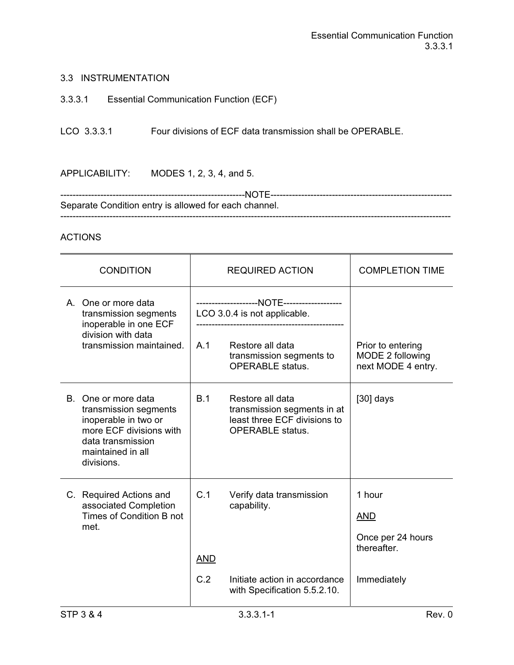## 3.3.3.1 Essential Communication Function (ECF)

LCO 3.3.3.1 Four divisions of ECF data transmission shall be OPERABLE.

APPLICABILITY: MODES 1, 2, 3, 4, and 5.

------------------------------------------------------------NOTE----------------------------------------------------------- Separate Condition entry is allowed for each channel. -------------------------------------------------------------------------------------------------------------------------------

| <b>CONDITION</b>                                                                                                                                           |                              | <b>REQUIRED ACTION</b>                                                                                     | <b>COMPLETION TIME</b>                                      |
|------------------------------------------------------------------------------------------------------------------------------------------------------------|------------------------------|------------------------------------------------------------------------------------------------------------|-------------------------------------------------------------|
| A. One or more data<br>transmission segments<br>inoperable in one ECF                                                                                      | LCO 3.0.4 is not applicable. |                                                                                                            |                                                             |
| division with data<br>transmission maintained.                                                                                                             | A.1                          | Restore all data<br>transmission segments to<br><b>OPERABLE</b> status.                                    | Prior to entering<br>MODE 2 following<br>next MODE 4 entry. |
| B.<br>One or more data<br>transmission segments<br>inoperable in two or<br>more ECF divisions with<br>data transmission<br>maintained in all<br>divisions. | B.1                          | Restore all data<br>transmission segments in at<br>least three ECF divisions to<br><b>OPERABLE</b> status. | $[30]$ days                                                 |
| C. Required Actions and<br>associated Completion<br>Times of Condition B not<br>met.                                                                       | C.1<br><b>AND</b>            | Verify data transmission<br>capability.                                                                    | 1 hour<br><b>AND</b><br>Once per 24 hours<br>thereafter.    |
|                                                                                                                                                            | C.2                          | Initiate action in accordance<br>with Specification 5.5.2.10.                                              | Immediately                                                 |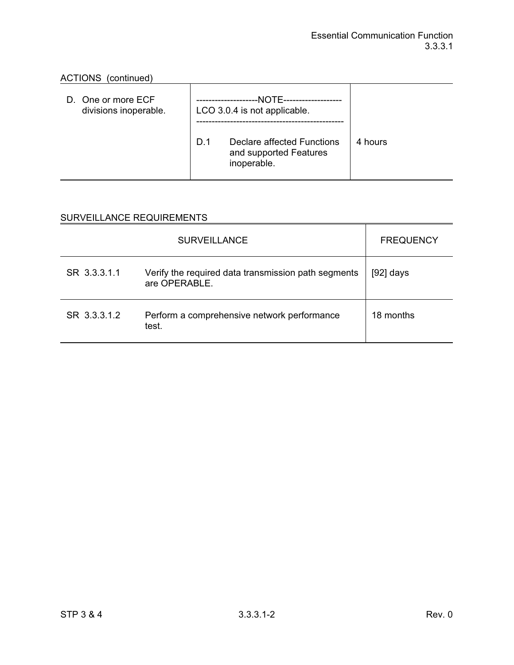| D. One or more ECF<br>divisions inoperable. | --NOTE---------------<br>LCO 3.0.4 is not applicable. |                                                                     |         |
|---------------------------------------------|-------------------------------------------------------|---------------------------------------------------------------------|---------|
|                                             | D.1                                                   | Declare affected Functions<br>and supported Features<br>inoperable. | 4 hours |

|              | <b>SURVEILLANCE</b>                                                  | <b>FREQUENCY</b> |
|--------------|----------------------------------------------------------------------|------------------|
| SR 3.3.3.1.1 | Verify the required data transmission path segments<br>are OPERABLE. | $[92]$ days      |
| SR 3.3.3.1.2 | Perform a comprehensive network performance<br>test.                 | 18 months        |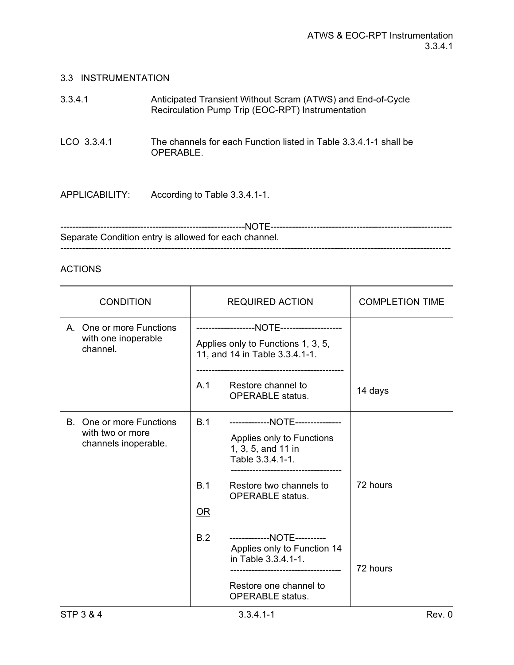| 3.3.4.1        | Anticipated Transient Without Scram (ATWS) and End-of-Cycle<br>Recirculation Pump Trip (EOC-RPT) Instrumentation |
|----------------|------------------------------------------------------------------------------------------------------------------|
| LCO 3.3.4.1    | The channels for each Function listed in Table 3.3.4.1-1 shall be<br>OPERABLE.                                   |
| APPLICABILITY: | According to Table 3.3.4.1-1.                                                                                    |

| Separate Condition entry is allowed for each channel. |
|-------------------------------------------------------|
|                                                       |

| <b>CONDITION</b>                                                     |                  | <b>REQUIRED ACTION</b>                                                                                                                                        | <b>COMPLETION TIME</b> |
|----------------------------------------------------------------------|------------------|---------------------------------------------------------------------------------------------------------------------------------------------------------------|------------------------|
| A. One or more Functions<br>with one inoperable<br>channel.          |                  | Applies only to Functions 1, 3, 5,<br>11, and 14 in Table 3.3.4.1-1.                                                                                          |                        |
|                                                                      | A.1              | Restore channel to<br><b>OPERABLE</b> status.                                                                                                                 | 14 days                |
| B. One or more Functions<br>with two or more<br>channels inoperable. | B.1<br>B.1<br>OR | -------------NOTE---------------<br>Applies only to Functions<br>1, 3, 5, and 11 in<br>Table 3.3.4.1-1.<br>Restore two channels to<br><b>OPERABLE</b> status. | 72 hours               |
|                                                                      | B.2              | -------------NOTE----------<br>Applies only to Function 14<br>in Table 3.3.4.1-1.<br>Restore one channel to<br><b>OPERABLE</b> status.                        | 72 hours               |
| <b>STP 3 &amp; 4</b>                                                 |                  | $3.3.4.1 - 1$                                                                                                                                                 | Rev. 0                 |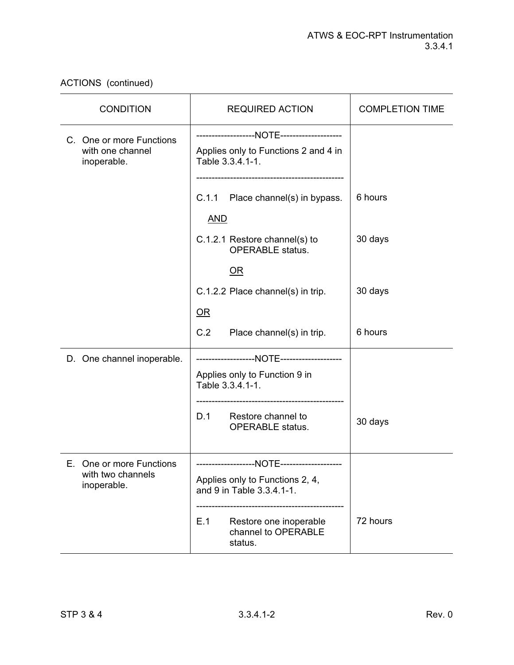| <b>CONDITION</b>                                             | <b>REQUIRED ACTION</b>                                                               |          |
|--------------------------------------------------------------|--------------------------------------------------------------------------------------|----------|
| C. One or more Functions<br>with one channel<br>inoperable.  | Applies only to Functions 2 and 4 in<br>Table 3.3.4.1-1.                             |          |
|                                                              | C.1.1 Place channel(s) in bypass.<br><b>AND</b>                                      | 6 hours  |
|                                                              | C.1.2.1 Restore channel(s) to<br><b>OPERABLE</b> status.                             | 30 days  |
|                                                              | $\overline{\text{OR}}$                                                               |          |
|                                                              | C.1.2.2 Place channel(s) in trip.                                                    | 30 days  |
|                                                              | OR                                                                                   |          |
|                                                              | C.2<br>Place channel(s) in trip.                                                     | 6 hours  |
| D. One channel inoperable.                                   | Applies only to Function 9 in<br>Table 3.3.4.1-1.<br>------------------------------- |          |
|                                                              | D.1<br>Restore channel to<br><b>OPERABLE</b> status.                                 | 30 days  |
| E. One or more Functions<br>with two channels<br>inoperable. | Applies only to Functions 2, 4,<br>and 9 in Table 3.3.4.1-1.                         |          |
|                                                              | E.1<br>Restore one inoperable<br>channel to OPERABLE<br>status.                      | 72 hours |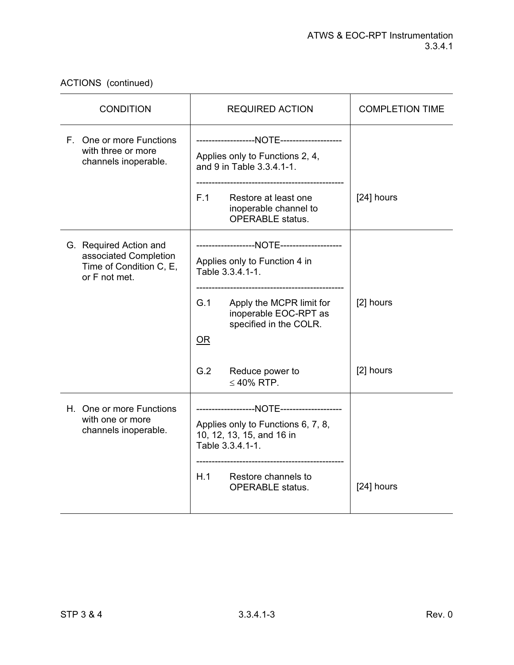| <b>CONDITION</b>                                                                            | <b>REQUIRED ACTION</b>                                                                                                                                                                      | <b>COMPLETION TIME</b> |
|---------------------------------------------------------------------------------------------|---------------------------------------------------------------------------------------------------------------------------------------------------------------------------------------------|------------------------|
| F. One or more Functions<br>with three or more<br>channels inoperable.                      | Applies only to Functions 2, 4,<br>and 9 in Table 3.3.4.1-1.<br>F.1<br>Restore at least one<br>inoperable channel to<br><b>OPERABLE</b> status.                                             | [24] hours             |
| G. Required Action and<br>associated Completion<br>Time of Condition C, E,<br>or F not met. | Applies only to Function 4 in<br>Table 3.3.4.1-1.<br>G.1<br>Apply the MCPR limit for<br>inoperable EOC-RPT as<br>specified in the COLR.<br>OR<br>G.2<br>Reduce power to<br>$\leq 40\%$ RTP. | [2] hours<br>[2] hours |
| H. One or more Functions<br>with one or more<br>channels inoperable.                        | Applies only to Functions 6, 7, 8,<br>10, 12, 13, 15, and 16 in<br>Table 3.3.4.1-1.<br>H.1<br>Restore channels to<br><b>OPERABLE</b> status.                                                | [24] hours             |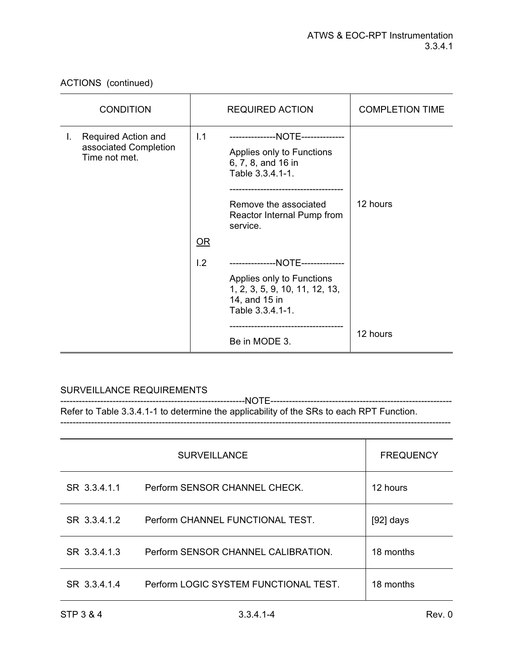ACTIONS (continued)

|    | <b>CONDITION</b>                                              | <b>REQUIRED ACTION</b> |                                                                                                                                                                             | <b>COMPLETION TIME</b> |
|----|---------------------------------------------------------------|------------------------|-----------------------------------------------------------------------------------------------------------------------------------------------------------------------------|------------------------|
| I. | Required Action and<br>associated Completion<br>Time not met. | 1.1<br>$OR$            | ---------------NOTE--------------<br>Applies only to Functions<br>6, 7, 8, and 16 in<br>Table 3.3.4.1-1.<br>Remove the associated<br>Reactor Internal Pump from<br>service. | 12 hours               |
|    |                                                               |                        |                                                                                                                                                                             |                        |
|    |                                                               | 1.2                    | ---------------NOTE--------------<br>Applies only to Functions<br>1, 2, 3, 5, 9, 10, 11, 12, 13,<br>14, and 15 in<br>Table 3.3.4.1-1.                                       |                        |
|    |                                                               |                        | Be in MODE 3.                                                                                                                                                               | 12 hours               |

# SURVEILLANCE REQUIREMENTS

------------------------------------------------------------NOTE----------------------------------------------------------- Refer to Table 3.3.4.1-1 to determine the applicability of the SRs to each RPT Function.

-------------------------------------------------------------------------------------------------------------------------------

|              | <b>SURVEILLANCE</b>                   | <b>FREQUENCY</b> |
|--------------|---------------------------------------|------------------|
| SR 3.3.4.1.1 | Perform SENSOR CHANNEL CHECK.         | 12 hours         |
| SR 3.3.4.1.2 | Perform CHANNEL FUNCTIONAL TEST.      | [92] days        |
| SR 3.3.4.1.3 | Perform SENSOR CHANNEL CALIBRATION.   | 18 months        |
| SR 3.3.4.1.4 | Perform LOGIC SYSTEM FUNCTIONAL TEST. | 18 months        |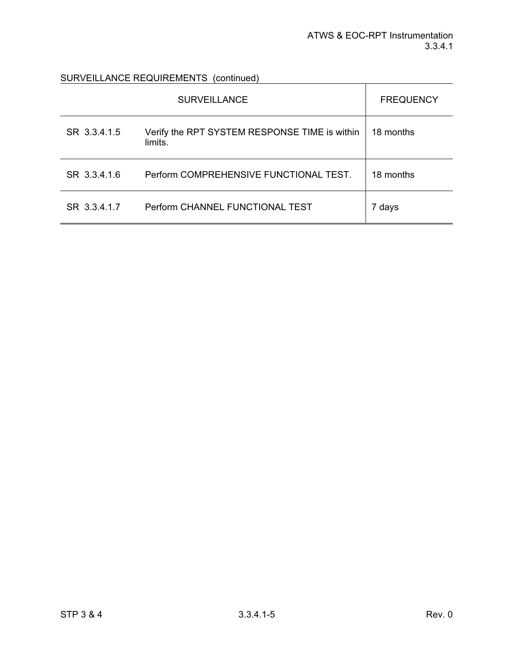SURVEILLANCE REQUIREMENTS (continued)

|              | <b>SURVEILLANCE</b>                                      | <b>FREQUENCY</b> |
|--------------|----------------------------------------------------------|------------------|
| SR 3.3.4.1.5 | Verify the RPT SYSTEM RESPONSE TIME is within<br>limits. | 18 months        |
| SR 3.3.4.1.6 | Perform COMPREHENSIVE FUNCTIONAL TEST.                   | 18 months        |
| SR 3.3.4.1.7 | Perform CHANNEL FUNCTIONAL TEST                          | 7 days           |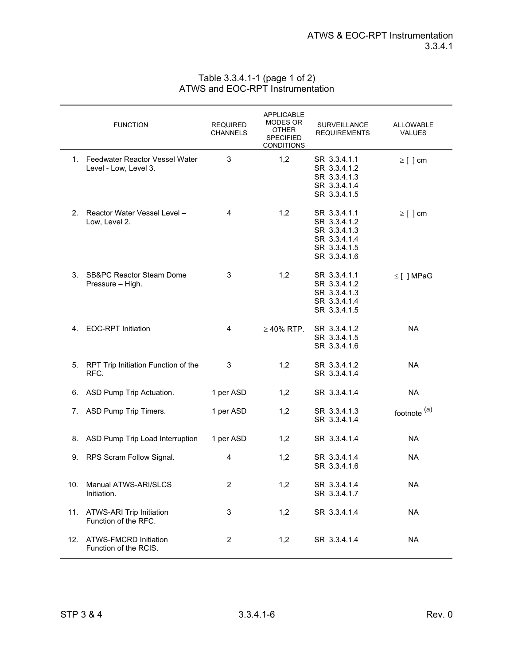| Table 3.3.4.1-1 (page 1 of 2)    |
|----------------------------------|
| ATWS and EOC-RPT Instrumentation |

|     | <b>FUNCTION</b>                                            | <b>REQUIRED</b><br><b>CHANNELS</b> | <b>APPLICABLE</b><br>MODES OR<br><b>OTHER</b><br><b>SPECIFIED</b><br><b>CONDITIONS</b> | <b>SURVEILLANCE</b><br><b>REQUIREMENTS</b>                                                   | <b>ALLOWABLE</b><br><b>VALUES</b> |
|-----|------------------------------------------------------------|------------------------------------|----------------------------------------------------------------------------------------|----------------------------------------------------------------------------------------------|-----------------------------------|
|     | 1. Feedwater Reactor Vessel Water<br>Level - Low, Level 3. | 3                                  | 1,2                                                                                    | SR 3.3.4.1.1<br>SR 3.3.4.1.2<br>SR 3.3.4.1.3<br>SR 3.3.4.1.4<br>SR 3.3.4.1.5                 | $\geq$ [ ] cm                     |
| 2.  | Reactor Water Vessel Level -<br>Low, Level 2.              | 4                                  | 1,2                                                                                    | SR 3.3.4.1.1<br>SR 3.3.4.1.2<br>SR 3.3.4.1.3<br>SR 3.3.4.1.4<br>SR 3.3.4.1.5<br>SR 3.3.4.1.6 | $\geq$ [ ] cm                     |
| 3.  | <b>SB&amp;PC Reactor Steam Dome</b><br>Pressure - High.    | 3                                  | 1,2                                                                                    | SR 3.3.4.1.1<br>SR 3.3.4.1.2<br>SR 3.3.4.1.3<br>SR 3.3.4.1.4<br>SR 3.3.4.1.5                 | $\leq$ [] MPaG                    |
| 4.  | <b>EOC-RPT Initiation</b>                                  | 4                                  | $\geq$ 40% RTP.                                                                        | SR 3.3.4.1.2<br>SR 3.3.4.1.5<br>SR 3.3.4.1.6                                                 | <b>NA</b>                         |
|     | 5. RPT Trip Initiation Function of the<br>RFC.             | 3                                  | 1,2                                                                                    | SR 3.3.4.1.2<br>SR 3.3.4.1.4                                                                 | <b>NA</b>                         |
| 6.  | ASD Pump Trip Actuation.                                   | 1 per ASD                          | 1,2                                                                                    | SR 3.3.4.1.4                                                                                 | <b>NA</b>                         |
| 7.  | ASD Pump Trip Timers.                                      | 1 per ASD                          | 1,2                                                                                    | SR 3.3.4.1.3<br>SR 3.3.4.1.4                                                                 | footnote <sup>(a)</sup>           |
| 8.  | ASD Pump Trip Load Interruption                            | 1 per ASD                          | 1,2                                                                                    | SR 3.3.4.1.4                                                                                 | <b>NA</b>                         |
| 9.  | RPS Scram Follow Signal.                                   | 4                                  | 1,2                                                                                    | SR 3.3.4.1.4<br>SR 3.3.4.1.6                                                                 | <b>NA</b>                         |
| 10. | Manual ATWS-ARI/SLCS<br>Initiation.                        | $\overline{\mathbf{c}}$            | 1,2                                                                                    | SR 3.3.4.1.4<br>SR 3.3.4.1.7                                                                 | <b>NA</b>                         |
| 11. | ATWS-ARI Trip Initiation<br>Function of the RFC.           | $\mathsf 3$                        | 1,2                                                                                    | SR 3.3.4.1.4                                                                                 | <b>NA</b>                         |
|     | 12. ATWS-FMCRD Initiation<br>Function of the RCIS.         | $\overline{c}$                     | 1,2                                                                                    | SR 3.3.4.1.4                                                                                 | <b>NA</b>                         |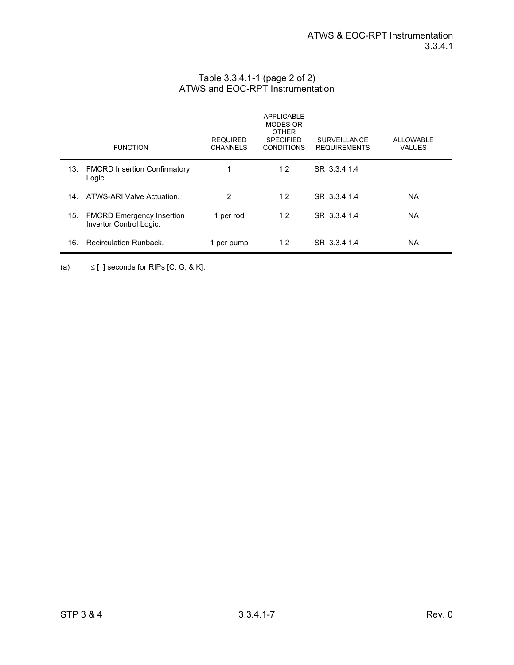|     | <b>FUNCTION</b>                                             | <b>REQUIRED</b><br><b>CHANNELS</b> | <b>APPLICABLE</b><br><b>MODES OR</b><br><b>OTHER</b><br><b>SPECIFIED</b><br><b>CONDITIONS</b> | <b>SURVEILLANCE</b><br><b>REQUIREMENTS</b> | ALLOWARLE<br><b>VALUES</b> |
|-----|-------------------------------------------------------------|------------------------------------|-----------------------------------------------------------------------------------------------|--------------------------------------------|----------------------------|
| 13. | <b>FMCRD Insertion Confirmatory</b><br>Logic.               | 1                                  | 1,2                                                                                           | SR 3.3.4.1.4                               |                            |
| 14. | ATWS-ARI Valve Actuation.                                   | 2                                  | 1,2                                                                                           | SR 3.3.4.1.4                               | NA.                        |
| 15. | <b>FMCRD Emergency Insertion</b><br>Invertor Control Logic. | 1 per rod                          | 1,2                                                                                           | SR 3.3.4.1.4                               | NA.                        |
| 16. | <b>Recirculation Runback.</b>                               | 1 per pump                         | 1,2                                                                                           | SR 3.3.4.1.4                               | NА                         |

#### Table 3.3.4.1-1 (page 2 of 2) ATWS and EOC-RPT Instrumentation

(a)  $\leq$  [ ] seconds for RIPs [C, G, & K].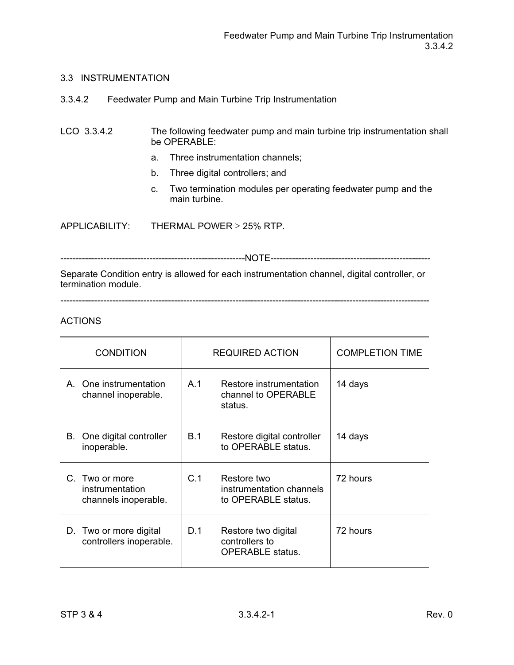3.3.4.2 Feedwater Pump and Main Turbine Trip Instrumentation

## LCO 3.3.4.2 The following feedwater pump and main turbine trip instrumentation shall be OPERABLE:

- a. Three instrumentation channels;
- b. Three digital controllers; and
- c. Two termination modules per operating feedwater pump and the main turbine.

APPLICABILITY: THERMAL POWER  $\geq$  25% RTP.

------------------------------------------------------------NOTE----------------------------------------------------

Separate Condition entry is allowed for each instrumentation channel, digital controller, or termination module.

------------------------------------------------------------------------------------------------------------------------

| <b>CONDITION</b>                                          | <b>REQUIRED ACTION</b> |                                                                  | <b>COMPLETION TIME</b> |
|-----------------------------------------------------------|------------------------|------------------------------------------------------------------|------------------------|
| A. One instrumentation<br>channel inoperable.             | A.1                    | Restore instrumentation<br>channel to OPERABLE<br>status.        | 14 days                |
| One digital controller<br>В.<br>inoperable.               | <b>B.1</b>             | Restore digital controller<br>to OPERABLE status.                | 14 days                |
| C. Two or more<br>instrumentation<br>channels inoperable. | C.1                    | Restore two<br>instrumentation channels<br>to OPERABLE status.   | 72 hours               |
| D. Two or more digital<br>controllers inoperable.         | D.1                    | Restore two digital<br>controllers to<br><b>OPERABLE</b> status. | 72 hours               |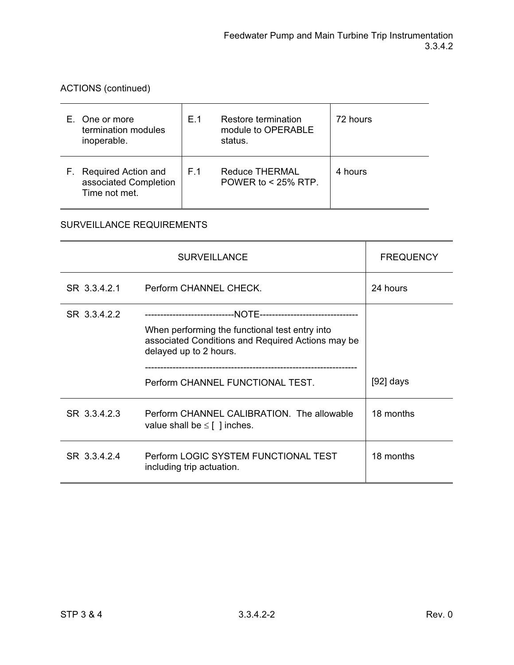<u> 1980 - Johann Barnett, fransk politik (f. 1980)</u>

ACTIONS (continued)

| E. One or more<br>termination modules<br>inoperable.             | F 1 | Restore termination<br>module to OPERABLE<br>status. | 72 hours |
|------------------------------------------------------------------|-----|------------------------------------------------------|----------|
| F. Required Action and<br>associated Completion<br>Time not met. | F.1 | <b>Reduce THERMAL</b><br>POWER to $<$ 25% RTP.       | 4 hours  |

|              | <b>SURVEILLANCE</b>                                                                                                           | <b>FREQUENCY</b> |
|--------------|-------------------------------------------------------------------------------------------------------------------------------|------------------|
| SR 3.3.4.2.1 | Perform CHANNEL CHECK.                                                                                                        | 24 hours         |
| SR 3.3.4.2.2 | When performing the functional test entry into<br>associated Conditions and Required Actions may be<br>delayed up to 2 hours. |                  |
|              | Perform CHANNEL FUNCTIONAL TEST.                                                                                              | $[92]$ days      |
| SR 3.3.4.2.3 | Perform CHANNEL CALIBRATION. The allowable<br>value shall be $\leq$ [ ] inches.                                               | 18 months        |
| SR 3.3.4.2.4 | Perform LOGIC SYSTEM FUNCTIONAL TEST<br>including trip actuation.                                                             | 18 months        |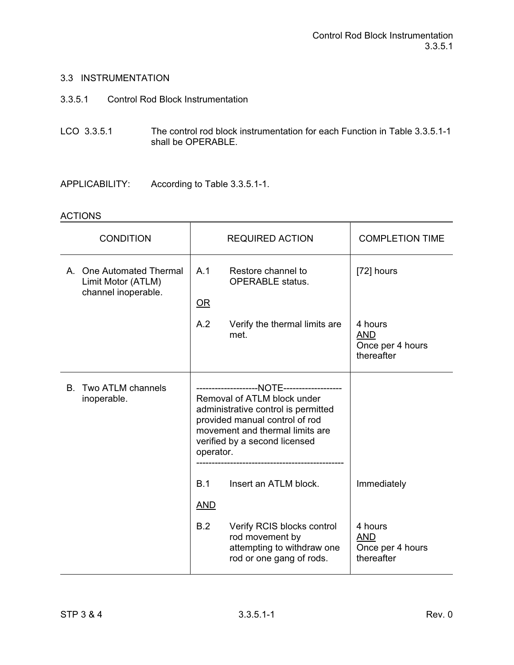- 3.3.5.1 Control Rod Block Instrumentation
- LCO 3.3.5.1 The control rod block instrumentation for each Function in Table 3.3.5.1-1 shall be OPERABLE.
- APPLICABILITY: According to Table 3.3.5.1-1.

| <b>CONDITION</b>                                                      | <b>REQUIRED ACTION</b>                                                                                                                                                                | <b>COMPLETION TIME</b>                                  |
|-----------------------------------------------------------------------|---------------------------------------------------------------------------------------------------------------------------------------------------------------------------------------|---------------------------------------------------------|
| A. One Automated Thermal<br>Limit Motor (ATLM)<br>channel inoperable. | A.1<br>Restore channel to<br><b>OPERABLE</b> status.<br>OR                                                                                                                            | [72] hours                                              |
|                                                                       | A.2<br>Verify the thermal limits are<br>met.                                                                                                                                          | 4 hours<br><b>AND</b><br>Once per 4 hours<br>thereafter |
| Two ATLM channels<br>В.<br>inoperable.                                | Removal of ATLM block under<br>administrative control is permitted<br>provided manual control of rod<br>movement and thermal limits are<br>verified by a second licensed<br>operator. |                                                         |
|                                                                       | B.1<br>Insert an ATLM block.<br><b>AND</b>                                                                                                                                            | Immediately                                             |
|                                                                       | B.2<br>Verify RCIS blocks control<br>rod movement by<br>attempting to withdraw one<br>rod or one gang of rods.                                                                        | 4 hours<br><b>AND</b><br>Once per 4 hours<br>thereafter |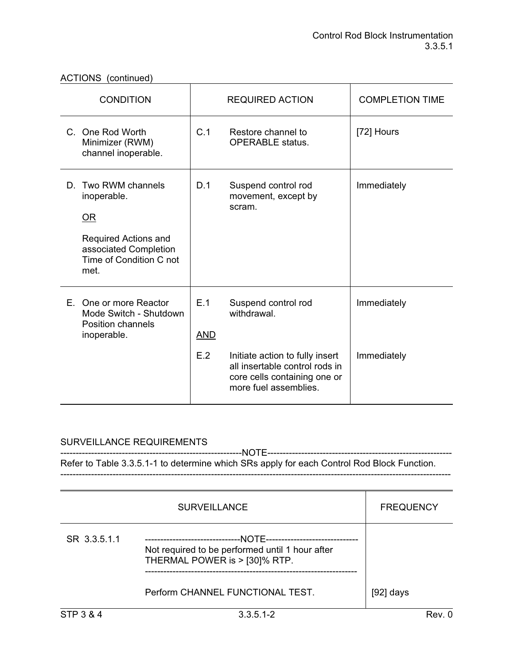| <b>CONDITION</b>                                                                                                                |                          | <b>REQUIRED ACTION</b>                                                                                                                                           | <b>COMPLETION TIME</b>     |
|---------------------------------------------------------------------------------------------------------------------------------|--------------------------|------------------------------------------------------------------------------------------------------------------------------------------------------------------|----------------------------|
| C. One Rod Worth<br>Minimizer (RWM)<br>channel inoperable.                                                                      | C.1                      | Restore channel to<br><b>OPERABLE</b> status.                                                                                                                    | [72] Hours                 |
| Two RWM channels<br>D.<br>inoperable.<br>OR<br>Required Actions and<br>associated Completion<br>Time of Condition C not<br>met. | D.1                      | Suspend control rod<br>movement, except by<br>scram.                                                                                                             | Immediately                |
| E. One or more Reactor<br>Mode Switch - Shutdown<br>Position channels<br>inoperable.                                            | E.1<br><b>AND</b><br>E.2 | Suspend control rod<br>withdrawal.<br>Initiate action to fully insert<br>all insertable control rods in<br>core cells containing one or<br>more fuel assemblies. | Immediately<br>Immediately |

## SURVEILLANCE REQUIREMENTS

-----------------------------------------------------------NOTE------------------------------------------------------------ Refer to Table 3.3.5.1-1 to determine which SRs apply for each Control Rod Block Function. -------------------------------------------------------------------------------------------------------------------------------

|              | <b>SURVEILLANCE</b>                                                                                                           | <b>FREQUENCY</b> |
|--------------|-------------------------------------------------------------------------------------------------------------------------------|------------------|
| SR 3.3.5.1.1 | --NOTE------<br>-------------------------<br>Not required to be performed until 1 hour after<br>THERMAL POWER is > [30]% RTP. |                  |
|              | Perform CHANNEL FUNCTIONAL TEST.                                                                                              | $[92]$ days      |
| STP 3 & 4    | $3.3.5.1 - 2$                                                                                                                 | Rev. 0           |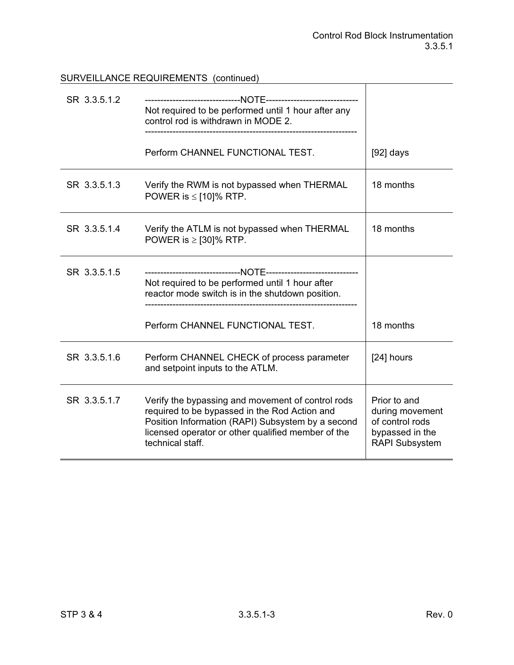# SURVEILLANCE REQUIREMENTS (continued)

| SR 3.3.5.1.2 | Not required to be performed until 1 hour after any<br>control rod is withdrawn in MODE 2.                                                                                                                                        |                                                                                                |
|--------------|-----------------------------------------------------------------------------------------------------------------------------------------------------------------------------------------------------------------------------------|------------------------------------------------------------------------------------------------|
|              | Perform CHANNEL FUNCTIONAL TEST.                                                                                                                                                                                                  | $[92]$ days                                                                                    |
| SR 3.3.5.1.3 | Verify the RWM is not bypassed when THERMAL<br>POWER is $\le$ [10]% RTP.                                                                                                                                                          | 18 months                                                                                      |
| SR 3.3.5.1.4 | Verify the ATLM is not bypassed when THERMAL<br>POWER is $\ge$ [30]% RTP.                                                                                                                                                         | 18 months                                                                                      |
| SR 3.3.5.1.5 | Not required to be performed until 1 hour after<br>reactor mode switch is in the shutdown position.                                                                                                                               |                                                                                                |
|              | Perform CHANNEL FUNCTIONAL TEST.                                                                                                                                                                                                  | 18 months                                                                                      |
| SR 3.3.5.1.6 | Perform CHANNEL CHECK of process parameter<br>and setpoint inputs to the ATLM.                                                                                                                                                    | [24] hours                                                                                     |
| SR 3.3.5.1.7 | Verify the bypassing and movement of control rods<br>required to be bypassed in the Rod Action and<br>Position Information (RAPI) Subsystem by a second<br>licensed operator or other qualified member of the<br>technical staff. | Prior to and<br>during movement<br>of control rods<br>bypassed in the<br><b>RAPI Subsystem</b> |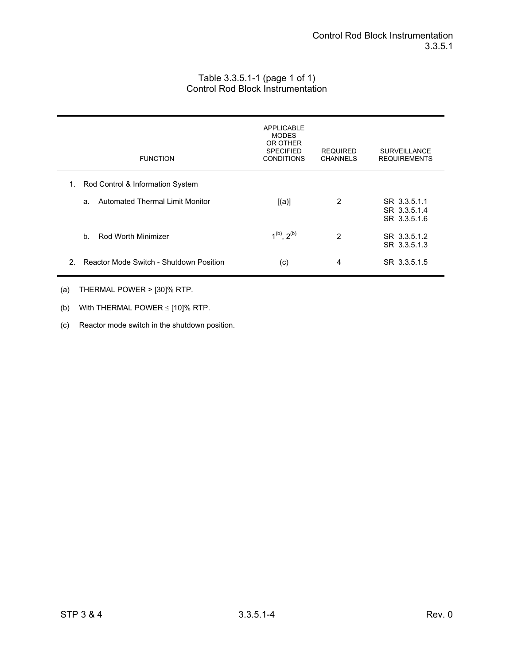### Table 3.3.5.1-1 (page 1 of 1) Control Rod Block Instrumentation

| <b>FUNCTION</b>                                          | APPLICABLE<br><b>MODES</b><br>OR OTHER<br><b>SPECIFIED</b><br><b>CONDITIONS</b> | <b>REQUIRED</b><br><b>CHANNELS</b> | <b>SURVEILLANCE</b><br><b>REQUIREMENTS</b>   |
|----------------------------------------------------------|---------------------------------------------------------------------------------|------------------------------------|----------------------------------------------|
| Rod Control & Information System<br>1.                   |                                                                                 |                                    |                                              |
| Automated Thermal Limit Monitor<br>a.                    | [(a)]                                                                           | 2                                  | SR 3.3.5.1.1<br>SR 3.3.5.1.4<br>SR 3.3.5.1.6 |
| Rod Worth Minimizer<br>$h_{\cdot}$                       | $1^{(b)}$ , $2^{(b)}$                                                           | 2                                  | SR 3.3.5.1.2<br>SR 3.3.5.1.3                 |
| Reactor Mode Switch - Shutdown Position<br>$\mathcal{P}$ | (c)                                                                             | 4                                  | SR 3.3.5.1.5                                 |

#### (a) THERMAL POWER > [30]% RTP.

- (b) With THERMAL POWER  $\le$  [10]% RTP.
- (c) Reactor mode switch in the shutdown position.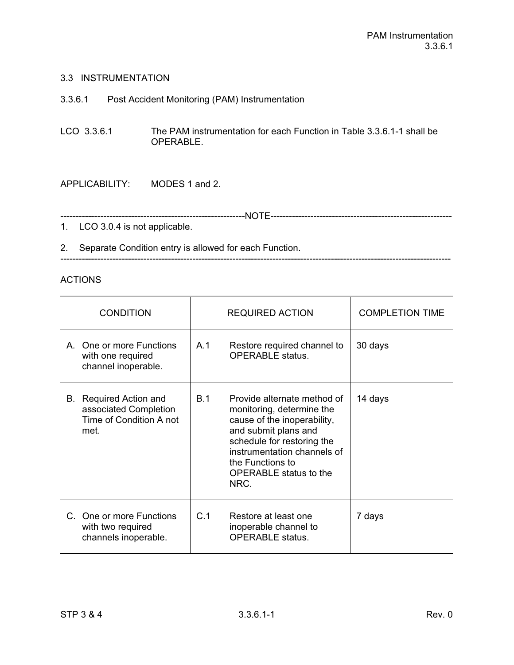|  | 3.3.6.1 |  | Post Accident Monitoring (PAM) Instrumentation |
|--|---------|--|------------------------------------------------|
|--|---------|--|------------------------------------------------|

LCO 3.3.6.1 The PAM instrumentation for each Function in Table 3.3.6.1-1 shall be OPERABLE.

APPLICABILITY: MODES 1 and 2.

------------------------------------------------------------NOTE-----------------------------------------------------------

1. LCO 3.0.4 is not applicable.

2. Separate Condition entry is allowed for each Function. -------------------------------------------------------------------------------------------------------------------------------

| <b>CONDITION</b>                                                                          | <b>REQUIRED ACTION</b>                                                                                                                                                                                                                           | <b>COMPLETION TIME</b> |  |
|-------------------------------------------------------------------------------------------|--------------------------------------------------------------------------------------------------------------------------------------------------------------------------------------------------------------------------------------------------|------------------------|--|
| A. One or more Functions<br>with one required<br>channel inoperable.                      | A.1<br>Restore required channel to<br><b>OPERABLE</b> status.                                                                                                                                                                                    | 30 days                |  |
| <b>B.</b> Required Action and<br>associated Completion<br>Time of Condition A not<br>met. | B.1<br>Provide alternate method of<br>monitoring, determine the<br>cause of the inoperability,<br>and submit plans and<br>schedule for restoring the<br>instrumentation channels of<br>the Functions to<br><b>OPERABLE</b> status to the<br>NRC. | 14 days                |  |
| C. One or more Functions<br>with two required<br>channels inoperable.                     | C.1<br>Restore at least one<br>inoperable channel to<br><b>OPERABLE</b> status.                                                                                                                                                                  | 7 days                 |  |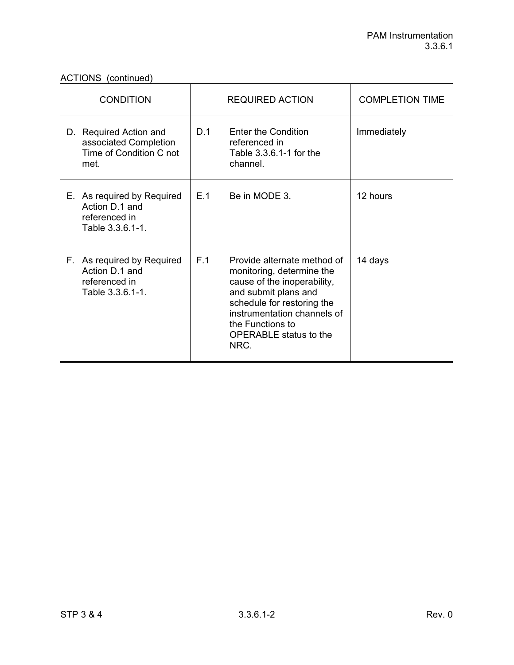| <b>CONDITION</b>                                                                   |     | <b>REQUIRED ACTION</b>                                                                                                                                                                                                                    | <b>COMPLETION TIME</b> |
|------------------------------------------------------------------------------------|-----|-------------------------------------------------------------------------------------------------------------------------------------------------------------------------------------------------------------------------------------------|------------------------|
| D. Required Action and<br>associated Completion<br>Time of Condition C not<br>met. | D.1 | Enter the Condition<br>referenced in<br>Table 3.3.6.1-1 for the<br>channel.                                                                                                                                                               | Immediately            |
| E. As required by Required<br>Action D.1 and<br>referenced in<br>Table 3.3.6.1-1.  | E.1 | Be in MODE 3.                                                                                                                                                                                                                             | 12 hours               |
| F. As required by Required<br>Action D.1 and<br>referenced in<br>Table 3.3.6.1-1.  | F.1 | Provide alternate method of<br>monitoring, determine the<br>cause of the inoperability,<br>and submit plans and<br>schedule for restoring the<br>instrumentation channels of<br>the Functions to<br><b>OPERABLE</b> status to the<br>NRC. | 14 days                |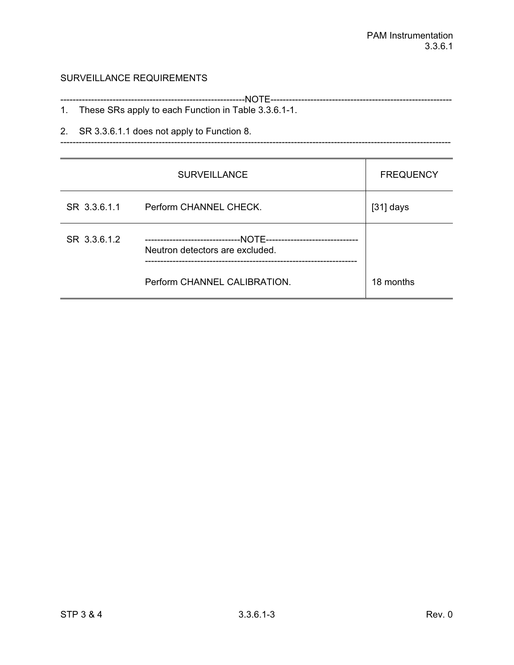## SURVEILLANCE REQUIREMENTS

| These SRs apply to each Function in Table 3.3.6.1-1. |
|------------------------------------------------------|

-------------------------------------------------------------------------------------------------------------------------------

2. SR 3.3.6.1.1 does not apply to Function 8.

|              | <b>SURVEILLANCE</b>                                                                                 | <b>FREQUENCY</b> |
|--------------|-----------------------------------------------------------------------------------------------------|------------------|
| SR 3.3.6.1.1 | Perform CHANNEL CHECK.                                                                              | $[31]$ days      |
| SR 3.3.6.1.2 | --NOTE---------------------------<br>---------------------------<br>Neutron detectors are excluded. |                  |
|              | Perform CHANNEL CALIBRATION.                                                                        | 18 months        |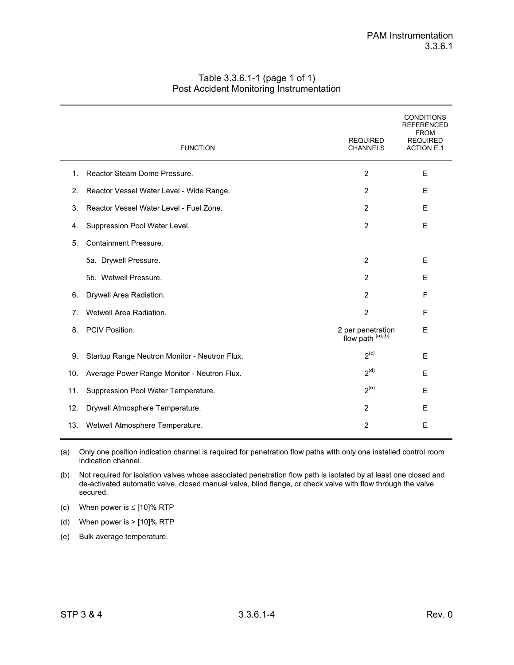|     | <b>FUNCTION</b>                               | <b>REQUIRED</b><br><b>CHANNELS</b>     | <b>CONDITIONS</b><br><b>REFERENCED</b><br><b>FROM</b><br><b>REQUIRED</b><br><b>ACTION E.1</b> |
|-----|-----------------------------------------------|----------------------------------------|-----------------------------------------------------------------------------------------------|
| 1.  | Reactor Steam Dome Pressure.                  | $\overline{2}$                         | E                                                                                             |
| 2.  | Reactor Vessel Water Level - Wide Range.      | $\overline{2}$                         | E                                                                                             |
| 3.  | Reactor Vessel Water Level - Fuel Zone.       | $\overline{2}$                         | E                                                                                             |
| 4.  | Suppression Pool Water Level.                 | 2                                      | E                                                                                             |
| 5.  | <b>Containment Pressure.</b>                  |                                        |                                                                                               |
|     | 5a. Drywell Pressure.                         | $\overline{2}$                         | E                                                                                             |
|     | 5b. Wetwell Pressure.                         | $\overline{2}$                         | E                                                                                             |
| 6.  | Drywell Area Radiation.                       | $\overline{2}$                         | F                                                                                             |
| 7.  | Wetwell Area Radiation.                       | $\overline{2}$                         | F                                                                                             |
| 8.  | PCIV Position.                                | 2 per penetration<br>flow path (a),(b) | E                                                                                             |
| 9.  | Startup Range Neutron Monitor - Neutron Flux. | 2 <sup>(c)</sup>                       | E                                                                                             |
| 10. | Average Power Range Monitor - Neutron Flux.   | 2 <sup>(d)</sup>                       | E                                                                                             |
| 11. | Suppression Pool Water Temperature.           | $2^{(e)}$                              | E                                                                                             |
| 12. | Drywell Atmosphere Temperature.               | $\overline{2}$                         | E                                                                                             |
| 13. | Wetwell Atmosphere Temperature.               | $\overline{2}$                         | E                                                                                             |

#### Table 3.3.6.1-1 (page 1 of 1) Post Accident Monitoring Instrumentation

(a) Only one position indication channel is required for penetration flow paths with only one installed control room indication channel.

(b) Not required for isolation valves whose associated penetration flow path is isolated by at least one closed and de-activated automatic valve, closed manual valve, blind flange, or check valve with flow through the valve secured.

(c) When power is  $\le$  [10]% RTP

(d) When power is > [10]% RTP

(e) Bulk average temperature.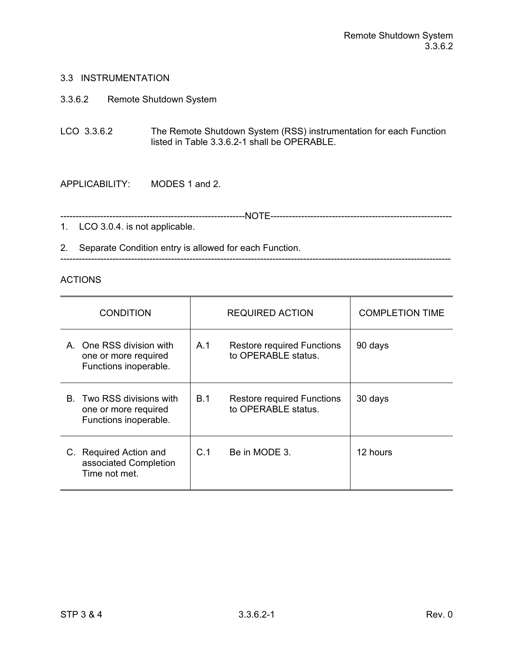3.3.6.2 Remote Shutdown System

LCO 3.3.6.2 The Remote Shutdown System (RSS) instrumentation for each Function listed in Table 3.3.6.2-1 shall be OPERABLE.

APPLICABILITY: MODES 1 and 2.

------------------------------------------------------------NOTE-----------------------------------------------------------

1. LCO 3.0.4. is not applicable.

2. Separate Condition entry is allowed for each Function. -------------------------------------------------------------------------------------------------------------------------------

| <b>CONDITION</b>                                                           | REQUIRED ACTION |                                                          | <b>COMPLETION TIME</b> |
|----------------------------------------------------------------------------|-----------------|----------------------------------------------------------|------------------------|
| A One RSS division with<br>one or more required<br>Functions inoperable.   | A.1             | <b>Restore required Functions</b><br>to OPERABLE status. | 90 days                |
| B. Two RSS divisions with<br>one or more required<br>Functions inoperable. | B.1             | <b>Restore required Functions</b><br>to OPERABLE status. | 30 days                |
| C. Required Action and<br>associated Completion<br>Time not met.           | C.1             | Be in MODE 3.                                            | 12 hours               |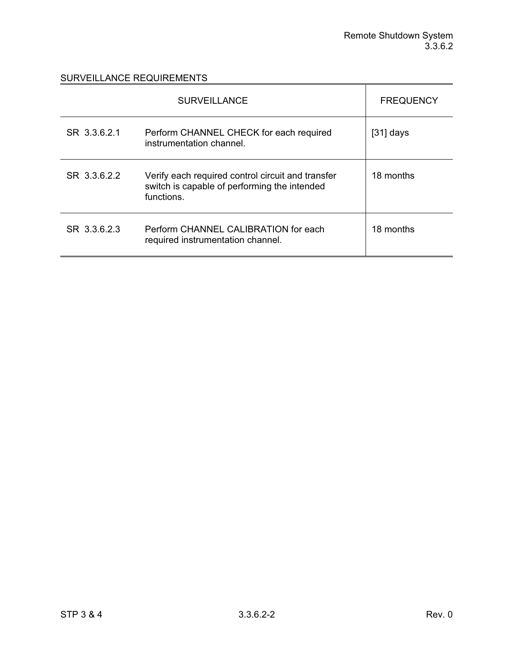|              | <b>SURVEILLANCE</b>                                                                                             | <b>FREQUENCY</b> |
|--------------|-----------------------------------------------------------------------------------------------------------------|------------------|
| SR 3.3.6.2.1 | Perform CHANNEL CHECK for each required<br>instrumentation channel.                                             | $[31]$ days      |
| SR 3.3.6.2.2 | Verify each required control circuit and transfer<br>switch is capable of performing the intended<br>functions. | 18 months        |
| SR 3.3.6.2.3 | Perform CHANNEL CALIBRATION for each<br>required instrumentation channel.                                       | 18 months        |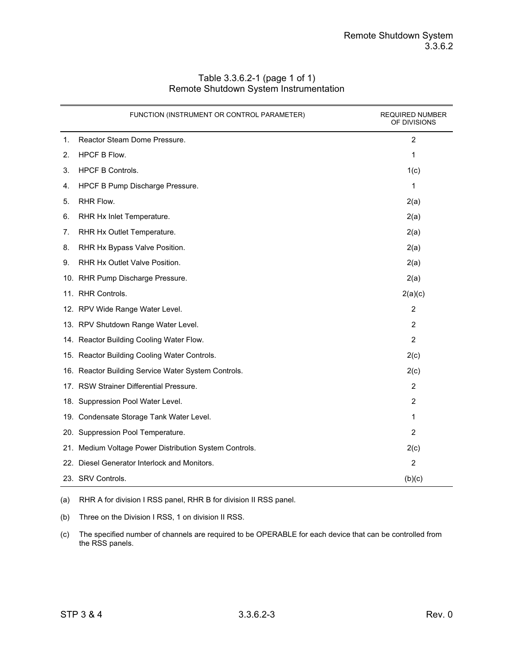|    | FUNCTION (INSTRUMENT OR CONTROL PARAMETER)             | <b>REQUIRED NUMBER</b><br>OF DIVISIONS |
|----|--------------------------------------------------------|----------------------------------------|
| 1. | Reactor Steam Dome Pressure.                           | 2                                      |
| 2. | <b>HPCF B Flow.</b>                                    | $\mathbf{1}$                           |
| 3. | <b>HPCF B Controls.</b>                                | 1(c)                                   |
| 4. | HPCF B Pump Discharge Pressure.                        | 1                                      |
| 5. | RHR Flow.                                              | 2(a)                                   |
| 6. | RHR Hx Inlet Temperature.                              | 2(a)                                   |
| 7. | RHR Hx Outlet Temperature.                             | 2(a)                                   |
| 8. | RHR Hx Bypass Valve Position.                          | 2(a)                                   |
| 9. | RHR Hx Outlet Valve Position.                          | 2(a)                                   |
|    | 10. RHR Pump Discharge Pressure.                       | 2(a)                                   |
|    | 11. RHR Controls.                                      | 2(a)(c)                                |
|    | 12. RPV Wide Range Water Level.                        | $\overline{c}$                         |
|    | 13. RPV Shutdown Range Water Level.                    | $\overline{2}$                         |
|    | 14. Reactor Building Cooling Water Flow.               | $\overline{2}$                         |
|    | 15. Reactor Building Cooling Water Controls.           | 2(c)                                   |
|    | 16. Reactor Building Service Water System Controls.    | 2(c)                                   |
|    | 17. RSW Strainer Differential Pressure.                | 2                                      |
|    | 18. Suppression Pool Water Level.                      | $\overline{2}$                         |
|    | 19. Condensate Storage Tank Water Level.               | 1                                      |
|    | 20. Suppression Pool Temperature.                      | 2                                      |
|    | 21. Medium Voltage Power Distribution System Controls. | 2(c)                                   |
|    | 22. Diesel Generator Interlock and Monitors.           | 2                                      |
|    | 23. SRV Controls.                                      | (b)(c)                                 |

#### Table 3.3.6.2-1 (page 1 of 1) Remote Shutdown System Instrumentation

(a) RHR A for division I RSS panel, RHR B for division II RSS panel.

(b) Three on the Division I RSS, 1 on division II RSS.

(c) The specified number of channels are required to be OPERABLE for each device that can be controlled from the RSS panels.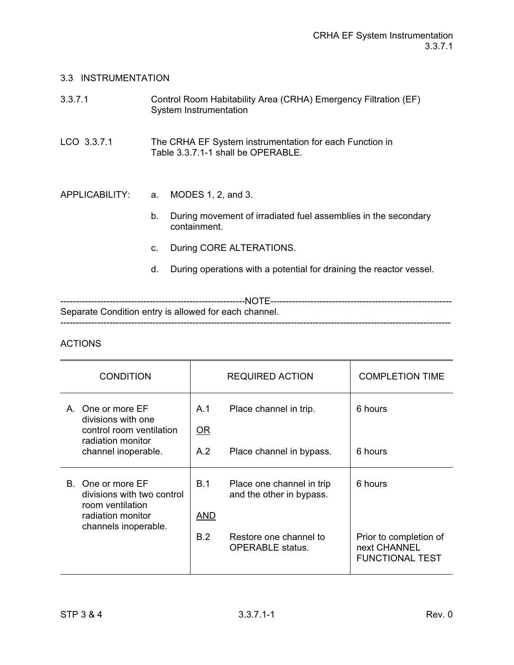| 3.3.7.1        |    | Control Room Habitability Area (CRHA) Emergency Filtration (EF)<br>System Instrumentation     |
|----------------|----|-----------------------------------------------------------------------------------------------|
| LCO 3.3.7.1    |    | The CRHA EF System instrumentation for each Function in<br>Table 3.3.7.1-1 shall be OPERABLE. |
| APPLICABILITY: | a. | MODES 1, 2, and 3.                                                                            |
|                | b. | During movement of irradiated fuel assemblies in the secondary<br>containment.                |
|                | C. | During CORE ALTERATIONS.                                                                      |
|                | d. | During operations with a potential for draining the reactor vessel.                           |
|                |    |                                                                                               |

------------------------------------------------------------NOTE----------------------------------------------------------- Separate Condition entry is allowed for each channel. -------------------------------------------------------------------------------------------------------------------------------

| <b>CONDITION</b>                                                                                                 |                          | <b>REQUIRED ACTION</b>                                                                                     | <b>COMPLETION TIME</b>                                                      |
|------------------------------------------------------------------------------------------------------------------|--------------------------|------------------------------------------------------------------------------------------------------------|-----------------------------------------------------------------------------|
| A. One or more EF<br>divisions with one<br>control room ventilation<br>radiation monitor<br>channel inoperable.  | A.1<br>OR<br>A.2         | Place channel in trip.<br>Place channel in bypass.                                                         | 6 hours<br>6 hours                                                          |
| B. One or more EF<br>divisions with two control<br>room ventilation<br>radiation monitor<br>channels inoperable. | <b>B.1</b><br>AND<br>B.2 | Place one channel in trip<br>and the other in bypass.<br>Restore one channel to<br><b>OPERABLE</b> status. | 6 hours<br>Prior to completion of<br>next CHANNEL<br><b>FUNCTIONAL TEST</b> |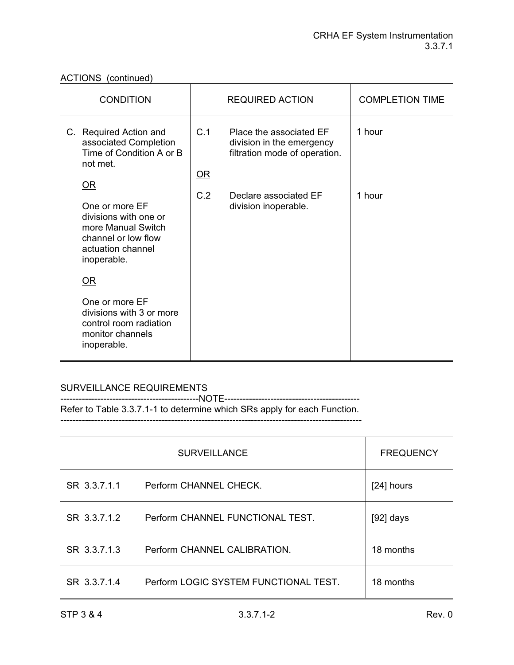ACTIONS (continued)

| <b>CONDITION</b>                                                                                                                                   | <b>REQUIRED ACTION</b>                                                                               | <b>COMPLETION TIME</b> |
|----------------------------------------------------------------------------------------------------------------------------------------------------|------------------------------------------------------------------------------------------------------|------------------------|
| C. Required Action and<br>associated Completion<br>Time of Condition A or B<br>not met.                                                            | C.1<br>Place the associated EF<br>division in the emergency<br>filtration mode of operation.<br>$OR$ | 1 hour                 |
| $\overline{\text{OR}}$<br>One or more EF<br>divisions with one or<br>more Manual Switch<br>channel or low flow<br>actuation channel<br>inoperable. | C.2<br>Declare associated EF<br>division inoperable.                                                 | 1 hour                 |
| OR                                                                                                                                                 |                                                                                                      |                        |
| One or more EF<br>divisions with 3 or more<br>control room radiation<br>monitor channels<br>inoperable.                                            |                                                                                                      |                        |

# SURVEILLANCE REQUIREMENTS

---------------------------------------------NOTE-------------------------------------------- Refer to Table 3.3.7.1-1 to determine which SRs apply for each Function.

--------------------------------------------------------------------------------------------------

|              | <b>SURVEILLANCE</b>                   | <b>FREQUENCY</b> |
|--------------|---------------------------------------|------------------|
| SR 3.3.7.1.1 | Perform CHANNEL CHECK.                | [24] hours       |
| SR 3.3.7.1.2 | Perform CHANNEL FUNCTIONAL TEST.      | [92] days        |
| SR 3.3.7.1.3 | Perform CHANNEL CALIBRATION.          | 18 months        |
| SR 33714     | Perform LOGIC SYSTEM FUNCTIONAL TEST. | 18 months        |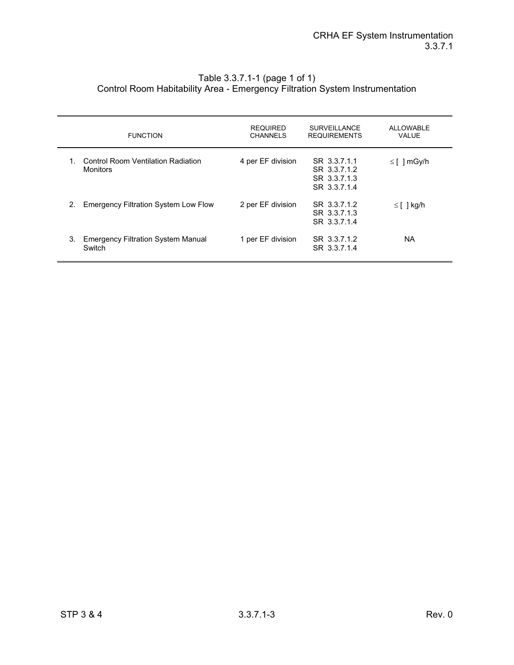#### Table 3.3.7.1-1 (page 1 of 1) Control Room Habitability Area - Emergency Filtration System Instrumentation

|    | <b>FUNCTION</b>                                       | <b>REQUIRED</b><br><b>CHANNELS</b> | <b>SURVEILLANCE</b><br><b>REQUIREMENTS</b>                   | <b>ALLOWABLE</b><br><b>VALUE</b> |
|----|-------------------------------------------------------|------------------------------------|--------------------------------------------------------------|----------------------------------|
| 1. | Control Room Ventilation Radiation<br><b>Monitors</b> | 4 per EF division                  | SR 3.3.7.1.1<br>SR 3.3.7.1.2<br>SR 3.3.7.1.3<br>SR 3.3.7.1.4 | $\leq$ [ ] mGy/h                 |
| 2. | <b>Emergency Filtration System Low Flow</b>           | 2 per EF division                  | SR 3.3.7.1.2<br>SR 3.3.7.1.3<br>SR 3.3.7.1.4                 | $\leq$ [ ] kg/h                  |
| 3. | <b>Emergency Filtration System Manual</b><br>Switch   | 1 per EF division                  | SR 3.3.7.1.2<br>SR 3.3.7.1.4                                 | NA.                              |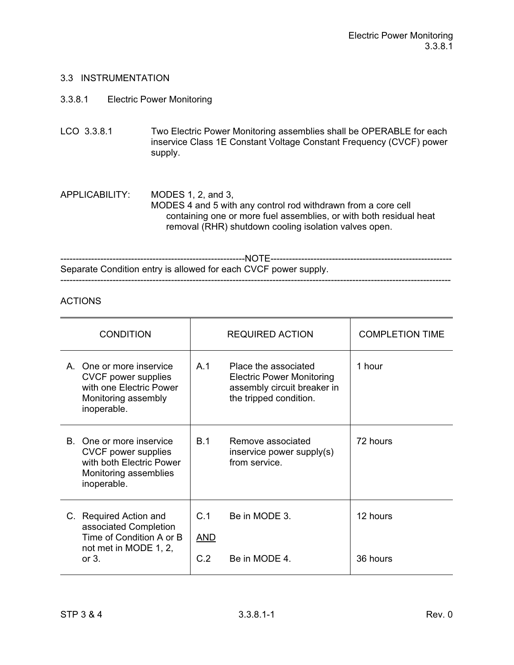### 3.3.8.1 Electric Power Monitoring

LCO 3.3.8.1 Two Electric Power Monitoring assemblies shall be OPERABLE for each inservice Class 1E Constant Voltage Constant Frequency (CVCF) power supply.

APPLICABILITY: MODES 1, 2, and 3, MODES 4 and 5 with any control rod withdrawn from a core cell containing one or more fuel assemblies, or with both residual heat removal (RHR) shutdown cooling isolation valves open.

------------------------------------------------------------NOTE----------------------------------------------------------- Separate Condition entry is allowed for each CVCF power supply. -------------------------------------------------------------------------------------------------------------------------------

| <b>CONDITION</b>                                                                                                    | <b>REQUIRED ACTION</b>                                                                                                              | <b>COMPLETION TIME</b> |
|---------------------------------------------------------------------------------------------------------------------|-------------------------------------------------------------------------------------------------------------------------------------|------------------------|
| One or more inservice<br>A<br>CVCF power supplies<br>with one Electric Power<br>Monitoring assembly<br>inoperable.  | A <sub>1</sub><br>Place the associated<br><b>Electric Power Monitoring</b><br>assembly circuit breaker in<br>the tripped condition. | 1 hour                 |
| B. One or more inservice<br>CVCF power supplies<br>with both Electric Power<br>Monitoring assemblies<br>inoperable. | B.1<br>Remove associated<br>inservice power supply(s)<br>from service                                                               | 72 hours               |
| C. Required Action and<br>associated Completion<br>Time of Condition A or B<br>not met in MODE 1, 2,<br>or $31$     | C.1<br>Be in MODE 3.<br><b>AND</b><br>C.2<br>Be in MODE 4.                                                                          | 12 hours<br>36 hours   |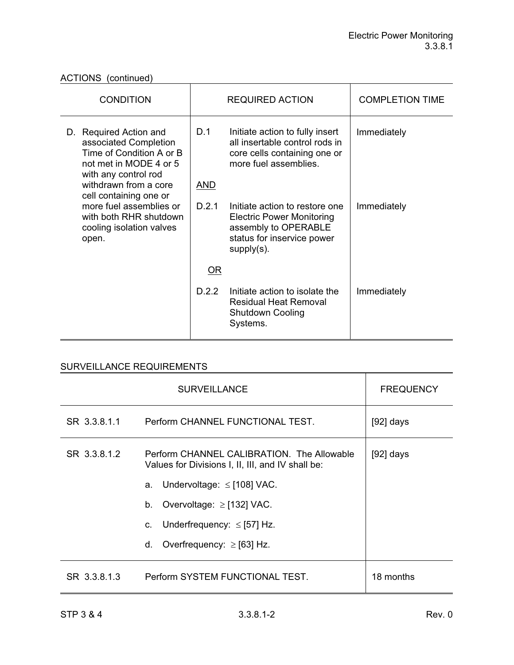| <b>CONDITION</b>                                                                                                                                       | <b>REQUIRED ACTION</b> |                                                                                                                                           | <b>COMPLETION TIME</b> |
|--------------------------------------------------------------------------------------------------------------------------------------------------------|------------------------|-------------------------------------------------------------------------------------------------------------------------------------------|------------------------|
| D. Required Action and<br>associated Completion<br>Time of Condition A or B<br>not met in MODE 4 or 5<br>with any control rod<br>withdrawn from a core | D.1<br><u>AND</u>      | Initiate action to fully insert<br>all insertable control rods in<br>core cells containing one or<br>more fuel assemblies.                | Immediately            |
| cell containing one or<br>more fuel assemblies or<br>with both RHR shutdown<br>cooling isolation valves<br>open.                                       | D.2.1                  | Initiate action to restore one<br><b>Electric Power Monitoring</b><br>assembly to OPERABLE<br>status for inservice power<br>$supply(s)$ . | Immediately            |
|                                                                                                                                                        | $OR$                   |                                                                                                                                           |                        |
|                                                                                                                                                        | D.2.2                  | Initiate action to isolate the<br><b>Residual Heat Removal</b><br><b>Shutdown Cooling</b><br>Systems.                                     | Immediately            |

|              | <b>FREQUENCY</b>                                                                                |             |
|--------------|-------------------------------------------------------------------------------------------------|-------------|
| SR 3.3.8.1.1 | Perform CHANNEL FUNCTIONAL TEST.                                                                | $[92]$ days |
| SR 3.3.8.1.2 | Perform CHANNEL CALIBRATION. The Allowable<br>Values for Divisions I, II, III, and IV shall be: | $[92]$ days |
|              | Undervoltage: $\le$ [108] VAC.<br>a.                                                            |             |
|              | Overvoltage: $\ge$ [132] VAC.<br>b.                                                             |             |
|              | Underfrequency: $\le$ [57] Hz.<br>C.                                                            |             |
|              | Overfrequency: $\ge$ [63] Hz.<br>d.                                                             |             |
| SR 3.3.8.1.3 | Perform SYSTEM FUNCTIONAL TEST.                                                                 | 18 months   |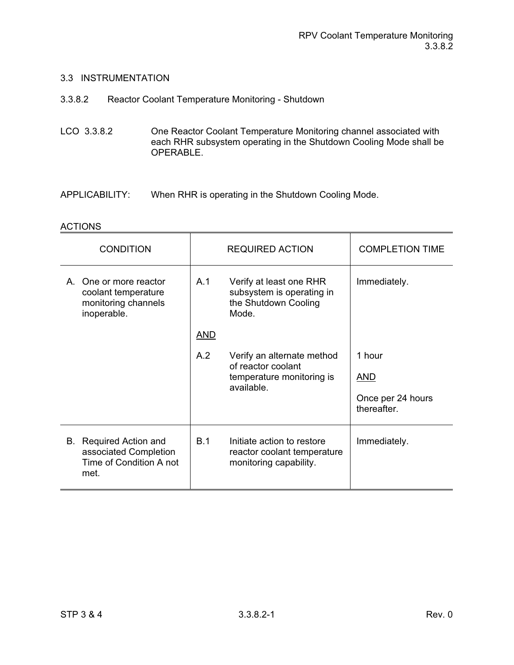- 3.3.8.2 Reactor Coolant Temperature Monitoring Shutdown
- LCO 3.3.8.2 One Reactor Coolant Temperature Monitoring channel associated with each RHR subsystem operating in the Shutdown Cooling Mode shall be OPERABLE.
- APPLICABILITY: When RHR is operating in the Shutdown Cooling Mode.

| <b>CONDITION</b>                                                                          |                                         | <b>REQUIRED ACTION</b>                                                               | <b>COMPLETION TIME</b>           |
|-------------------------------------------------------------------------------------------|-----------------------------------------|--------------------------------------------------------------------------------------|----------------------------------|
| A. One or more reactor<br>coolant temperature<br>monitoring channels<br>inoperable.       | A.1                                     | Verify at least one RHR<br>subsystem is operating in<br>the Shutdown Cooling<br>Mode | Immediately.                     |
|                                                                                           | <b>AND</b>                              |                                                                                      |                                  |
|                                                                                           | A.2                                     | Verify an alternate method<br>of reactor coolant                                     | 1 hour                           |
|                                                                                           | temperature monitoring is<br>available. |                                                                                      | <u>AND</u>                       |
|                                                                                           |                                         |                                                                                      | Once per 24 hours<br>thereafter. |
| <b>B.</b> Required Action and<br>associated Completion<br>Time of Condition A not<br>met. | B.1                                     | Initiate action to restore<br>reactor coolant temperature<br>monitoring capability.  | Immediately.                     |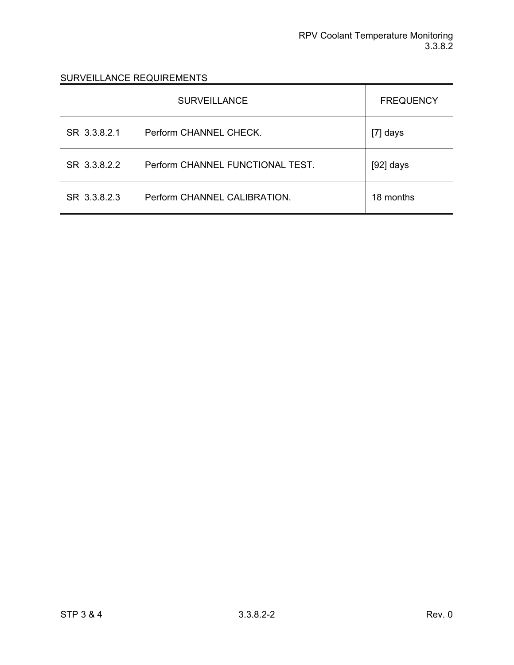|              | <b>SURVEILLANCE</b>              | <b>FREQUENCY</b> |
|--------------|----------------------------------|------------------|
| SR 3.3.8.2.1 | Perform CHANNEL CHECK.           | [7] days         |
| SR 3.3.8.2.2 | Perform CHANNEL FUNCTIONAL TEST. | $[92]$ days      |
| SR 3.3.8.2.3 | Perform CHANNEL CALIBRATION.     | 18 months        |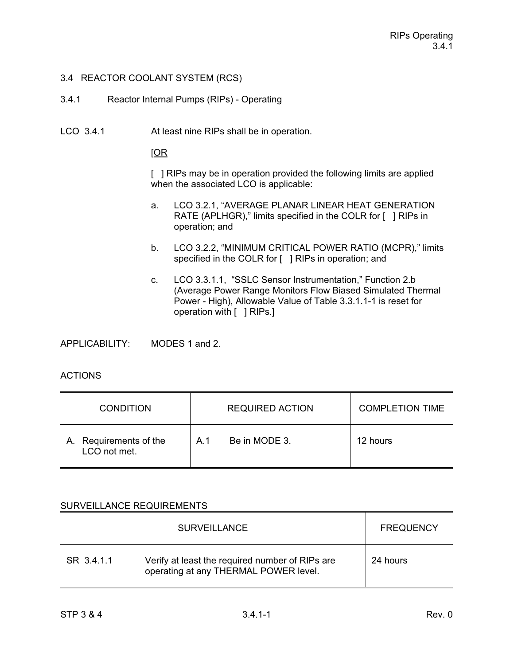## 3.4 REACTOR COOLANT SYSTEM (RCS)

- 3.4.1 Reactor Internal Pumps (RIPs) Operating
- LCO 3.4.1 At least nine RIPs shall be in operation.

[OR

[ ] RIPs may be in operation provided the following limits are applied when the associated LCO is applicable:

- a. LCO 3.2.1, "AVERAGE PLANAR LINEAR HEAT GENERATION RATE (APLHGR)," limits specified in the COLR for [ ] RIPs in operation; and
- b. LCO 3.2.2, "MINIMUM CRITICAL POWER RATIO (MCPR)," limits specified in the COLR for [ ] RIPs in operation; and
- c. LCO 3.3.1.1, "SSLC Sensor Instrumentation," Function 2.b (Average Power Range Monitors Flow Biased Simulated Thermal Power - High), Allowable Value of Table 3.3.1.1-1 is reset for operation with [ ] RIPs.]

APPLICABILITY: MODES 1 and 2.

## ACTIONS

| <b>CONDITION</b>                       | <b>REQUIRED ACTION</b> | <b>COMPLETION TIME</b> |
|----------------------------------------|------------------------|------------------------|
| A. Requirements of the<br>LCO not met. | Be in MODE 3.<br>A 1   | 12 hours               |

|            | <b>SURVEILLANCE</b>                                                                      | <b>FREQUENCY</b> |
|------------|------------------------------------------------------------------------------------------|------------------|
| SR 3.4.1.1 | Verify at least the required number of RIPs are<br>operating at any THERMAL POWER level. | 24 hours         |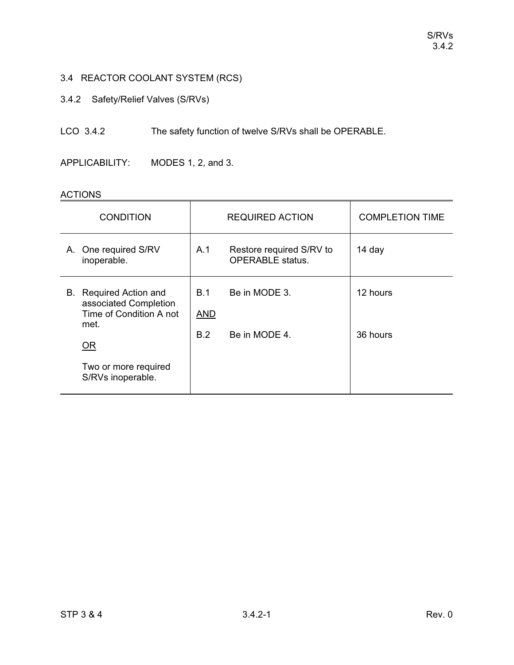# 3.4 REACTOR COOLANT SYSTEM (RCS)

3.4.2 Safety/Relief Valves (S/RVs)

LCO 3.4.2 The safety function of twelve S/RVs shall be OPERABLE.

APPLICABILITY: MODES 1, 2, and 3.

|    | <b>ACTIONS</b>                                                                         |                   |                                                     |                        |  |  |  |
|----|----------------------------------------------------------------------------------------|-------------------|-----------------------------------------------------|------------------------|--|--|--|
|    | <b>CONDITION</b>                                                                       |                   | <b>REQUIRED ACTION</b>                              | <b>COMPLETION TIME</b> |  |  |  |
|    | A. One required S/RV<br>inoperable.                                                    | A.1               | Restore required S/RV to<br><b>OPERABLE</b> status. | 14 day                 |  |  |  |
| В. | <b>Required Action and</b><br>associated Completion<br>Time of Condition A not<br>met. | B.1<br><b>AND</b> | Be in MODE 3.                                       | 12 hours               |  |  |  |
|    | $OR$                                                                                   | B.2               | Be in MODE 4.                                       | 36 hours               |  |  |  |
|    | Two or more required<br>S/RVs inoperable.                                              |                   |                                                     |                        |  |  |  |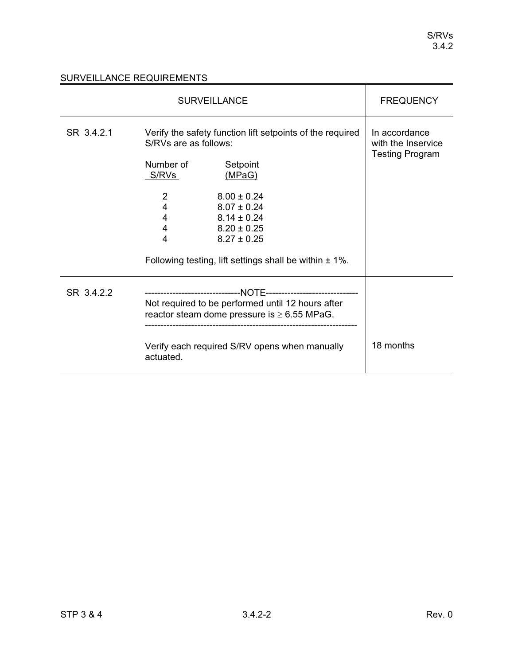|            | <b>FREQUENCY</b>                                                                                                               |                 |                                                               |
|------------|--------------------------------------------------------------------------------------------------------------------------------|-----------------|---------------------------------------------------------------|
| SR 3.4.2.1 | Verify the safety function lift setpoints of the required<br>S/RVs are as follows:<br>Number of<br>Setpoint<br>(MPaG)<br>S/RVs |                 | In accordance<br>with the Inservice<br><b>Testing Program</b> |
|            | $\overline{2}$                                                                                                                 | $8.00 \pm 0.24$ |                                                               |
|            | 4                                                                                                                              | $8.07 \pm 0.24$ |                                                               |
|            | 4                                                                                                                              | $8.14 \pm 0.24$ |                                                               |
|            | 4                                                                                                                              | $8.20 \pm 0.25$ |                                                               |
|            | 4                                                                                                                              | $8.27 \pm 0.25$ |                                                               |
|            | Following testing, lift settings shall be within $\pm$ 1%.                                                                     |                 |                                                               |
| SR 3.4.2.2 |                                                                                                                                |                 |                                                               |
|            | Not required to be performed until 12 hours after<br>reactor steam dome pressure is $\geq 6.55$ MPaG.                          |                 |                                                               |
|            | Verify each required S/RV opens when manually<br>actuated.                                                                     |                 | 18 months                                                     |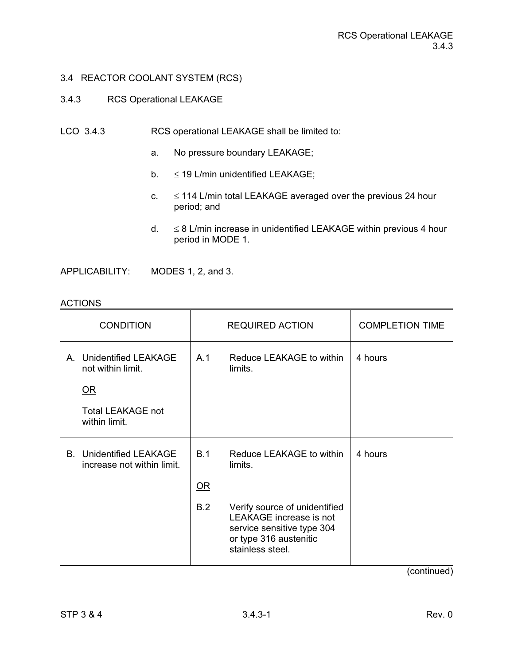### 3.4.3 RCS Operational LEAKAGE

- LCO 3.4.3 RCS operational LEAKAGE shall be limited to:
	- a. No pressure boundary LEAKAGE;
	- b.  $\leq$  19 L/min unidentified LEAKAGE;
	- $c. \leq 114$  L/min total LEAKAGE averaged over the previous 24 hour period; and
	- $d. \leq 8$  L/min increase in unidentified LEAKAGE within previous 4 hour period in MODE 1.

APPLICABILITY: MODES 1, 2, and 3.

#### ACTIONS

| <b>CONDITION</b>                                             |      | <b>REQUIRED ACTION</b>                                                                                                               | <b>COMPLETION TIME</b>            |
|--------------------------------------------------------------|------|--------------------------------------------------------------------------------------------------------------------------------------|-----------------------------------|
| A. Unidentified LEAKAGE<br>not within limit.                 | A.1  | Reduce LEAKAGE to within<br>limits.                                                                                                  | 4 hours                           |
| OR                                                           |      |                                                                                                                                      |                                   |
| <b>Total LEAKAGE not</b><br>within limit.                    |      |                                                                                                                                      |                                   |
| <b>B.</b> Unidentified LEAKAGE<br>increase not within limit. | B.1  | Reduce LEAKAGE to within<br>limits.                                                                                                  | 4 hours                           |
|                                                              | $OR$ |                                                                                                                                      |                                   |
|                                                              | B.2  | Verify source of unidentified<br>LEAKAGE increase is not<br>service sensitive type 304<br>or type 316 austenitic<br>stainless steel. |                                   |
|                                                              |      |                                                                                                                                      | $\ell = \ell$ and $\ell = \ell$ . |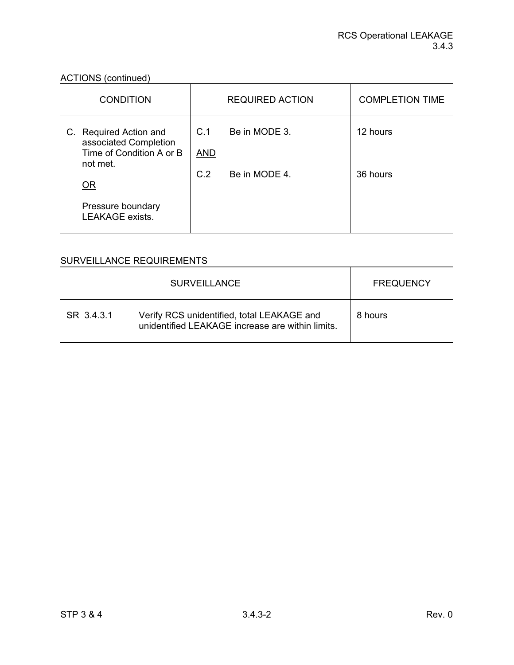ACTIONS (continued)

| <b>CONDITION</b>                                                                        |                   | <b>REQUIRED ACTION</b> | <b>COMPLETION TIME</b> |
|-----------------------------------------------------------------------------------------|-------------------|------------------------|------------------------|
| C. Required Action and<br>associated Completion<br>Time of Condition A or B<br>not met. | C.1<br><b>AND</b> | Be in MODE 3.          | 12 hours               |
| <b>OR</b>                                                                               | C.2               | Be in MODE 4.          | 36 hours               |
| Pressure boundary<br><b>LEAKAGE</b> exists.                                             |                   |                        |                        |

|            | <b>SURVEILLANCE</b>                                                                            | <b>FREQUENCY</b> |
|------------|------------------------------------------------------------------------------------------------|------------------|
| SR 3.4.3.1 | Verify RCS unidentified, total LEAKAGE and<br>unidentified LEAKAGE increase are within limits. | 8 hours          |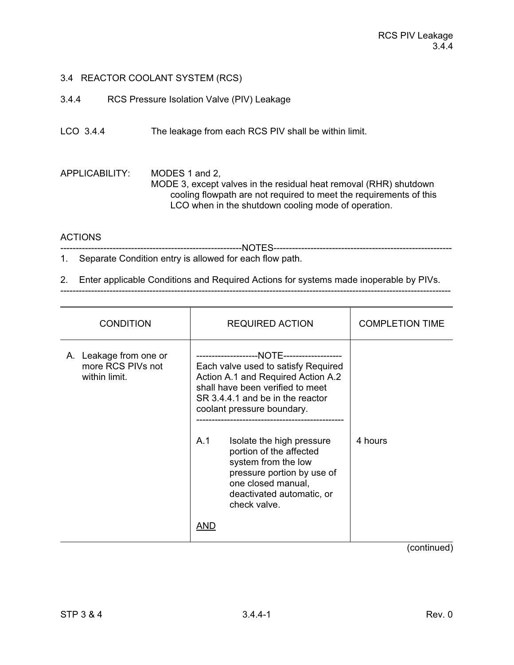- 3.4.4 RCS Pressure Isolation Valve (PIV) Leakage
- LCO 3.4.4 The leakage from each RCS PIV shall be within limit.

APPLICABILITY: MODES 1 and 2, MODE 3, except valves in the residual heat removal (RHR) shutdown cooling flowpath are not required to meet the requirements of this LCO when in the shutdown cooling mode of operation.

# ACTIONS

-----------------------------------------------------------NOTES---------------------------------------------------------- 1. Separate Condition entry is allowed for each flow path.

2. Enter applicable Conditions and Required Actions for systems made inoperable by PIVs.

| <b>CONDITION</b>                                             | <b>REQUIRED ACTION</b>                                                                                                                                                                     | <b>COMPLETION TIME</b> |
|--------------------------------------------------------------|--------------------------------------------------------------------------------------------------------------------------------------------------------------------------------------------|------------------------|
| A. Leakage from one or<br>more RCS PIVs not<br>within limit. | Each valve used to satisfy Required<br>Action A.1 and Required Action A.2<br>shall have been verified to meet<br>SR 3.4.4.1 and be in the reactor<br>coolant pressure boundary.            |                        |
|                                                              | A.1<br>Isolate the high pressure<br>portion of the affected<br>system from the low<br>pressure portion by use of<br>one closed manual,<br>deactivated automatic, or<br>check valve.<br>AND | 4 hours                |
|                                                              |                                                                                                                                                                                            | $($ continued)         |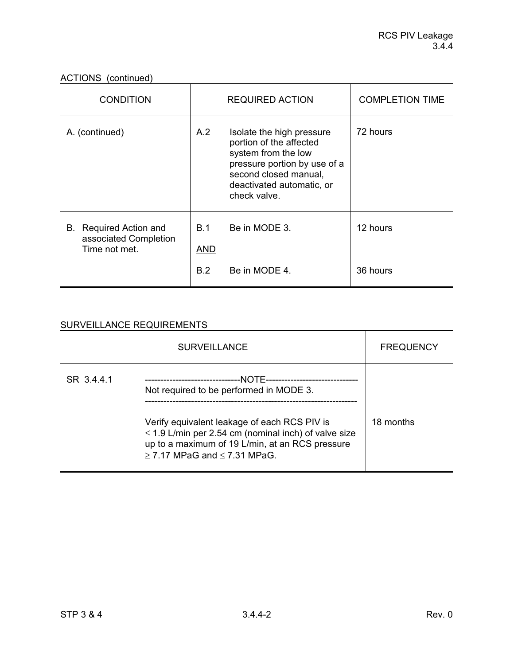ACTIONS (continued)

| <b>CONDITION</b>                                                 | <b>REQUIRED ACTION</b>          |                                                                                                                                                                                   | <b>COMPLETION TIME</b> |
|------------------------------------------------------------------|---------------------------------|-----------------------------------------------------------------------------------------------------------------------------------------------------------------------------------|------------------------|
| A. (continued)                                                   | A.2                             | Isolate the high pressure<br>portion of the affected<br>system from the low<br>pressure portion by use of a<br>second closed manual,<br>deactivated automatic, or<br>check valve. | 72 hours               |
| B. Required Action and<br>associated Completion<br>Time not met. | <b>B.1</b><br><b>AND</b><br>B.2 | Be in MODE 3.<br>Be in MODE 4.                                                                                                                                                    | 12 hours<br>36 hours   |

|            | <b>SURVEILLANCE</b>                                                                                                                                                                                                                               | <b>FREQUENCY</b> |
|------------|---------------------------------------------------------------------------------------------------------------------------------------------------------------------------------------------------------------------------------------------------|------------------|
| SR 3.4.4.1 | Not required to be performed in MODE 3.<br>Verify equivalent leakage of each RCS PIV is<br>$\leq$ 1.9 L/min per 2.54 cm (nominal inch) of valve size<br>up to a maximum of 19 L/min, at an RCS pressure<br>$\geq$ 7.17 MPaG and $\leq$ 7.31 MPaG. | 18 months        |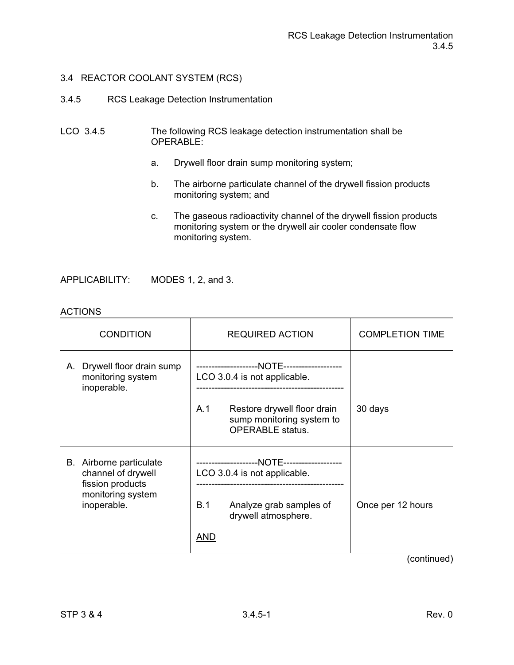- 3.4.5 RCS Leakage Detection Instrumentation
- LCO 3.4.5 The following RCS leakage detection instrumentation shall be OPERABLE:
	- a. Drywell floor drain sump monitoring system;
	- b. The airborne particulate channel of the drywell fission products monitoring system; and
	- c. The gaseous radioactivity channel of the drywell fission products monitoring system or the drywell air cooler condensate flow monitoring system.

APPLICABILITY: MODES 1, 2, and 3.

| <b>CONDITION</b>                                                   | <b>REQUIRED ACTION</b>                                                                     | <b>COMPLETION TIME</b> |
|--------------------------------------------------------------------|--------------------------------------------------------------------------------------------|------------------------|
| Drywell floor drain sump<br>А.<br>monitoring system<br>inoperable. | LCO 3.0.4 is not applicable.                                                               |                        |
|                                                                    | A.1<br>Restore drywell floor drain<br>sump monitoring system to<br><b>OPERABLE</b> status. | 30 days                |
| B. Airborne particulate<br>channel of drywell<br>fission products  | LCO 3.0.4 is not applicable.                                                               |                        |
| monitoring system<br>inoperable.                                   | B.1<br>Analyze grab samples of<br>drywell atmosphere.                                      | Once per 12 hours      |
|                                                                    | AND                                                                                        |                        |

### **ACTIONS**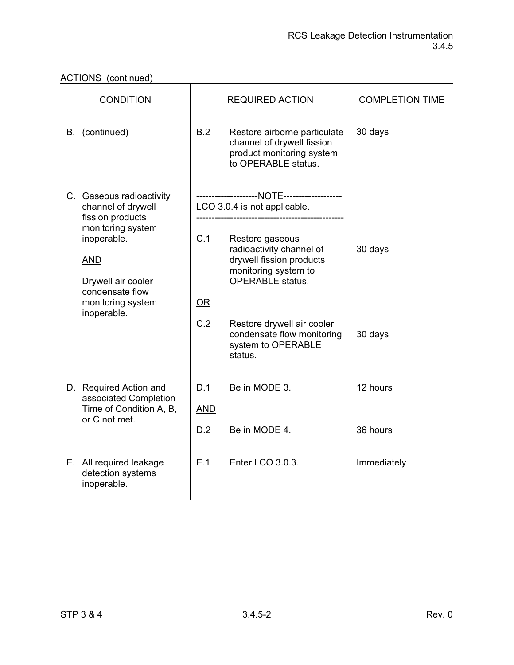| ACTIONS (continued) |  |
|---------------------|--|
|---------------------|--|

| <b>CONDITION</b>                                                                                                                                                                                  |                          | <b>REQUIRED ACTION</b>                                                                                                                                                                                                                                  | <b>COMPLETION TIME</b> |
|---------------------------------------------------------------------------------------------------------------------------------------------------------------------------------------------------|--------------------------|---------------------------------------------------------------------------------------------------------------------------------------------------------------------------------------------------------------------------------------------------------|------------------------|
| B. (continued)                                                                                                                                                                                    | B.2                      | Restore airborne particulate<br>channel of drywell fission<br>product monitoring system<br>to OPERABLE status.                                                                                                                                          | 30 days                |
| C. Gaseous radioactivity<br>channel of drywell<br>fission products<br>monitoring system<br>inoperable.<br><b>AND</b><br>Drywell air cooler<br>condensate flow<br>monitoring system<br>inoperable. | C.1<br>OR<br>C.2         | LCO 3.0.4 is not applicable.<br>Restore gaseous<br>radioactivity channel of<br>drywell fission products<br>monitoring system to<br><b>OPERABLE</b> status.<br>Restore drywell air cooler<br>condensate flow monitoring<br>system to OPERABLE<br>status. | 30 days<br>30 days     |
| D. Required Action and<br>associated Completion<br>Time of Condition A, B,<br>or C not met.                                                                                                       | D.1<br><b>AND</b><br>D.2 | Be in MODE 3.<br>Be in MODE 4.                                                                                                                                                                                                                          | 12 hours<br>36 hours   |
| E. All required leakage<br>detection systems<br>inoperable.                                                                                                                                       | E.1                      | Enter LCO 3.0.3.                                                                                                                                                                                                                                        | Immediately            |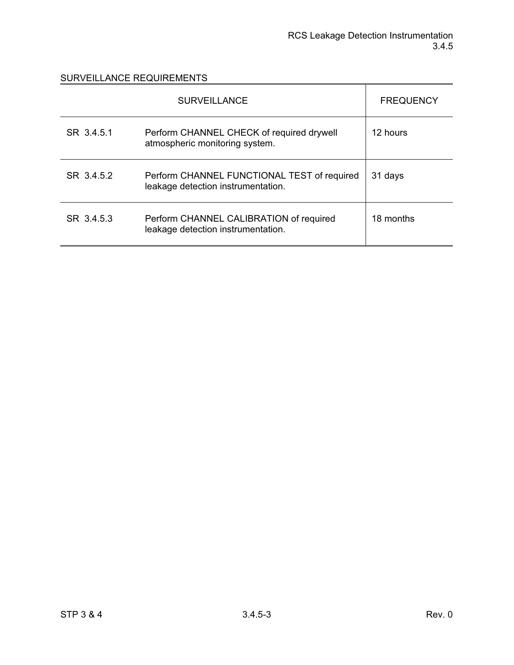|            | <b>SURVEILLANCE</b>                                                               | <b>FREQUENCY</b> |
|------------|-----------------------------------------------------------------------------------|------------------|
| SR 3.4.5.1 | Perform CHANNEL CHECK of required drywell<br>atmospheric monitoring system.       | 12 hours         |
| SR 3452    | Perform CHANNEL FUNCTIONAL TEST of required<br>leakage detection instrumentation. | 31 days          |
| SR 3453    | Perform CHANNEL CALIBRATION of required<br>leakage detection instrumentation.     | 18 months        |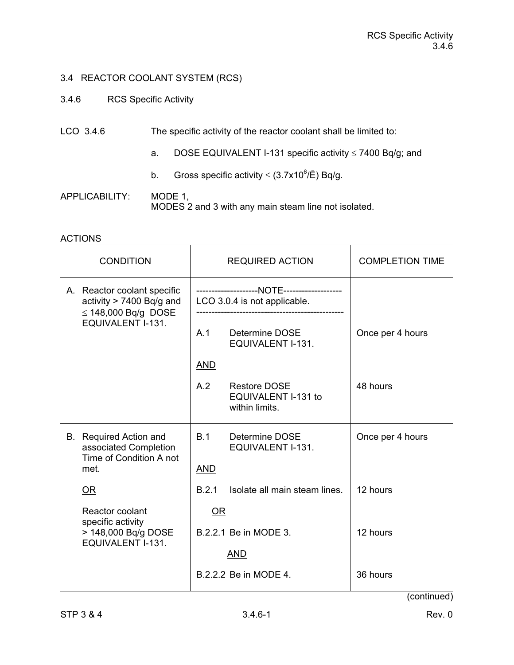- 3.4.6 RCS Specific Activity
- LCO 3.4.6 The specific activity of the reactor coolant shall be limited to:
	- a. DOSE EQUIVALENT I-131 specific activity  $\leq$  7400 Bq/g; and
- b. Gross specific activity  $\leq$  (3.7x10<sup>6</sup>/Ē) Bq/g.
- APPLICABILITY: MODE 1, MODES 2 and 3 with any main steam line not isolated.

# ACTIONS

| <b>CONDITION</b>                                                                          |                              | <b>REQUIRED ACTION</b> |                                                       | <b>COMPLETION TIME</b> |
|-------------------------------------------------------------------------------------------|------------------------------|------------------------|-------------------------------------------------------|------------------------|
| A. Reactor coolant specific<br>activity > 7400 Bq/g and<br>$\leq$ 148,000 Bq/g DOSE       | LCO 3.0.4 is not applicable. |                        |                                                       |                        |
| EQUIVALENT I-131.                                                                         |                              | A.1                    | Determine DOSE<br>EQUIVALENT I-131.                   | Once per 4 hours       |
|                                                                                           |                              | <b>AND</b>             |                                                       |                        |
|                                                                                           |                              | A.2                    | Restore DOSE<br>EQUIVALENT I-131 to<br>within limits. | 48 hours               |
| <b>B.</b> Required Action and<br>associated Completion<br>Time of Condition A not<br>met. |                              | B.1<br><b>AND</b>      | Determine DOSE<br>EQUIVALENT I-131.                   | Once per 4 hours       |
| OR                                                                                        |                              | B.2.1                  | Isolate all main steam lines.                         | 12 hours               |
| Reactor coolant                                                                           |                              | OR                     |                                                       |                        |
| specific activity<br>> 148,000 Bq/g DOSE<br>EQUIVALENT I-131.                             | B.2.2.1 Be in MODE 3.        |                        | 12 hours                                              |                        |
|                                                                                           |                              |                        | <b>AND</b>                                            |                        |
|                                                                                           |                              |                        | B.2.2.2 Be in MODE 4.                                 | 36 hours               |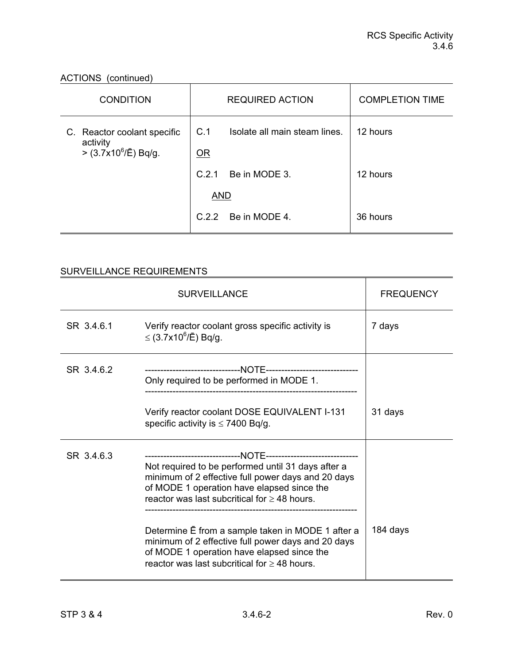ACTIONS (continued)

| <b>CONDITION</b>                                                        | <b>REQUIRED ACTION</b>                     | <b>COMPLETION TIME</b> |
|-------------------------------------------------------------------------|--------------------------------------------|------------------------|
| C. Reactor coolant specific<br>activity<br>$>$ (3.7x10 $^{6}$ /Ē) Bq/g. | C.1<br>Isolate all main steam lines.<br>OR | 12 hours               |
|                                                                         | Be in MODE 3.<br>C.2.1<br><b>AND</b>       | 12 hours               |
|                                                                         | C.2.2 Be in MODE 4.                        | 36 hours               |

|            | <b>SURVEILLANCE</b>                                                                                                                                                                                                                                                                                                                                                                                                    | <b>FREQUENCY</b> |
|------------|------------------------------------------------------------------------------------------------------------------------------------------------------------------------------------------------------------------------------------------------------------------------------------------------------------------------------------------------------------------------------------------------------------------------|------------------|
| SR 3.4.6.1 | Verify reactor coolant gross specific activity is<br>≤ (3.7x10 <sup>6</sup> /Ē) Bq/g.                                                                                                                                                                                                                                                                                                                                  | 7 days           |
| SR 3.4.6.2 | Only required to be performed in MODE 1.                                                                                                                                                                                                                                                                                                                                                                               |                  |
|            | Verify reactor coolant DOSE EQUIVALENT I-131<br>specific activity is $\leq$ 7400 Bq/g.                                                                                                                                                                                                                                                                                                                                 | 31 days          |
| SR 3.4.6.3 | Not required to be performed until 31 days after a<br>minimum of 2 effective full power days and 20 days<br>of MODE 1 operation have elapsed since the<br>reactor was last subcritical for $\geq$ 48 hours.<br>Determine E from a sample taken in MODE 1 after a<br>minimum of 2 effective full power days and 20 days<br>of MODE 1 operation have elapsed since the<br>reactor was last subcritical for $>$ 48 hours. | 184 days         |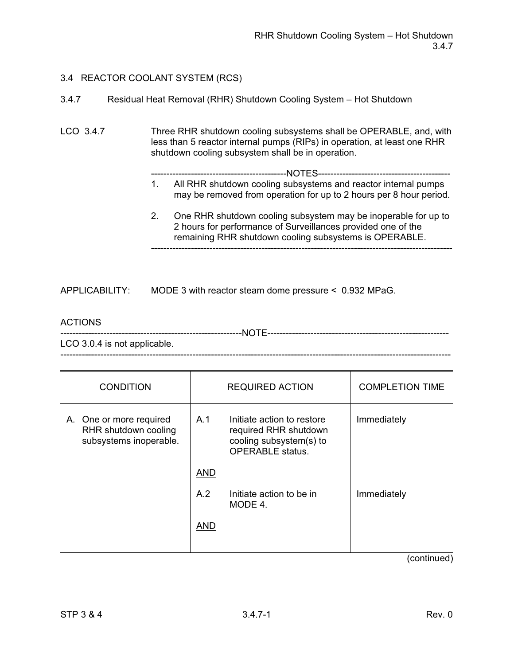| 3.4.7 |                                                                    |  |  |  |
|-------|--------------------------------------------------------------------|--|--|--|
|       | Residual Heat Removal (RHR) Shutdown Cooling System - Hot Shutdown |  |  |  |

LCO 3.4.7 Three RHR shutdown cooling subsystems shall be OPERABLE, and, with less than 5 reactor internal pumps (RIPs) in operation, at least one RHR shutdown cooling subsystem shall be in operation.

--------------------------------------------NOTES-------------------------------------------

- 1. All RHR shutdown cooling subsystems and reactor internal pumps may be removed from operation for up to 2 hours per 8 hour period.
- 2. One RHR shutdown cooling subsystem may be inoperable for up to 2 hours for performance of Surveillances provided one of the remaining RHR shutdown cooling subsystems is OPERABLE. --------------------------------------------------------------------------------------------------

APPLICABILITY: MODE 3 with reactor steam dome pressure < 0.932 MPaG.

### ACTIONS

-----------------------------------------------------------NOTE-----------------------------------------------------------

LCO 3.0.4 is not applicable. -------------------------------------------------------------------------------------------------------------------------------

| <b>CONDITION</b>                                                          |            | <b>REQUIRED ACTION</b>                                                                                    | <b>COMPLETION TIME</b>                                                                                                                                                                                                                                                                                                   |
|---------------------------------------------------------------------------|------------|-----------------------------------------------------------------------------------------------------------|--------------------------------------------------------------------------------------------------------------------------------------------------------------------------------------------------------------------------------------------------------------------------------------------------------------------------|
| A. One or more required<br>RHR shutdown cooling<br>subsystems inoperable. | A.1        | Initiate action to restore<br>required RHR shutdown<br>cooling subsystem(s) to<br><b>OPERABLE</b> status. | Immediately                                                                                                                                                                                                                                                                                                              |
|                                                                           | <b>AND</b> |                                                                                                           |                                                                                                                                                                                                                                                                                                                          |
|                                                                           | A.2        | Initiate action to be in<br>MODE 4.                                                                       | Immediately                                                                                                                                                                                                                                                                                                              |
|                                                                           | <b>AND</b> |                                                                                                           |                                                                                                                                                                                                                                                                                                                          |
|                                                                           |            |                                                                                                           | $\sqrt{2}$ $\frac{1}{2}$ $\frac{1}{2}$ $\frac{1}{2}$ $\frac{1}{2}$ $\frac{1}{2}$ $\frac{1}{2}$ $\frac{1}{2}$ $\frac{1}{2}$ $\frac{1}{2}$ $\frac{1}{2}$ $\frac{1}{2}$ $\frac{1}{2}$ $\frac{1}{2}$ $\frac{1}{2}$ $\frac{1}{2}$ $\frac{1}{2}$ $\frac{1}{2}$ $\frac{1}{2}$ $\frac{1}{2}$ $\frac{1}{2}$ $\frac{1}{2}$ $\frac$ |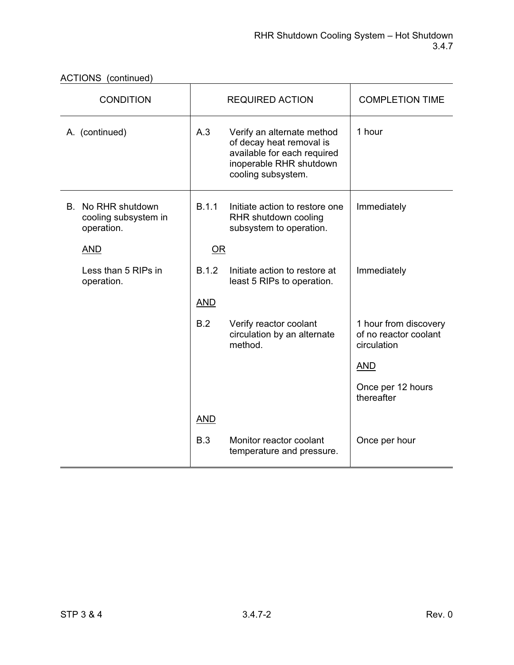|  | ACTIONS (continued) |
|--|---------------------|
|--|---------------------|

| <b>CONDITION</b>                                         |            | <b>REQUIRED ACTION</b>                                                                                                                 | <b>COMPLETION TIME</b>                                        |
|----------------------------------------------------------|------------|----------------------------------------------------------------------------------------------------------------------------------------|---------------------------------------------------------------|
| A. (continued)                                           | A.3        | Verify an alternate method<br>of decay heat removal is<br>available for each required<br>inoperable RHR shutdown<br>cooling subsystem. | 1 hour                                                        |
| B. No RHR shutdown<br>cooling subsystem in<br>operation. | B.1.1      | Initiate action to restore one<br>RHR shutdown cooling<br>subsystem to operation.                                                      | Immediately                                                   |
| <b>AND</b>                                               | OR         |                                                                                                                                        |                                                               |
| Less than 5 RIPs in<br>operation.                        | B.1.2      | Initiate action to restore at<br>least 5 RIPs to operation.                                                                            | Immediately                                                   |
|                                                          | <b>AND</b> |                                                                                                                                        |                                                               |
|                                                          | B.2        | Verify reactor coolant<br>circulation by an alternate<br>method.                                                                       | 1 hour from discovery<br>of no reactor coolant<br>circulation |
|                                                          |            |                                                                                                                                        | <b>AND</b>                                                    |
|                                                          |            |                                                                                                                                        | Once per 12 hours<br>thereafter                               |
|                                                          | <b>AND</b> |                                                                                                                                        |                                                               |
|                                                          | B.3        | Monitor reactor coolant<br>temperature and pressure.                                                                                   | Once per hour                                                 |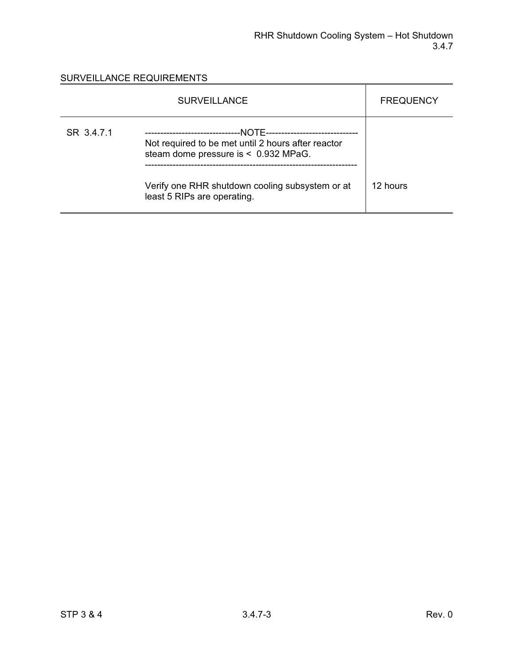|            | <b>SURVEILLANCE</b>                                                                                                  | <b>FREQUENCY</b> |
|------------|----------------------------------------------------------------------------------------------------------------------|------------------|
| SR 3.4.7.1 | --NOTF----------------<br>Not required to be met until 2 hours after reactor<br>steam dome pressure is < 0.932 MPaG. |                  |
|            | Verify one RHR shutdown cooling subsystem or at<br>least 5 RIPs are operating.                                       | 12 hours         |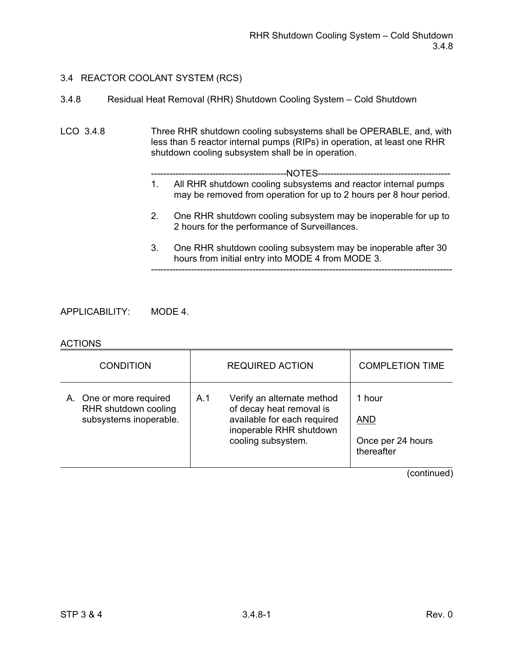3.4.8 Residual Heat Removal (RHR) Shutdown Cooling System – Cold Shutdown

LCO 3.4.8 Three RHR shutdown cooling subsystems shall be OPERABLE, and, with less than 5 reactor internal pumps (RIPs) in operation, at least one RHR shutdown cooling subsystem shall be in operation.

--------------------------------------------------------------------------------------------------

- --------------------------------------------NOTES------------------------------------------- 1. All RHR shutdown cooling subsystems and reactor internal pumps
- may be removed from operation for up to 2 hours per 8 hour period. 2. One RHR shutdown cooling subsystem may be inoperable for up to 2 hours for the performance of Surveillances.
- 3. One RHR shutdown cooling subsystem may be inoperable after 30 hours from initial entry into MODE 4 from MODE 3.

APPLICABILITY: MODE 4.

### ACTIONS

| <b>CONDITION</b>                                                          | <b>REQUIRED ACTION</b>                                                                                                                        | <b>COMPLETION TIME</b>                                  |
|---------------------------------------------------------------------------|-----------------------------------------------------------------------------------------------------------------------------------------------|---------------------------------------------------------|
| A. One or more required<br>RHR shutdown cooling<br>subsystems inoperable. | Verify an alternate method<br>A.1<br>of decay heat removal is<br>available for each required<br>inoperable RHR shutdown<br>cooling subsystem. | 1 hour<br><b>AND</b><br>Once per 24 hours<br>thereafter |
|                                                                           |                                                                                                                                               | (continued)                                             |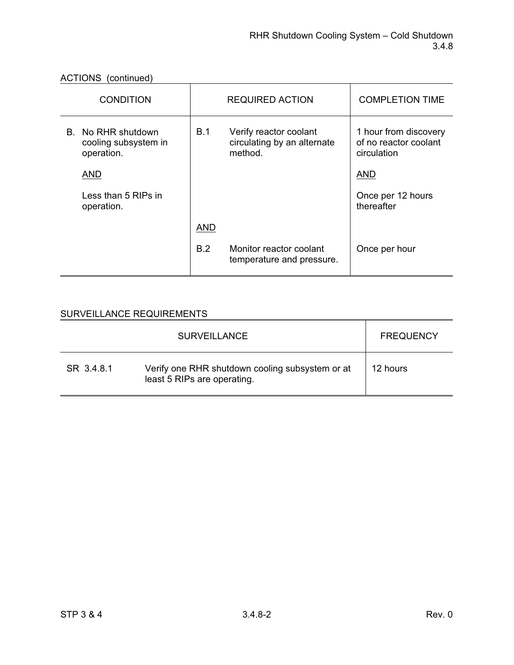ACTIONS (continued)

| <b>CONDITION</b>                                         |            | <b>REQUIRED ACTION</b>                                           | <b>COMPLETION TIME</b>                                        |
|----------------------------------------------------------|------------|------------------------------------------------------------------|---------------------------------------------------------------|
| B. No RHR shutdown<br>cooling subsystem in<br>operation. | B.1        | Verify reactor coolant<br>circulating by an alternate<br>method. | 1 hour from discovery<br>of no reactor coolant<br>circulation |
| <b>AND</b>                                               |            |                                                                  | <b>AND</b>                                                    |
| Less than 5 RIPs in<br>operation.                        |            |                                                                  | Once per 12 hours<br>thereafter                               |
|                                                          | <b>AND</b> |                                                                  |                                                               |
|                                                          | <b>B.2</b> | Monitor reactor coolant<br>temperature and pressure.             | Once per hour                                                 |

|            | <b>SURVEILLANCE</b>                                                            | <b>FREQUENCY</b> |
|------------|--------------------------------------------------------------------------------|------------------|
| SR 3.4.8.1 | Verify one RHR shutdown cooling subsystem or at<br>least 5 RIPs are operating. | 12 hours         |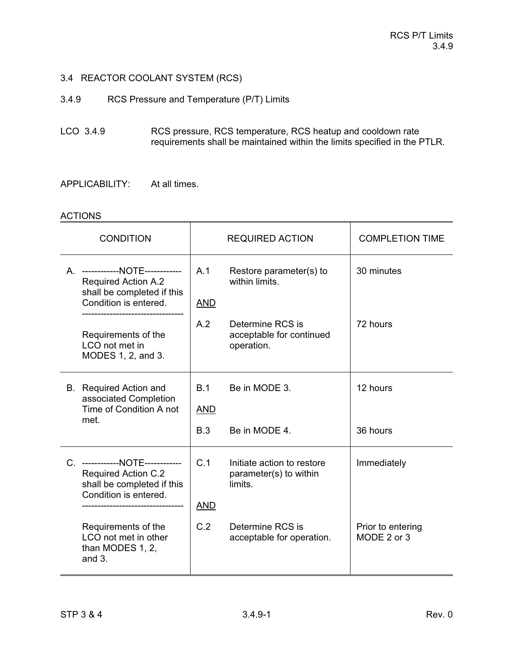3.4.9 RCS Pressure and Temperature (P/T) Limits

LCO 3.4.9 RCS pressure, RCS temperature, RCS heatup and cooldown rate requirements shall be maintained within the limits specified in the PTLR.

APPLICABILITY: At all times.

#### **ACTIONS**

| <b>CONDITION</b>                                                                                                     |                   | <b>REQUIRED ACTION</b>                                          | <b>COMPLETION TIME</b>           |
|----------------------------------------------------------------------------------------------------------------------|-------------------|-----------------------------------------------------------------|----------------------------------|
| A. ------------NOTE------------<br><b>Required Action A.2</b><br>shall be completed if this<br>Condition is entered. | A.1<br><u>AND</u> | Restore parameter(s) to<br>within limits.                       | 30 minutes                       |
| Requirements of the<br>LCO not met in<br>MODES 1, 2, and 3.                                                          | A.2               | Determine RCS is<br>acceptable for continued<br>operation.      | 72 hours                         |
| <b>B.</b> Required Action and<br>associated Completion<br>Time of Condition A not<br>met.                            | B.1<br><b>AND</b> | Be in MODE 3.                                                   | 12 hours                         |
|                                                                                                                      | B.3               | Be in MODE 4.                                                   | 36 hours                         |
| C. ------------NOTE------------<br><b>Required Action C.2</b><br>shall be completed if this<br>Condition is entered. | C.1<br><b>AND</b> | Initiate action to restore<br>parameter(s) to within<br>limits. | Immediately                      |
| Requirements of the<br>LCO not met in other<br>than MODES 1, 2,<br>and $3.$                                          | C.2               | Determine RCS is<br>acceptable for operation.                   | Prior to entering<br>MODE 2 or 3 |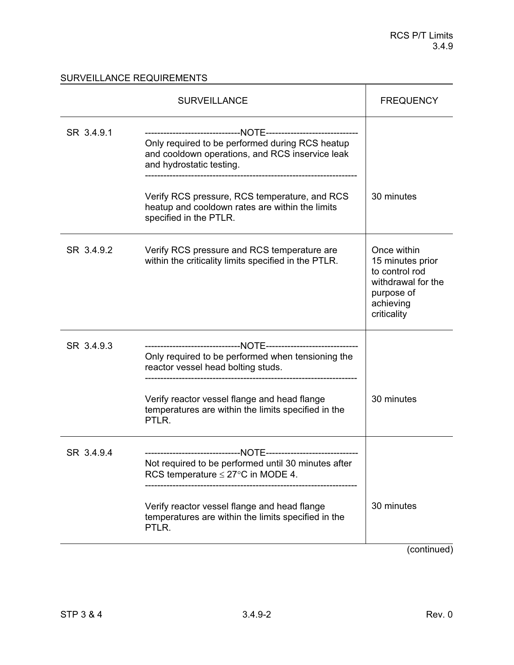|            | <b>SURVEILLANCE</b>                                                                                                                                                                                           | <b>FREQUENCY</b>                                                                                                  |
|------------|---------------------------------------------------------------------------------------------------------------------------------------------------------------------------------------------------------------|-------------------------------------------------------------------------------------------------------------------|
| SR 3.4.9.1 | Only required to be performed during RCS heatup<br>and cooldown operations, and RCS inservice leak<br>and hydrostatic testing.                                                                                |                                                                                                                   |
|            | Verify RCS pressure, RCS temperature, and RCS<br>heatup and cooldown rates are within the limits<br>specified in the PTLR.                                                                                    | 30 minutes                                                                                                        |
| SR 3.4.9.2 | Verify RCS pressure and RCS temperature are<br>within the criticality limits specified in the PTLR.                                                                                                           | Once within<br>15 minutes prior<br>to control rod<br>withdrawal for the<br>purpose of<br>achieving<br>criticality |
| SR 3.4.9.3 | Only required to be performed when tensioning the<br>reactor vessel head bolting studs.<br>Verify reactor vessel flange and head flange<br>temperatures are within the limits specified in the<br>PTLR.       | 30 minutes                                                                                                        |
| SR 3.4.9.4 | Not required to be performed until 30 minutes after<br>RCS temperature $\leq$ 27°C in MODE 4.<br>Verify reactor vessel flange and head flange<br>temperatures are within the limits specified in the<br>PTLR. | 30 minutes                                                                                                        |
|            |                                                                                                                                                                                                               | $\sim$ ntin $\cdots$                                                                                              |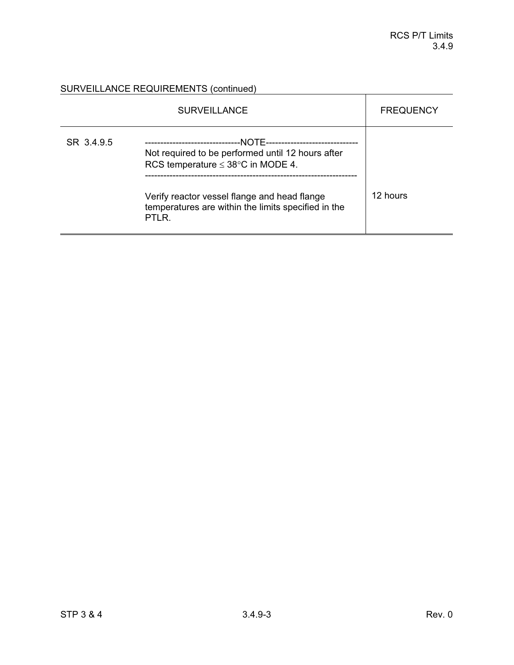SURVEILLANCE REQUIREMENTS (continued)<br>
SURVEILLANCE REQUIREMENTS (continued)

|            | <b>SURVEILLANCE</b>                                                                                                                                                                                                                                                      | <b>FREQUENCY</b> |
|------------|--------------------------------------------------------------------------------------------------------------------------------------------------------------------------------------------------------------------------------------------------------------------------|------------------|
| SR 3.4.9.5 | --NOTF---------------<br>------------------------<br>Not required to be performed until 12 hours after<br>RCS temperature $\leq 38^{\circ}$ C in MODE 4.<br>Verify reactor vessel flange and head flange<br>temperatures are within the limits specified in the<br>PTLR. | 12 hours         |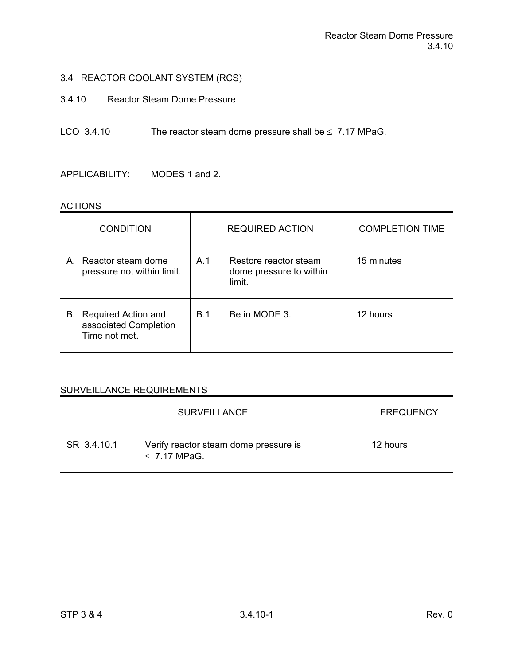- 3.4.10 Reactor Steam Dome Pressure
- LCO 3.4.10 The reactor steam dome pressure shall be  $\leq 7.17$  MPaG.

APPLICABILITY: MODES 1 and 2.

#### ACTIONS

| <b>CONDITION</b>                                                    |            | <b>REQUIRED ACTION</b>                                     | <b>COMPLETION TIME</b> |
|---------------------------------------------------------------------|------------|------------------------------------------------------------|------------------------|
| A. Reactor steam dome<br>pressure not within limit.                 | A 1        | Restore reactor steam<br>dome pressure to within<br>limit. | 15 minutes             |
| Required Action and<br>В.<br>associated Completion<br>Time not met. | <b>B.1</b> | Be in MODE 3.                                              | 12 hours               |

|             | <b>SURVEILLANCE</b>                                        | <b>FREQUENCY</b> |
|-------------|------------------------------------------------------------|------------------|
| SR 3.4.10.1 | Verify reactor steam dome pressure is<br>$\leq$ 7.17 MPaG. | 12 hours         |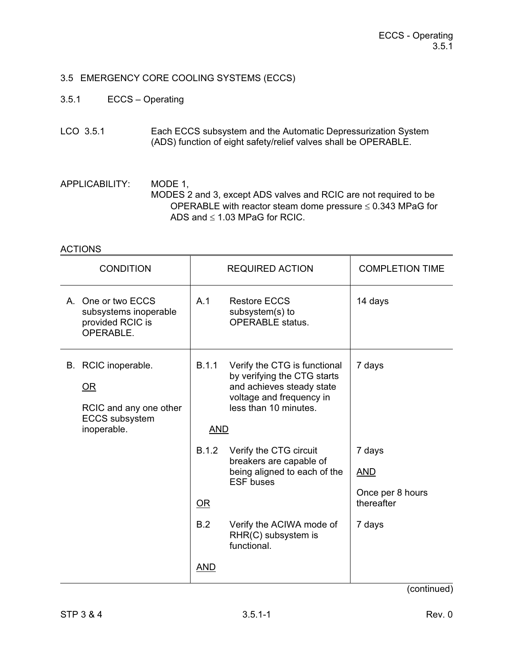## 3.5 EMERGENCY CORE COOLING SYSTEMS (ECCS)

- 3.5.1 ECCS Operating
- LCO 3.5.1 Each ECCS subsystem and the Automatic Depressurization System (ADS) function of eight safety/relief valves shall be OPERABLE.

APPLICABILITY: MODE 1, MODES 2 and 3, except ADS valves and RCIC are not required to be OPERABLE with reactor steam dome pressure  $\leq 0.343$  MPaG for ADS and  $\leq$  1.03 MPaG for RCIC.

### ACTIONS

| <b>CONDITION</b>                                                                                   |                     | <b>REQUIRED ACTION</b>                                                                                                                        | <b>COMPLETION TIME</b>                                 |
|----------------------------------------------------------------------------------------------------|---------------------|-----------------------------------------------------------------------------------------------------------------------------------------------|--------------------------------------------------------|
| A. One or two ECCS<br>subsystems inoperable<br>provided RCIC is<br>OPERABLE.                       | A.1                 | <b>Restore ECCS</b><br>subsystem(s) to<br><b>OPERABLE</b> status.                                                                             | 14 days                                                |
| B. RCIC inoperable.<br><u>OR</u><br>RCIC and any one other<br><b>ECCS</b> subsystem<br>inoperable. | B.1.1<br><b>AND</b> | Verify the CTG is functional<br>by verifying the CTG starts<br>and achieves steady state<br>voltage and frequency in<br>less than 10 minutes. | 7 days                                                 |
|                                                                                                    | B.1.2<br>$OR$       | Verify the CTG circuit<br>breakers are capable of<br>being aligned to each of the<br><b>ESF</b> buses                                         | 7 days<br><u>AND</u><br>Once per 8 hours<br>thereafter |
|                                                                                                    | B.2<br><u>AND</u>   | Verify the ACIWA mode of<br>RHR(C) subsystem is<br>functional.                                                                                | 7 days                                                 |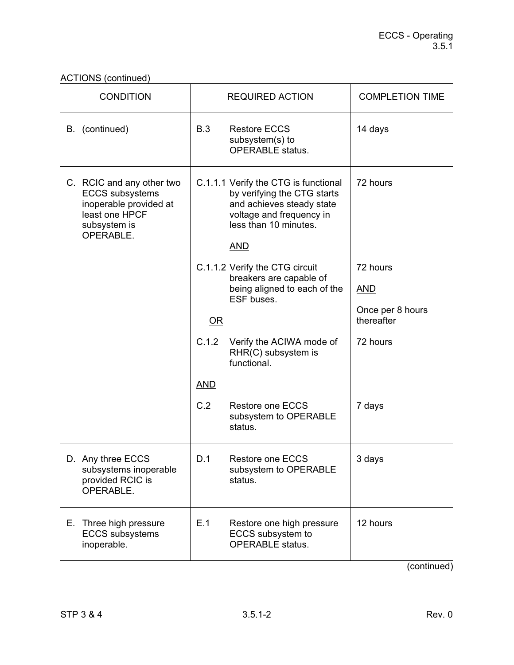# ACTIONS (continued)

| <b>CONDITION</b>                                                                                                             | <b>REQUIRED ACTION</b>                                                                                                                                              | <b>COMPLETION TIME</b>         |  |
|------------------------------------------------------------------------------------------------------------------------------|---------------------------------------------------------------------------------------------------------------------------------------------------------------------|--------------------------------|--|
| B. (continued)                                                                                                               | B.3<br><b>Restore ECCS</b><br>subsystem(s) to<br><b>OPERABLE</b> status.                                                                                            | 14 days                        |  |
| C. RCIC and any other two<br><b>ECCS</b> subsystems<br>inoperable provided at<br>least one HPCF<br>subsystem is<br>OPERABLE. | C.1.1.1 Verify the CTG is functional<br>by verifying the CTG starts<br>and achieves steady state<br>voltage and frequency in<br>less than 10 minutes.<br><b>AND</b> | 72 hours                       |  |
|                                                                                                                              | C.1.1.2 Verify the CTG circuit<br>breakers are capable of                                                                                                           | 72 hours                       |  |
|                                                                                                                              | being aligned to each of the<br>ESF buses.                                                                                                                          | <u>AND</u>                     |  |
|                                                                                                                              | $OR$                                                                                                                                                                | Once per 8 hours<br>thereafter |  |
|                                                                                                                              | C.1.2<br>Verify the ACIWA mode of<br>RHR(C) subsystem is<br>functional.                                                                                             | 72 hours                       |  |
|                                                                                                                              | <b>AND</b>                                                                                                                                                          |                                |  |
|                                                                                                                              | C.2<br><b>Restore one ECCS</b><br>subsystem to OPERABLE<br>status.                                                                                                  | 7 days                         |  |
| D. Any three ECCS<br>subsystems inoperable<br>provided RCIC is<br>OPERABLE.                                                  | Restore one ECCS<br>D.1<br>subsystem to OPERABLE<br>status.                                                                                                         | 3 days                         |  |
| Three high pressure<br>Е.<br><b>ECCS</b> subsystems<br>inoperable.                                                           | E.1<br>Restore one high pressure<br>ECCS subsystem to<br><b>OPERABLE</b> status.                                                                                    | 12 hours                       |  |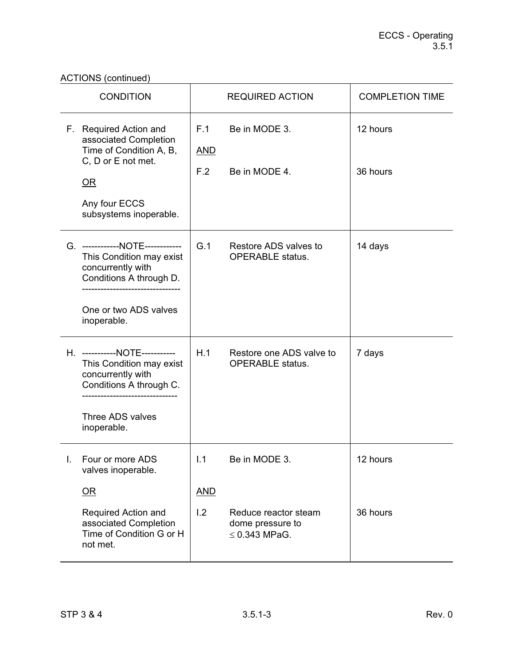ACTIONS (continued)

| <b>CONDITION</b> |                                                                                                                                                                       |                          | <b>REQUIRED ACTION</b>                                                          | <b>COMPLETION TIME</b> |
|------------------|-----------------------------------------------------------------------------------------------------------------------------------------------------------------------|--------------------------|---------------------------------------------------------------------------------|------------------------|
|                  | F. Required Action and<br>associated Completion<br>Time of Condition A, B,<br>C, D or E not met.<br>$\overline{\text{OR}}$<br>Any four ECCS<br>subsystems inoperable. | F.1<br><u>AND</u><br>F.2 | Be in MODE 3.<br>Be in MODE 4.                                                  | 12 hours<br>36 hours   |
|                  | G. ------------NOTE------------<br>This Condition may exist<br>concurrently with<br>Conditions A through D.<br>One or two ADS valves<br>inoperable.                   | G.1                      | Restore ADS valves to<br><b>OPERABLE</b> status.                                | 14 days                |
|                  | H. -----------NOTE-----------<br>This Condition may exist<br>concurrently with<br>Conditions A through C.<br>Three ADS valves<br>inoperable.                          | H.1                      | Restore one ADS valve to<br><b>OPERABLE</b> status.                             | 7 days                 |
|                  | Four or more ADS<br>valves inoperable.<br>$OR$<br>Required Action and<br>associated Completion<br>Time of Condition G or H<br>not met.                                | 1.1<br><b>AND</b><br>1.2 | Be in MODE 3.<br>Reduce reactor steam<br>dome pressure to<br>$\leq$ 0.343 MPaG. | 12 hours<br>36 hours   |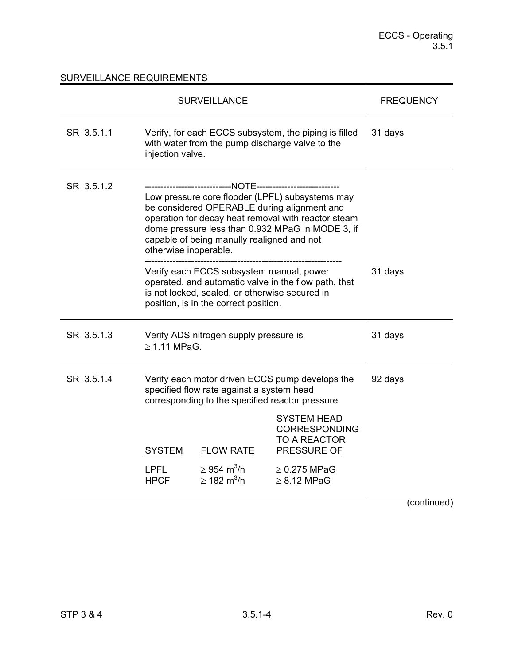|            | <b>SURVEILLANCE</b>                                                                                                                                                                                                                                                              | <b>FREQUENCY</b>                                                  |                                                                                         |  |
|------------|----------------------------------------------------------------------------------------------------------------------------------------------------------------------------------------------------------------------------------------------------------------------------------|-------------------------------------------------------------------|-----------------------------------------------------------------------------------------|--|
| SR 3.5.1.1 | Verify, for each ECCS subsystem, the piping is filled<br>with water from the pump discharge valve to the<br>injection valve.                                                                                                                                                     | 31 days                                                           |                                                                                         |  |
| SR 3.5.1.2 | Low pressure core flooder (LPFL) subsystems may<br>be considered OPERABLE during alignment and<br>operation for decay heat removal with reactor steam<br>dome pressure less than 0.932 MPaG in MODE 3, if<br>capable of being manully realigned and not<br>otherwise inoperable. |                                                                   |                                                                                         |  |
|            | Verify each ECCS subsystem manual, power<br>operated, and automatic valve in the flow path, that<br>is not locked, sealed, or otherwise secured in<br>position, is in the correct position.                                                                                      | 31 days                                                           |                                                                                         |  |
| SR 3.5.1.3 | Verify ADS nitrogen supply pressure is<br>$\geq$ 1.11 MPaG.                                                                                                                                                                                                                      | 31 days                                                           |                                                                                         |  |
| SR 3.5.1.4 | Verify each motor driven ECCS pump develops the<br>specified flow rate against a system head<br>corresponding to the specified reactor pressure.                                                                                                                                 | 92 days                                                           |                                                                                         |  |
|            | <b>SYSTEM</b>                                                                                                                                                                                                                                                                    | <b>FLOW RATE</b>                                                  | <b>SYSTEM HEAD</b><br><b>CORRESPONDING</b><br><b>TO A REACTOR</b><br><b>PRESSURE OF</b> |  |
|            | <b>LPFL</b><br><b>HPCF</b>                                                                                                                                                                                                                                                       | $\geq$ 954 m <sup>3</sup> /h<br>$\geq 182 \; \text{m}^3/\text{h}$ | $\geq$ 0.275 MPaG<br>$\geq$ 8.12 MPaG                                                   |  |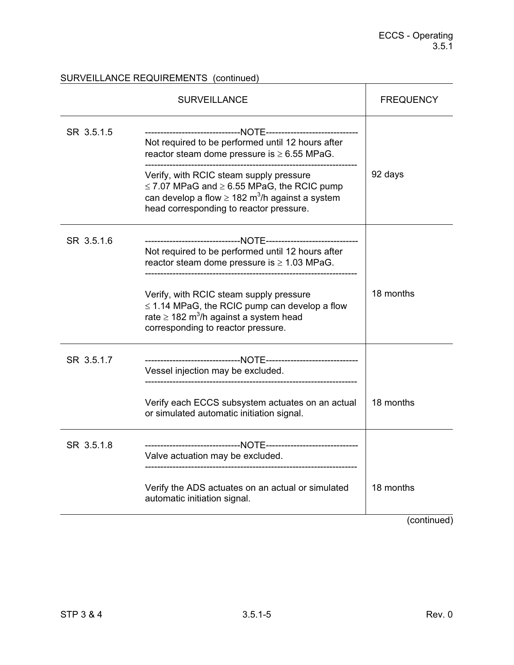## SURVEILLANCE REQUIREMENTS (continued)

|            | <b>SURVEILLANCE</b>                                                                                                                                                                                                                                                                                                     | <b>FREQUENCY</b> |
|------------|-------------------------------------------------------------------------------------------------------------------------------------------------------------------------------------------------------------------------------------------------------------------------------------------------------------------------|------------------|
| SR 3.5.1.5 | Not required to be performed until 12 hours after<br>reactor steam dome pressure is $\geq 6.55$ MPaG.<br>Verify, with RCIC steam supply pressure<br>$\leq$ 7.07 MPaG and $\geq$ 6.55 MPaG, the RCIC pump<br>can develop a flow $\geq 182$ m <sup>3</sup> /h against a system<br>head corresponding to reactor pressure. | 92 days          |
| SR 3.5.1.6 | Not required to be performed until 12 hours after<br>reactor steam dome pressure is $\geq 1.03$ MPaG.<br>Verify, with RCIC steam supply pressure<br>$\leq$ 1.14 MPaG, the RCIC pump can develop a flow<br>rate $\geq$ 182 m <sup>3</sup> /h against a system head<br>corresponding to reactor pressure.                 | 18 months        |
| SR 3.5.1.7 | Vessel injection may be excluded.<br>Verify each ECCS subsystem actuates on an actual<br>or simulated automatic initiation signal.                                                                                                                                                                                      | 18 months        |
| SR 3.5.1.8 | Valve actuation may be excluded.<br>____________________________<br>Verify the ADS actuates on an actual or simulated<br>automatic initiation signal.                                                                                                                                                                   | 18 months        |
|            |                                                                                                                                                                                                                                                                                                                         | (continued)      |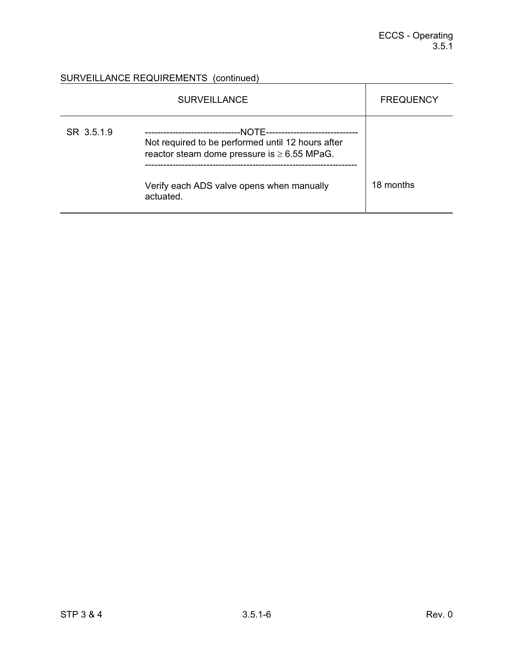# SURVEILLANCE REQUIREMENTS (continued)

|            | <b>SURVEILLANCE</b>                                                                                                                                                           | <b>FREQUENCY</b> |
|------------|-------------------------------------------------------------------------------------------------------------------------------------------------------------------------------|------------------|
| SR 3.5.1.9 | -NOTF-----<br>Not required to be performed until 12 hours after<br>reactor steam dome pressure is $\geq 6.55$ MPaG.<br>Verify each ADS valve opens when manually<br>actuated. | 18 months        |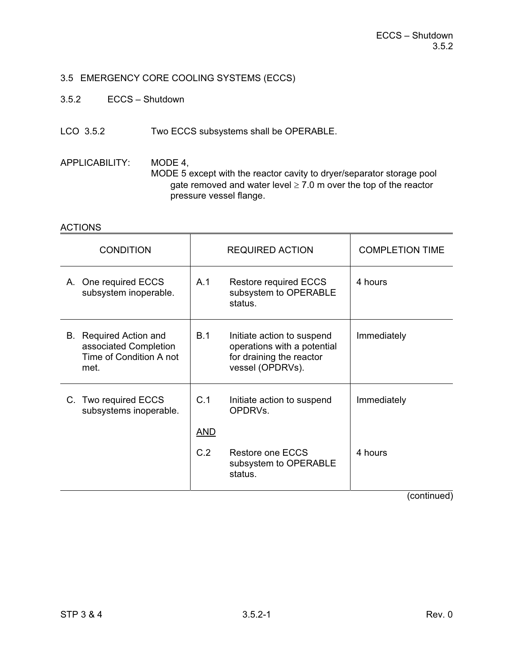# 3.5 EMERGENCY CORE COOLING SYSTEMS (ECCS)

- 3.5.2 ECCS Shutdown
- LCO 3.5.2 Two ECCS subsystems shall be OPERABLE.
- APPLICABILITY: MODE 4, MODE 5 except with the reactor cavity to dryer/separator storage pool gate removed and water level  $\geq 7.0$  m over the top of the reactor pressure vessel flange.

### ACTIONS

| <b>CONDITION</b>                                                                   |            | <b>REQUIRED ACTION</b>                                                                                    | <b>COMPLETION TIME</b> |
|------------------------------------------------------------------------------------|------------|-----------------------------------------------------------------------------------------------------------|------------------------|
| A. One required ECCS<br>subsystem inoperable.                                      | A.1        | <b>Restore required ECCS</b><br>subsystem to OPERABLE<br>status.                                          | 4 hours                |
| B. Required Action and<br>associated Completion<br>Time of Condition A not<br>met. | <b>B.1</b> | Initiate action to suspend<br>operations with a potential<br>for draining the reactor<br>vessel (OPDRVs). | Immediately            |
| C. Two required ECCS<br>subsystems inoperable.                                     | C.1<br>AND | Initiate action to suspend<br>OPDRVs.                                                                     | Immediately            |
|                                                                                    | C.2        | Restore one ECCS<br>subsystem to OPERABLE<br>status.                                                      | 4 hours                |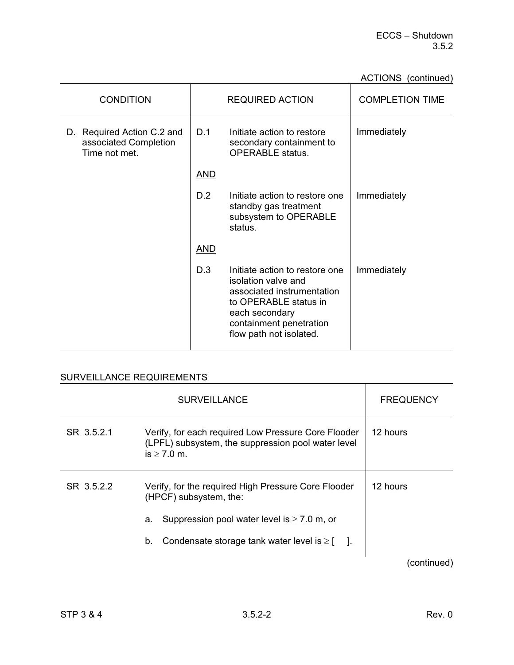# ACTIONS (continued)

|                                                                      |            |                                                                                                                                                                                      | ----------             |
|----------------------------------------------------------------------|------------|--------------------------------------------------------------------------------------------------------------------------------------------------------------------------------------|------------------------|
| <b>CONDITION</b>                                                     |            | <b>REQUIRED ACTION</b>                                                                                                                                                               | <b>COMPLETION TIME</b> |
| D. Required Action C.2 and<br>associated Completion<br>Time not met. | D.1        | Initiate action to restore<br>secondary containment to<br><b>OPERABLE</b> status.                                                                                                    | Immediately            |
|                                                                      | <u>AND</u> |                                                                                                                                                                                      |                        |
|                                                                      | D.2        | Initiate action to restore one<br>standby gas treatment<br>subsystem to OPERABLE<br>status.                                                                                          | Immediately            |
|                                                                      | <b>AND</b> |                                                                                                                                                                                      |                        |
|                                                                      | D.3        | Initiate action to restore one<br>isolation valve and<br>associated instrumentation<br>to OPERABLE status in<br>each secondary<br>containment penetration<br>flow path not isolated. | Immediately            |

|            | <b>SURVEILLANCE</b>                                                                                                                                                                              | <b>FREQUENCY</b> |
|------------|--------------------------------------------------------------------------------------------------------------------------------------------------------------------------------------------------|------------------|
| SR 3.5.2.1 | Verify, for each required Low Pressure Core Flooder<br>(LPFL) subsystem, the suppression pool water level<br>$is > 7.0$ m.                                                                       | 12 hours         |
| SR 3.5.2.2 | Verify, for the required High Pressure Core Flooder<br>(HPCF) subsystem, the:<br>Suppression pool water level is $\geq 7.0$ m, or<br>a.<br>Condensate storage tank water level is $\geq$ [<br>b. | 12 hours         |
|            |                                                                                                                                                                                                  | (continued)      |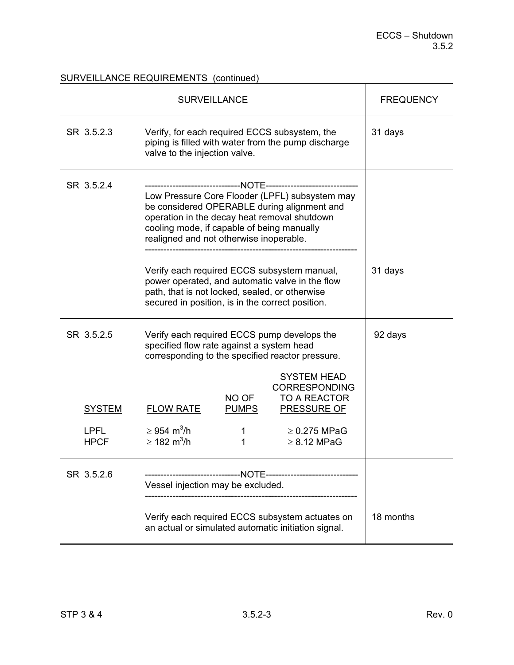# SURVEILLANCE REQUIREMENTS (continued)

|                                             | <b>SURVEILLANCE</b>                                                                                                                                                                                                                    |                                 |                                                                                                                                  | <b>FREQUENCY</b> |
|---------------------------------------------|----------------------------------------------------------------------------------------------------------------------------------------------------------------------------------------------------------------------------------------|---------------------------------|----------------------------------------------------------------------------------------------------------------------------------|------------------|
| SR 3.5.2.3                                  | Verify, for each required ECCS subsystem, the<br>piping is filled with water from the pump discharge<br>valve to the injection valve.                                                                                                  |                                 |                                                                                                                                  | 31 days          |
| SR 3.5.2.4                                  | Low Pressure Core Flooder (LPFL) subsystem may<br>be considered OPERABLE during alignment and<br>operation in the decay heat removal shutdown<br>cooling mode, if capable of being manually<br>realigned and not otherwise inoperable. |                                 |                                                                                                                                  |                  |
|                                             | path, that is not locked, sealed, or otherwise<br>secured in position, is in the correct position.                                                                                                                                     |                                 | Verify each required ECCS subsystem manual,<br>power operated, and automatic valve in the flow                                   | 31 days          |
| SR 3.5.2.5                                  | Verify each required ECCS pump develops the<br>specified flow rate against a system head<br>corresponding to the specified reactor pressure.                                                                                           |                                 |                                                                                                                                  | 92 days          |
| <b>SYSTEM</b><br><b>LPFL</b><br><b>HPCF</b> | <b>FLOW RATE</b><br>$\geq$ 954 m <sup>3</sup> /h<br>$\geq 182 \text{ m}^3\text{/h}$                                                                                                                                                    | NO OF<br><b>PUMPS</b><br>1<br>1 | <b>SYSTEM HEAD</b><br><b>CORRESPONDING</b><br><b>TO A REACTOR</b><br><b>PRESSURE OF</b><br>$\geq$ 0.275 MPaG<br>$\geq$ 8.12 MPaG |                  |
| SR 3.5.2.6                                  | Vessel injection may be excluded.                                                                                                                                                                                                      |                                 |                                                                                                                                  |                  |
|                                             | Verify each required ECCS subsystem actuates on<br>an actual or simulated automatic initiation signal.                                                                                                                                 |                                 |                                                                                                                                  | 18 months        |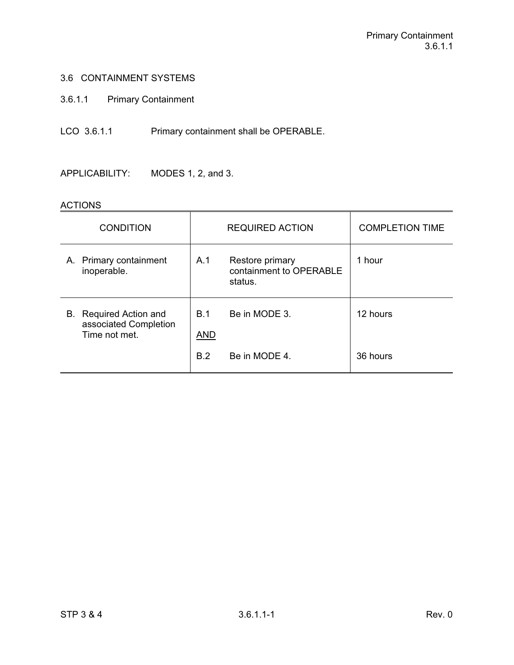## 3.6 CONTAINMENT SYSTEMS

3.6.1.1 Primary Containment

LCO 3.6.1.1 Primary containment shall be OPERABLE.

APPLICABILITY: MODES 1, 2, and 3.

## ACTIONS

| <b>CONDITION</b>                                                 |                   | <b>REQUIRED ACTION</b>                                | <b>COMPLETION TIME</b> |
|------------------------------------------------------------------|-------------------|-------------------------------------------------------|------------------------|
| A. Primary containment<br>inoperable.                            | A.1               | Restore primary<br>containment to OPERABLE<br>status. | 1 hour                 |
| B. Required Action and<br>associated Completion<br>Time not met. | B.1<br><b>AND</b> | Be in MODE 3.                                         | 12 hours               |
|                                                                  | B.2               | Be in MODE 4.                                         | 36 hours               |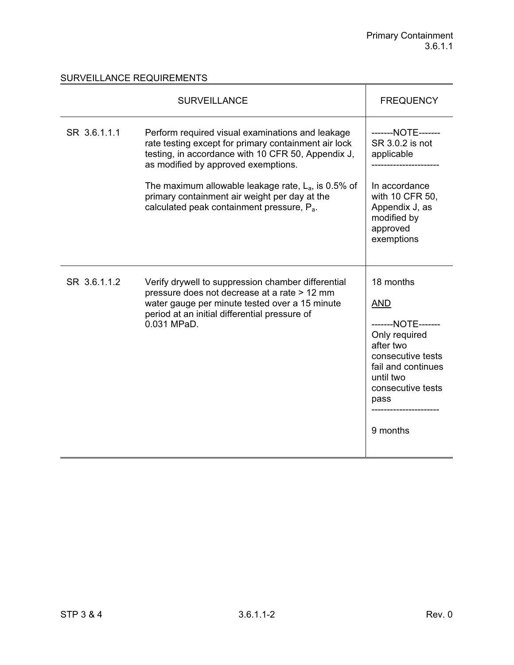|              | <b>SURVEILLANCE</b>                                                                                                                                                                                                                                                                                                                                                        | <b>FREQUENCY</b>                                                                                                                                                             |
|--------------|----------------------------------------------------------------------------------------------------------------------------------------------------------------------------------------------------------------------------------------------------------------------------------------------------------------------------------------------------------------------------|------------------------------------------------------------------------------------------------------------------------------------------------------------------------------|
| SR 3.6.1.1.1 | Perform required visual examinations and leakage<br>rate testing except for primary containment air lock<br>testing, in accordance with 10 CFR 50, Appendix J,<br>as modified by approved exemptions.<br>The maximum allowable leakage rate, $L_a$ , is 0.5% of<br>primary containment air weight per day at the<br>calculated peak containment pressure, P <sub>a</sub> . | -------NOTE-------<br>SR 3.0.2 is not<br>applicable<br>In accordance<br>with 10 CFR 50,<br>Appendix J, as<br>modified by<br>approved<br>exemptions                           |
| SR 3.6.1.1.2 | Verify drywell to suppression chamber differential<br>pressure does not decrease at a rate > 12 mm<br>water gauge per minute tested over a 15 minute<br>period at an initial differential pressure of<br>0.031 MPaD.                                                                                                                                                       | 18 months<br><b>AND</b><br>-------NOTE-------<br>Only required<br>after two<br>consecutive tests<br>fail and continues<br>until two<br>consecutive tests<br>pass<br>9 months |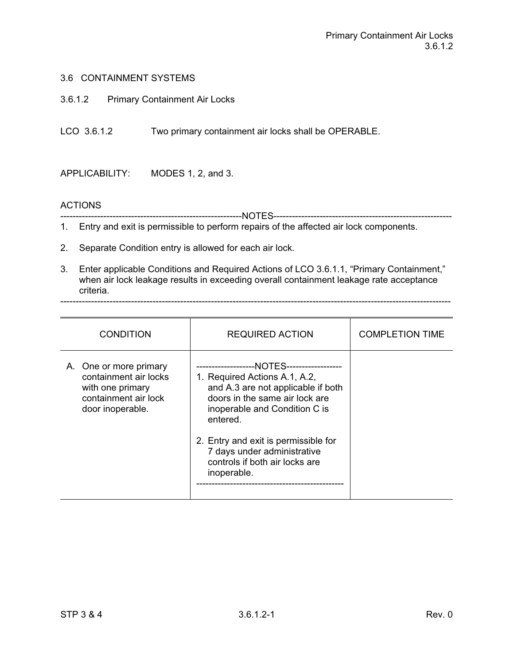### 3.6 CONTAINMENT SYSTEMS

3.6.1.2 Primary Containment Air Locks

LCO 3.6.1.2 Two primary containment air locks shall be OPERABLE.

APPLICABILITY: MODES 1, 2, and 3.

### **ACTIONS**

-----------------------------------------------------------NOTES----------------------------------------------------------

1. Entry and exit is permissible to perform repairs of the affected air lock components.

- 2. Separate Condition entry is allowed for each air lock.
- 3. Enter applicable Conditions and Required Actions of LCO 3.6.1.1, "Primary Containment," when air lock leakage results in exceeding overall containment leakage rate acceptance criteria.

-------------------------------------------------------------------------------------------------------------------------------

| <b>CONDITION</b>                                                                                                | <b>REQUIRED ACTION</b>                                                                                                                                                                                                                                                                                                | <b>COMPLETION TIME</b> |
|-----------------------------------------------------------------------------------------------------------------|-----------------------------------------------------------------------------------------------------------------------------------------------------------------------------------------------------------------------------------------------------------------------------------------------------------------------|------------------------|
| A. One or more primary<br>containment air locks<br>with one primary<br>containment air lock<br>door inoperable. | ---NOTES-------------<br>--------------<br>1. Required Actions A.1, A.2,<br>and A.3 are not applicable if both<br>doors in the same air lock are<br>inoperable and Condition C is<br>entered.<br>2. Entry and exit is permissible for<br>7 days under administrative<br>controls if both air locks are<br>inoperable. |                        |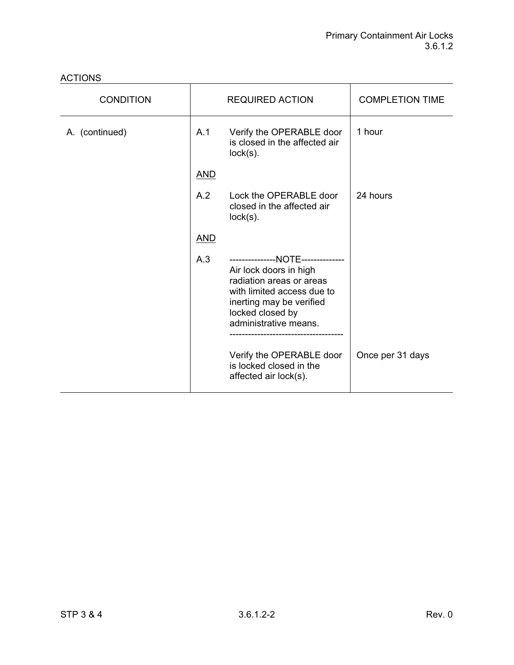| <b>CONDITION</b> |            | <b>REQUIRED ACTION</b>                                                                                                                                                                         | <b>COMPLETION TIME</b> |
|------------------|------------|------------------------------------------------------------------------------------------------------------------------------------------------------------------------------------------------|------------------------|
| A. (continued)   | A.1        | Verify the OPERABLE door<br>is closed in the affected air<br>$lock(s)$ .                                                                                                                       | 1 hour                 |
|                  | <u>AND</u> |                                                                                                                                                                                                |                        |
|                  | A.2        | Lock the OPERABLE door<br>closed in the affected air<br>$lock(s)$ .                                                                                                                            | 24 hours               |
|                  | <b>AND</b> |                                                                                                                                                                                                |                        |
|                  | A.3        | ---------------NOTE--------------<br>Air lock doors in high<br>radiation areas or areas<br>with limited access due to<br>inerting may be verified<br>locked closed by<br>administrative means. |                        |
|                  |            | Verify the OPERABLE door<br>is locked closed in the<br>affected air lock(s).                                                                                                                   | Once per 31 days       |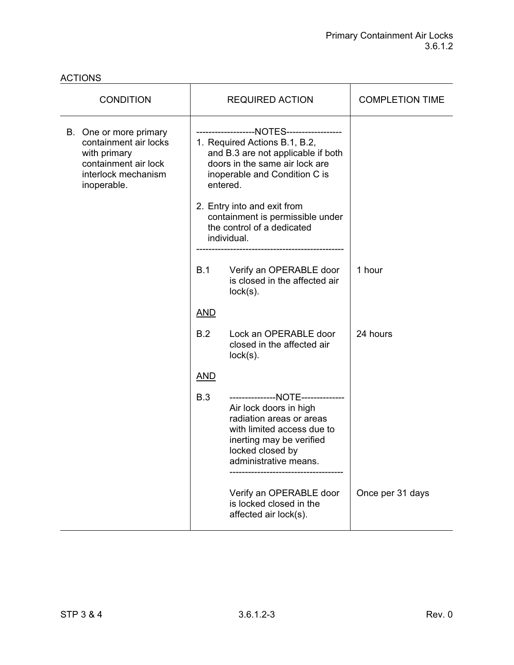| <b>CONDITION</b>                                                                                                              |                                                                                                                                                                                                | <b>REQUIRED ACTION</b>                                                                                                                                                                         | <b>COMPLETION TIME</b> |
|-------------------------------------------------------------------------------------------------------------------------------|------------------------------------------------------------------------------------------------------------------------------------------------------------------------------------------------|------------------------------------------------------------------------------------------------------------------------------------------------------------------------------------------------|------------------------|
| B. One or more primary<br>containment air locks<br>with primary<br>containment air lock<br>interlock mechanism<br>inoperable. | -----------------NOTES------------------<br>1. Required Actions B.1, B.2,<br>and B.3 are not applicable if both<br>doors in the same air lock are<br>inoperable and Condition C is<br>entered. |                                                                                                                                                                                                |                        |
|                                                                                                                               | 2. Entry into and exit from<br>containment is permissible under<br>the control of a dedicated<br>individual.                                                                                   |                                                                                                                                                                                                |                        |
|                                                                                                                               | B.1                                                                                                                                                                                            | Verify an OPERABLE door<br>is closed in the affected air<br>$lock(s)$ .                                                                                                                        | 1 hour                 |
|                                                                                                                               | <b>AND</b>                                                                                                                                                                                     |                                                                                                                                                                                                |                        |
|                                                                                                                               | B.2                                                                                                                                                                                            | Lock an OPERABLE door<br>closed in the affected air<br>$lock(s)$ .                                                                                                                             | 24 hours               |
|                                                                                                                               | <b>AND</b>                                                                                                                                                                                     |                                                                                                                                                                                                |                        |
|                                                                                                                               | <b>B.3</b>                                                                                                                                                                                     | ---------------NOTE--------------<br>Air lock doors in high<br>radiation areas or areas<br>with limited access due to<br>inerting may be verified<br>locked closed by<br>administrative means. |                        |
|                                                                                                                               |                                                                                                                                                                                                | Verify an OPERABLE door<br>is locked closed in the<br>affected air lock(s).                                                                                                                    | Once per 31 days       |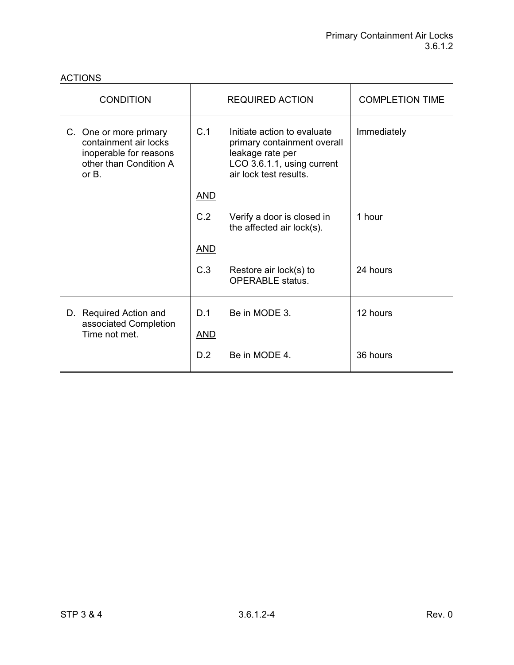| <b>CONDITION</b>                                                                                                |            | <b>REQUIRED ACTION</b>                                                                                                                 | <b>COMPLETION TIME</b> |
|-----------------------------------------------------------------------------------------------------------------|------------|----------------------------------------------------------------------------------------------------------------------------------------|------------------------|
| C. One or more primary<br>containment air locks<br>inoperable for reasons<br>other than Condition A<br>or $B$ . | C.1        | Initiate action to evaluate<br>primary containment overall<br>leakage rate per<br>LCO 3.6.1.1, using current<br>air lock test results. | Immediately            |
|                                                                                                                 | <u>AND</u> |                                                                                                                                        |                        |
|                                                                                                                 | C.2        | Verify a door is closed in<br>the affected air lock(s).                                                                                | 1 hour                 |
|                                                                                                                 | <b>AND</b> |                                                                                                                                        |                        |
|                                                                                                                 | C.3        | Restore air lock(s) to<br><b>OPERABLE</b> status.                                                                                      | 24 hours               |
| D. Required Action and                                                                                          | D.1        | Be in MODE 3.                                                                                                                          | 12 hours               |
| associated Completion<br>Time not met.                                                                          | <b>AND</b> |                                                                                                                                        |                        |
|                                                                                                                 | D.2        | Be in MODE 4.                                                                                                                          | 36 hours               |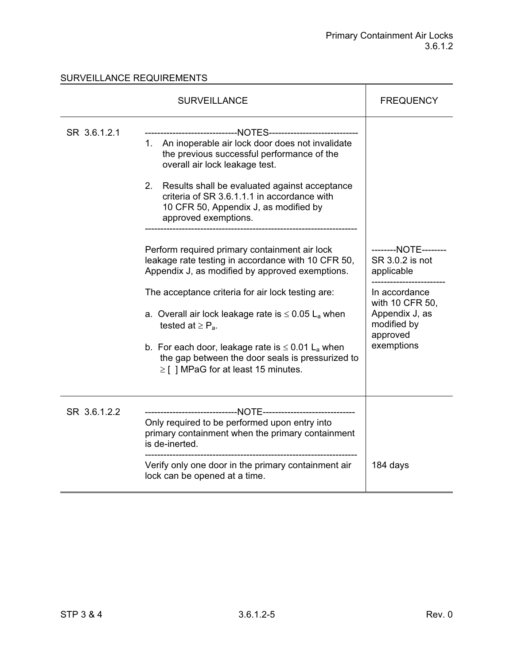|              | <b>SURVEILLANCE</b>                                                                                                                                                                                                                                                                                                                                                                                                                                                                                                                                                                                                                                                                                                                                                                                                                                         | <b>FREQUENCY</b>                                                                                                                                     |
|--------------|-------------------------------------------------------------------------------------------------------------------------------------------------------------------------------------------------------------------------------------------------------------------------------------------------------------------------------------------------------------------------------------------------------------------------------------------------------------------------------------------------------------------------------------------------------------------------------------------------------------------------------------------------------------------------------------------------------------------------------------------------------------------------------------------------------------------------------------------------------------|------------------------------------------------------------------------------------------------------------------------------------------------------|
| SR 3.6.1.2.1 | ---------------------------NOTES----------------------------<br>1. An inoperable air lock door does not invalidate<br>the previous successful performance of the<br>overall air lock leakage test.<br>2. Results shall be evaluated against acceptance<br>criteria of SR 3.6.1.1.1 in accordance with<br>10 CFR 50, Appendix J, as modified by<br>approved exemptions.<br>Perform required primary containment air lock<br>leakage rate testing in accordance with 10 CFR 50,<br>Appendix J, as modified by approved exemptions.<br>The acceptance criteria for air lock testing are:<br>a. Overall air lock leakage rate is $\leq 0.05$ L <sub>a</sub> when<br>tested at $\geq P_a$ .<br>b. For each door, leakage rate is $\leq 0.01$ L <sub>a</sub> when<br>the gap between the door seals is pressurized to<br>$\geq$ [ ] MPaG for at least 15 minutes. | --------NOTE--------<br>SR 3.0.2 is not<br>applicable<br>In accordance<br>with 10 CFR 50,<br>Appendix J, as<br>modified by<br>approved<br>exemptions |
| SR 3.6.1.2.2 | Only required to be performed upon entry into<br>primary containment when the primary containment<br>is de-inerted.<br>Verify only one door in the primary containment air<br>lock can be opened at a time.                                                                                                                                                                                                                                                                                                                                                                                                                                                                                                                                                                                                                                                 | 184 days                                                                                                                                             |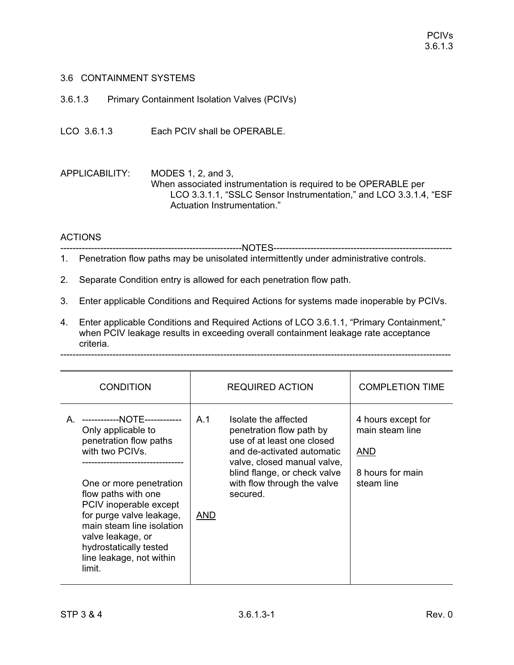## 3.6 CONTAINMENT SYSTEMS

3.6.1.3 Primary Containment Isolation Valves (PCIVs)

LCO 3.6.1.3 Each PCIV shall be OPERABLE.

APPLICABILITY: MODES 1, 2, and 3, When associated instrumentation is required to be OPERABLE per LCO 3.3.1.1, "SSLC Sensor Instrumentation," and LCO 3.3.1.4, "ESF Actuation Instrumentation."

# ACTIONS

-----------------------------------------------------------NOTES----------------------------------------------------------

- 1. Penetration flow paths may be unisolated intermittently under administrative controls.
- 2. Separate Condition entry is allowed for each penetration flow path.
- 3. Enter applicable Conditions and Required Actions for systems made inoperable by PCIVs.
- 4. Enter applicable Conditions and Required Actions of LCO 3.6.1.1, "Primary Containment," when PCIV leakage results in exceeding overall containment leakage rate acceptance criteria. -------------------------------------------------------------------------------------------------------------------------------

| <b>CONDITION</b>                                                                                                                                                                                                       | <b>REQUIRED ACTION</b>                                                                                                                                                             | <b>COMPLETION TIME</b>                                                  |
|------------------------------------------------------------------------------------------------------------------------------------------------------------------------------------------------------------------------|------------------------------------------------------------------------------------------------------------------------------------------------------------------------------------|-------------------------------------------------------------------------|
| ------------NOTE------------<br>A<br>Only applicable to<br>penetration flow paths<br>with two PCIVs.                                                                                                                   | A.1<br>Isolate the affected<br>penetration flow path by<br>use of at least one closed<br>and de-activated automatic<br>valve, closed manual valve,<br>blind flange, or check valve | 4 hours except for<br>main steam line<br><b>AND</b><br>8 hours for main |
| One or more penetration<br>flow paths with one<br>PCIV inoperable except<br>for purge valve leakage,<br>main steam line isolation<br>valve leakage, or<br>hydrostatically tested<br>line leakage, not within<br>limit. | with flow through the valve<br>secured.<br><b>AND</b>                                                                                                                              | steam line                                                              |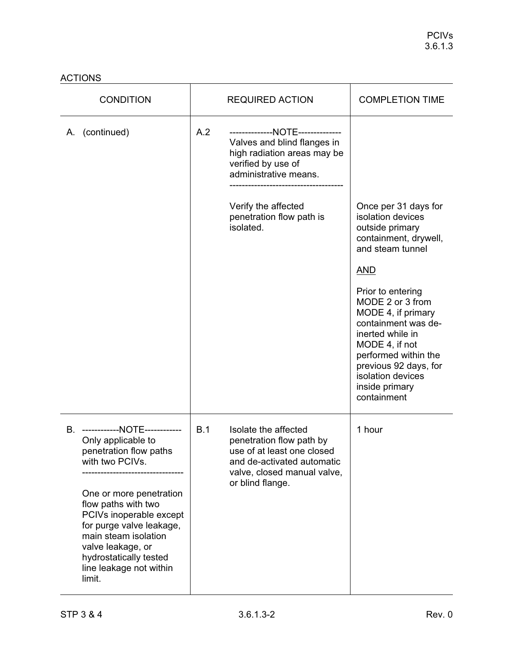| <b>CONDITION</b>                                                                                                                                                                                                                                                                                                        | <b>REQUIRED ACTION</b>                                                                                                                                                                                               | <b>COMPLETION TIME</b>                                                                                                                                                                                                                                                                                                                                     |
|-------------------------------------------------------------------------------------------------------------------------------------------------------------------------------------------------------------------------------------------------------------------------------------------------------------------------|----------------------------------------------------------------------------------------------------------------------------------------------------------------------------------------------------------------------|------------------------------------------------------------------------------------------------------------------------------------------------------------------------------------------------------------------------------------------------------------------------------------------------------------------------------------------------------------|
| A. (continued)                                                                                                                                                                                                                                                                                                          | A.2<br>--------------NOTE--------------<br>Valves and blind flanges in<br>high radiation areas may be<br>verified by use of<br>administrative means.<br>Verify the affected<br>penetration flow path is<br>isolated. | Once per 31 days for<br>isolation devices<br>outside primary<br>containment, drywell,<br>and steam tunnel<br><u>AND</u><br>Prior to entering<br>MODE 2 or 3 from<br>MODE 4, if primary<br>containment was de-<br>inerted while in<br>MODE 4, if not<br>performed within the<br>previous 92 days, for<br>isolation devices<br>inside primary<br>containment |
| B. ------------NOTE------------<br>Only applicable to<br>penetration flow paths<br>with two PCIVs.<br>One or more penetration<br>flow paths with two<br>PCIVs inoperable except<br>for purge valve leakage,<br>main steam isolation<br>valve leakage, or<br>hydrostatically tested<br>line leakage not within<br>limit. | B.1<br>Isolate the affected<br>penetration flow path by<br>use of at least one closed<br>and de-activated automatic<br>valve, closed manual valve,<br>or blind flange.                                               | 1 hour                                                                                                                                                                                                                                                                                                                                                     |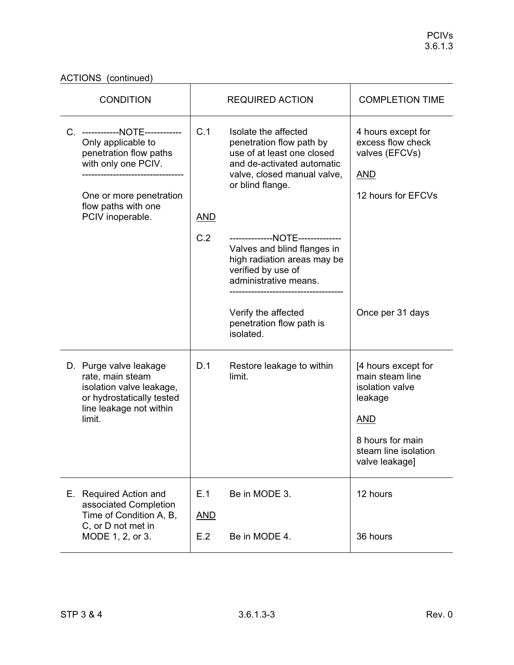ACTIONS (continued)

| <b>CONDITION</b>                                                                                                                                                             | <b>REQUIRED ACTION</b>                                                                                                                                                                                               | <b>COMPLETION TIME</b>                                                                                                                           |
|------------------------------------------------------------------------------------------------------------------------------------------------------------------------------|----------------------------------------------------------------------------------------------------------------------------------------------------------------------------------------------------------------------|--------------------------------------------------------------------------------------------------------------------------------------------------|
| C. ------------NOTE------------<br>Only applicable to<br>penetration flow paths<br>with only one PCIV.<br>One or more penetration<br>flow paths with one<br>PCIV inoperable. | C.1<br>Isolate the affected<br>penetration flow path by<br>use of at least one closed<br>and de-activated automatic<br>valve, closed manual valve,<br>or blind flange.<br><b>AND</b>                                 | 4 hours except for<br>excess flow check<br>valves (EFCVs)<br><u>AND</u><br>12 hours for EFCVs                                                    |
|                                                                                                                                                                              | C.2<br>--------------NOTE--------------<br>Valves and blind flanges in<br>high radiation areas may be<br>verified by use of<br>administrative means.<br>Verify the affected<br>penetration flow path is<br>isolated. | Once per 31 days                                                                                                                                 |
| D. Purge valve leakage<br>rate, main steam<br>isolation valve leakage,<br>or hydrostatically tested<br>line leakage not within<br>limit.                                     | D.1<br>Restore leakage to within<br>limit.                                                                                                                                                                           | [4 hours except for<br>main steam line<br>isolation valve<br>leakage<br><b>AND</b><br>8 hours for main<br>steam line isolation<br>valve leakage] |
| E. Required Action and<br>associated Completion<br>Time of Condition A, B,<br>C, or D not met in<br>MODE 1, 2, or 3.                                                         | E.1<br>Be in MODE 3.<br><b>AND</b><br>E.2<br>Be in MODE 4.                                                                                                                                                           | 12 hours<br>36 hours                                                                                                                             |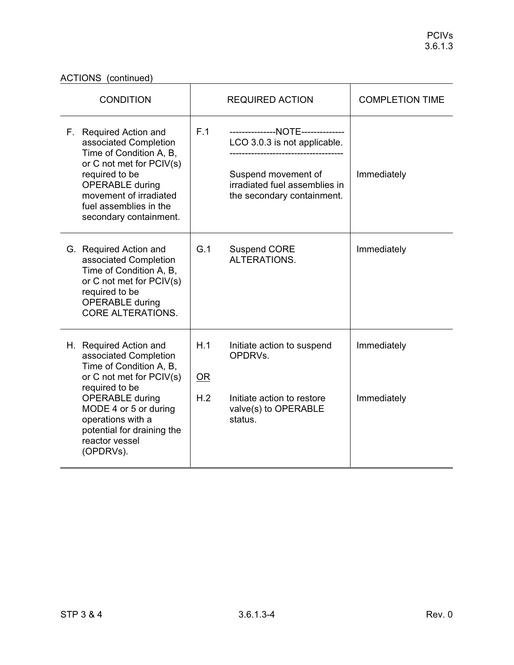### ACTIONS (continued)

| <b>ACTIONS</b> (continued)                                                                                                                                                                                                                                    |                  |                                                                                                                                                         |                            |  |
|---------------------------------------------------------------------------------------------------------------------------------------------------------------------------------------------------------------------------------------------------------------|------------------|---------------------------------------------------------------------------------------------------------------------------------------------------------|----------------------------|--|
| <b>CONDITION</b>                                                                                                                                                                                                                                              |                  | <b>REQUIRED ACTION</b>                                                                                                                                  | <b>COMPLETION TIME</b>     |  |
| F. Required Action and<br>associated Completion<br>Time of Condition A, B,<br>or C not met for PCIV(s)<br>required to be<br><b>OPERABLE during</b><br>movement of irradiated<br>fuel assemblies in the<br>secondary containment.                              | F.1              | ---------------NOTE--------------<br>LCO 3.0.3 is not applicable.<br>Suspend movement of<br>irradiated fuel assemblies in<br>the secondary containment. | Immediately                |  |
| G. Required Action and<br>associated Completion<br>Time of Condition A, B,<br>or C not met for PCIV(s)<br>required to be<br><b>OPERABLE</b> during<br><b>CORE ALTERATIONS.</b>                                                                                | G.1              | <b>Suspend CORE</b><br>ALTERATIONS.                                                                                                                     | Immediately                |  |
| H. Required Action and<br>associated Completion<br>Time of Condition A, B,<br>or C not met for PCIV(s)<br>required to be<br><b>OPERABLE during</b><br>MODE 4 or 5 or during<br>operations with a<br>potential for draining the<br>reactor vessel<br>(OPDRVs). | H.1<br>OR<br>H.2 | Initiate action to suspend<br>OPDRVs.<br>Initiate action to restore<br>valve(s) to OPERABLE<br>status.                                                  | Immediately<br>Immediately |  |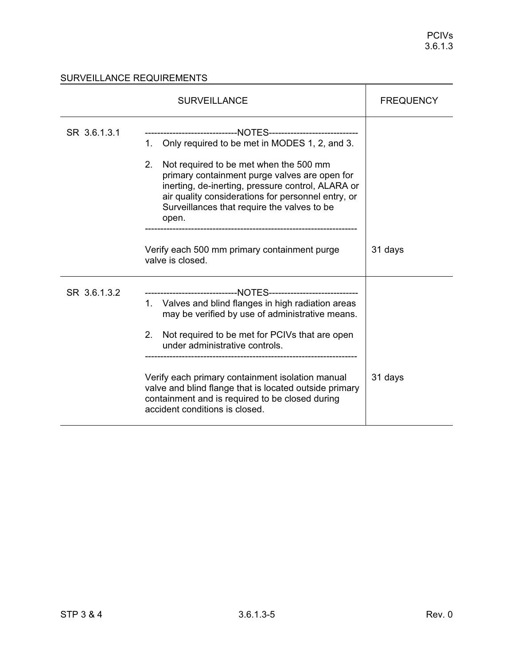|              | <b>FREQUENCY</b>                                                                                                                                                                                                                                                                                                                                                                         |         |
|--------------|------------------------------------------------------------------------------------------------------------------------------------------------------------------------------------------------------------------------------------------------------------------------------------------------------------------------------------------------------------------------------------------|---------|
| SR 3.6.1.3.1 | ------------------------------NOTES-----------------------------<br>1. Only required to be met in MODES 1, 2, and 3.<br>2.<br>Not required to be met when the 500 mm<br>primary containment purge valves are open for<br>inerting, de-inerting, pressure control, ALARA or<br>air quality considerations for personnel entry, or<br>Surveillances that require the valves to be<br>open. |         |
|              | Verify each 500 mm primary containment purge<br>valve is closed.                                                                                                                                                                                                                                                                                                                         | 31 days |
| SR 3.6.1.3.2 | ------------------------------NOTES-----------------------------<br>1. Valves and blind flanges in high radiation areas<br>may be verified by use of administrative means.<br>Not required to be met for PCIVs that are open<br>2.<br>under administrative controls.                                                                                                                     |         |
|              | Verify each primary containment isolation manual<br>valve and blind flange that is located outside primary<br>containment and is required to be closed during<br>accident conditions is closed.                                                                                                                                                                                          | 31 days |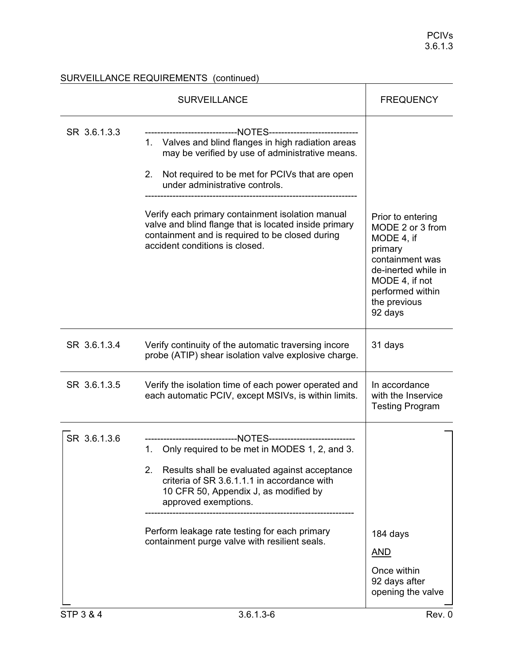|              | <b>SURVEILLANCE</b>                                                                                                                                                                                                                                                                                                                                                                                                                                          | <b>FREQUENCY</b>                                                                                                                                               |
|--------------|--------------------------------------------------------------------------------------------------------------------------------------------------------------------------------------------------------------------------------------------------------------------------------------------------------------------------------------------------------------------------------------------------------------------------------------------------------------|----------------------------------------------------------------------------------------------------------------------------------------------------------------|
| SR 3.6.1.3.3 | --------------------NOTES-----------------------------<br>1. Valves and blind flanges in high radiation areas<br>may be verified by use of administrative means.<br>2.<br>Not required to be met for PCIVs that are open<br>under administrative controls.<br>Verify each primary containment isolation manual<br>valve and blind flange that is located inside primary<br>containment and is required to be closed during<br>accident conditions is closed. | Prior to entering<br>MODE 2 or 3 from<br>MODE 4, if<br>primary<br>containment was<br>de-inerted while in<br>MODE 4, if not<br>performed within<br>the previous |
| SR 3.6.1.3.4 | Verify continuity of the automatic traversing incore<br>probe (ATIP) shear isolation valve explosive charge.                                                                                                                                                                                                                                                                                                                                                 | 92 days<br>31 days                                                                                                                                             |
| SR 3.6.1.3.5 | Verify the isolation time of each power operated and<br>each automatic PCIV, except MSIVs, is within limits.                                                                                                                                                                                                                                                                                                                                                 | In accordance<br>with the Inservice<br><b>Testing Program</b>                                                                                                  |
| SR 3.6.1.3.6 | -------------------------NOTES--------------------------<br>Only required to be met in MODES 1, 2, and 3.<br>1.<br>Results shall be evaluated against acceptance<br>2.<br>criteria of SR 3.6.1.1.1 in accordance with<br>10 CFR 50, Appendix J, as modified by<br>approved exemptions.<br>Perform leakage rate testing for each primary<br>containment purge valve with resilient seals.                                                                     | 184 days<br><b>AND</b><br>Once within<br>92 days after<br>opening the valve                                                                                    |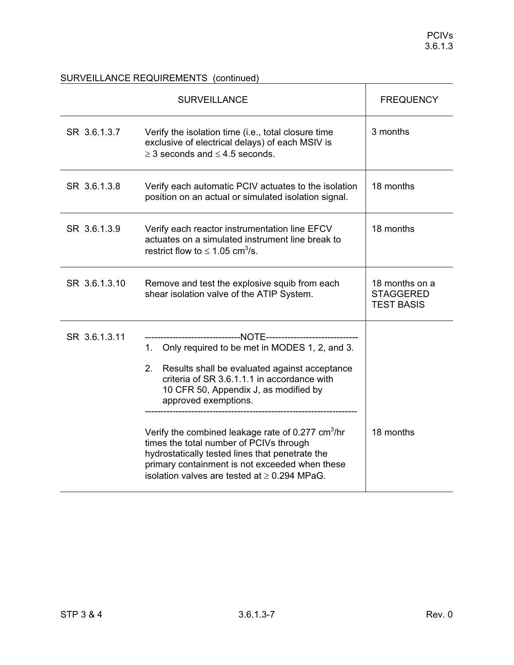|               | <b>SURVEILLANCE</b>                                                                                                                                                                                                                                                                                                                                                                                                                                                                           | <b>FREQUENCY</b>                                        |
|---------------|-----------------------------------------------------------------------------------------------------------------------------------------------------------------------------------------------------------------------------------------------------------------------------------------------------------------------------------------------------------------------------------------------------------------------------------------------------------------------------------------------|---------------------------------------------------------|
| SR 3.6.1.3.7  | Verify the isolation time (i.e., total closure time<br>exclusive of electrical delays) of each MSIV is<br>$\geq$ 3 seconds and $\leq$ 4.5 seconds.                                                                                                                                                                                                                                                                                                                                            | 3 months                                                |
| SR 3.6.1.3.8  | Verify each automatic PCIV actuates to the isolation<br>position on an actual or simulated isolation signal.                                                                                                                                                                                                                                                                                                                                                                                  | 18 months                                               |
| SR 3.6.1.3.9  | Verify each reactor instrumentation line EFCV<br>actuates on a simulated instrument line break to<br>restrict flow to $\leq 1.05$ cm <sup>3</sup> /s.                                                                                                                                                                                                                                                                                                                                         | 18 months                                               |
| SR 3.6.1.3.10 | Remove and test the explosive squib from each<br>shear isolation valve of the ATIP System.                                                                                                                                                                                                                                                                                                                                                                                                    | 18 months on a<br><b>STAGGERED</b><br><b>TEST BASIS</b> |
| SR 3.6.1.3.11 | 1. Only required to be met in MODES 1, 2, and 3.<br>Results shall be evaluated against acceptance<br>2.<br>criteria of SR 3.6.1.1.1 in accordance with<br>10 CFR 50, Appendix J, as modified by<br>approved exemptions.<br>Verify the combined leakage rate of 0.277 cm <sup>3</sup> /hr<br>times the total number of PCIVs through<br>hydrostatically tested lines that penetrate the<br>primary containment is not exceeded when these<br>isolation valves are tested at $\geq$ 0.294 MPaG. | 18 months                                               |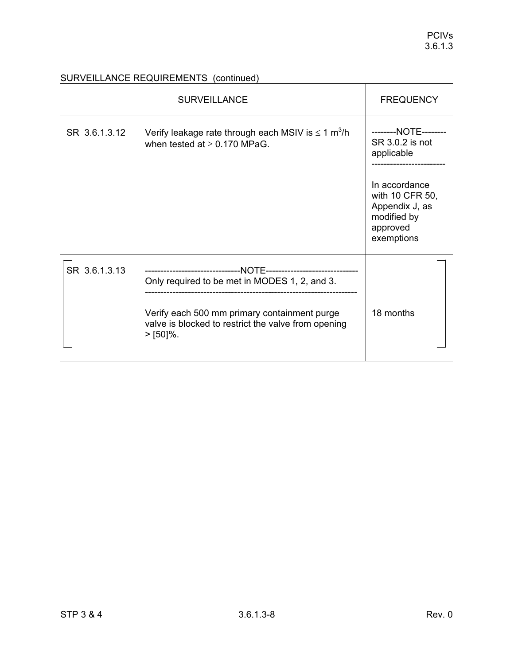|               | <b>SURVEILLANCE</b>                                                                                                                                                | <b>FREQUENCY</b>                                                                            |
|---------------|--------------------------------------------------------------------------------------------------------------------------------------------------------------------|---------------------------------------------------------------------------------------------|
| SR 3.6.1.3.12 | Verify leakage rate through each MSIV is $\leq 1$ m <sup>3</sup> /h<br>when tested at $\geq$ 0.170 MPaG.                                                           | --------NOTE--------<br>SR 3.0.2 is not<br>applicable                                       |
|               |                                                                                                                                                                    | In accordance<br>with 10 CFR 50,<br>Appendix J, as<br>modified by<br>approved<br>exemptions |
| SR 3.6.1.3.13 | Only required to be met in MODES 1, 2, and 3.<br>Verify each 500 mm primary containment purge<br>valve is blocked to restrict the valve from opening<br>$>$ [50]%. | 18 months                                                                                   |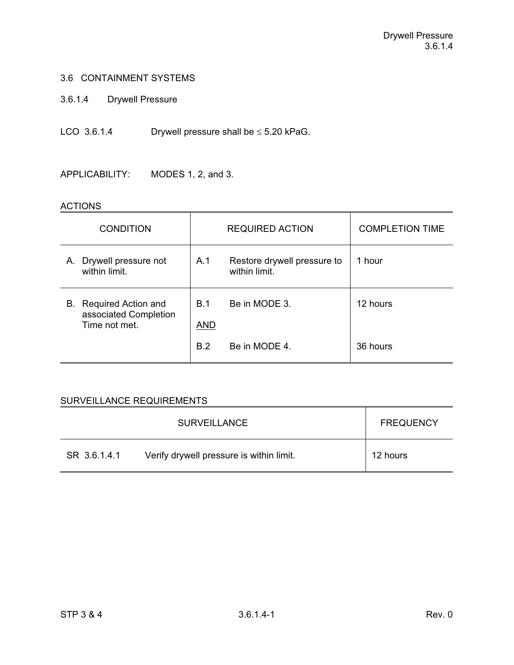3.6.1.4 Drywell Pressure

LCO  $3.6.1.4$  Drywell pressure shall be  $\leq 5.20$  kPaG.

APPLICABILITY: MODES 1, 2, and 3.

#### ACTIONS

| <b>CONDITION</b>                                                 |                          | <b>REQUIRED ACTION</b>                       | <b>COMPLETION TIME</b> |
|------------------------------------------------------------------|--------------------------|----------------------------------------------|------------------------|
| Drywell pressure not<br>Α.<br>within limit.                      | A.1                      | Restore drywell pressure to<br>within limit. | 1 hour                 |
| B. Required Action and<br>associated Completion<br>Time not met. | <b>B.1</b><br><u>AND</u> | Be in MODE 3.                                | 12 hours               |
|                                                                  | <b>B.2</b>               | Be in MODE 4.                                | 36 hours               |

|              | <b>SURVEILLANCE</b>                      | <b>FREQUENCY</b> |
|--------------|------------------------------------------|------------------|
| SR 3.6.1.4.1 | Verify drywell pressure is within limit. | 12 hours         |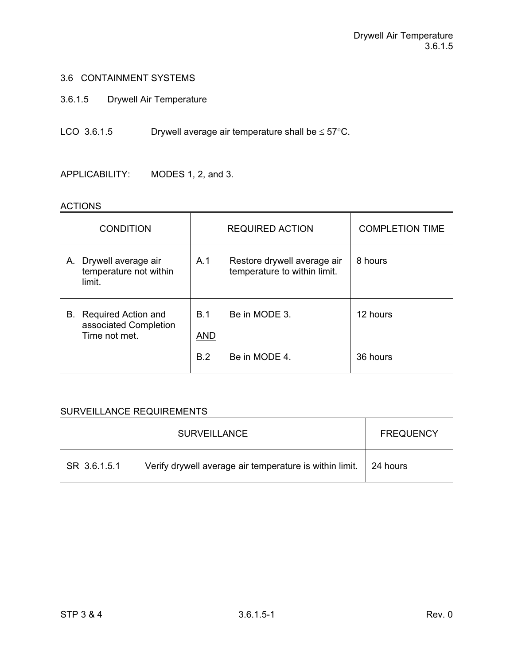- 3.6.1.5 Drywell Air Temperature
- LCO 3.6.1.5 Drywell average air temperature shall be  $\leq 57^{\circ}$ C.

APPLICABILITY: MODES 1, 2, and 3.

#### ACTIONS

| <b>CONDITION</b>                                                 |                   | <b>REQUIRED ACTION</b>                                      | <b>COMPLETION TIME</b> |
|------------------------------------------------------------------|-------------------|-------------------------------------------------------------|------------------------|
| A. Drywell average air<br>temperature not within<br>limit.       | A.1               | Restore drywell average air<br>temperature to within limit. | 8 hours                |
| B. Required Action and<br>associated Completion<br>Time not met. | B.1<br><b>AND</b> | Be in MODE 3.                                               | 12 hours               |
|                                                                  | B.2               | Be in MODE 4.                                               | 36 hours               |

|              | <b>SURVEILLANCE</b>                                                      | <b>FREQUENCY</b> |
|--------------|--------------------------------------------------------------------------|------------------|
| SR 3.6.1.5.1 | Verify drywell average air temperature is within limit. $\vert$ 24 hours |                  |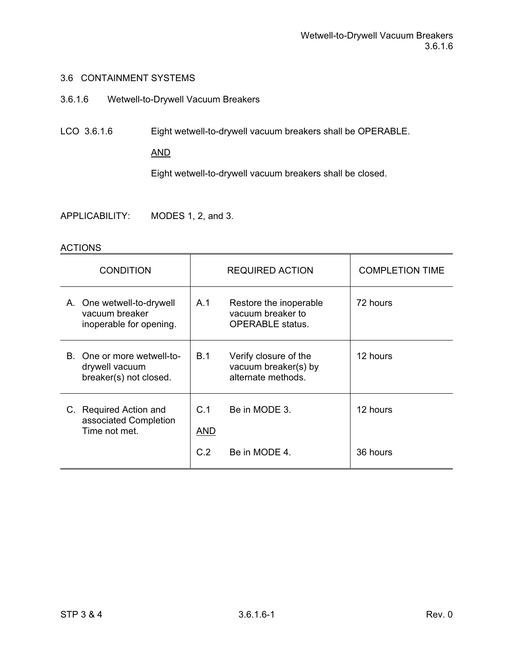- 3.6.1.6 Wetwell-to-Drywell Vacuum Breakers
- LCO 3.6.1.6 Eight wetwell-to-drywell vacuum breakers shall be OPERABLE.

### AND

Eight wetwell-to-drywell vacuum breakers shall be closed.

APPLICABILITY: MODES 1, 2, and 3.

| <b>CONDITION</b>                                                       |                          | <b>REQUIRED ACTION</b>                                                 | <b>COMPLETION TIME</b> |
|------------------------------------------------------------------------|--------------------------|------------------------------------------------------------------------|------------------------|
| A. One wetwell-to-drywell<br>vacuum breaker<br>inoperable for opening. | A.1                      | Restore the inoperable<br>vacuum breaker to<br><b>OPERABLE</b> status. | 72 hours               |
| B. One or more wetwell-to-<br>drywell vacuum<br>breaker(s) not closed. | <b>B.1</b>               | Verify closure of the<br>vacuum breaker(s) by<br>alternate methods.    | 12 hours               |
| C. Required Action and<br>associated Completion<br>Time not met.       | C.1<br><b>AND</b><br>C.2 | Be in MODE 3.<br>Be in MODE 4.                                         | 12 hours<br>36 hours   |
|                                                                        |                          |                                                                        |                        |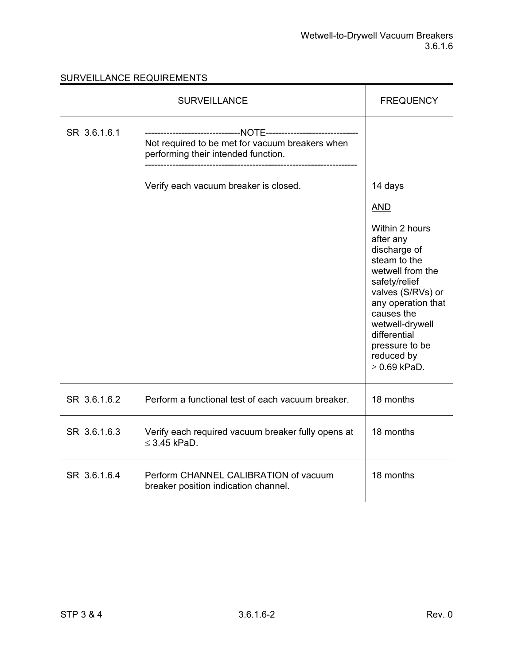|              | <b>SURVEILLANCE</b>                                                                    | <b>FREQUENCY</b>                                                                                                                                                                                                                                                           |
|--------------|----------------------------------------------------------------------------------------|----------------------------------------------------------------------------------------------------------------------------------------------------------------------------------------------------------------------------------------------------------------------------|
| SR 3.6.1.6.1 | Not required to be met for vacuum breakers when<br>performing their intended function. |                                                                                                                                                                                                                                                                            |
|              | Verify each vacuum breaker is closed.                                                  | 14 days<br><b>AND</b><br>Within 2 hours<br>after any<br>discharge of<br>steam to the<br>wetwell from the<br>safety/relief<br>valves (S/RVs) or<br>any operation that<br>causes the<br>wetwell-drywell<br>differential<br>pressure to be<br>reduced by<br>$\geq 0.69$ kPaD. |
| SR 3.6.1.6.2 | Perform a functional test of each vacuum breaker.                                      | 18 months                                                                                                                                                                                                                                                                  |
| SR 3.6.1.6.3 | Verify each required vacuum breaker fully opens at<br>$\leq$ 3.45 kPaD.                | 18 months                                                                                                                                                                                                                                                                  |
| SR 3.6.1.6.4 | Perform CHANNEL CALIBRATION of vacuum<br>breaker position indication channel.          | 18 months                                                                                                                                                                                                                                                                  |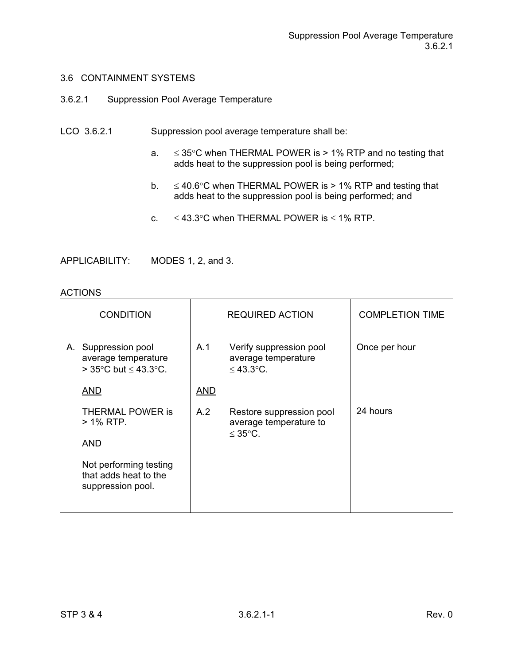- 3.6.2.1 Suppression Pool Average Temperature
- LCO 3.6.2.1 Suppression pool average temperature shall be:
	- a.  $\leq$  35°C when THERMAL POWER is > 1% RTP and no testing that adds heat to the suppression pool is being performed;
	- b.  $\leq 40.6^{\circ}$ C when THERMAL POWER is > 1% RTP and testing that adds heat to the suppression pool is being performed; and
	- c.  $\leq 43.3^{\circ}$ C when THERMAL POWER is  $\leq 1\%$  RTP.

APPLICABILITY: MODES 1, 2, and 3.

| <b>CONDITION</b> |                                                                                             | <b>REQUIRED ACTION</b> |                                                                   | <b>COMPLETION TIME</b> |
|------------------|---------------------------------------------------------------------------------------------|------------------------|-------------------------------------------------------------------|------------------------|
|                  | A. Suppression pool<br>average temperature<br>> 35 $\degree$ C but $\leq$ 43.3 $\degree$ C. | A.1                    | Verify suppression pool<br>average temperature<br>$\leq 43.3$ °C. | Once per hour          |
|                  | AND                                                                                         | <b>AND</b>             |                                                                   |                        |
|                  | THERMAL POWER is<br>> 1% RTP.                                                               | A.2                    | Restore suppression pool<br>average temperature to                | 24 hours               |
|                  | <b>AND</b>                                                                                  |                        | ≤ 35 $°C$ .                                                       |                        |
|                  | Not performing testing<br>that adds heat to the<br>suppression pool.                        |                        |                                                                   |                        |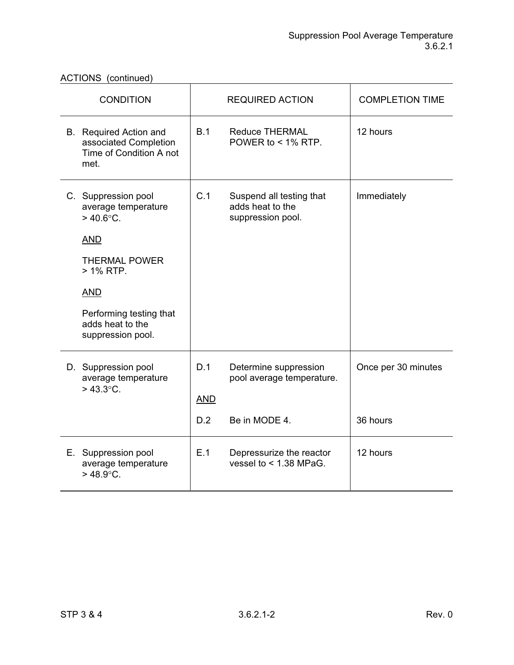ACTIONS (continued)

| <b>CONDITION</b>                                                                                                                                                                                          |                          | <b>REQUIRED ACTION</b>                                              | <b>COMPLETION TIME</b>          |
|-----------------------------------------------------------------------------------------------------------------------------------------------------------------------------------------------------------|--------------------------|---------------------------------------------------------------------|---------------------------------|
| B. Required Action and<br>associated Completion<br>Time of Condition A not<br>met.                                                                                                                        | B.1                      | <b>Reduce THERMAL</b><br>POWER to $<$ 1% RTP.                       | 12 hours                        |
| C. Suppression pool<br>average temperature<br>$>$ 40.6 $^{\circ}$ C.<br><b>AND</b><br><b>THERMAL POWER</b><br>> 1% RTP.<br><b>AND</b><br>Performing testing that<br>adds heat to the<br>suppression pool. | C.1                      | Suspend all testing that<br>adds heat to the<br>suppression pool.   | Immediately                     |
| D. Suppression pool<br>average temperature<br>$> 43.3$ °C.                                                                                                                                                | D.1<br><b>AND</b><br>D.2 | Determine suppression<br>pool average temperature.<br>Be in MODE 4. | Once per 30 minutes<br>36 hours |
| E. Suppression pool<br>average temperature<br>$>$ 48.9 $^{\circ}$ C.                                                                                                                                      | E.1                      | Depressurize the reactor<br>vessel to $<$ 1.38 MPaG.                | 12 hours                        |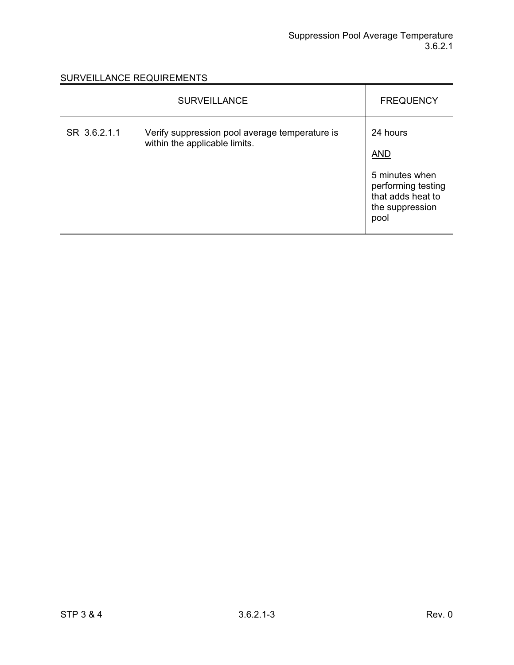|              | <b>SURVEILLANCE</b>                                                             | <b>FREQUENCY</b>                                                                                               |
|--------------|---------------------------------------------------------------------------------|----------------------------------------------------------------------------------------------------------------|
| SR 3.6.2.1.1 | Verify suppression pool average temperature is<br>within the applicable limits. | 24 hours<br><b>AND</b><br>5 minutes when<br>performing testing<br>that adds heat to<br>the suppression<br>pool |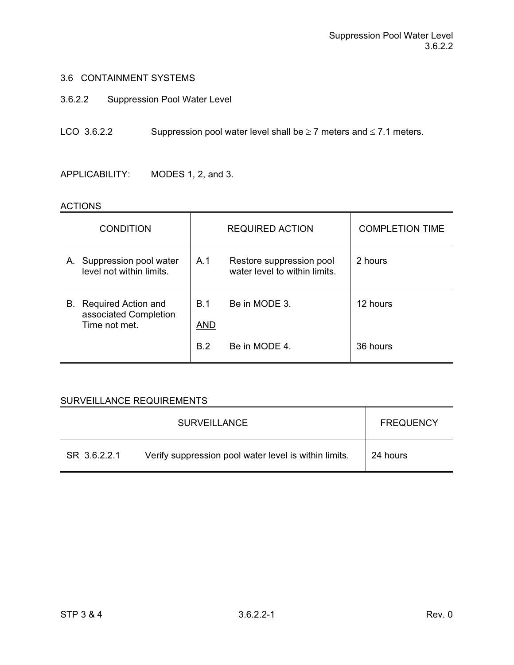- 3.6.2.2 Suppression Pool Water Level
- LCO 3.6.2.2 Suppression pool water level shall be  $\geq 7$  meters and  $\leq 7.1$  meters.

APPLICABILITY: MODES 1, 2, and 3.

#### ACTIONS

| <b>CONDITION</b>                                                    |                   | <b>REQUIRED ACTION</b>                                    | <b>COMPLETION TIME</b> |
|---------------------------------------------------------------------|-------------------|-----------------------------------------------------------|------------------------|
| A. Suppression pool water<br>level not within limits.               | A.1               | Restore suppression pool<br>water level to within limits. | 2 hours                |
| Required Action and<br>В.<br>associated Completion<br>Time not met. | B.1<br><b>AND</b> | Be in MODE 3.                                             | 12 hours               |
|                                                                     | <b>B.2</b>        | Be in MODE 4.                                             | 36 hours               |

|              | SURVEILLANCE                                          | <b>FREQUENCY</b> |
|--------------|-------------------------------------------------------|------------------|
| SR 3.6.2.2.1 | Verify suppression pool water level is within limits. | 24 hours         |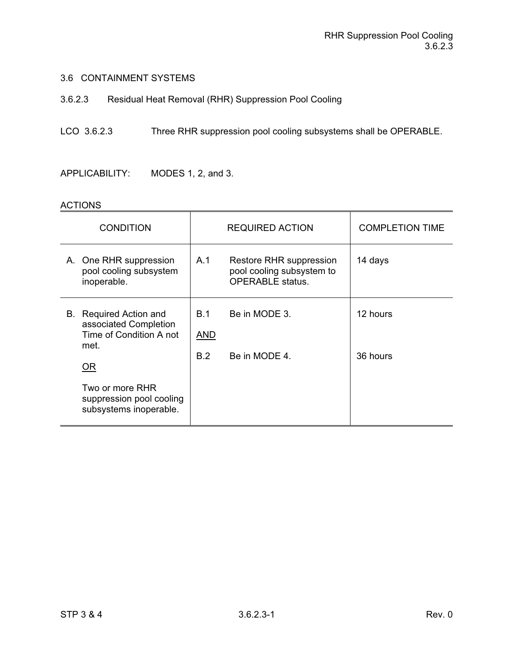3.6.2.3 Residual Heat Removal (RHR) Suppression Pool Cooling

# LCO 3.6.2.3 Three RHR suppression pool cooling subsystems shall be OPERABLE.

APPLICABILITY: MODES 1, 2, and 3.

| <b>CONDITION</b>                                                                             |                                 | <b>REQUIRED ACTION</b>                                                          | <b>COMPLETION TIME</b> |
|----------------------------------------------------------------------------------------------|---------------------------------|---------------------------------------------------------------------------------|------------------------|
| A. One RHR suppression<br>pool cooling subsystem<br>inoperable.                              | A.1                             | Restore RHR suppression<br>pool cooling subsystem to<br><b>OPERABLE</b> status. | 14 days                |
| <b>Required Action and</b><br>В.<br>associated Completion<br>Time of Condition A not<br>met. | <b>B.1</b><br><b>AND</b><br>B.2 | Be in MODE 3.<br>Be in MODE 4.                                                  | 12 hours<br>36 hours   |
| <u>OR</u><br>Two or more RHR<br>suppression pool cooling<br>subsystems inoperable.           |                                 |                                                                                 |                        |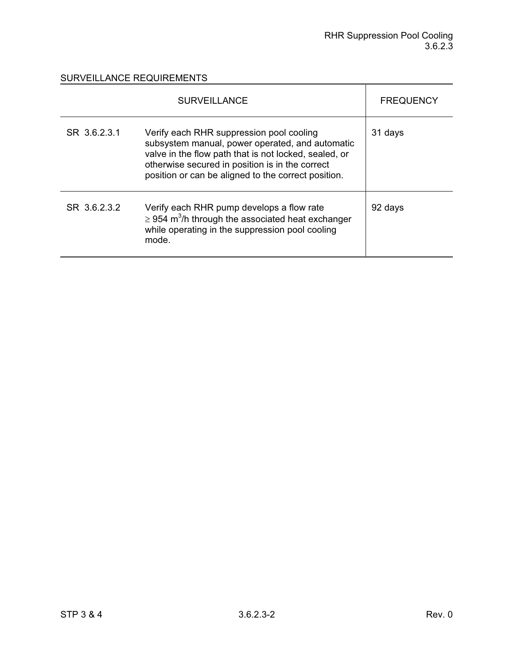|              | <b>SURVEILLANCE</b>                                                                                                                                                                                                                                            | <b>FREQUENCY</b> |
|--------------|----------------------------------------------------------------------------------------------------------------------------------------------------------------------------------------------------------------------------------------------------------------|------------------|
| SR 3.6.2.3.1 | Verify each RHR suppression pool cooling<br>subsystem manual, power operated, and automatic<br>valve in the flow path that is not locked, sealed, or<br>otherwise secured in position is in the correct<br>position or can be aligned to the correct position. | 31 days          |
| SR 3.6.2.3.2 | Verify each RHR pump develops a flow rate<br>$\geq$ 954 m <sup>3</sup> /h through the associated heat exchanger<br>while operating in the suppression pool cooling<br>mode.                                                                                    | 92 days          |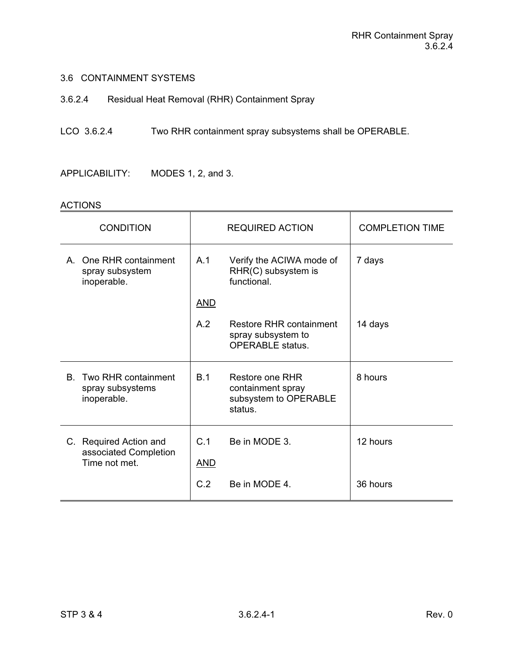3.6.2.4 Residual Heat Removal (RHR) Containment Spray

# LCO 3.6.2.4 Two RHR containment spray subsystems shall be OPERABLE.

APPLICABILITY: MODES 1, 2, and 3.

| <b>CONDITION</b>                                                 |                   | <b>REQUIRED ACTION</b>                                                   | <b>COMPLETION TIME</b> |
|------------------------------------------------------------------|-------------------|--------------------------------------------------------------------------|------------------------|
| One RHR containment<br>A<br>spray subsystem<br>inoperable.       | A.1               | Verify the ACIWA mode of<br>RHR(C) subsystem is<br>functional.           | 7 days                 |
|                                                                  | <u>AND</u>        |                                                                          |                        |
|                                                                  | A.2               | Restore RHR containment<br>spray subsystem to<br><b>OPERABLE</b> status. | 14 days                |
| Two RHR containment<br>В.<br>spray subsystems<br>inoperable.     | B.1               | Restore one RHR<br>containment spray<br>subsystem to OPERABLE<br>status. | 8 hours                |
| C. Required Action and<br>associated Completion<br>Time not met. | C.1<br><b>AND</b> | Be in MODE 3.                                                            | 12 hours               |
|                                                                  | C.2               | Be in MODE 4                                                             | 36 hours               |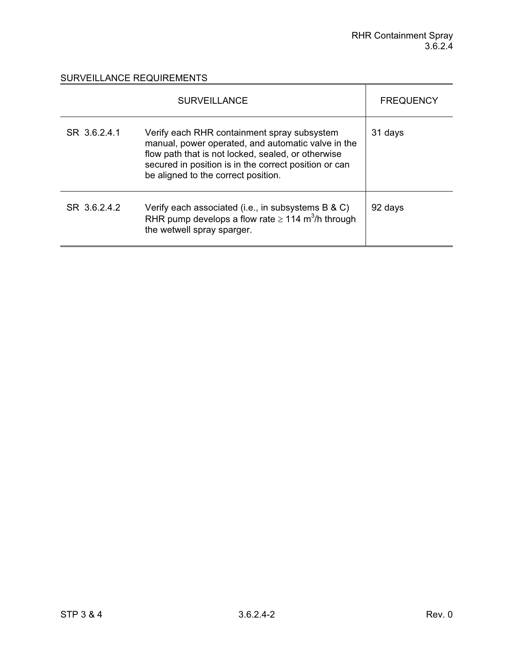|              | <b>SURVEILLANCE</b>                                                                                                                                                                                                                                     | <b>FREQUENCY</b> |
|--------------|---------------------------------------------------------------------------------------------------------------------------------------------------------------------------------------------------------------------------------------------------------|------------------|
| SR 3.6.2.4.1 | Verify each RHR containment spray subsystem<br>manual, power operated, and automatic valve in the<br>flow path that is not locked, sealed, or otherwise<br>secured in position is in the correct position or can<br>be aligned to the correct position. | 31 days          |
| SR 36242     | Verify each associated (i.e., in subsystems B & C)<br>RHR pump develops a flow rate $\geq 114$ m <sup>3</sup> /h through<br>the wetwell spray sparger.                                                                                                  | 92 days          |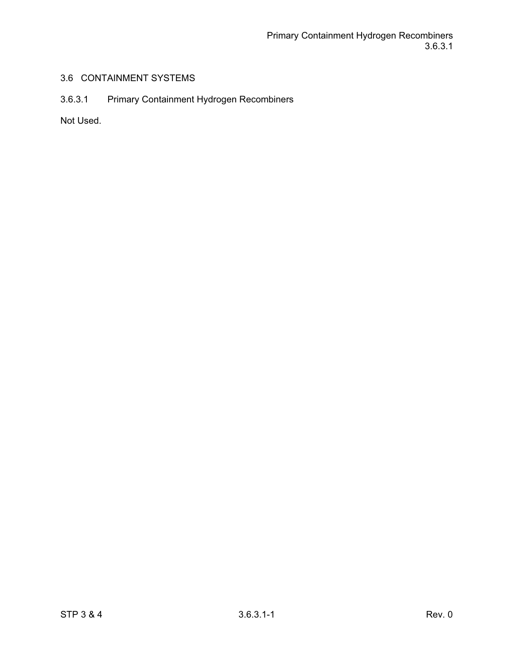# 3.6.3.1 Primary Containment Hydrogen Recombiners

Not Used.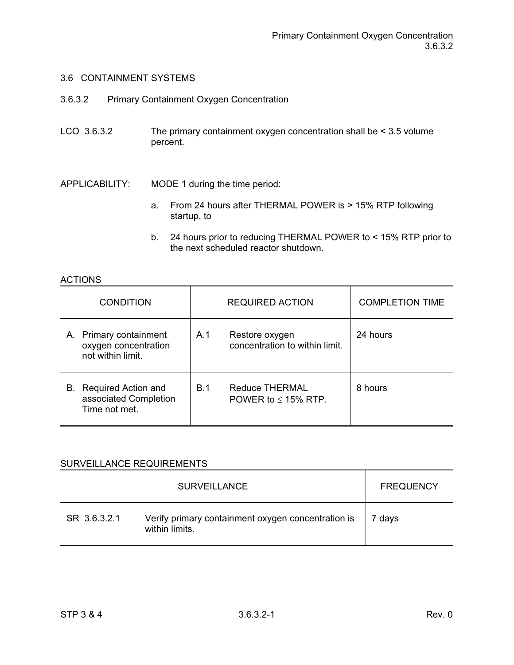- 3.6.3.2 Primary Containment Oxygen Concentration
- LCO 3.6.3.2 The primary containment oxygen concentration shall be < 3.5 volume percent.
- APPLICABILITY: MODE 1 during the time period:
	- a. From 24 hours after THERMAL POWER is > 15% RTP following startup, to
	- b. 24 hours prior to reducing THERMAL POWER to < 15% RTP prior to the next scheduled reactor shutdown.

### ACTIONS

|    | <b>CONDITION</b>                                                    |            | <b>REQUIRED ACTION</b>                           | <b>COMPLETION TIME</b> |
|----|---------------------------------------------------------------------|------------|--------------------------------------------------|------------------------|
|    | A. Primary containment<br>oxygen concentration<br>not within limit. | A.1        | Restore oxygen<br>concentration to within limit. | 24 hours               |
| В. | Required Action and<br>associated Completion<br>Time not met.       | <b>B.1</b> | Reduce THERMAL<br>POWER to $<$ 15% RTP.          | 8 hours                |

|              | <b>SURVEILLANCE</b>                                                  | <b>FREQUENCY</b> |
|--------------|----------------------------------------------------------------------|------------------|
| SR 3.6.3.2.1 | Verify primary containment oxygen concentration is<br>within limits. | 7 days           |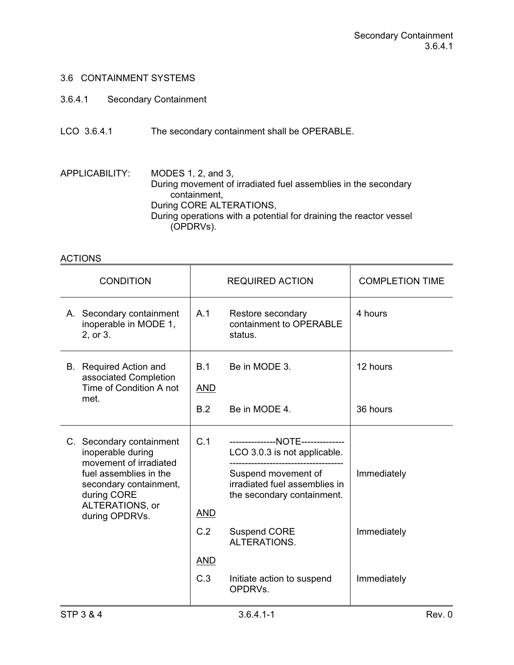- 3.6.4.1 Secondary Containment
- LCO 3.6.4.1 The secondary containment shall be OPERABLE.

APPLICABILITY: MODES 1, 2, and 3, During movement of irradiated fuel assemblies in the secondary containment, During CORE ALTERATIONS, During operations with a potential for draining the reactor vessel (OPDRVs).

| <b>CONDITION</b>                                                                                                                                                                |                                               | <b>REQUIRED ACTION</b>                                                                                                                                                                                                                  | <b>COMPLETION TIME</b>                    |
|---------------------------------------------------------------------------------------------------------------------------------------------------------------------------------|-----------------------------------------------|-----------------------------------------------------------------------------------------------------------------------------------------------------------------------------------------------------------------------------------------|-------------------------------------------|
| A. Secondary containment<br>inoperable in MODE 1,<br>2, or 3.                                                                                                                   | A.1                                           | Restore secondary<br>containment to OPERABLE<br>status.                                                                                                                                                                                 | 4 hours                                   |
| <b>B.</b> Required Action and<br>associated Completion<br>Time of Condition A not<br>met.                                                                                       | B.1<br><b>AND</b>                             | Be in MODE 3.                                                                                                                                                                                                                           | 12 hours                                  |
|                                                                                                                                                                                 | B.2                                           | Be in MODE 4.                                                                                                                                                                                                                           | 36 hours                                  |
| C. Secondary containment<br>inoperable during<br>movement of irradiated<br>fuel assemblies in the<br>secondary containment,<br>during CORE<br>ALTERATIONS, or<br>during OPDRVs. | C.1<br><b>AND</b><br>C.2<br><b>AND</b><br>C.3 | ---------------NOTE--------------<br>LCO 3.0.3 is not applicable.<br>Suspend movement of<br>irradiated fuel assemblies in<br>the secondary containment.<br><b>Suspend CORE</b><br>ALTERATIONS.<br>Initiate action to suspend<br>OPDRVs. | Immediately<br>Immediately<br>Immediately |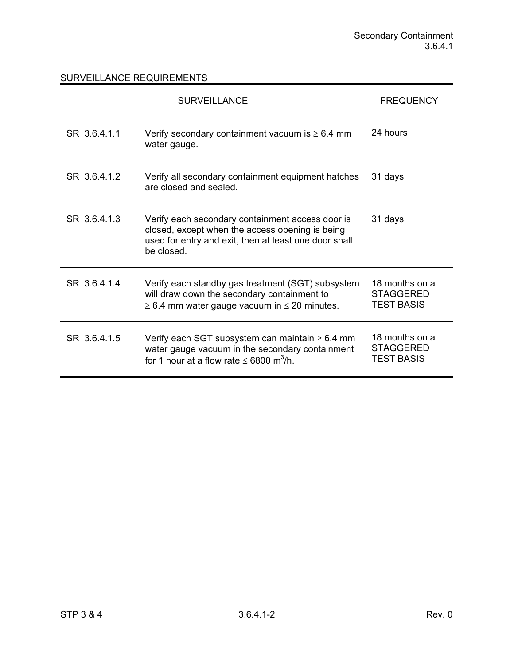|              | <b>SURVEILLANCE</b>                                                                                                                                                        | <b>FREQUENCY</b>                                        |
|--------------|----------------------------------------------------------------------------------------------------------------------------------------------------------------------------|---------------------------------------------------------|
| SR 3.6.4.1.1 | Verify secondary containment vacuum is $\geq 6.4$ mm<br>water gauge.                                                                                                       | 24 hours                                                |
| SR 36412     | Verify all secondary containment equipment hatches<br>are closed and sealed.                                                                                               | 31 days                                                 |
| SR 36413     | Verify each secondary containment access door is<br>closed, except when the access opening is being<br>used for entry and exit, then at least one door shall<br>be closed. | 31 days                                                 |
| SR 3.6.4.1.4 | Verify each standby gas treatment (SGT) subsystem<br>will draw down the secondary containment to<br>$\geq$ 6.4 mm water gauge vacuum in $\leq$ 20 minutes.                 | 18 months on a<br><b>STAGGERED</b><br><b>TEST BASIS</b> |
| SR 3.6.4.1.5 | Verify each SGT subsystem can maintain $\geq 6.4$ mm<br>water gauge vacuum in the secondary containment<br>for 1 hour at a flow rate $\leq 6800$ m <sup>3</sup> /h.        | 18 months on a<br><b>STAGGERED</b><br><b>TEST BASIS</b> |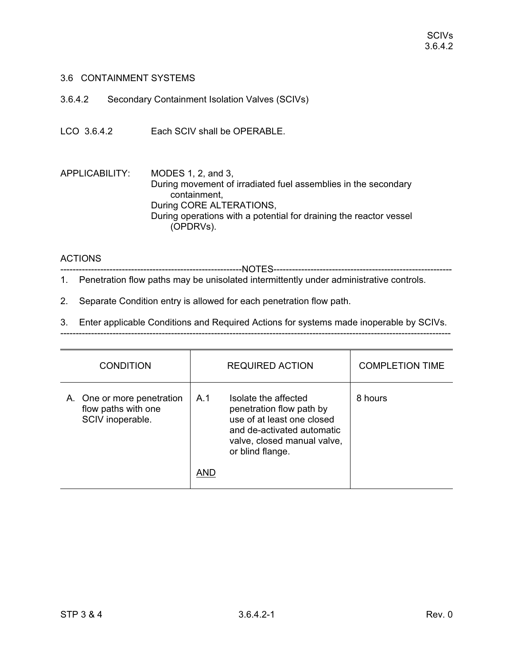3.6.4.2 Secondary Containment Isolation Valves (SCIVs)

LCO 3.6.4.2 Each SCIV shall be OPERABLE.

APPLICABILITY: MODES 1, 2, and 3, During movement of irradiated fuel assemblies in the secondary containment, During CORE ALTERATIONS, During operations with a potential for draining the reactor vessel (OPDRVs).

#### ACTIONS

-----------------------------------------------------------NOTES----------------------------------------------------------

- 1. Penetration flow paths may be unisolated intermittently under administrative controls.
- 2. Separate Condition entry is allowed for each penetration flow path.

3. Enter applicable Conditions and Required Actions for systems made inoperable by SCIVs.

| <b>CONDITION</b>                                                      | <b>REQUIRED ACTION</b>                                                                                                                                                 | <b>COMPLETION TIME</b> |
|-----------------------------------------------------------------------|------------------------------------------------------------------------------------------------------------------------------------------------------------------------|------------------------|
| A. One or more penetration<br>flow paths with one<br>SCIV inoperable. | Isolate the affected<br>A.1<br>penetration flow path by<br>use of at least one closed<br>and de-activated automatic<br>valve, closed manual valve,<br>or blind flange. | 8 hours                |
|                                                                       | AND                                                                                                                                                                    |                        |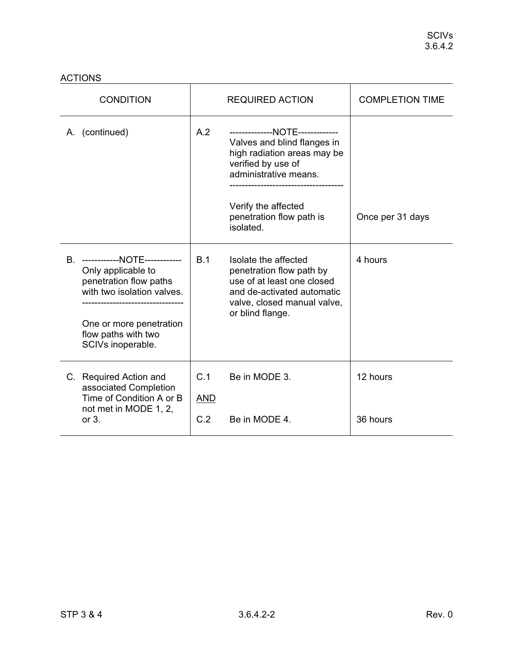| <b>CONDITION</b>                                                                                                                                                                        |                          | <b>REQUIRED ACTION</b>                                                                                                                                                                                       | <b>COMPLETION TIME</b> |
|-----------------------------------------------------------------------------------------------------------------------------------------------------------------------------------------|--------------------------|--------------------------------------------------------------------------------------------------------------------------------------------------------------------------------------------------------------|------------------------|
| A. (continued)                                                                                                                                                                          | A.2                      | --------------NOTE-------------<br>Valves and blind flanges in<br>high radiation areas may be<br>verified by use of<br>administrative means.<br>Verify the affected<br>penetration flow path is<br>isolated. | Once per 31 days       |
| ------------NOTE------------<br>В.<br>Only applicable to<br>penetration flow paths<br>with two isolation valves.<br>One or more penetration<br>flow paths with two<br>SCIVs inoperable. | B.1                      | Isolate the affected<br>penetration flow path by<br>use of at least one closed<br>and de-activated automatic<br>valve, closed manual valve,<br>or blind flange.                                              | 4 hours                |
| C. Required Action and<br>associated Completion<br>Time of Condition A or B<br>not met in MODE 1, 2,<br>or $3.$                                                                         | C.1<br><b>AND</b><br>C.2 | Be in MODE 3.<br>Be in MODE 4.                                                                                                                                                                               | 12 hours<br>36 hours   |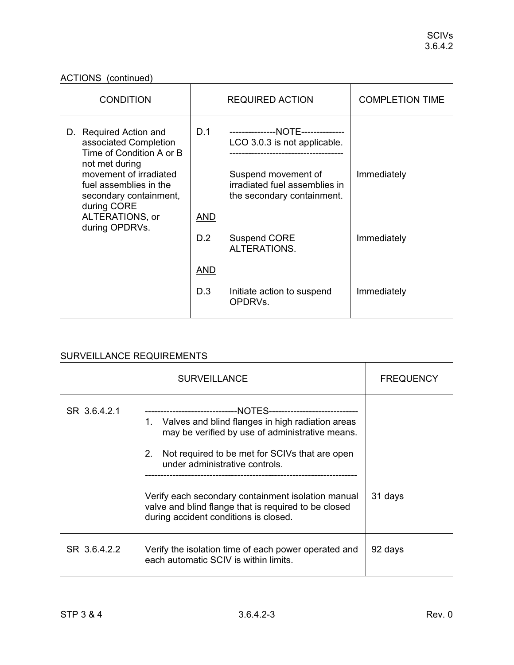# ACTIONS (continued)

| <b>CONDITION</b>                                                                                                                                  |            | <b>REQUIRED ACTION</b>                                                                                                    | <b>COMPLETION TIME</b> |
|---------------------------------------------------------------------------------------------------------------------------------------------------|------------|---------------------------------------------------------------------------------------------------------------------------|------------------------|
| D. Required Action and<br>associated Completion<br>Time of Condition A or B<br>not met during<br>movement of irradiated<br>fuel assemblies in the | D.1        | ---------------NOTE--------------<br>LCO 3.0.3 is not applicable.<br>Suspend movement of<br>irradiated fuel assemblies in | Immediately            |
| secondary containment,<br>during CORE                                                                                                             |            | the secondary containment.                                                                                                |                        |
| ALTERATIONS, or<br>during OPDRVs.                                                                                                                 | <b>AND</b> |                                                                                                                           |                        |
|                                                                                                                                                   | D.2        | <b>Suspend CORE</b><br>ALTERATIONS.                                                                                       | Immediately            |
|                                                                                                                                                   | <b>AND</b> |                                                                                                                           |                        |
|                                                                                                                                                   | D.3        | Initiate action to suspend<br>OPDRVs.                                                                                     | Immediately            |

|              | <b>FREQUENCY</b>                                                                                                                                                                                                                                                  |         |
|--------------|-------------------------------------------------------------------------------------------------------------------------------------------------------------------------------------------------------------------------------------------------------------------|---------|
| SR 36421     | ---------------------------NOTES-----------------------------<br>1. Valves and blind flanges in high radiation areas<br>may be verified by use of administrative means.<br>2.<br>Not required to be met for SCIVs that are open<br>under administrative controls. |         |
|              | Verify each secondary containment isolation manual<br>valve and blind flange that is required to be closed<br>during accident conditions is closed.                                                                                                               | 31 days |
| SR 3.6.4.2.2 | Verify the isolation time of each power operated and<br>each automatic SCIV is within limits.                                                                                                                                                                     | 92 days |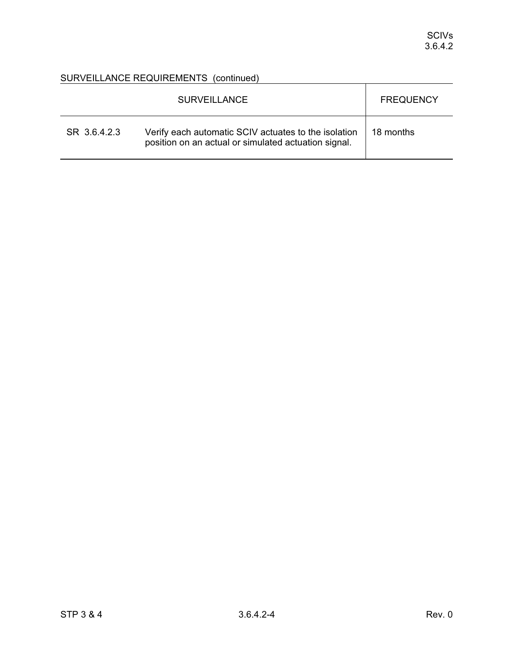|              | <b>SURVEILLANCE</b>                                                                                          | <b>FREQUENCY</b> |
|--------------|--------------------------------------------------------------------------------------------------------------|------------------|
| SR 3.6.4.2.3 | Verify each automatic SCIV actuates to the isolation<br>position on an actual or simulated actuation signal. | 18 months        |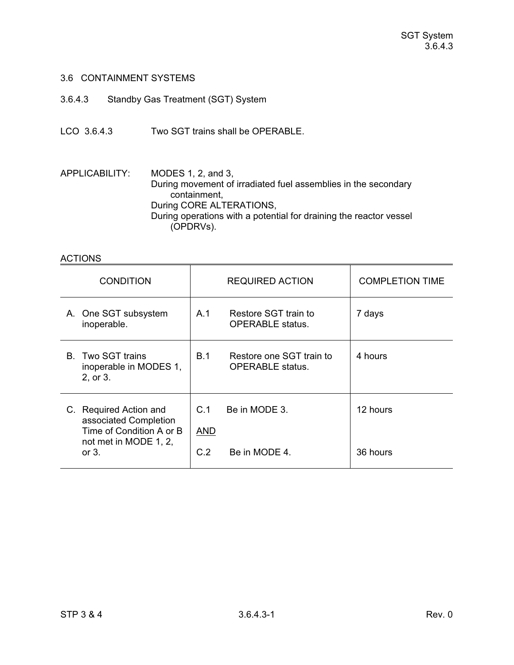- 3.6.4.3 Standby Gas Treatment (SGT) System
- LCO 3.6.4.3 Two SGT trains shall be OPERABLE.

APPLICABILITY: MODES 1, 2, and 3, During movement of irradiated fuel assemblies in the secondary containment, During CORE ALTERATIONS, During operations with a potential for draining the reactor vessel (OPDRVs).

| <b>CONDITION</b>                                                                                                | <b>REQUIRED ACTION</b>                                            | <b>COMPLETION TIME</b> |
|-----------------------------------------------------------------------------------------------------------------|-------------------------------------------------------------------|------------------------|
| A. One SGT subsystem<br>inoperable.                                                                             | Restore SGT train to<br>A.1<br><b>OPERABLE</b> status.            | 7 days                 |
| <b>B.</b> Two SGT trains<br>inoperable in MODES 1,<br>2, or 3.                                                  | <b>B.1</b><br>Restore one SGT train to<br><b>OPERABLE</b> status. | 4 hours                |
| C. Required Action and<br>associated Completion<br>Time of Condition A or B<br>not met in MODE 1, 2,<br>or $3.$ | C.1<br>Be in MODE 3.<br><b>AND</b><br>C.2<br>Be in MODE 4.        | 12 hours<br>36 hours   |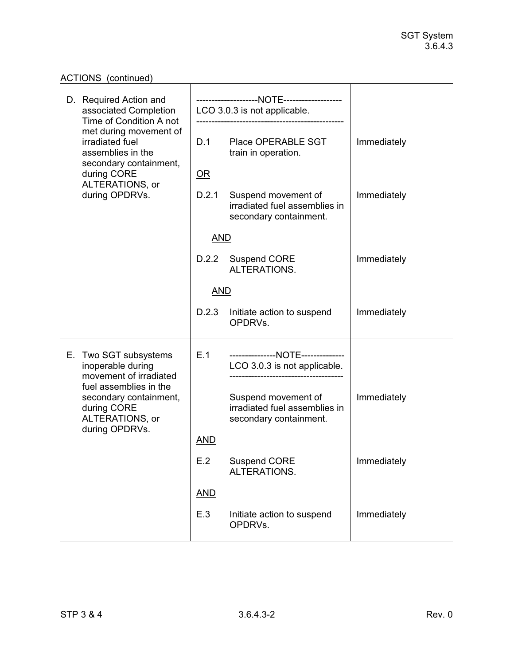# ACTIONS (continued) ACTIONS (continued)

| D. Required Action and<br>associated Completion<br>Time of Condition A not                           |            | LCO 3.0.3 is not applicable.                                                   |             |
|------------------------------------------------------------------------------------------------------|------------|--------------------------------------------------------------------------------|-------------|
| met during movement of<br>irradiated fuel<br>assemblies in the                                       | D.1        | Place OPERABLE SGT<br>train in operation.                                      | Immediately |
| secondary containment,<br>during CORE                                                                | <u>OR</u>  |                                                                                |             |
| ALTERATIONS, or<br>during OPDRVs.                                                                    | D.2.1      | Suspend movement of<br>irradiated fuel assemblies in<br>secondary containment. | Immediately |
|                                                                                                      | <b>AND</b> |                                                                                |             |
|                                                                                                      | D.2.2      | <b>Suspend CORE</b><br>ALTERATIONS.                                            | Immediately |
|                                                                                                      | <b>AND</b> |                                                                                |             |
|                                                                                                      | D.2.3      | Initiate action to suspend<br>OPDRVs.                                          | Immediately |
| E. Two SGT subsystems<br>inoperable during<br>movement of irradiated                                 | E.1        | ---------------NOTE--------------<br>LCO 3.0.3 is not applicable.              |             |
| fuel assemblies in the<br>secondary containment,<br>during CORE<br>ALTERATIONS, or<br>during OPDRVs. |            | Suspend movement of<br>irradiated fuel assemblies in<br>secondary containment. | Immediately |
|                                                                                                      | <b>AND</b> |                                                                                |             |
|                                                                                                      | E.2        | <b>Suspend CORE</b><br>ALTERATIONS.                                            | Immediately |
|                                                                                                      | <b>AND</b> |                                                                                |             |
|                                                                                                      | E.3        | Initiate action to suspend<br>OPDRVs.                                          | Immediately |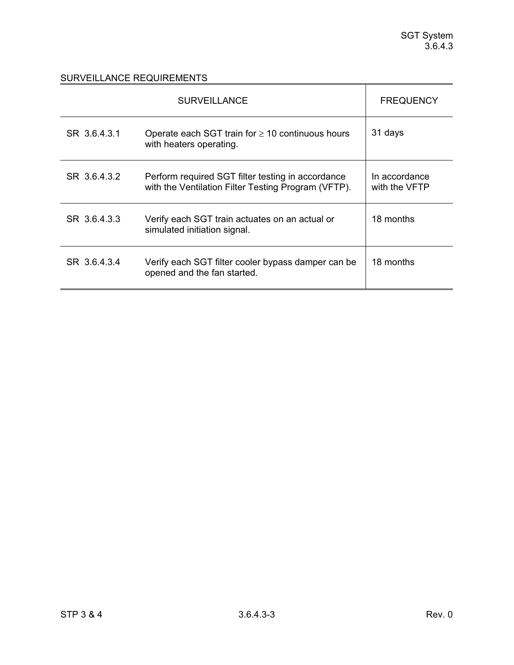|              | <b>FREQUENCY</b>                                                                                         |                                |
|--------------|----------------------------------------------------------------------------------------------------------|--------------------------------|
| SR 3.6.4.3.1 | Operate each SGT train for $\geq 10$ continuous hours<br>with heaters operating.                         | 31 days                        |
| SR 36432     | Perform required SGT filter testing in accordance<br>with the Ventilation Filter Testing Program (VFTP). | In accordance<br>with the VFTP |
| SR 3.6.4.3.3 | Verify each SGT train actuates on an actual or<br>simulated initiation signal.                           | 18 months                      |
| SR 3.6.4.3.4 | Verify each SGT filter cooler bypass damper can be<br>opened and the fan started.                        | 18 months                      |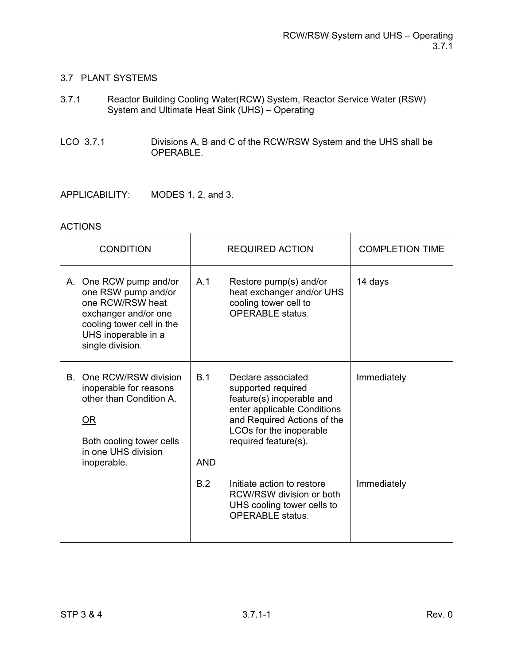### 3.7 PLANT SYSTEMS

- 3.7.1 Reactor Building Cooling Water(RCW) System, Reactor Service Water (RSW) System and Ultimate Heat Sink (UHS) – Operating
- LCO 3.7.1 Divisions A, B and C of the RCW/RSW System and the UHS shall be OPERABLE.
- APPLICABILITY: MODES 1, 2, and 3.

| <b>CONDITION</b>                                                                                                                                                  |                   | <b>REQUIRED ACTION</b>                                                                                                                                                                 | <b>COMPLETION TIME</b> |
|-------------------------------------------------------------------------------------------------------------------------------------------------------------------|-------------------|----------------------------------------------------------------------------------------------------------------------------------------------------------------------------------------|------------------------|
| A. One RCW pump and/or<br>one RSW pump and/or<br>one RCW/RSW heat<br>exchanger and/or one<br>cooling tower cell in the<br>UHS inoperable in a<br>single division. | A.1               | Restore pump(s) and/or<br>heat exchanger and/or UHS<br>cooling tower cell to<br><b>OPERABLE</b> status.                                                                                | 14 days                |
| One RCW/RSW division<br>B.<br>inoperable for reasons<br>other than Condition A.<br>$OR$<br>Both cooling tower cells<br>in one UHS division<br>inoperable.         | B.1<br><b>AND</b> | Declare associated<br>supported required<br>feature(s) inoperable and<br>enter applicable Conditions<br>and Required Actions of the<br>LCOs for the inoperable<br>required feature(s). | Immediately            |
|                                                                                                                                                                   | B.2               | Initiate action to restore<br>RCW/RSW division or both<br>UHS cooling tower cells to<br><b>OPERABLE</b> status.                                                                        | Immediately            |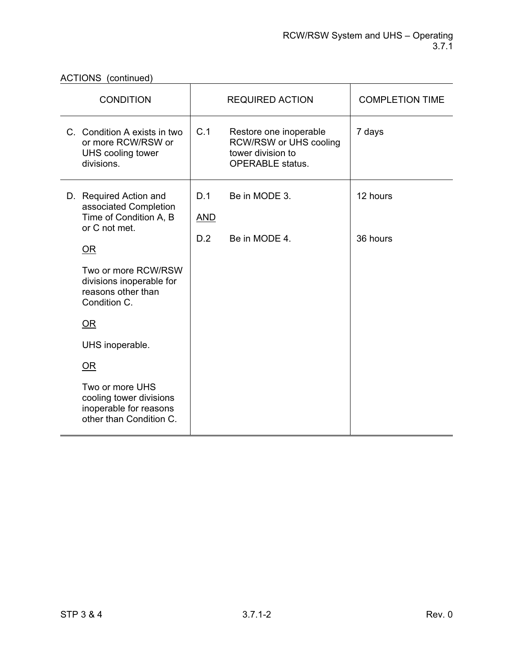ACTIONS (continued)

| <b>CONDITION</b>                                                                                   |                   | <b>REQUIRED ACTION</b>                                                                           | <b>COMPLETION TIME</b> |
|----------------------------------------------------------------------------------------------------|-------------------|--------------------------------------------------------------------------------------------------|------------------------|
| C. Condition A exists in two<br>or more RCW/RSW or<br>UHS cooling tower<br>divisions.              | C.1               | Restore one inoperable<br>RCW/RSW or UHS cooling<br>tower division to<br><b>OPERABLE</b> status. | 7 days                 |
| D. Required Action and<br>associated Completion<br>Time of Condition A, B<br>or C not met.<br>$OR$ | D.1<br><b>AND</b> | Be in MODE 3.                                                                                    | 12 hours               |
|                                                                                                    | D.2               | Be in MODE 4.                                                                                    | 36 hours               |
| Two or more RCW/RSW<br>divisions inoperable for<br>reasons other than<br>Condition C.              |                   |                                                                                                  |                        |
| OR                                                                                                 |                   |                                                                                                  |                        |
| UHS inoperable.                                                                                    |                   |                                                                                                  |                        |
| OR                                                                                                 |                   |                                                                                                  |                        |
| Two or more UHS<br>cooling tower divisions<br>inoperable for reasons<br>other than Condition C.    |                   |                                                                                                  |                        |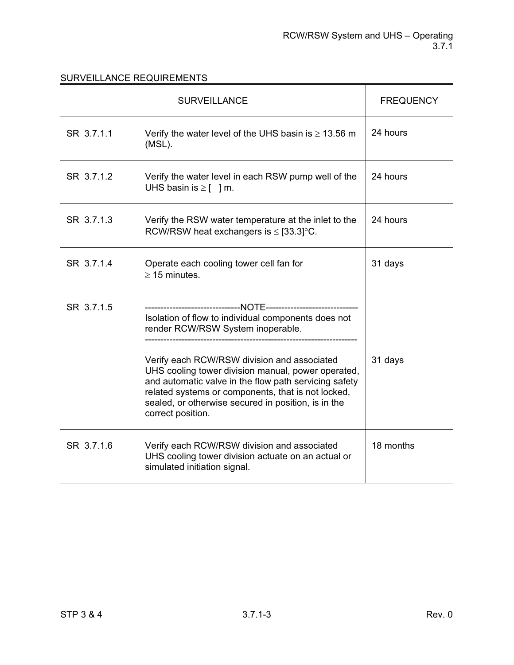|            | <b>SURVEILLANCE</b>                                                                                                                                                                                                                                                                          | <b>FREQUENCY</b> |
|------------|----------------------------------------------------------------------------------------------------------------------------------------------------------------------------------------------------------------------------------------------------------------------------------------------|------------------|
| SR 3.7.1.1 | Verify the water level of the UHS basin is $\geq 13.56$ m<br>(MSL).                                                                                                                                                                                                                          | 24 hours         |
| SR 3.7.1.2 | Verify the water level in each RSW pump well of the<br>UHS basin is $\geq$ [ ] m.                                                                                                                                                                                                            | 24 hours         |
| SR 3.7.1.3 | Verify the RSW water temperature at the inlet to the<br>RCW/RSW heat exchangers is $\leq$ [33.3] °C.                                                                                                                                                                                         | 24 hours         |
| SR 3.7.1.4 | Operate each cooling tower cell fan for<br>$\geq$ 15 minutes.                                                                                                                                                                                                                                | 31 days          |
| SR 3.7.1.5 | Isolation of flow to individual components does not<br>render RCW/RSW System inoperable.                                                                                                                                                                                                     |                  |
|            | Verify each RCW/RSW division and associated<br>UHS cooling tower division manual, power operated,<br>and automatic valve in the flow path servicing safety<br>related systems or components, that is not locked,<br>sealed, or otherwise secured in position, is in the<br>correct position. | 31 days          |
| SR 3.7.1.6 | Verify each RCW/RSW division and associated<br>UHS cooling tower division actuate on an actual or<br>simulated initiation signal.                                                                                                                                                            | 18 months        |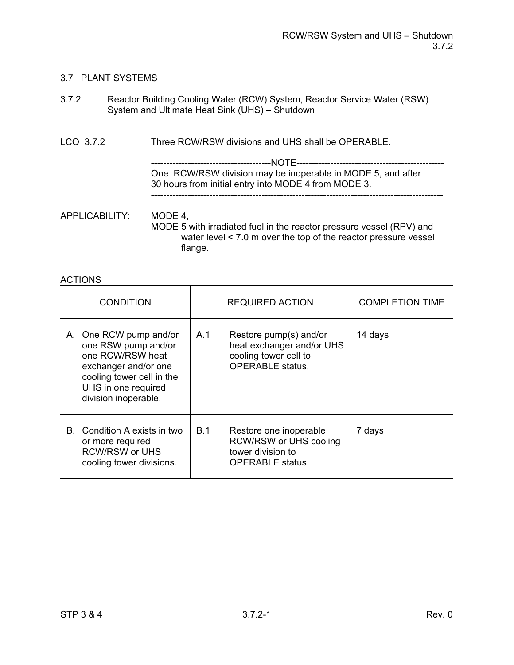# 3.7 PLANT SYSTEMS

| 3.7.2 | Reactor Building Cooling Water (RCW) System, Reactor Service Water (RSW) |
|-------|--------------------------------------------------------------------------|
|       | System and Ultimate Heat Sink (UHS) – Shutdown                           |

LCO 3.7.2 Three RCW/RSW divisions and UHS shall be OPERABLE.

---------------------------------------NOTE------------------------------------------------ One RCW/RSW division may be inoperable in MODE 5, and after 30 hours from initial entry into MODE 4 from MODE 3. -----------------------------------------------------------------------------------------------

APPLICABILITY: MODE 4, MODE 5 with irradiated fuel in the reactor pressure vessel (RPV) and water level < 7.0 m over the top of the reactor pressure vessel flange.

| <b>CONDITION</b>                                                                                                                                                      | <b>REQUIRED ACTION</b>                                                                                         | <b>COMPLETION TIME</b> |
|-----------------------------------------------------------------------------------------------------------------------------------------------------------------------|----------------------------------------------------------------------------------------------------------------|------------------------|
| A. One RCW pump and/or<br>one RSW pump and/or<br>one RCW/RSW heat<br>exchanger and/or one<br>cooling tower cell in the<br>UHS in one required<br>division inoperable. | Restore pump(s) and/or<br>A.1<br>heat exchanger and/or UHS<br>cooling tower cell to<br><b>OPERABLE</b> status. | 14 days                |
| B. Condition A exists in two<br>or more required<br><b>RCW/RSW or UHS</b><br>cooling tower divisions.                                                                 | B.1<br>Restore one inoperable<br>RCW/RSW or UHS cooling<br>tower division to<br><b>OPERABLE</b> status.        | 7 days                 |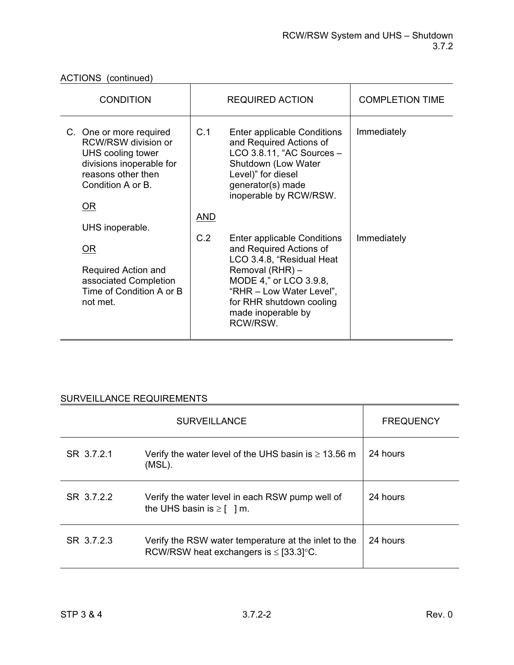ACTIONS (continued)

| <b>CONDITION</b>                                                                                                                                        | <b>REQUIRED ACTION</b>                                                                                                                                                                                                            | <b>COMPLETION TIME</b> |
|---------------------------------------------------------------------------------------------------------------------------------------------------------|-----------------------------------------------------------------------------------------------------------------------------------------------------------------------------------------------------------------------------------|------------------------|
| C. One or more required<br>RCW/RSW division or<br>UHS cooling tower<br>divisions inoperable for<br>reasons other then<br>Condition A or B.<br><u>OR</u> | C.1<br>Enter applicable Conditions<br>and Required Actions of<br>$LCO$ 3.8.11, "AC Sources $-$<br>Shutdown (Low Water<br>Level)" for diesel<br>generator(s) made<br>inoperable by RCW/RSW.<br><b>AND</b>                          | Immediately            |
| UHS inoperable.<br>0R<br>Required Action and<br>associated Completion<br>Time of Condition A or B<br>not met.                                           | C.2<br>Enter applicable Conditions<br>and Required Actions of<br>LCO 3.4.8, "Residual Heat<br>Removal (RHR) -<br>MODE 4," or LCO 3.9.8,<br>"RHR - Low Water Level",<br>for RHR shutdown cooling<br>made inoperable by<br>RCW/RSW. | Immediately            |

|            | <b>SURVEILLANCE</b>                                                                                  | <b>FREQUENCY</b> |
|------------|------------------------------------------------------------------------------------------------------|------------------|
| SR 3.7.2.1 | Verify the water level of the UHS basin is $\geq 13.56$ m<br>(MSL).                                  | 24 hours         |
| SR 3.7.2.2 | Verify the water level in each RSW pump well of<br>the UHS basin is $\geq$ [ ] m.                    | 24 hours         |
| SR 3.7.2.3 | Verify the RSW water temperature at the inlet to the<br>RCW/RSW heat exchangers is $\leq$ [33.3] °C. | 24 hours         |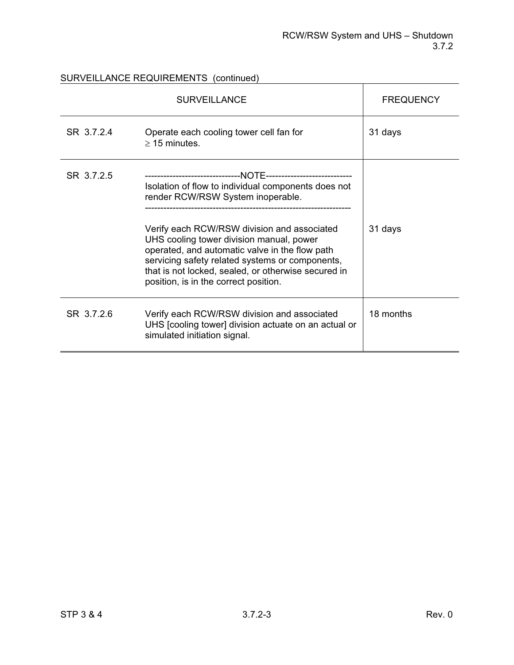|            | <b>SURVEILLANCE</b>                                                                                                                                                                                                                                                                                                                                                                      | <b>FREQUENCY</b> |
|------------|------------------------------------------------------------------------------------------------------------------------------------------------------------------------------------------------------------------------------------------------------------------------------------------------------------------------------------------------------------------------------------------|------------------|
| SR 3.7.2.4 | Operate each cooling tower cell fan for<br>$\geq$ 15 minutes.                                                                                                                                                                                                                                                                                                                            | 31 days          |
| SR 3.7.2.5 | Isolation of flow to individual components does not<br>render RCW/RSW System inoperable.<br>Verify each RCW/RSW division and associated<br>UHS cooling tower division manual, power<br>operated, and automatic valve in the flow path<br>servicing safety related systems or components,<br>that is not locked, sealed, or otherwise secured in<br>position, is in the correct position. | 31 days          |
| SR 3.7.2.6 | Verify each RCW/RSW division and associated<br>UHS [cooling tower] division actuate on an actual or<br>simulated initiation signal.                                                                                                                                                                                                                                                      | 18 months        |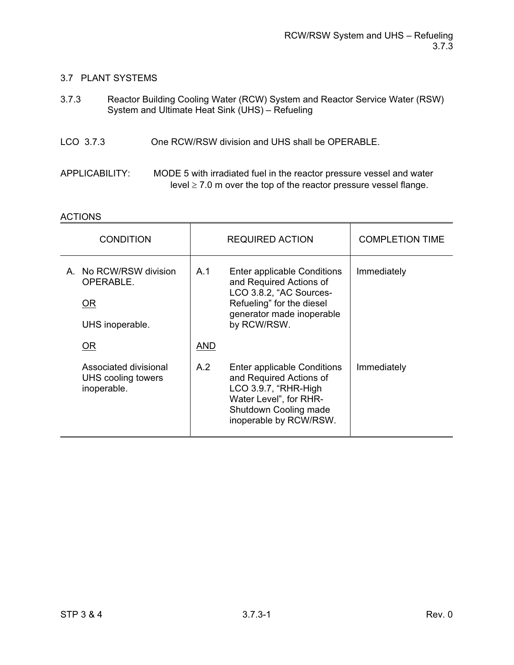### 3.7 PLANT SYSTEMS

| 3.7.3          | Reactor Building Cooling Water (RCW) System and Reactor Service Water (RSW)<br>System and Ultimate Heat Sink (UHS) - Refueling                 |
|----------------|------------------------------------------------------------------------------------------------------------------------------------------------|
| LCO 3.7.3      | One RCW/RSW division and UHS shall be OPERABLE.                                                                                                |
| APPLICABILITY: | MODE 5 with irradiated fuel in the reactor pressure vessel and water<br>level $\geq$ 7.0 m over the top of the reactor pressure vessel flange. |

| <b>CONDITION</b>                                             | <b>REQUIRED ACTION</b> |                                                                                                                                                             | <b>COMPLETION TIME</b> |
|--------------------------------------------------------------|------------------------|-------------------------------------------------------------------------------------------------------------------------------------------------------------|------------------------|
| A. No RCW/RSW division<br>OPERABLE.<br>OR<br>UHS inoperable. | A.1                    | Enter applicable Conditions<br>and Required Actions of<br>LCO 3.8.2, "AC Sources-<br>Refueling" for the diesel<br>generator made inoperable<br>by RCW/RSW.  | Immediately            |
| <u>OR</u>                                                    | <b>AND</b>             |                                                                                                                                                             |                        |
| Associated divisional<br>UHS cooling towers<br>inoperable.   | A.2                    | Enter applicable Conditions<br>and Required Actions of<br>LCO 3.9.7, "RHR-High<br>Water Level", for RHR-<br>Shutdown Cooling made<br>inoperable by RCW/RSW. | Immediately            |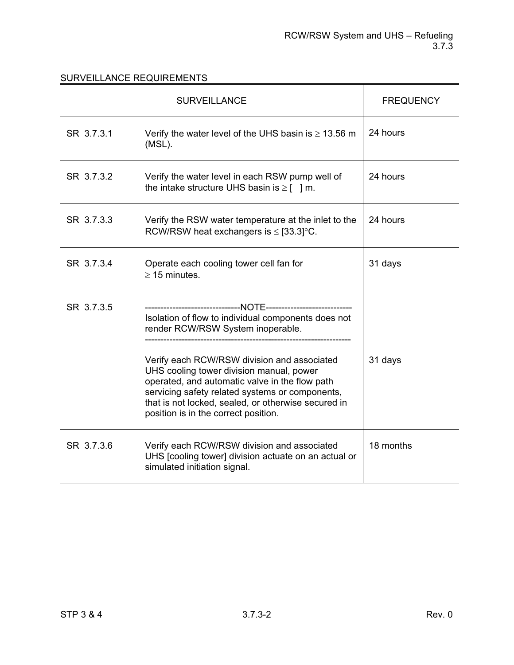|            | <b>SURVEILLANCE</b>                                                                                                                                                                                                                                                                         | <b>FREQUENCY</b> |
|------------|---------------------------------------------------------------------------------------------------------------------------------------------------------------------------------------------------------------------------------------------------------------------------------------------|------------------|
| SR 3.7.3.1 | Verify the water level of the UHS basin is $\geq 13.56$ m<br>(MSL).                                                                                                                                                                                                                         | 24 hours         |
| SR 3.7.3.2 | Verify the water level in each RSW pump well of<br>the intake structure UHS basin is $\geq$ [ ] m.                                                                                                                                                                                          | 24 hours         |
| SR 3.7.3.3 | Verify the RSW water temperature at the inlet to the<br>RCW/RSW heat exchangers is $\leq$ [33.3] °C.                                                                                                                                                                                        | 24 hours         |
| SR 3.7.3.4 | Operate each cooling tower cell fan for<br>$\geq$ 15 minutes.                                                                                                                                                                                                                               | 31 days          |
| SR 3.7.3.5 | Isolation of flow to individual components does not<br>render RCW/RSW System inoperable.                                                                                                                                                                                                    |                  |
|            | Verify each RCW/RSW division and associated<br>UHS cooling tower division manual, power<br>operated, and automatic valve in the flow path<br>servicing safety related systems or components,<br>that is not locked, sealed, or otherwise secured in<br>position is in the correct position. | 31 days          |
| SR 3.7.3.6 | Verify each RCW/RSW division and associated<br>UHS [cooling tower] division actuate on an actual or<br>simulated initiation signal.                                                                                                                                                         | 18 months        |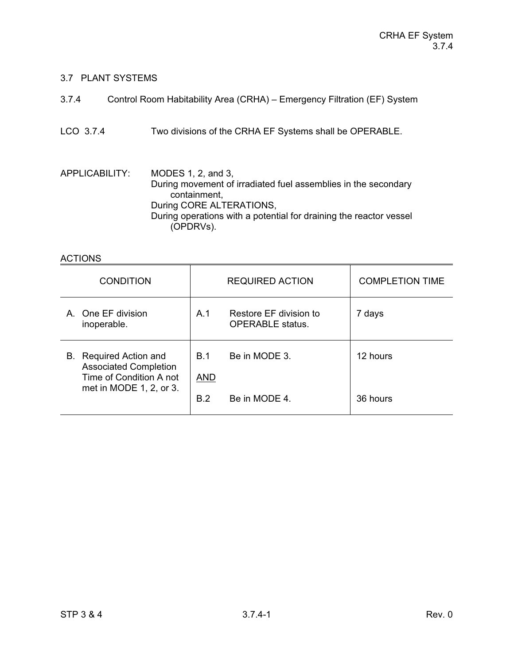## 3.7 PLANT SYSTEMS

| 3.7.4 | Control Room Habitability Area (CRHA) – Emergency Filtration (EF) System |
|-------|--------------------------------------------------------------------------|
|-------|--------------------------------------------------------------------------|

LCO 3.7.4 Two divisions of the CRHA EF Systems shall be OPERABLE.

APPLICABILITY: MODES 1, 2, and 3, During movement of irradiated fuel assemblies in the secondary containment, During CORE ALTERATIONS, During operations with a potential for draining the reactor vessel (OPDRVs).

#### ACTIONS

| <b>CONDITION</b>                                                                  |                   | <b>REQUIRED ACTION</b>                            | <b>COMPLETION TIME</b> |
|-----------------------------------------------------------------------------------|-------------------|---------------------------------------------------|------------------------|
| A One EF division<br>inoperable.                                                  | A.1               | Restore EF division to<br><b>OPERABLE</b> status. | 7 days                 |
| B. Required Action and<br><b>Associated Completion</b><br>Time of Condition A not | B.1<br><b>AND</b> | Be in MODE 3.                                     | 12 hours               |
| met in MODE 1, 2, or 3.                                                           | B.2               | Be in MODE 4.                                     | 36 hours               |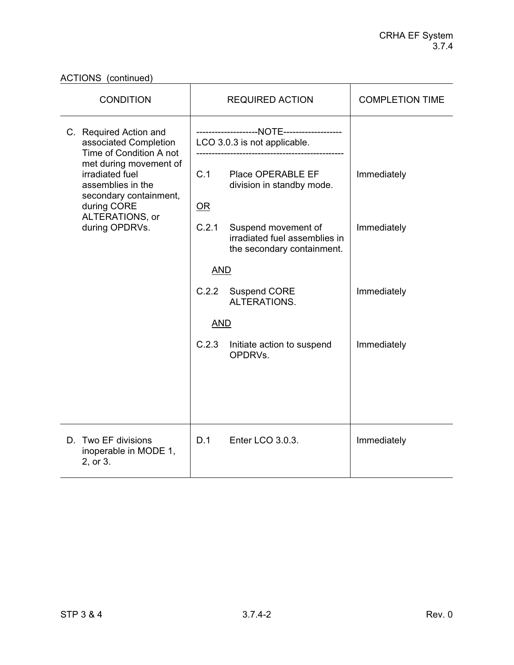| <b>CONDITION</b>                                                                                        | <b>REQUIRED ACTION</b>                                                                      | <b>COMPLETION TIME</b> |
|---------------------------------------------------------------------------------------------------------|---------------------------------------------------------------------------------------------|------------------------|
| C. Required Action and<br>associated Completion<br>Time of Condition A not                              | LCO 3.0.3 is not applicable.                                                                |                        |
| met during movement of<br>irradiated fuel<br>assemblies in the<br>secondary containment,<br>during CORE | C.1<br>Place OPERABLE EF<br>division in standby mode.<br>OR                                 | Immediately            |
| ALTERATIONS, or<br>during OPDRVs.                                                                       | C.2.1<br>Suspend movement of<br>irradiated fuel assemblies in<br>the secondary containment. | Immediately            |
|                                                                                                         | <b>AND</b>                                                                                  |                        |
|                                                                                                         | C.2.2<br><b>Suspend CORE</b><br>ALTERATIONS.                                                | Immediately            |
|                                                                                                         | <b>AND</b>                                                                                  |                        |
|                                                                                                         | C.2.3<br>Initiate action to suspend<br>OPDRVs.                                              | Immediately            |
|                                                                                                         |                                                                                             |                        |
| D. Two EF divisions<br>inoperable in MODE 1,<br>2, or 3.                                                | D.1<br>Enter LCO 3.0.3.                                                                     | Immediately            |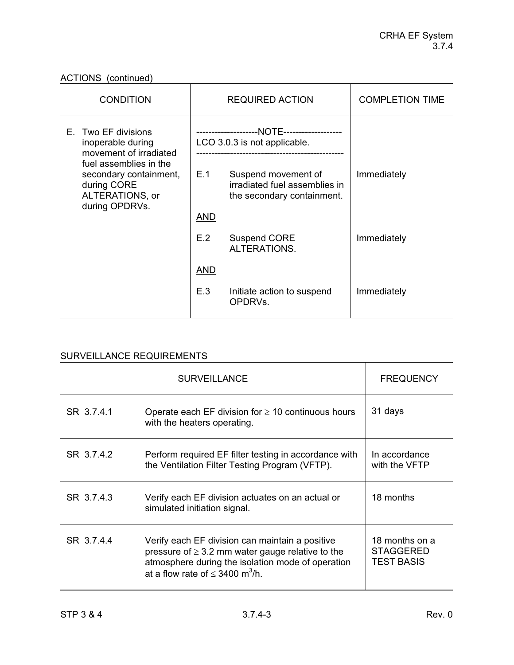| <b>CONDITION</b>                                                                                     |                              | <b>REQUIRED ACTION</b>                                                             | <b>COMPLETION TIME</b> |
|------------------------------------------------------------------------------------------------------|------------------------------|------------------------------------------------------------------------------------|------------------------|
| E. Two EF divisions<br>inoperable during<br>movement of irradiated                                   | LCO 3.0.3 is not applicable. |                                                                                    |                        |
| fuel assemblies in the<br>secondary containment,<br>during CORE<br>ALTERATIONS, or<br>during OPDRVs. | E.1                          | Suspend movement of<br>irradiated fuel assemblies in<br>the secondary containment. | Immediately            |
|                                                                                                      | <b>AND</b>                   |                                                                                    |                        |
|                                                                                                      | E.2                          | <b>Suspend CORE</b><br>ALTERATIONS.                                                | Immediately            |
|                                                                                                      | <b>AND</b>                   |                                                                                    |                        |
|                                                                                                      | E.3                          | Initiate action to suspend<br>OPDRVs.                                              | Immediately            |

|            | <b>SURVEILLANCE</b>                                                                                                                                                                                               | <b>FREQUENCY</b>                                        |
|------------|-------------------------------------------------------------------------------------------------------------------------------------------------------------------------------------------------------------------|---------------------------------------------------------|
| SR 3.7.4.1 | Operate each EF division for $\geq 10$ continuous hours<br>with the heaters operating.                                                                                                                            | 31 days                                                 |
| SR 3.7.4.2 | Perform required EF filter testing in accordance with<br>the Ventilation Filter Testing Program (VFTP).                                                                                                           | In accordance<br>with the VFTP                          |
| SR 3.7.4.3 | Verify each EF division actuates on an actual or<br>simulated initiation signal.                                                                                                                                  | 18 months                                               |
| SR 3.7.4.4 | Verify each EF division can maintain a positive<br>pressure of $\geq$ 3.2 mm water gauge relative to the<br>atmosphere during the isolation mode of operation<br>at a flow rate of $\leq$ 3400 m <sup>3</sup> /h. | 18 months on a<br><b>STAGGERED</b><br><b>TEST BASIS</b> |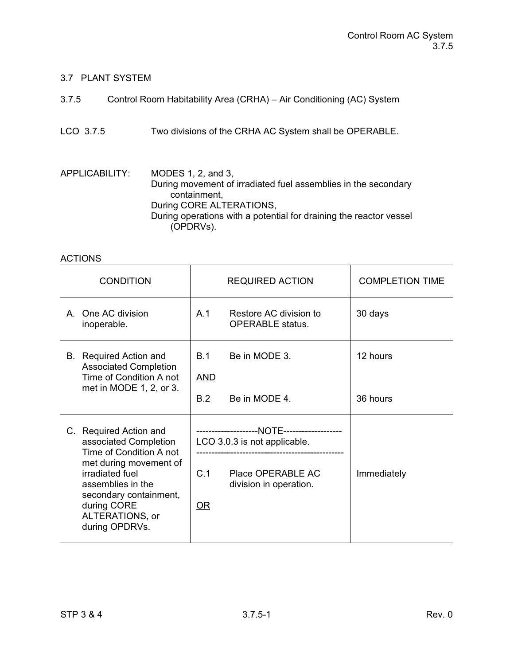## 3.7 PLANT SYSTEM

| 3.7.5 | Control Room Habitability Area (CRHA) – Air Conditioning (AC) System |
|-------|----------------------------------------------------------------------|
|       |                                                                      |

LCO 3.7.5 Two divisions of the CRHA AC System shall be OPERABLE.

APPLICABILITY: MODES 1, 2, and 3, During movement of irradiated fuel assemblies in the secondary containment, During CORE ALTERATIONS, During operations with a potential for draining the reactor vessel (OPDRVs).

#### ACTIONS

| <b>CONDITION</b>                                                                                                                                                                                                           | <b>REQUIRED ACTION</b>                                                                                     | <b>COMPLETION TIME</b> |
|----------------------------------------------------------------------------------------------------------------------------------------------------------------------------------------------------------------------------|------------------------------------------------------------------------------------------------------------|------------------------|
| One AC division<br>A<br>inoperable.                                                                                                                                                                                        | A <sub>1</sub><br>Restore AC division to<br><b>OPERABLE</b> status.                                        | 30 days                |
| <b>B.</b> Required Action and<br><b>Associated Completion</b><br>Time of Condition A not<br>met in MODE 1, 2, or 3.                                                                                                        | Be in MODE 3.<br>B.1<br><b>AND</b><br>B.2<br>Be in MODE 4.                                                 | 12 hours<br>36 hours   |
| C. Required Action and<br>associated Completion<br>Time of Condition A not<br>met during movement of<br>irradiated fuel<br>assemblies in the<br>secondary containment,<br>during CORE<br>ALTERATIONS, or<br>during OPDRVs. | LCO 3.0.3 is not applicable.<br>C <sub>1</sub><br>Place OPFRABLE AC<br>division in operation.<br><u>OR</u> | Immediately            |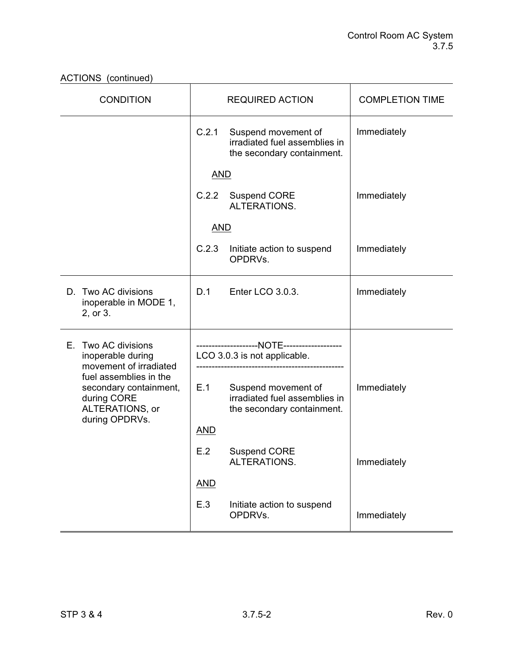| <b>CONDITION</b>                                                                                     | <b>REQUIRED ACTION</b> |                                                                                    | <b>COMPLETION TIME</b> |
|------------------------------------------------------------------------------------------------------|------------------------|------------------------------------------------------------------------------------|------------------------|
|                                                                                                      | C.2.1                  | Suspend movement of<br>irradiated fuel assemblies in<br>the secondary containment. | Immediately            |
|                                                                                                      | <b>AND</b>             |                                                                                    |                        |
|                                                                                                      | C.2.2                  | <b>Suspend CORE</b><br>ALTERATIONS.                                                | Immediately            |
|                                                                                                      | <b>AND</b>             |                                                                                    |                        |
|                                                                                                      | C.2.3                  | Initiate action to suspend<br>OPDRVs.                                              | Immediately            |
| D. Two AC divisions<br>inoperable in MODE 1,<br>2, or 3.                                             | D.1                    | Enter LCO 3.0.3.                                                                   | Immediately            |
| Two AC divisions<br>Е.                                                                               |                        |                                                                                    |                        |
| inoperable during<br>movement of irradiated                                                          |                        | LCO 3.0.3 is not applicable.                                                       |                        |
| fuel assemblies in the<br>secondary containment,<br>during CORE<br>ALTERATIONS, or<br>during OPDRVs. | E.1                    | Suspend movement of<br>irradiated fuel assemblies in<br>the secondary containment. | Immediately            |
|                                                                                                      | <u>AND</u>             |                                                                                    |                        |
|                                                                                                      | E.2                    | <b>Suspend CORE</b><br>ALTERATIONS.                                                | Immediately            |
|                                                                                                      | <b>AND</b>             |                                                                                    |                        |
|                                                                                                      | E.3                    | Initiate action to suspend<br>OPDRVs.                                              | Immediately            |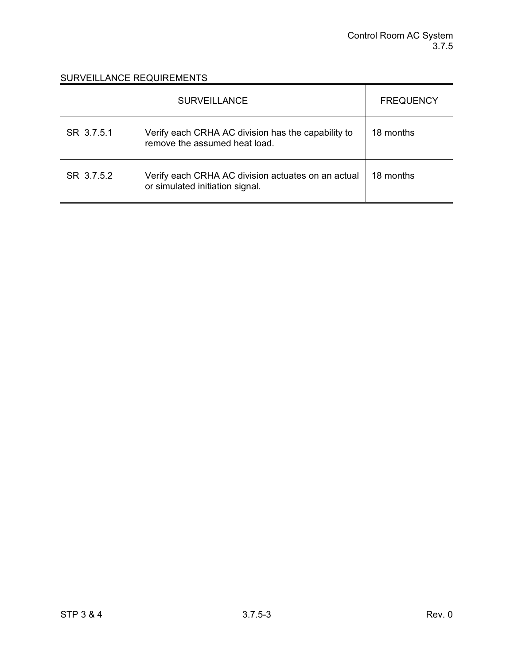|            | <b>SURVEILLANCE</b>                                                                   | <b>FREQUENCY</b> |
|------------|---------------------------------------------------------------------------------------|------------------|
| SR 3.7.5.1 | Verify each CRHA AC division has the capability to<br>remove the assumed heat load.   | 18 months        |
| SR 3.7.5.2 | Verify each CRHA AC division actuates on an actual<br>or simulated initiation signal. | 18 months        |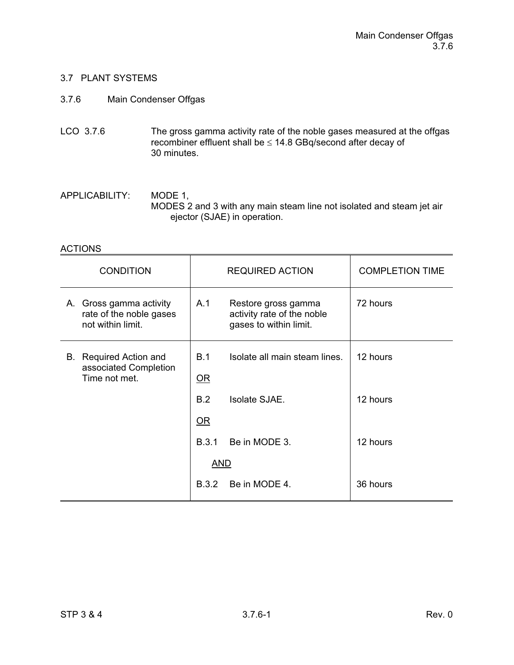## 3.7 PLANT SYSTEMS

## 3.7.6 Main Condenser Offgas

LCO 3.7.6 The gross gamma activity rate of the noble gases measured at the offgas recombiner effluent shall be  $\leq 14.8$  GBq/second after decay of 30 minutes.

APPLICABILITY: MODE 1, MODES 2 and 3 with any main steam line not isolated and steam jet air ejector (SJAE) in operation.

#### ACTIONS

| <b>CONDITION</b>                                                        |              | <b>REQUIRED ACTION</b>                                                      | <b>COMPLETION TIME</b> |
|-------------------------------------------------------------------------|--------------|-----------------------------------------------------------------------------|------------------------|
| A. Gross gamma activity<br>rate of the noble gases<br>not within limit. | A.1          | Restore gross gamma<br>activity rate of the noble<br>gases to within limit. | 72 hours               |
| B. Required Action and<br>associated Completion<br>Time not met.        | B.1<br>$OR$  | Isolate all main steam lines.                                               | 12 hours               |
|                                                                         | B.2          | Isolate SJAE.                                                               | 12 hours               |
|                                                                         | OR           |                                                                             |                        |
|                                                                         | <b>B.3.1</b> | Be in MODE 3.                                                               | 12 hours               |
|                                                                         | AND          |                                                                             |                        |
|                                                                         | <b>B.3.2</b> | Be in MODE 4.                                                               | 36 hours               |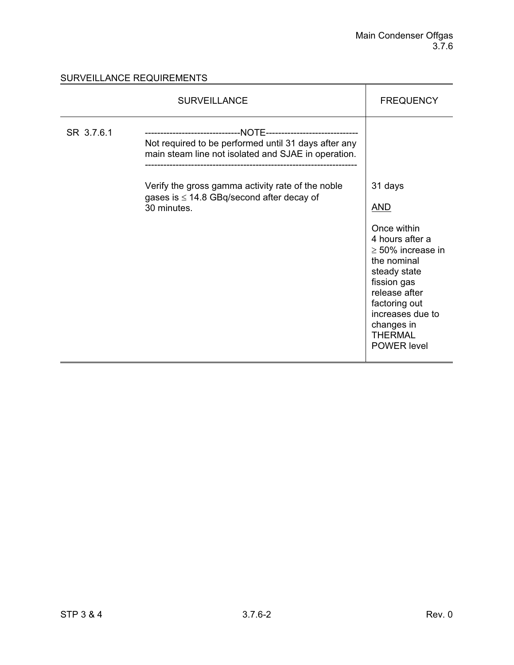|            | <b>SURVEILLANCE</b>                                                                                                                                                                                                               | <b>FREQUENCY</b>                                                                                                                                                                                                                            |
|------------|-----------------------------------------------------------------------------------------------------------------------------------------------------------------------------------------------------------------------------------|---------------------------------------------------------------------------------------------------------------------------------------------------------------------------------------------------------------------------------------------|
| SR 3.7.6.1 | Not required to be performed until 31 days after any<br>main steam line not isolated and SJAE in operation.<br>Verify the gross gamma activity rate of the noble<br>gases is $\leq$ 14.8 GBq/second after decay of<br>30 minutes. | 31 days<br><u>AND</u><br>Once within<br>4 hours after a<br>$\geq$ 50% increase in<br>the nominal<br>steady state<br>fission gas<br>release after<br>factoring out<br>increases due to<br>changes in<br><b>THERMAL</b><br><b>POWER</b> level |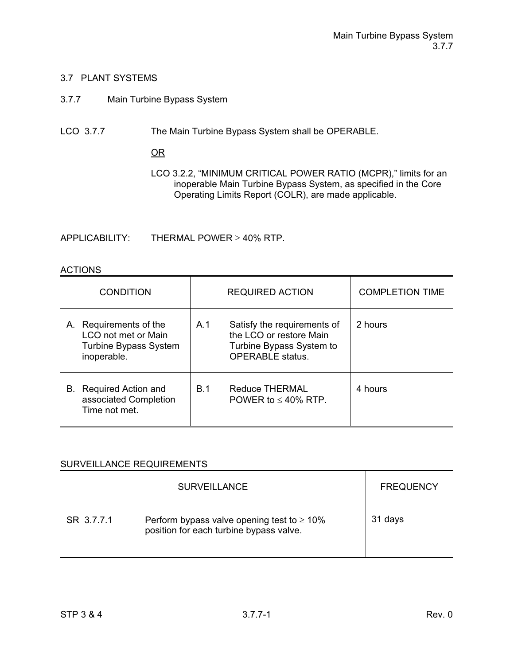#### 3.7 PLANT SYSTEMS

## 3.7.7 Main Turbine Bypass System

LCO 3.7.7 The Main Turbine Bypass System shall be OPERABLE.

OR

LCO 3.2.2, "MINIMUM CRITICAL POWER RATIO (MCPR)," limits for an inoperable Main Turbine Bypass System, as specified in the Core Operating Limits Report (COLR), are made applicable.

 $APPLICABILITY: THE RMAL POWER  $\geq 40\%$  RTP.$ 

#### **ACTIONS**

| <b>CONDITION</b>                                                                             | <b>REQUIRED ACTION</b>                                                                                               | <b>COMPLETION TIME</b> |
|----------------------------------------------------------------------------------------------|----------------------------------------------------------------------------------------------------------------------|------------------------|
| A. Requirements of the<br>LCO not met or Main<br><b>Turbine Bypass System</b><br>inoperable. | Satisfy the requirements of<br>A.1<br>the LCO or restore Main<br>Turbine Bypass System to<br><b>OPERABLE</b> status. | 2 hours                |
| Required Action and<br>В.<br>associated Completion<br>Time not met.                          | <b>B.1</b><br><b>Reduce THERMAL</b><br>POWER to $\leq 40\%$ RTP.                                                     | 4 hours                |

|            | <b>SURVEILLANCE</b>                                                                         | <b>FREQUENCY</b> |
|------------|---------------------------------------------------------------------------------------------|------------------|
| SR 3.7.7.1 | Perform bypass valve opening test to $\geq 10\%$<br>position for each turbine bypass valve. | 31 days          |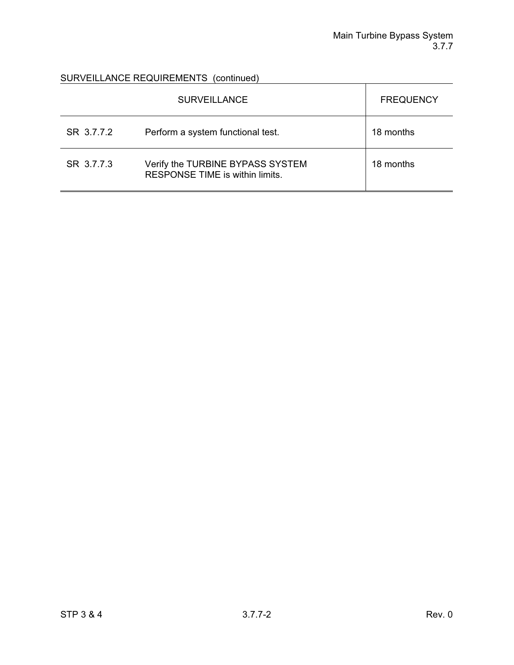|            | <b>SURVEILLANCE</b>                                                 | <b>FREQUENCY</b> |
|------------|---------------------------------------------------------------------|------------------|
| SR 3.7.7.2 | Perform a system functional test.                                   | 18 months        |
| SR 3.7.7.3 | Verify the TURBINE BYPASS SYSTEM<br>RESPONSE TIME is within limits. | 18 months        |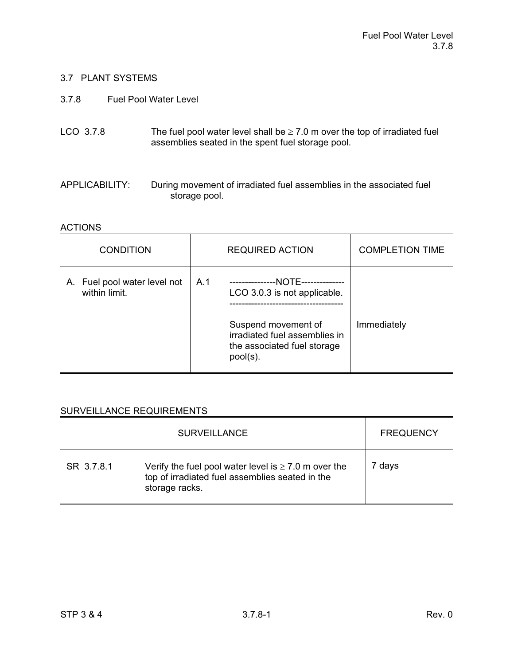## 3.7 PLANT SYSTEMS

3.7.8 Fuel Pool Water Level

| LCO 3.7.8 | The fuel pool water level shall be $\geq 7.0$ m over the top of irradiated fuel |
|-----------|---------------------------------------------------------------------------------|
|           | assemblies seated in the spent fuel storage pool.                               |

APPLICABILITY: During movement of irradiated fuel assemblies in the associated fuel storage pool.

#### **ACTIONS**

| <b>CONDITION</b>                              | <b>REQUIRED ACTION</b>                                                                                                                             | <b>COMPLETION TIME</b> |
|-----------------------------------------------|----------------------------------------------------------------------------------------------------------------------------------------------------|------------------------|
| A. Fuel pool water level not<br>within limit. | A.1<br>--NOTE--<br>LCO 3.0.3 is not applicable.<br>Suspend movement of<br>irradiated fuel assemblies in<br>the associated fuel storage<br>pool(s). | Immediately            |

|            | <b>SURVEILLANCE</b>                                                                                                            | <b>FREQUENCY</b> |
|------------|--------------------------------------------------------------------------------------------------------------------------------|------------------|
| SR 3.7.8.1 | Verify the fuel pool water level is $\geq 7.0$ m over the<br>top of irradiated fuel assemblies seated in the<br>storage racks. | 7 days           |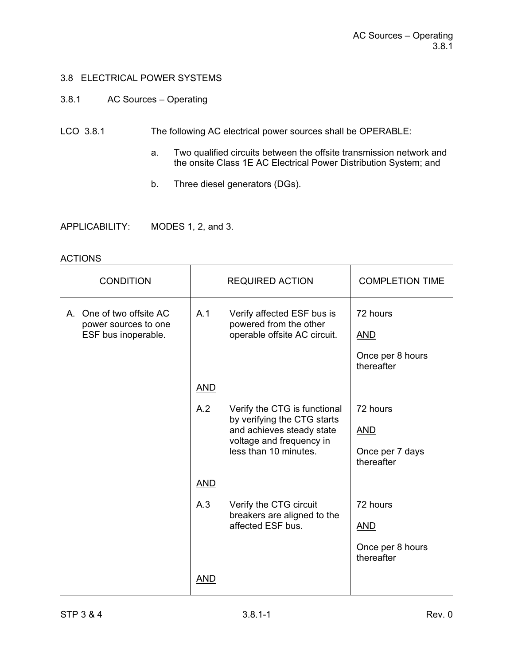## 3.8 ELECTRICAL POWER SYSTEMS

## 3.8.1 AC Sources – Operating

## LCO 3.8.1 The following AC electrical power sources shall be OPERABLE:

- a. Two qualified circuits between the offsite transmission network and the onsite Class 1E AC Electrical Power Distribution System; and
- b. Three diesel generators (DGs).
- APPLICABILITY: MODES 1, 2, and 3.

#### ACTIONS

| <b>CONDITION</b>                            |                                                                                                               | <b>REQUIRED ACTION</b>                                                               | <b>COMPLETION TIME</b>         |
|---------------------------------------------|---------------------------------------------------------------------------------------------------------------|--------------------------------------------------------------------------------------|--------------------------------|
| A. One of two offsite AC                    | A.1                                                                                                           | Verify affected ESF bus is<br>powered from the other<br>operable offsite AC circuit. | 72 hours                       |
| power sources to one<br>ESF bus inoperable. |                                                                                                               |                                                                                      | <b>AND</b>                     |
|                                             |                                                                                                               |                                                                                      | Once per 8 hours<br>thereafter |
|                                             | <b>AND</b>                                                                                                    |                                                                                      |                                |
|                                             | A.2                                                                                                           | Verify the CTG is functional                                                         | 72 hours                       |
|                                             | by verifying the CTG starts<br>and achieves steady state<br>voltage and frequency in<br>less than 10 minutes. |                                                                                      | <b>AND</b>                     |
|                                             |                                                                                                               | Once per 7 days<br>thereafter                                                        |                                |
|                                             | <b>AND</b>                                                                                                    |                                                                                      |                                |
|                                             | A.3<br>Verify the CTG circuit                                                                                 | breakers are aligned to the                                                          | 72 hours                       |
| affected ESF bus.                           | <u>AND</u>                                                                                                    |                                                                                      |                                |
|                                             |                                                                                                               |                                                                                      | Once per 8 hours<br>thereafter |
|                                             | <u>AND</u>                                                                                                    |                                                                                      |                                |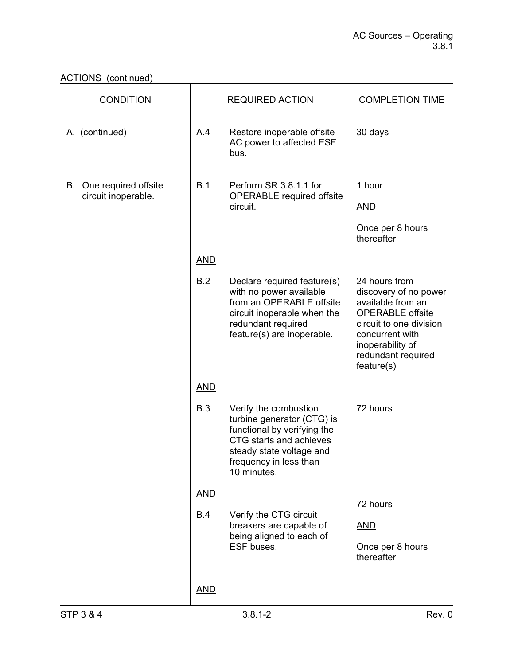| <b>CONDITION</b>                               |            | <b>REQUIRED ACTION</b>                                                                                                                                                             | <b>COMPLETION TIME</b>                                                                                                                                                                       |
|------------------------------------------------|------------|------------------------------------------------------------------------------------------------------------------------------------------------------------------------------------|----------------------------------------------------------------------------------------------------------------------------------------------------------------------------------------------|
| A. (continued)                                 | A.4        | Restore inoperable offsite<br>AC power to affected ESF<br>bus.                                                                                                                     | 30 days                                                                                                                                                                                      |
| B. One required offsite<br>circuit inoperable. | B.1        | Perform SR 3.8.1.1 for                                                                                                                                                             | 1 hour                                                                                                                                                                                       |
|                                                |            | <b>OPERABLE</b> required offsite<br>circuit.                                                                                                                                       | <b>AND</b>                                                                                                                                                                                   |
|                                                |            |                                                                                                                                                                                    | Once per 8 hours<br>thereafter                                                                                                                                                               |
|                                                | <b>AND</b> |                                                                                                                                                                                    |                                                                                                                                                                                              |
|                                                | B.2        | Declare required feature(s)<br>with no power available<br>from an OPERABLE offsite<br>circuit inoperable when the<br>redundant required<br>feature(s) are inoperable.              | 24 hours from<br>discovery of no power<br>available from an<br><b>OPERABLE</b> offsite<br>circuit to one division<br>concurrent with<br>inoperability of<br>redundant required<br>feature(s) |
|                                                | <b>AND</b> |                                                                                                                                                                                    |                                                                                                                                                                                              |
|                                                | B.3        | Verify the combustion<br>turbine generator (CTG) is<br>functional by verifying the<br>CTG starts and achieves<br>steady state voltage and<br>frequency in less than<br>10 minutes. | 72 hours                                                                                                                                                                                     |
|                                                | <b>AND</b> |                                                                                                                                                                                    | 72 hours                                                                                                                                                                                     |
|                                                | <b>B.4</b> | Verify the CTG circuit<br>breakers are capable of<br>being aligned to each of<br>ESF buses.                                                                                        | <b>AND</b><br>Once per 8 hours<br>thereafter                                                                                                                                                 |
|                                                | <b>AND</b> |                                                                                                                                                                                    |                                                                                                                                                                                              |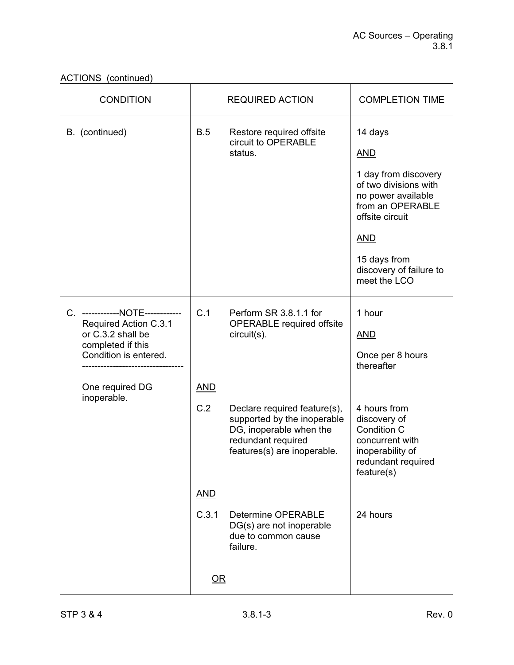ACTIONS (continued)

| <b>CONDITION</b>                           |                                 | <b>REQUIRED ACTION</b>                                                                                                                      | <b>COMPLETION TIME</b>                                                                                                 |
|--------------------------------------------|---------------------------------|---------------------------------------------------------------------------------------------------------------------------------------------|------------------------------------------------------------------------------------------------------------------------|
| B. (continued)                             | B.5<br>Restore required offsite | circuit to OPERABLE                                                                                                                         | 14 days                                                                                                                |
|                                            |                                 | status.                                                                                                                                     | <b>AND</b>                                                                                                             |
|                                            |                                 |                                                                                                                                             | 1 day from discovery<br>of two divisions with<br>no power available<br>from an OPERABLE<br>offsite circuit             |
|                                            |                                 |                                                                                                                                             | <b>AND</b>                                                                                                             |
|                                            |                                 |                                                                                                                                             | 15 days from<br>discovery of failure to<br>meet the LCO                                                                |
| C. ------------NOTE------------            | C.1                             | Perform SR 3.8.1.1 for<br><b>OPERABLE</b> required offsite<br>circuit(s).                                                                   | 1 hour                                                                                                                 |
| Required Action C.3.1<br>or C.3.2 shall be |                                 |                                                                                                                                             | <b>AND</b>                                                                                                             |
| completed if this<br>Condition is entered. |                                 |                                                                                                                                             | Once per 8 hours<br>thereafter                                                                                         |
| One required DG<br>inoperable.             | <b>AND</b>                      |                                                                                                                                             |                                                                                                                        |
|                                            | C.2                             | Declare required feature(s),<br>supported by the inoperable<br>DG, inoperable when the<br>redundant required<br>features(s) are inoperable. | 4 hours from<br>discovery of<br>Condition C<br>concurrent with<br>inoperability of<br>redundant required<br>feature(s) |
|                                            | <b>AND</b>                      |                                                                                                                                             |                                                                                                                        |
|                                            | C.3.1                           | <b>Determine OPERABLE</b><br>DG(s) are not inoperable<br>due to common cause<br>failure.                                                    | 24 hours                                                                                                               |
|                                            | $OR$                            |                                                                                                                                             |                                                                                                                        |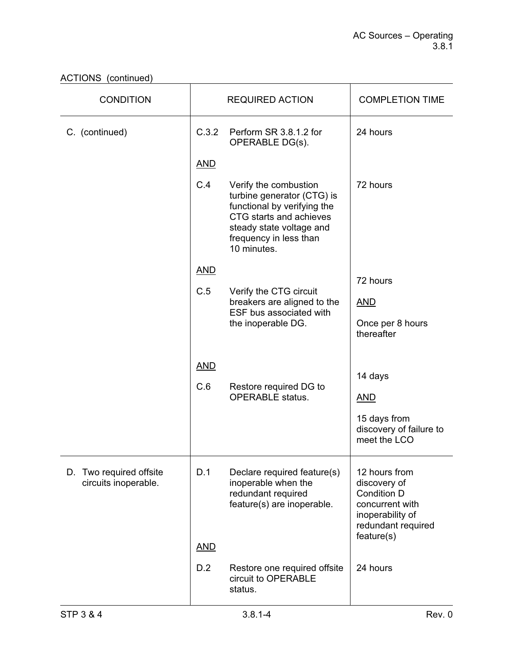| <b>CONDITION</b>                                |            | <b>REQUIRED ACTION</b>                                                                                                                                                             | <b>COMPLETION TIME</b>                                                                                                  |
|-------------------------------------------------|------------|------------------------------------------------------------------------------------------------------------------------------------------------------------------------------------|-------------------------------------------------------------------------------------------------------------------------|
| C. (continued)                                  | C.3.2      | Perform SR 3.8.1.2 for<br>OPERABLE DG(s).                                                                                                                                          | 24 hours                                                                                                                |
|                                                 | <b>AND</b> |                                                                                                                                                                                    |                                                                                                                         |
|                                                 | C.4        | Verify the combustion<br>turbine generator (CTG) is<br>functional by verifying the<br>CTG starts and achieves<br>steady state voltage and<br>frequency in less than<br>10 minutes. | 72 hours                                                                                                                |
|                                                 | <b>AND</b> |                                                                                                                                                                                    | 72 hours                                                                                                                |
|                                                 | C.5        | Verify the CTG circuit<br>breakers are aligned to the                                                                                                                              | <u>AND</u>                                                                                                              |
|                                                 |            | ESF bus associated with<br>the inoperable DG.                                                                                                                                      | Once per 8 hours                                                                                                        |
|                                                 |            |                                                                                                                                                                                    | thereafter                                                                                                              |
|                                                 | <b>AND</b> |                                                                                                                                                                                    |                                                                                                                         |
|                                                 | C.6        | Restore required DG to                                                                                                                                                             | 14 days                                                                                                                 |
|                                                 |            | <b>OPERABLE</b> status.                                                                                                                                                            | <b>AND</b>                                                                                                              |
|                                                 |            |                                                                                                                                                                                    | 15 days from<br>discovery of failure to<br>meet the LCO                                                                 |
| D. Two required offsite<br>circuits inoperable. | D.1        | Declare required feature(s)<br>inoperable when the<br>redundant required<br>feature(s) are inoperable.                                                                             | 12 hours from<br>discovery of<br>Condition D<br>concurrent with<br>inoperability of<br>redundant required<br>feature(s) |
|                                                 | <b>AND</b> |                                                                                                                                                                                    |                                                                                                                         |
|                                                 | D.2        | Restore one required offsite<br>circuit to OPERABLE<br>status.                                                                                                                     | 24 hours                                                                                                                |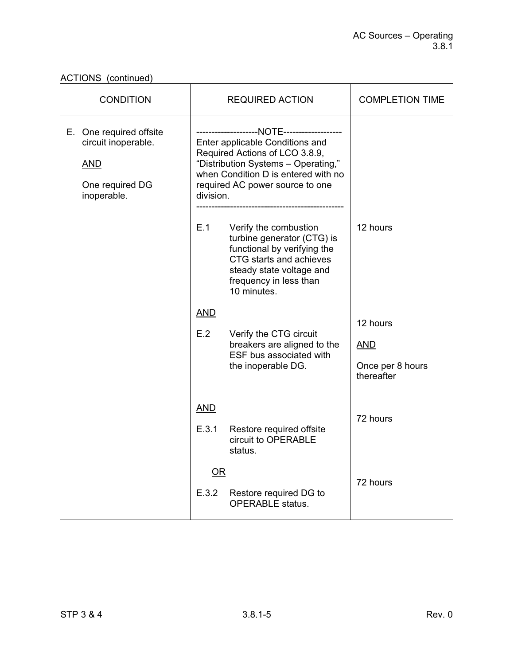| <b>CONDITION</b>                                                                               |                     | <b>REQUIRED ACTION</b>                                                                                                                                                             | <b>COMPLETION TIME</b>                                   |
|------------------------------------------------------------------------------------------------|---------------------|------------------------------------------------------------------------------------------------------------------------------------------------------------------------------------|----------------------------------------------------------|
| E. One required offsite<br>circuit inoperable.<br><b>AND</b><br>One required DG<br>inoperable. | division.           | Enter applicable Conditions and<br>Required Actions of LCO 3.8.9,<br>"Distribution Systems - Operating,"<br>when Condition D is entered with no<br>required AC power source to one |                                                          |
|                                                                                                | E.1                 | Verify the combustion<br>turbine generator (CTG) is<br>functional by verifying the<br>CTG starts and achieves<br>steady state voltage and<br>frequency in less than<br>10 minutes. | 12 hours                                                 |
|                                                                                                | <b>AND</b><br>E.2   | Verify the CTG circuit<br>breakers are aligned to the<br>ESF bus associated with<br>the inoperable DG.                                                                             | 12 hours<br><b>AND</b><br>Once per 8 hours<br>thereafter |
|                                                                                                | <b>AND</b><br>E.3.1 | Restore required offsite<br>circuit to OPERABLE<br>status.                                                                                                                         | 72 hours                                                 |
|                                                                                                | OR<br>E.3.2         | Restore required DG to<br><b>OPERABLE</b> status.                                                                                                                                  | 72 hours                                                 |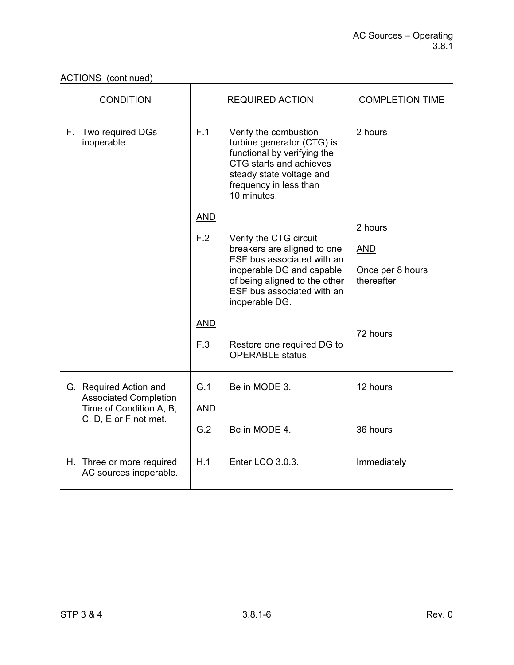| <b>CONDITION</b>                                        | <b>REQUIRED ACTION</b>                                                                                                                                                                    | <b>COMPLETION TIME</b>         |
|---------------------------------------------------------|-------------------------------------------------------------------------------------------------------------------------------------------------------------------------------------------|--------------------------------|
| F. Two required DGs<br>inoperable.                      | F.1<br>Verify the combustion<br>turbine generator (CTG) is<br>functional by verifying the<br>CTG starts and achieves<br>steady state voltage and<br>frequency in less than<br>10 minutes. | 2 hours                        |
|                                                         | <b>AND</b>                                                                                                                                                                                | 2 hours                        |
|                                                         | F.2<br>Verify the CTG circuit<br>breakers are aligned to one                                                                                                                              | <b>AND</b>                     |
|                                                         | ESF bus associated with an<br>inoperable DG and capable<br>of being aligned to the other<br>ESF bus associated with an<br>inoperable DG.                                                  | Once per 8 hours<br>thereafter |
|                                                         | <b>AND</b>                                                                                                                                                                                | 72 hours                       |
|                                                         | F.3<br>Restore one required DG to<br><b>OPERABLE</b> status.                                                                                                                              |                                |
| G. Required Action and                                  | G.1<br>Be in MODE 3.                                                                                                                                                                      | 12 hours                       |
| <b>Associated Completion</b><br>Time of Condition A, B, | <b>AND</b>                                                                                                                                                                                |                                |
| C, D, E or F not met.                                   | G.2<br>Be in MODE 4.                                                                                                                                                                      | 36 hours                       |
| H. Three or more required<br>AC sources inoperable.     | H.1<br>Enter LCO 3.0.3.                                                                                                                                                                   | Immediately                    |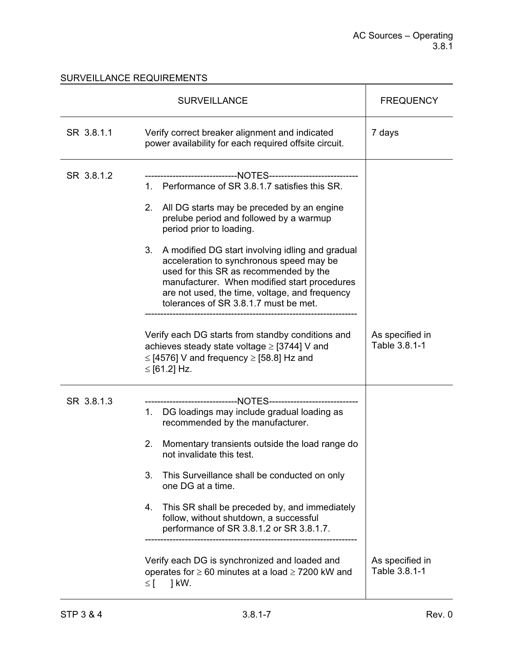|            | <b>SURVEILLANCE</b>                                                                                                                                                                                                                                                                                                                                                                                                                                                                                                          | <b>FREQUENCY</b>                 |
|------------|------------------------------------------------------------------------------------------------------------------------------------------------------------------------------------------------------------------------------------------------------------------------------------------------------------------------------------------------------------------------------------------------------------------------------------------------------------------------------------------------------------------------------|----------------------------------|
| SR 3.8.1.1 | Verify correct breaker alignment and indicated<br>power availability for each required offsite circuit.                                                                                                                                                                                                                                                                                                                                                                                                                      | 7 days                           |
| SR 3.8.1.2 | ---------------------------NOTES----------------------<br>1. Performance of SR 3.8.1.7 satisfies this SR.<br>2. All DG starts may be preceded by an engine<br>prelube period and followed by a warmup<br>period prior to loading.<br>3.<br>A modified DG start involving idling and gradual<br>acceleration to synchronous speed may be<br>used for this SR as recommended by the<br>manufacturer. When modified start procedures<br>are not used, the time, voltage, and frequency<br>tolerances of SR 3.8.1.7 must be met. |                                  |
|            | Verify each DG starts from standby conditions and<br>achieves steady state voltage ≥ [3744] V and<br>$\le$ [4576] V and frequency $\ge$ [58.8] Hz and<br>≤ [61.2] Hz.                                                                                                                                                                                                                                                                                                                                                        | As specified in<br>Table 3.8.1-1 |
| SR 3.8.1.3 | ----------------------NOTES-------------------<br>1. DG loadings may include gradual loading as<br>recommended by the manufacturer.<br>2.<br>Momentary transients outside the load range do<br>not invalidate this test.<br>3.<br>This Surveillance shall be conducted on only<br>one DG at a time.<br>This SR shall be preceded by, and immediately<br>4.<br>follow, without shutdown, a successful<br>performance of SR 3.8.1.2 or SR 3.8.1.7.<br>Verify each DG is synchronized and loaded and                            | As specified in                  |
|            | operates for $\geq 60$ minutes at a load $\geq 7200$ kW and<br>] kW.<br>$\leq$ [                                                                                                                                                                                                                                                                                                                                                                                                                                             | Table 3.8.1-1                    |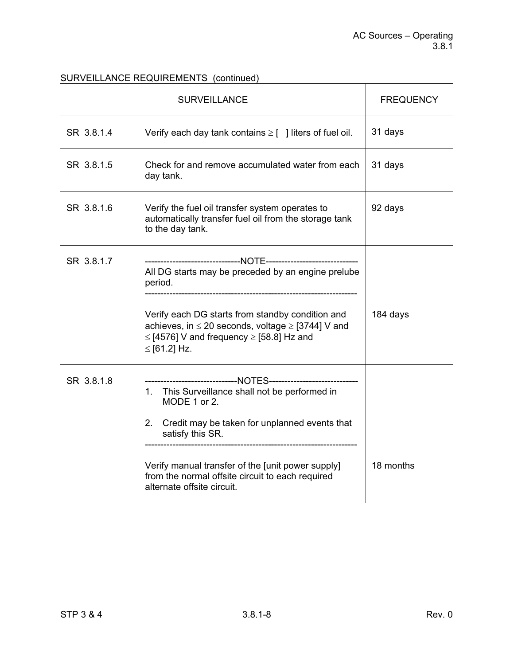|            | <b>SURVEILLANCE</b>                                                                                                                                                                                                                                                                                                                                          | <b>FREQUENCY</b> |
|------------|--------------------------------------------------------------------------------------------------------------------------------------------------------------------------------------------------------------------------------------------------------------------------------------------------------------------------------------------------------------|------------------|
| SR 3.8.1.4 | Verify each day tank contains $\geq$ [ ] liters of fuel oil.                                                                                                                                                                                                                                                                                                 | 31 days          |
| SR 3.8.1.5 | Check for and remove accumulated water from each<br>day tank.                                                                                                                                                                                                                                                                                                | 31 days          |
| SR 3.8.1.6 | Verify the fuel oil transfer system operates to<br>automatically transfer fuel oil from the storage tank<br>to the day tank.                                                                                                                                                                                                                                 | 92 days          |
| SR 3.8.1.7 | All DG starts may be preceded by an engine prelube<br>period.<br>Verify each DG starts from standby condition and<br>achieves, in $\leq$ 20 seconds, voltage $\geq$ [3744] V and<br>$\le$ [4576] V and frequency $\ge$ [58.8] Hz and<br>≤ [61.2] Hz.                                                                                                         | 184 days         |
| SR 3.8.1.8 | ------------------------------NOTES-----------------------------<br>This Surveillance shall not be performed in<br>1.<br>MODE 1 or 2.<br>Credit may be taken for unplanned events that<br>$2_{-}$<br>satisfy this SR.<br>Verify manual transfer of the [unit power supply]<br>from the normal offsite circuit to each required<br>alternate offsite circuit. | 18 months        |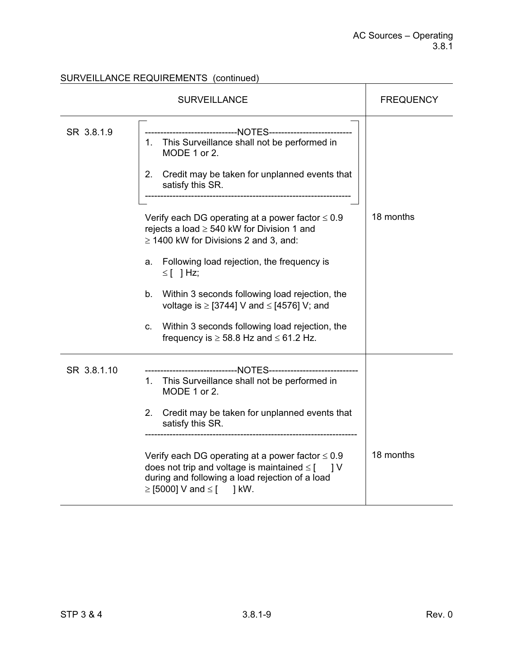|             | <b>SURVEILLANCE</b>                                                                                                                                                                                                                                                                                                                                                                                                                                                                                                                                                                                                                                                                             | <b>FREQUENCY</b> |
|-------------|-------------------------------------------------------------------------------------------------------------------------------------------------------------------------------------------------------------------------------------------------------------------------------------------------------------------------------------------------------------------------------------------------------------------------------------------------------------------------------------------------------------------------------------------------------------------------------------------------------------------------------------------------------------------------------------------------|------------------|
| SR 3.8.1.9  | ------------------------------NOTES--------------------<br>1. This Surveillance shall not be performed in<br>MODE 1 or 2.<br>Credit may be taken for unplanned events that<br>2.<br>satisfy this SR.<br>-------------------------------<br>Verify each DG operating at a power factor $\leq 0.9$<br>rejects a load $\geq$ 540 kW for Division 1 and<br>$\geq$ 1400 kW for Divisions 2 and 3, and:<br>Following load rejection, the frequency is<br>a.<br>$\leq$ [ ] Hz;<br>Within 3 seconds following load rejection, the<br>b.<br>voltage is $\ge$ [3744] V and $\le$ [4576] V; and<br>Within 3 seconds following load rejection, the<br>C.<br>frequency is $\geq$ 58.8 Hz and $\leq$ 61.2 Hz. | 18 months        |
| SR 3.8.1.10 | ------------------------NOTES---------------------<br>1. This Surveillance shall not be performed in<br>MODE 1 or 2.<br>Credit may be taken for unplanned events that<br>2.<br>satisfy this SR.<br>Verify each DG operating at a power factor $\leq 0.9$<br>does not trip and voltage is maintained $\leq$ [ ] V<br>during and following a load rejection of a load<br>$\ge$ [5000] V and $\le$ [ ] kW.                                                                                                                                                                                                                                                                                         | 18 months        |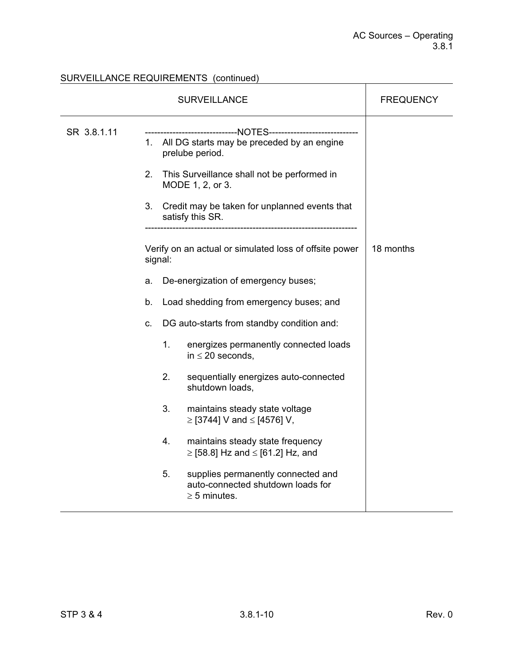| <b>SURVEILLANCE</b> |                   |         | <b>FREQUENCY</b>                                                                                                                                                                                                                                                   |           |
|---------------------|-------------------|---------|--------------------------------------------------------------------------------------------------------------------------------------------------------------------------------------------------------------------------------------------------------------------|-----------|
| SR 3.8.1.11         | $2_{\cdot}$<br>3. |         | --------------------------NOTES-----------------------<br>1. All DG starts may be preceded by an engine<br>prelube period.<br>This Surveillance shall not be performed in<br>MODE 1, 2, or 3.<br>Credit may be taken for unplanned events that<br>satisfy this SR. |           |
|                     |                   | signal: | Verify on an actual or simulated loss of offsite power                                                                                                                                                                                                             | 18 months |
|                     | a.                |         | De-energization of emergency buses;                                                                                                                                                                                                                                |           |
|                     | b.                |         | Load shedding from emergency buses; and                                                                                                                                                                                                                            |           |
|                     | C.                |         | DG auto-starts from standby condition and:                                                                                                                                                                                                                         |           |
|                     |                   | 1.      | energizes permanently connected loads<br>in $\leq$ 20 seconds,                                                                                                                                                                                                     |           |
|                     |                   | 2.      | sequentially energizes auto-connected<br>shutdown loads,                                                                                                                                                                                                           |           |
|                     |                   | 3.      | maintains steady state voltage<br>≥ [3744] V and ≤ [4576] V,                                                                                                                                                                                                       |           |
|                     |                   | 4.      | maintains steady state frequency<br>$\ge$ [58.8] Hz and $\le$ [61.2] Hz, and                                                                                                                                                                                       |           |
|                     |                   | 5.      | supplies permanently connected and<br>auto-connected shutdown loads for<br>$\geq$ 5 minutes.                                                                                                                                                                       |           |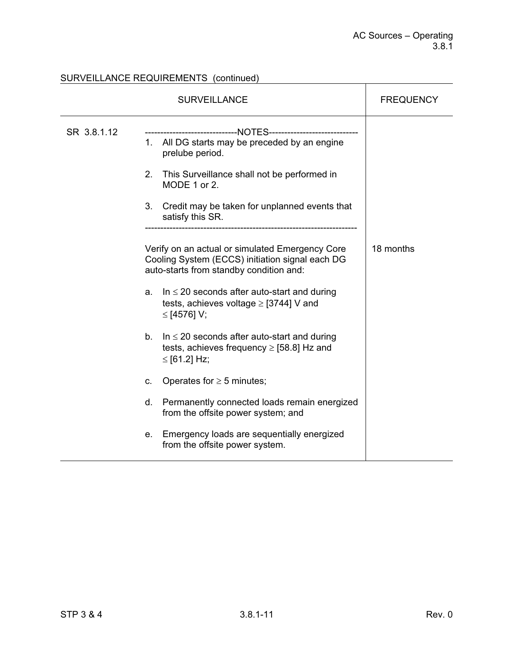|             | <b>SURVEILLANCE</b>                                                                                                                                                                                                                                   | <b>FREQUENCY</b> |
|-------------|-------------------------------------------------------------------------------------------------------------------------------------------------------------------------------------------------------------------------------------------------------|------------------|
| SR 3.8.1.12 | ---------------NOTES-------------<br>1. All DG starts may be preceded by an engine<br>prelube period.<br>This Surveillance shall not be performed in<br>2.<br>MODE 1 or 2.<br>3.<br>Credit may be taken for unplanned events that<br>satisfy this SR. |                  |
|             | Verify on an actual or simulated Emergency Core<br>Cooling System (ECCS) initiation signal each DG<br>auto-starts from standby condition and:                                                                                                         | 18 months        |
|             | In $\leq$ 20 seconds after auto-start and during<br>a.<br>tests, achieves voltage $\ge$ [3744] V and<br>≤ [4576] V;                                                                                                                                   |                  |
|             | In $\leq$ 20 seconds after auto-start and during<br>b.<br>tests, achieves frequency $\ge$ [58.8] Hz and<br>≤ [61.2] Hz;                                                                                                                               |                  |
|             | Operates for $\geq$ 5 minutes;<br>c.                                                                                                                                                                                                                  |                  |
|             | Permanently connected loads remain energized<br>d.<br>from the offsite power system; and                                                                                                                                                              |                  |
|             | Emergency loads are sequentially energized<br>е.<br>from the offsite power system.                                                                                                                                                                    |                  |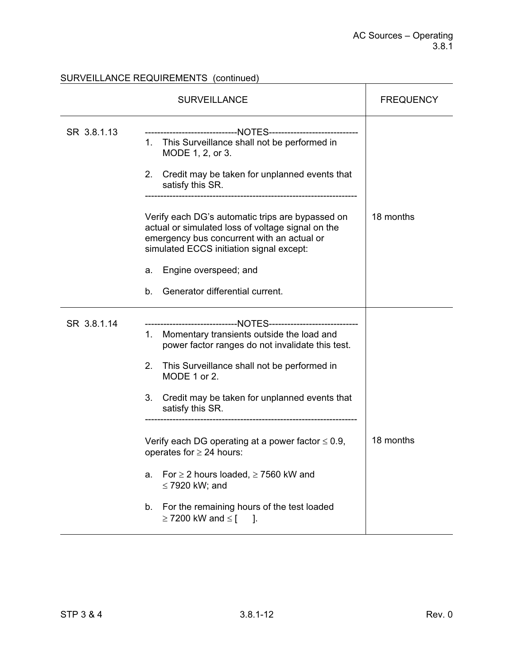|             | <b>FREQUENCY</b>                                                                                                                                                                                                                                                                                                                                                                                                                                                                                                                                                                       |           |
|-------------|----------------------------------------------------------------------------------------------------------------------------------------------------------------------------------------------------------------------------------------------------------------------------------------------------------------------------------------------------------------------------------------------------------------------------------------------------------------------------------------------------------------------------------------------------------------------------------------|-----------|
| SR 3.8.1.13 | ------------------------------NOTES------------------------------<br>This Surveillance shall not be performed in<br>1.<br>MODE 1, 2, or 3.<br>Credit may be taken for unplanned events that<br>2.<br>satisfy this SR.<br>Verify each DG's automatic trips are bypassed on<br>actual or simulated loss of voltage signal on the<br>emergency bus concurrent with an actual or<br>simulated ECCS initiation signal except:<br>Engine overspeed; and<br>а.<br>Generator differential current.<br>b.                                                                                       | 18 months |
| SR 3.8.1.14 | ----------------------NOTES------------------<br>Momentary transients outside the load and<br>1.<br>power factor ranges do not invalidate this test.<br>2.<br>This Surveillance shall not be performed in<br>MODE 1 or 2.<br>Credit may be taken for unplanned events that<br>3.<br>satisfy this SR.<br>Verify each DG operating at a power factor $\leq 0.9$ ,<br>operates for $\geq$ 24 hours:<br>For $\geq$ 2 hours loaded, $\geq$ 7560 kW and<br>a.<br>$\leq$ 7920 kW; and<br>For the remaining hours of the test loaded<br>b.<br>$\geq$ 7200 kW and $\leq$ [<br>$\blacksquare$ 1. | 18 months |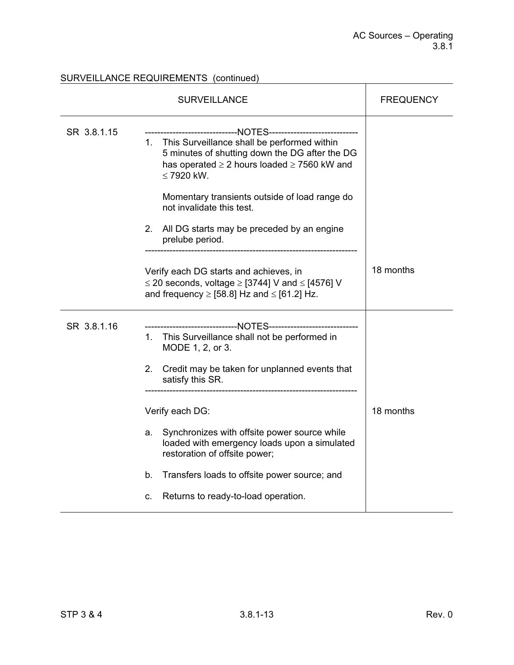|             | <b>SURVEILLANCE</b>                                                                                                                                                                                                                                                                                                           | <b>FREQUENCY</b> |
|-------------|-------------------------------------------------------------------------------------------------------------------------------------------------------------------------------------------------------------------------------------------------------------------------------------------------------------------------------|------------------|
| SR 3.8.1.15 | -----------------------------NOTES-----------------------------<br>1. This Surveillance shall be performed within<br>5 minutes of shutting down the DG after the DG<br>has operated $\geq 2$ hours loaded $\geq 7560$ kW and<br>$\leq$ 7920 kW.<br>Momentary transients outside of load range do<br>not invalidate this test. |                  |
|             | 2. All DG starts may be preceded by an engine<br>prelube period.                                                                                                                                                                                                                                                              |                  |
|             | Verify each DG starts and achieves, in<br>$\leq$ 20 seconds, voltage $\geq$ [3744] V and $\leq$ [4576] V<br>and frequency $\ge$ [58.8] Hz and $\le$ [61.2] Hz.                                                                                                                                                                | 18 months        |
| SR 3.8.1.16 | -----------------------------NOTES-----------------------------<br>1. This Surveillance shall not be performed in<br>MODE 1, 2, or 3.<br>$2_{-}$<br>Credit may be taken for unplanned events that<br>satisfy this SR.                                                                                                         |                  |
|             | Verify each DG:<br>Synchronizes with offsite power source while<br>a.<br>loaded with emergency loads upon a simulated<br>restoration of offsite power;<br>b.<br>Transfers loads to offsite power source; and                                                                                                                  | 18 months        |
|             | Returns to ready-to-load operation.<br>c.                                                                                                                                                                                                                                                                                     |                  |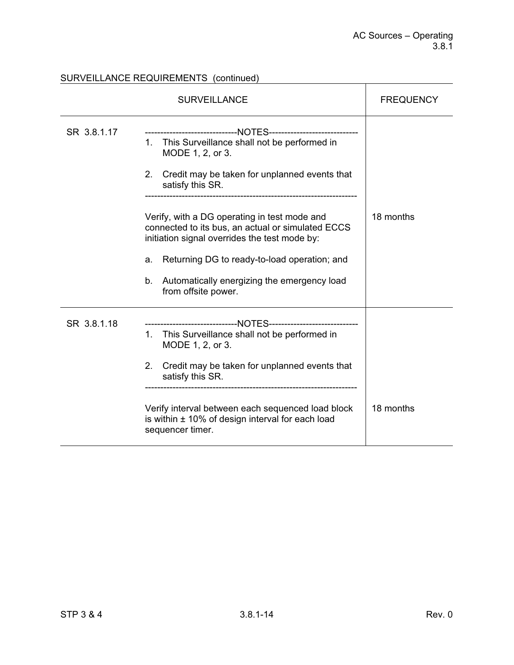|             | <b>SURVEILLANCE</b>                                                                                                                                                                                                                                                                                                                                                                                                                                                                                             | <b>FREQUENCY</b> |
|-------------|-----------------------------------------------------------------------------------------------------------------------------------------------------------------------------------------------------------------------------------------------------------------------------------------------------------------------------------------------------------------------------------------------------------------------------------------------------------------------------------------------------------------|------------------|
| SR 3.8.1.17 | -----------------------------NOTES----------------------------<br>This Surveillance shall not be performed in<br>$1_{-}$<br>MODE 1, 2, or 3.<br>2.<br>Credit may be taken for unplanned events that<br>satisfy this SR.<br>Verify, with a DG operating in test mode and<br>connected to its bus, an actual or simulated ECCS<br>initiation signal overrides the test mode by:<br>Returning DG to ready-to-load operation; and<br>a.<br>Automatically energizing the emergency load<br>b.<br>from offsite power. | 18 months        |
| SR 3.8.1.18 | ----------------------------NOTES-------------------------<br>This Surveillance shall not be performed in<br>$1_{-}$<br>MODE 1, 2, or 3.<br>Credit may be taken for unplanned events that<br>2.<br>satisfy this SR.<br>Verify interval between each sequenced load block<br>is within $\pm$ 10% of design interval for each load<br>sequencer timer.                                                                                                                                                            | 18 months        |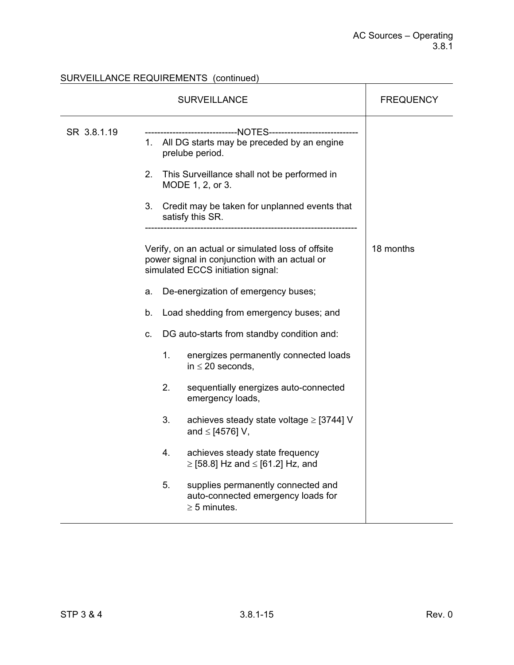# SURVEILLANCE REQUIREMENTS (continued)<br>
SURVEILLANCE REQUIREMENTS (continued)

| SURVEILLANCE |                                                                                                                                                                           |  |                                                                                                                                                                                                                                                                                                                                                                                                                                                                                           | FREQUENCY |
|--------------|---------------------------------------------------------------------------------------------------------------------------------------------------------------------------|--|-------------------------------------------------------------------------------------------------------------------------------------------------------------------------------------------------------------------------------------------------------------------------------------------------------------------------------------------------------------------------------------------------------------------------------------------------------------------------------------------|-----------|
| SR 3.8.1.19  | 2.<br>3.                                                                                                                                                                  |  | -------------------NOTES-------------------<br>1. All DG starts may be preceded by an engine<br>prelube period.<br>This Surveillance shall not be performed in<br>MODE 1, 2, or 3.<br>Credit may be taken for unplanned events that                                                                                                                                                                                                                                                       |           |
|              | satisfy this SR.<br>simulated ECCS initiation signal:<br>a.<br>b.<br>с.<br>1.<br>in $\leq$ 20 seconds,<br>2.<br>emergency loads,<br>3.<br>and $\le$ [4576] V,<br>4.<br>5. |  | Verify, on an actual or simulated loss of offsite<br>power signal in conjunction with an actual or<br>De-energization of emergency buses;<br>Load shedding from emergency buses; and<br>DG auto-starts from standby condition and:<br>energizes permanently connected loads<br>sequentially energizes auto-connected<br>achieves steady state voltage $\ge$ [3744] V<br>achieves steady state frequency<br>$\ge$ [58.8] Hz and $\le$ [61.2] Hz, and<br>supplies permanently connected and | 18 months |
|              |                                                                                                                                                                           |  | auto-connected emergency loads for<br>$\geq$ 5 minutes.                                                                                                                                                                                                                                                                                                                                                                                                                                   |           |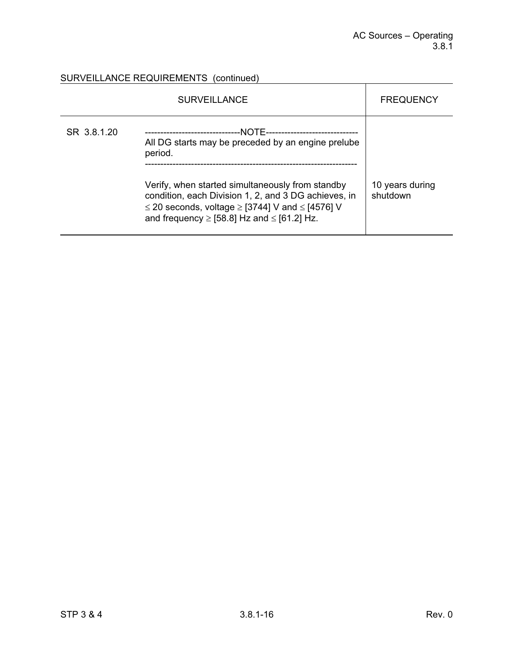$\mathbf{r}$ 

# SURVEILLANCE REQUIREMENTS (continued)

|             | <b>SURVEILLANCE</b>                                                                                                                                                                                                                                                                                             | <b>FREQUENCY</b>            |
|-------------|-----------------------------------------------------------------------------------------------------------------------------------------------------------------------------------------------------------------------------------------------------------------------------------------------------------------|-----------------------------|
| SR 3.8.1.20 | -NOTF-<br><br>All DG starts may be preceded by an engine prelube<br>period.<br>Verify, when started simultaneously from standby<br>condition, each Division 1, 2, and 3 DG achieves, in<br>$\leq$ 20 seconds, voltage $\geq$ [3744] V and $\leq$ [4576] V<br>and frequency $\ge$ [58.8] Hz and $\le$ [61.2] Hz. | 10 years during<br>shutdown |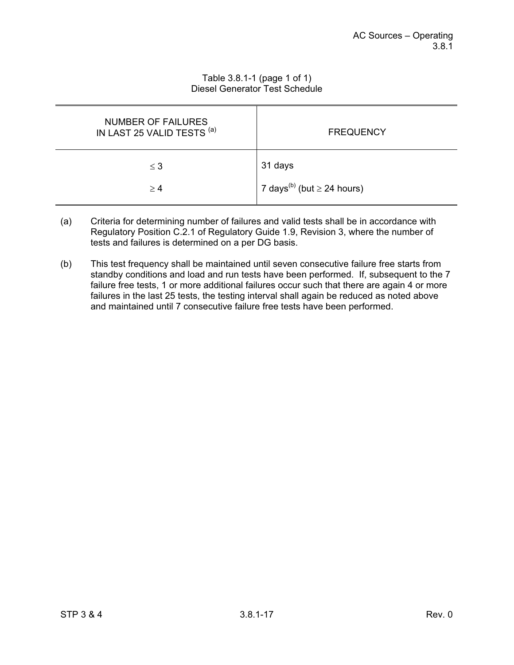| Table 3.8.1-1 (page 1 of 1)    |
|--------------------------------|
| Diesel Generator Test Schedule |

| <b>NUMBER OF FAILURES</b><br>IN LAST 25 VALID TESTS (a) | <b>FREQUENCY</b>                            |
|---------------------------------------------------------|---------------------------------------------|
| $\leq$ 3                                                | 31 days                                     |
| $\geq 4$                                                | 7 days <sup>(b)</sup> (but $\geq$ 24 hours) |

- (a) Criteria for determining number of failures and valid tests shall be in accordance with Regulatory Position C.2.1 of Regulatory Guide 1.9, Revision 3, where the number of tests and failures is determined on a per DG basis.
- (b) This test frequency shall be maintained until seven consecutive failure free starts from standby conditions and load and run tests have been performed. If, subsequent to the 7 failure free tests, 1 or more additional failures occur such that there are again 4 or more failures in the last 25 tests, the testing interval shall again be reduced as noted above and maintained until 7 consecutive failure free tests have been performed.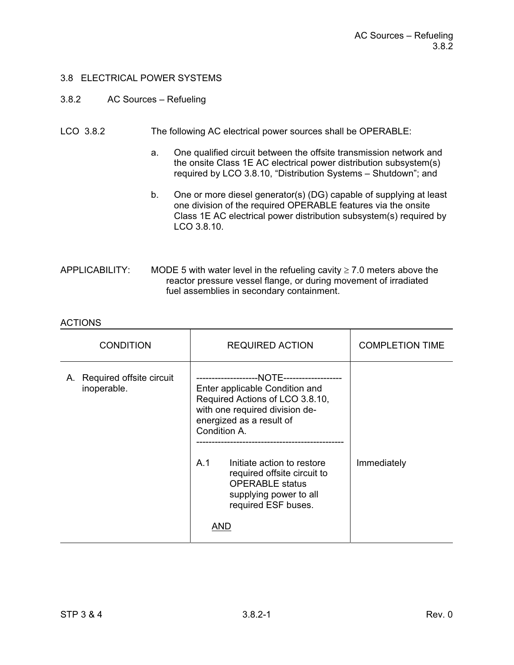#### 3.8 ELECTRICAL POWER SYSTEMS

#### 3.8.2 AC Sources – Refueling

#### LCO 3.8.2 The following AC electrical power sources shall be OPERABLE:

- a. One qualified circuit between the offsite transmission network and the onsite Class 1E AC electrical power distribution subsystem(s) required by LCO 3.8.10, "Distribution Systems – Shutdown"; and
- b. One or more diesel generator(s) (DG) capable of supplying at least one division of the required OPERABLE features via the onsite Class 1E AC electrical power distribution subsystem(s) required by LCO 3.8.10.
- APPLICABILITY: MODE 5 with water level in the refueling cavity  $\geq 7.0$  meters above the reactor pressure vessel flange, or during movement of irradiated fuel assemblies in secondary containment.

#### **ACTIONS**

| <b>CONDITION</b>                              | <b>REQUIRED ACTION</b>                                                                                                                                                                                                                                                                                | <b>COMPLETION TIME</b> |
|-----------------------------------------------|-------------------------------------------------------------------------------------------------------------------------------------------------------------------------------------------------------------------------------------------------------------------------------------------------------|------------------------|
| Required offsite circuit<br>А.<br>inoperable. | Enter applicable Condition and<br>Required Actions of LCO 3.8.10,<br>with one required division de-<br>energized as a result of<br>Condition A.<br>A.1<br>Initiate action to restore<br>required offsite circuit to<br><b>OPERABLE</b> status<br>supplying power to all<br>required ESF buses.<br>AND | Immediately            |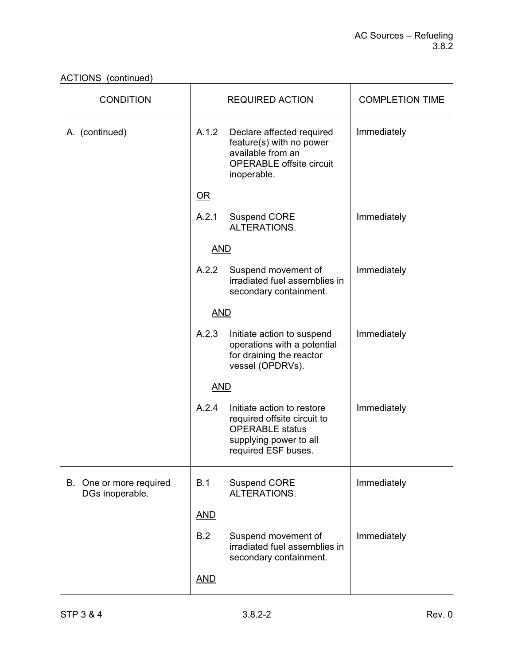| <b>CONDITION</b>                           | <b>REQUIRED ACTION</b> |                                                                                                                                      | <b>COMPLETION TIME</b> |
|--------------------------------------------|------------------------|--------------------------------------------------------------------------------------------------------------------------------------|------------------------|
| A. (continued)                             | A.1.2                  | Declare affected required<br>feature(s) with no power<br>available from an<br><b>OPERABLE offsite circuit</b><br>inoperable.         | Immediately            |
|                                            | $OR$                   |                                                                                                                                      |                        |
|                                            | A.2.1                  | <b>Suspend CORE</b><br>ALTERATIONS.                                                                                                  | Immediately            |
|                                            | <b>AND</b>             |                                                                                                                                      |                        |
|                                            | A.2.2                  | Suspend movement of<br>irradiated fuel assemblies in<br>secondary containment.                                                       | Immediately            |
|                                            | <b>AND</b>             |                                                                                                                                      |                        |
|                                            | A.2.3                  | Initiate action to suspend<br>operations with a potential<br>for draining the reactor<br>vessel (OPDRVs).                            | Immediately            |
|                                            | <b>AND</b>             |                                                                                                                                      |                        |
|                                            | A.2.4                  | Initiate action to restore<br>required offsite circuit to<br><b>OPERABLE</b> status<br>supplying power to all<br>required ESF buses. | Immediately            |
| B. One or more required<br>DGs inoperable. | B.1                    | <b>Suspend CORE</b><br>ALTERATIONS.                                                                                                  | Immediately            |
|                                            | <b>AND</b>             |                                                                                                                                      |                        |
|                                            | B.2                    | Suspend movement of<br>irradiated fuel assemblies in<br>secondary containment.                                                       | Immediately            |
|                                            | <b>AND</b>             |                                                                                                                                      |                        |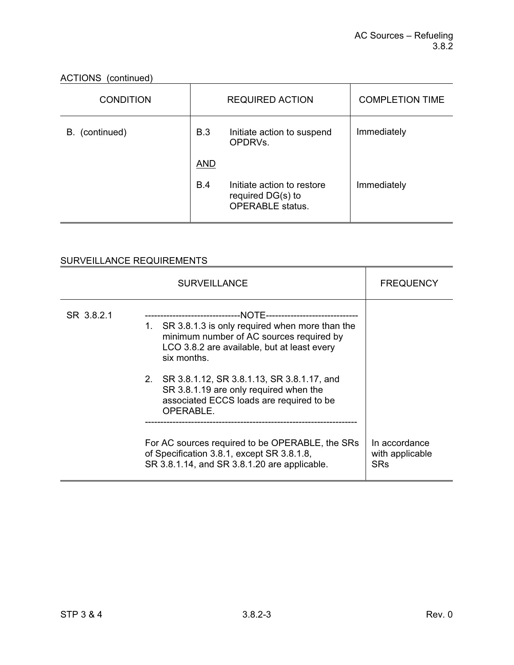| <b>CONDITION</b> | <b>REQUIRED ACTION</b> |                                                                            | <b>COMPLETION TIME</b> |
|------------------|------------------------|----------------------------------------------------------------------------|------------------------|
| B. (continued)   | B.3                    | Initiate action to suspend<br>OPDRVs.                                      | Immediately            |
|                  | <b>AND</b>             |                                                                            |                        |
|                  | B.4                    | Initiate action to restore<br>required DG(s) to<br><b>OPERABLE</b> status. | Immediately            |

|            | <b>FREQUENCY</b>                                                                                                                                                                                                                                                                                                                                                                |  |
|------------|---------------------------------------------------------------------------------------------------------------------------------------------------------------------------------------------------------------------------------------------------------------------------------------------------------------------------------------------------------------------------------|--|
| SR 3.8.2.1 | --NOTE-----------------------<br>---------------------------<br>1. SR 3.8.1.3 is only required when more than the<br>minimum number of AC sources required by<br>LCO 3.8.2 are available, but at least every<br>six months.<br>2. SR 3.8.1.12, SR 3.8.1.13, SR 3.8.1.17, and<br>SR 3.8.1.19 are only required when the<br>associated ECCS loads are required to be<br>OPERABLE. |  |
|            | In accordance<br>with applicable<br><b>SRs</b>                                                                                                                                                                                                                                                                                                                                  |  |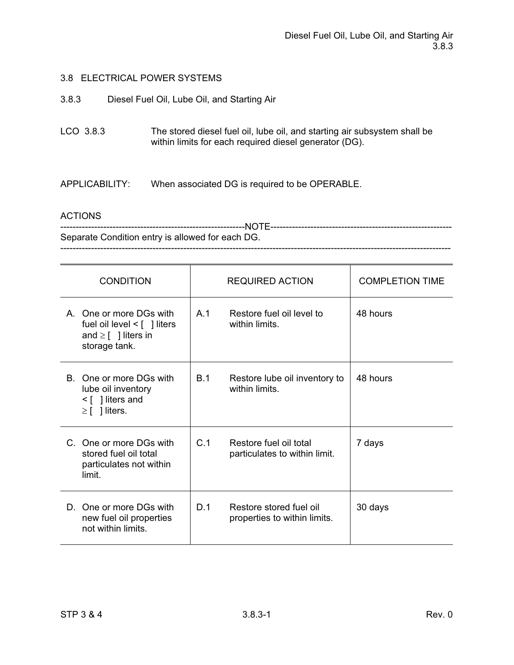#### 3.8 ELECTRICAL POWER SYSTEMS

3.8.3 Diesel Fuel Oil, Lube Oil, and Starting Air

LCO 3.8.3 The stored diesel fuel oil, lube oil, and starting air subsystem shall be within limits for each required diesel generator (DG).

APPLICABILITY: When associated DG is required to be OPERABLE.

#### ACTIONS

------------------------------------------------------------NOTE----------------------------------------------------------- Separate Condition entry is allowed for each DG. -------------------------------------------------------------------------------------------------------------------------------

| <b>CONDITION</b>                                                                                         | REQUIRED ACTION                                                | <b>COMPLETION TIME</b> |
|----------------------------------------------------------------------------------------------------------|----------------------------------------------------------------|------------------------|
| A. One or more DGs with<br>fuel oil level $\leq$ [ ] liters<br>and $\geq$ [ ] liters in<br>storage tank. | A <sub>1</sub><br>Restore fuel oil level to<br>within limits.  | 48 hours               |
| B. One or more DGs with<br>lube oil inventory<br>$\leq$   liters and<br>$\geq$   liters.                 | B.1<br>Restore lube oil inventory to<br>within limits.         | 48 hours               |
| C. One or more DGs with<br>stored fuel oil total<br>particulates not within<br>limit.                    | C.1<br>Restore fuel oil total<br>particulates to within limit. | 7 days                 |
| D. One or more DGs with<br>new fuel oil properties<br>not within limits                                  | Restore stored fuel oil<br>D.1<br>properties to within limits. | 30 days                |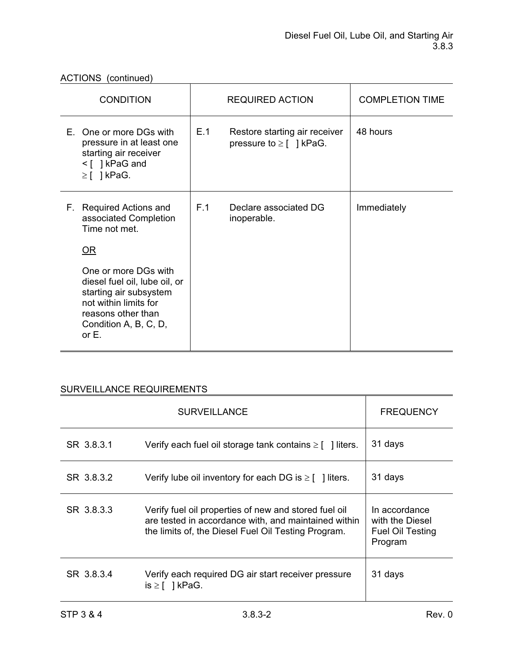|                                        | <b>CONDITION</b>                                                                                                                                                                                                | <b>REQUIRED ACTION</b> |                                                               | <b>COMPLETION TIME</b> |
|----------------------------------------|-----------------------------------------------------------------------------------------------------------------------------------------------------------------------------------------------------------------|------------------------|---------------------------------------------------------------|------------------------|
| $\geq$ [ ] kPaG.                       | E. One or more DGs with<br>pressure in at least one<br>starting air receiver<br><[ ] kPaG and                                                                                                                   | E.1                    | Restore starting air receiver<br>pressure to $\geq$ [ ] kPaG. | 48 hours               |
| F.,<br>Time not met.<br>OR<br>or $E$ . | <b>Required Actions and</b><br>associated Completion<br>One or more DGs with<br>diesel fuel oil, lube oil, or<br>starting air subsystem<br>not within limits for<br>reasons other than<br>Condition A, B, C, D, | F.1                    | Declare associated DG<br>inoperable.                          | Immediately            |

|            | <b>FREQUENCY</b>                                                                                                                                                     |                                                                 |
|------------|----------------------------------------------------------------------------------------------------------------------------------------------------------------------|-----------------------------------------------------------------|
| SR 3.8.3.1 | Verify each fuel oil storage tank contains $\geq$ [ ] liters.                                                                                                        | 31 days                                                         |
| SR 3.8.3.2 | Verify lube oil inventory for each DG is $\geq$ [ ] liters.                                                                                                          | 31 days                                                         |
| SR 3.8.3.3 | Verify fuel oil properties of new and stored fuel oil<br>are tested in accordance with, and maintained within<br>the limits of, the Diesel Fuel Oil Testing Program. | In accordance<br>with the Diesel<br>Fuel Oil Testing<br>Program |
| SR 3.8.3.4 | Verify each required DG air start receiver pressure<br>$is \geq \lceil \ \rceil$ kPaG.                                                                               | 31 days                                                         |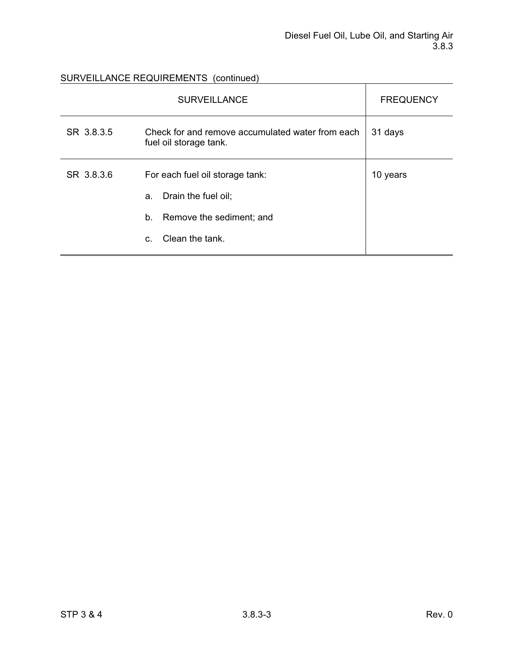|            | <b>FREQUENCY</b>                                                           |          |
|------------|----------------------------------------------------------------------------|----------|
| SR 3.8.3.5 | Check for and remove accumulated water from each<br>fuel oil storage tank. | 31 days  |
| SR 3.8.3.6 | For each fuel oil storage tank:                                            | 10 years |
|            | Drain the fuel oil;<br>a.                                                  |          |
|            | b.<br>Remove the sediment; and                                             |          |
|            | Clean the tank.<br>C.                                                      |          |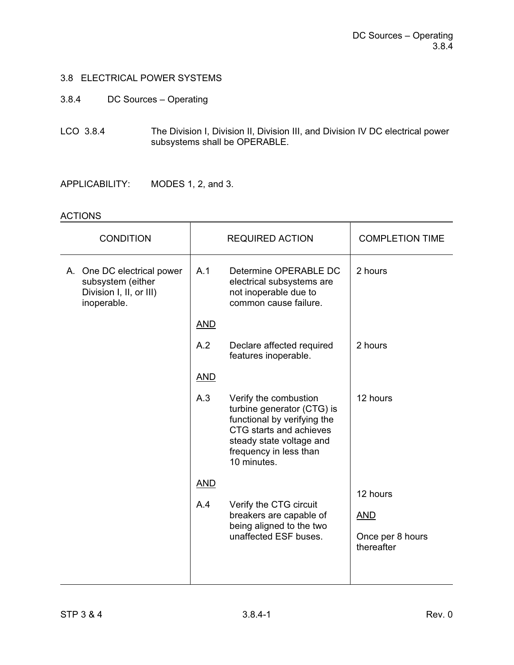## 3.8 ELECTRICAL POWER SYSTEMS

#### 3.8.4 DC Sources – Operating

LCO 3.8.4 The Division I, Division II, Division III, and Division IV DC electrical power subsystems shall be OPERABLE.

APPLICABILITY: MODES 1, 2, and 3.

#### **ACTIONS**

| <b>CONDITION</b>                                                                          |            | <b>REQUIRED ACTION</b>                                                                                                                                                             | <b>COMPLETION TIME</b>                       |
|-------------------------------------------------------------------------------------------|------------|------------------------------------------------------------------------------------------------------------------------------------------------------------------------------------|----------------------------------------------|
| A. One DC electrical power<br>subsystem (either<br>Division I, II, or III)<br>inoperable. | A.1        | Determine OPERABLE DC<br>electrical subsystems are<br>not inoperable due to<br>common cause failure.                                                                               | 2 hours                                      |
|                                                                                           | <b>AND</b> |                                                                                                                                                                                    |                                              |
|                                                                                           | A.2        | Declare affected required<br>features inoperable.                                                                                                                                  | 2 hours                                      |
|                                                                                           | <b>AND</b> |                                                                                                                                                                                    |                                              |
|                                                                                           | A.3        | Verify the combustion<br>turbine generator (CTG) is<br>functional by verifying the<br>CTG starts and achieves<br>steady state voltage and<br>frequency in less than<br>10 minutes. | 12 hours                                     |
|                                                                                           | <b>AND</b> |                                                                                                                                                                                    | 12 hours                                     |
|                                                                                           | A.4        | Verify the CTG circuit<br>breakers are capable of<br>being aligned to the two<br>unaffected ESF buses.                                                                             | <b>AND</b><br>Once per 8 hours<br>thereafter |
|                                                                                           |            |                                                                                                                                                                                    |                                              |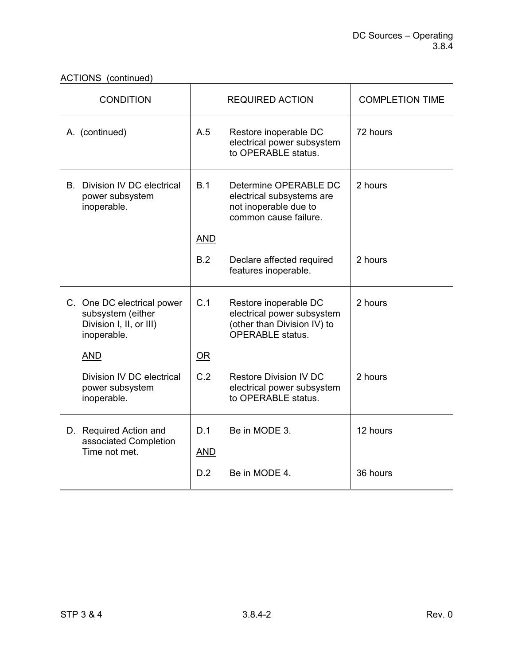ACTIONS (continued)

| <b>CONDITION</b>                                                                          | <b>REQUIRED ACTION</b> |                                                                                                               | <b>COMPLETION TIME</b> |
|-------------------------------------------------------------------------------------------|------------------------|---------------------------------------------------------------------------------------------------------------|------------------------|
| A. (continued)                                                                            | A.5                    | Restore inoperable DC<br>electrical power subsystem<br>to OPERABLE status.                                    | 72 hours               |
| <b>B.</b> Division IV DC electrical<br>power subsystem<br>inoperable.                     | B.1                    | Determine OPERABLE DC<br>electrical subsystems are<br>not inoperable due to<br>common cause failure.          | 2 hours                |
|                                                                                           | <b>AND</b>             |                                                                                                               |                        |
|                                                                                           | B.2                    | Declare affected required<br>features inoperable.                                                             | 2 hours                |
| C. One DC electrical power<br>subsystem (either<br>Division I, II, or III)<br>inoperable. | C.1                    | Restore inoperable DC<br>electrical power subsystem<br>(other than Division IV) to<br><b>OPERABLE</b> status. | 2 hours                |
| <b>AND</b>                                                                                | OR                     |                                                                                                               |                        |
| Division IV DC electrical<br>power subsystem<br>inoperable.                               | C.2                    | <b>Restore Division IV DC</b><br>electrical power subsystem<br>to OPERABLE status.                            | 2 hours                |
| D. Required Action and                                                                    | D.1                    | Be in MODE 3.                                                                                                 | 12 hours               |
| associated Completion<br>Time not met.                                                    | <b>AND</b>             |                                                                                                               |                        |
|                                                                                           | D.2                    | Be in MODE 4.                                                                                                 | 36 hours               |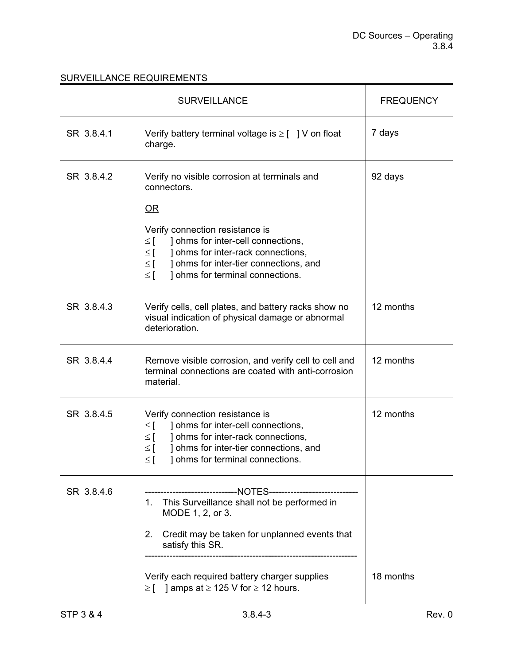|            | <b>SURVEILLANCE</b>                                                                                                                                                                                                                                     | <b>FREQUENCY</b> |
|------------|---------------------------------------------------------------------------------------------------------------------------------------------------------------------------------------------------------------------------------------------------------|------------------|
| SR 3.8.4.1 | Verify battery terminal voltage is $\geq$ [ ] V on float<br>charge.                                                                                                                                                                                     | 7 days           |
| SR 3.8.4.2 | Verify no visible corrosion at terminals and<br>connectors.                                                                                                                                                                                             | 92 days          |
|            | $OR$                                                                                                                                                                                                                                                    |                  |
|            | Verify connection resistance is<br>] ohms for inter-cell connections,<br>$\leq$ [<br>] ohms for inter-rack connections,<br>$\leq$ $\lceil$<br>] ohms for inter-tier connections, and<br>$\leq$ $\lceil$<br>] ohms for terminal connections.<br>$\leq$ [ |                  |
| SR 3.8.4.3 | Verify cells, cell plates, and battery racks show no<br>visual indication of physical damage or abnormal<br>deterioration.                                                                                                                              | 12 months        |
| SR 3.8.4.4 | Remove visible corrosion, and verify cell to cell and<br>terminal connections are coated with anti-corrosion<br>material.                                                                                                                               | 12 months        |
| SR 3.8.4.5 | Verify connection resistance is<br>] ohms for inter-cell connections,<br>$\leq$ [<br>] ohms for inter-rack connections,<br>$\leq$ [<br>] ohms for inter-tier connections, and<br>$\leq$ [<br>I ohms for terminal connections.<br>≤ [                    | 12 months        |
| SR 3.8.4.6 | -------------------------NOTES------------------------<br>This Surveillance shall not be performed in<br>1.<br>MODE 1, 2, or 3.<br>Credit may be taken for unplanned events that<br>2.<br>satisfy this SR.                                              |                  |
|            | Verify each required battery charger supplies<br>$\geq$ [ ] amps at $\geq$ 125 V for $\geq$ 12 hours.                                                                                                                                                   | 18 months        |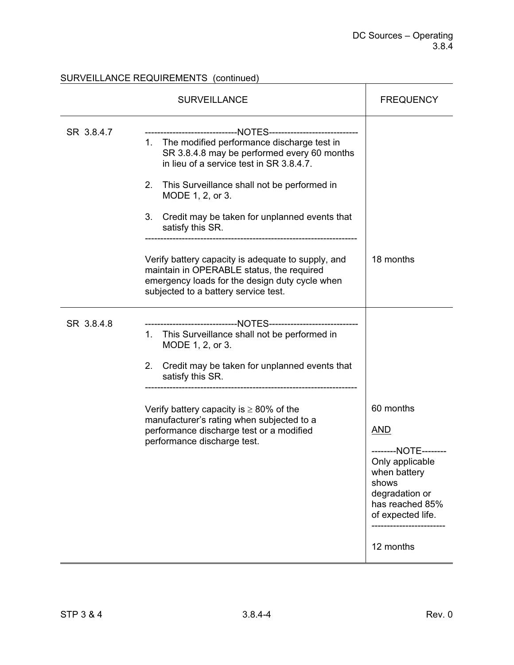### SURVEILLANCE REQUIREMENTS (continued)

|            | <b>SURVEILLANCE</b>                                                                                                                                                                                                                                                                                                                                                            | <b>FREQUENCY</b>                                                                                                                                      |
|------------|--------------------------------------------------------------------------------------------------------------------------------------------------------------------------------------------------------------------------------------------------------------------------------------------------------------------------------------------------------------------------------|-------------------------------------------------------------------------------------------------------------------------------------------------------|
| SR 3.8.4.7 | ----------------------------NOTES-----------------------------<br>The modified performance discharge test in<br>1.<br>SR 3.8.4.8 may be performed every 60 months<br>in lieu of a service test in SR 3.8.4.7.<br>2.<br>This Surveillance shall not be performed in<br>MODE 1, 2, or 3.<br>Credit may be taken for unplanned events that<br>3.<br>satisfy this SR.              |                                                                                                                                                       |
|            | Verify battery capacity is adequate to supply, and<br>maintain in OPERABLE status, the required<br>emergency loads for the design duty cycle when<br>subjected to a battery service test.                                                                                                                                                                                      | 18 months                                                                                                                                             |
| SR 3.8.4.8 | --------------------------NOTES------------------<br>This Surveillance shall not be performed in<br>1.<br>MODE 1, 2, or 3.<br>Credit may be taken for unplanned events that<br>2.<br>satisfy this SR.<br>Verify battery capacity is $\geq 80\%$ of the<br>manufacturer's rating when subjected to a<br>performance discharge test or a modified<br>performance discharge test. | 60 months<br><b>AND</b><br>--------NOTE--------<br>Only applicable<br>when battery<br>shows<br>degradation or<br>has reached 85%<br>of expected life. |
|            |                                                                                                                                                                                                                                                                                                                                                                                | 12 months                                                                                                                                             |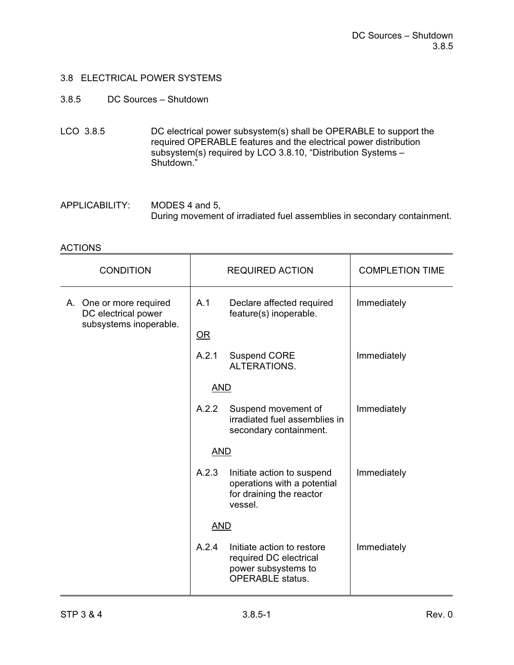#### 3.8.5 DC Sources – Shutdown

LCO 3.8.5 DC electrical power subsystem(s) shall be OPERABLE to support the required OPERABLE features and the electrical power distribution subsystem(s) required by LCO 3.8.10, "Distribution Systems – Shutdown."

APPLICABILITY: MODES 4 and 5, During movement of irradiated fuel assemblies in secondary containment.

| <b>CONDITION</b>                                                         | <b>REQUIRED ACTION</b> |                                                                                                        | <b>COMPLETION TIME</b> |
|--------------------------------------------------------------------------|------------------------|--------------------------------------------------------------------------------------------------------|------------------------|
| A. One or more required<br>DC electrical power<br>subsystems inoperable. | A.1                    | Declare affected required<br>feature(s) inoperable.                                                    | Immediately            |
|                                                                          | OR                     |                                                                                                        |                        |
|                                                                          | A.2.1                  | <b>Suspend CORE</b><br>ALTERATIONS.                                                                    | Immediately            |
|                                                                          | <b>AND</b>             |                                                                                                        |                        |
|                                                                          | A.2.2                  | Suspend movement of<br>irradiated fuel assemblies in<br>secondary containment.                         | Immediately            |
|                                                                          | <b>AND</b>             |                                                                                                        |                        |
|                                                                          | A.2.3                  | Initiate action to suspend<br>operations with a potential<br>for draining the reactor<br>vessel.       | Immediately            |
|                                                                          | <b>AND</b>             |                                                                                                        |                        |
|                                                                          | A.2.4                  | Initiate action to restore<br>required DC electrical<br>power subsystems to<br><b>OPERABLE</b> status. | Immediately            |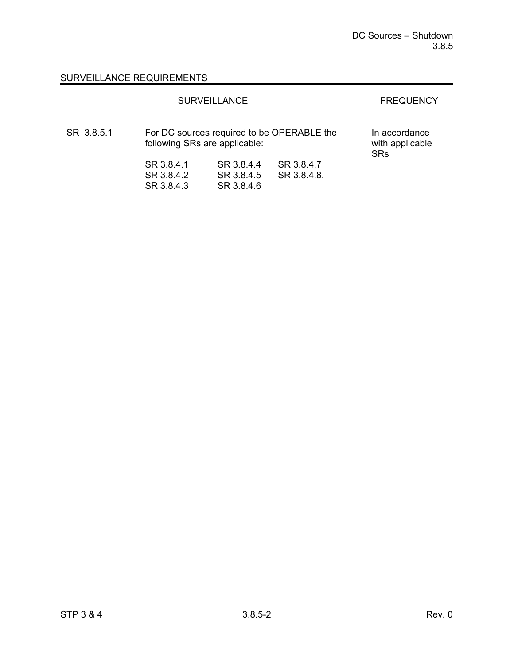| <b>SURVEILLANCE</b> |                                        |                                                                         |                                                                         | <b>FREQUENCY</b>                               |
|---------------------|----------------------------------------|-------------------------------------------------------------------------|-------------------------------------------------------------------------|------------------------------------------------|
| SR 3.8.5.1          | SR 3.8.4.1<br>SR 3.8.4.2<br>SR 3.8.4.3 | following SRs are applicable:<br>SR 3.8.4.4<br>SR 3.8.4.5<br>SR 3.8.4.6 | For DC sources required to be OPERABLE the<br>SR 3.8.4.7<br>SR 3.8.4.8. | In accordance<br>with applicable<br><b>SRs</b> |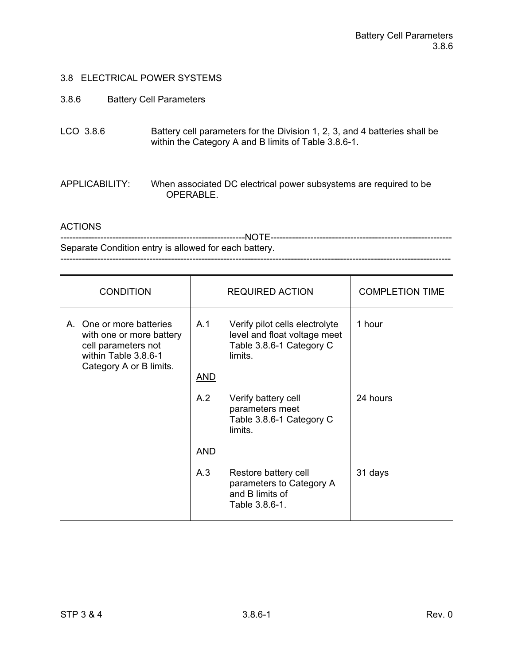#### 3.8.6 Battery Cell Parameters

LCO 3.8.6 Battery cell parameters for the Division 1, 2, 3, and 4 batteries shall be within the Category A and B limits of Table 3.8.6-1.

APPLICABILITY: When associated DC electrical power subsystems are required to be OPERABLE.

ACTIONS

------------------------------------------------------------NOTE----------------------------------------------------------- Separate Condition entry is allowed for each battery. -------------------------------------------------------------------------------------------------------------------------------

| <b>CONDITION</b>                                                                                                               |            | <b>REQUIRED ACTION</b>                                                                                | <b>COMPLETION TIME</b> |
|--------------------------------------------------------------------------------------------------------------------------------|------------|-------------------------------------------------------------------------------------------------------|------------------------|
| A. One or more batteries<br>with one or more battery<br>cell parameters not<br>within Table 3.8.6-1<br>Category A or B limits. | A.1        | Verify pilot cells electrolyte<br>level and float voltage meet<br>Table 3.8.6-1 Category C<br>limits. | 1 hour                 |
|                                                                                                                                | <u>AND</u> |                                                                                                       |                        |
|                                                                                                                                | A.2        | Verify battery cell<br>parameters meet<br>Table 3.8.6-1 Category C<br>limits.                         | 24 hours               |
|                                                                                                                                | <u>AND</u> |                                                                                                       |                        |
|                                                                                                                                | A.3        | Restore battery cell<br>parameters to Category A<br>and B limits of<br>Table 3.8.6-1.                 | 31 days                |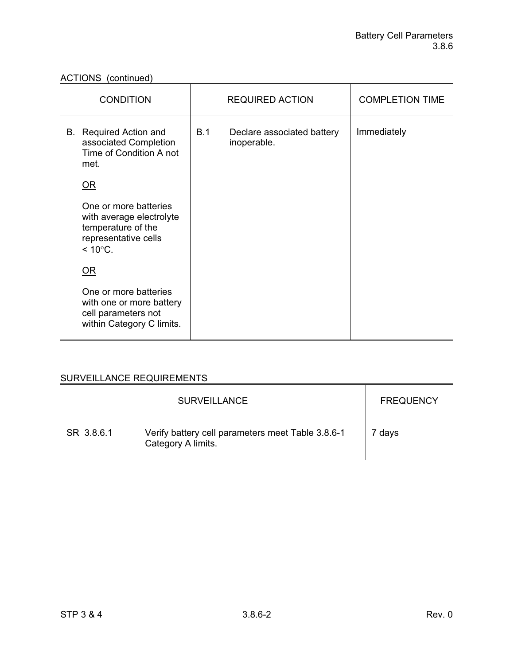ACTIONS (continued)

| <b>CONDITION</b>                                                                                                     |     | <b>REQUIRED ACTION</b>                    | <b>COMPLETION TIME</b> |
|----------------------------------------------------------------------------------------------------------------------|-----|-------------------------------------------|------------------------|
| B. Required Action and<br>associated Completion<br>Time of Condition A not<br>met.                                   | B.1 | Declare associated battery<br>inoperable. | Immediately            |
| OR                                                                                                                   |     |                                           |                        |
| One or more batteries<br>with average electrolyte<br>temperature of the<br>representative cells<br>$< 10^{\circ}$ C. |     |                                           |                        |
| OR                                                                                                                   |     |                                           |                        |
| One or more batteries<br>with one or more battery<br>cell parameters not<br>within Category C limits.                |     |                                           |                        |

|            | <b>SURVEILLANCE</b>                                                     | <b>FREQUENCY</b> |
|------------|-------------------------------------------------------------------------|------------------|
| SR 3.8.6.1 | Verify battery cell parameters meet Table 3.8.6-1<br>Category A limits. | 7 days           |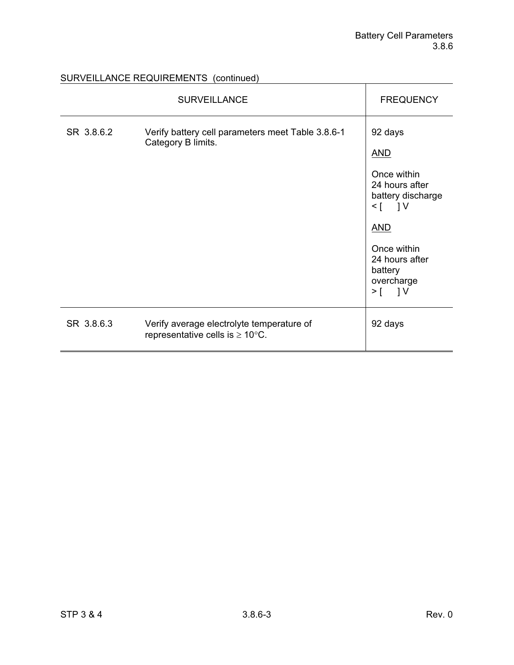# SURVEILLANCE REQUIREMENTS (continued)

|            | <b>SURVEILLANCE</b>                                                                       | <b>FREQUENCY</b>                                                                                                                                                                 |
|------------|-------------------------------------------------------------------------------------------|----------------------------------------------------------------------------------------------------------------------------------------------------------------------------------|
| SR 3.8.6.2 | Verify battery cell parameters meet Table 3.8.6-1<br>Category B limits.                   | 92 days<br><b>AND</b><br>Once within<br>24 hours after<br>battery discharge<br>$\leq$ [ ] V<br><b>AND</b><br>Once within<br>24 hours after<br>battery<br>overcharge<br>$>$ [ ] V |
| SR 3.8.6.3 | Verify average electrolyte temperature of<br>representative cells is $\geq 10^{\circ}$ C. | 92 days                                                                                                                                                                          |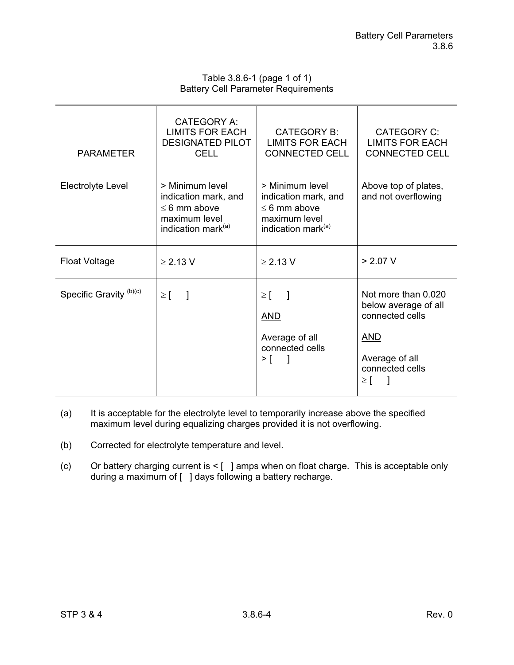| Table 3.8.6-1 (page 1 of 1)                |
|--------------------------------------------|
| <b>Battery Cell Parameter Requirements</b> |

| <b>PARAMETER</b>                   | <b>CATEGORY A:</b><br><b>LIMITS FOR EACH</b><br><b>DESIGNATED PILOT</b><br><b>CELL</b>                          | CATEGORY B:<br><b>LIMITS FOR EACH</b><br><b>CONNECTED CELL</b>                                                  | <b>CATEGORY C:</b><br><b>LIMITS FOR EACH</b><br><b>CONNECTED CELL</b>                                                         |
|------------------------------------|-----------------------------------------------------------------------------------------------------------------|-----------------------------------------------------------------------------------------------------------------|-------------------------------------------------------------------------------------------------------------------------------|
| Electrolyte Level                  | > Minimum level<br>indication mark, and<br>$\leq 6$ mm above<br>maximum level<br>indication mark <sup>(a)</sup> | > Minimum level<br>indication mark, and<br>$\leq 6$ mm above<br>maximum level<br>indication mark <sup>(a)</sup> | Above top of plates,<br>and not overflowing                                                                                   |
| <b>Float Voltage</b>               | $\geq$ 2.13 V                                                                                                   | $\geq$ 2.13 V                                                                                                   | > 2.07 V                                                                                                                      |
| Specific Gravity <sup>(b)(c)</sup> | $\geq$ [<br>$\Box$                                                                                              | $\geq$ [ ]<br><b>AND</b><br>Average of all<br>connected cells<br>$\geq$ [ ]                                     | Not more than 0.020<br>below average of all<br>connected cells<br><u>AND</u><br>Average of all<br>connected cells<br>$\geq$ [ |

- (a) It is acceptable for the electrolyte level to temporarily increase above the specified maximum level during equalizing charges provided it is not overflowing.
- (b) Corrected for electrolyte temperature and level.
- (c) Or battery charging current is < [ ] amps when on float charge. This is acceptable only during a maximum of [ ] days following a battery recharge.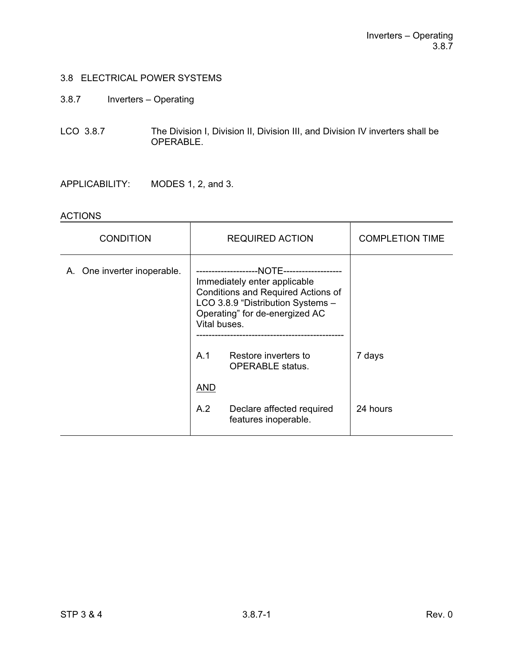- 3.8.7 Inverters Operating
- LCO 3.8.7 The Division I, Division II, Division III, and Division IV inverters shall be OPERABLE.

APPLICABILITY: MODES 1, 2, and 3.

| <b>CONDITION</b>            | <b>REQUIRED ACTION</b>                                                                                                                                                                                                                                                     | <b>COMPLETION TIME</b> |
|-----------------------------|----------------------------------------------------------------------------------------------------------------------------------------------------------------------------------------------------------------------------------------------------------------------------|------------------------|
| A. One inverter inoperable. | --NOTE--------------------<br>Immediately enter applicable<br>Conditions and Required Actions of<br>LCO 3.8.9 "Distribution Systems -<br>Operating" for de-energized AC<br>Vital buses.<br>A <sub>1</sub><br>Restore inverters to<br><b>OPERABLE</b> status.<br><u>AND</u> | 7 days                 |
|                             | A.2<br>Declare affected required<br>features inoperable.                                                                                                                                                                                                                   | 24 hours               |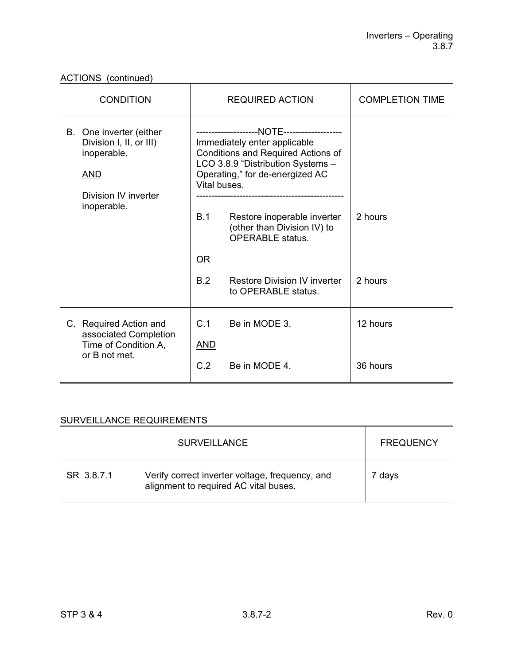| <b>CONDITION</b>                                                                                                       | <b>REQUIRED ACTION</b>                                                                                                                                                                                                                                                                                                                  | <b>COMPLETION TIME</b> |
|------------------------------------------------------------------------------------------------------------------------|-----------------------------------------------------------------------------------------------------------------------------------------------------------------------------------------------------------------------------------------------------------------------------------------------------------------------------------------|------------------------|
| B. One inverter (either<br>Division I, II, or III)<br>inoperable.<br><u>AND</u><br>Division IV inverter<br>inoperable. | Immediately enter applicable<br>Conditions and Required Actions of<br>LCO 3.8.9 "Distribution Systems -<br>Operating," for de-energized AC<br>Vital buses.<br>B.1<br>Restore inoperable inverter<br>(other than Division IV) to<br><b>OPERABLE</b> status.<br>$OR$<br>B.2<br><b>Restore Division IV inverter</b><br>to OPERABLE status. | 2 hours<br>2 hours     |
|                                                                                                                        |                                                                                                                                                                                                                                                                                                                                         |                        |
| C. Required Action and<br>associated Completion<br>Time of Condition A,                                                | C.1<br>Be in MODE 3.<br><b>AND</b>                                                                                                                                                                                                                                                                                                      | 12 hours               |
| or B not met.                                                                                                          | C.2<br>Be in MODE 4.                                                                                                                                                                                                                                                                                                                    | 36 hours               |

|            | <b>SURVEILLANCE</b>                                                                      | <b>FREQUENCY</b> |
|------------|------------------------------------------------------------------------------------------|------------------|
| SR 3.8.7.1 | Verify correct inverter voltage, frequency, and<br>alignment to required AC vital buses. | 7 days           |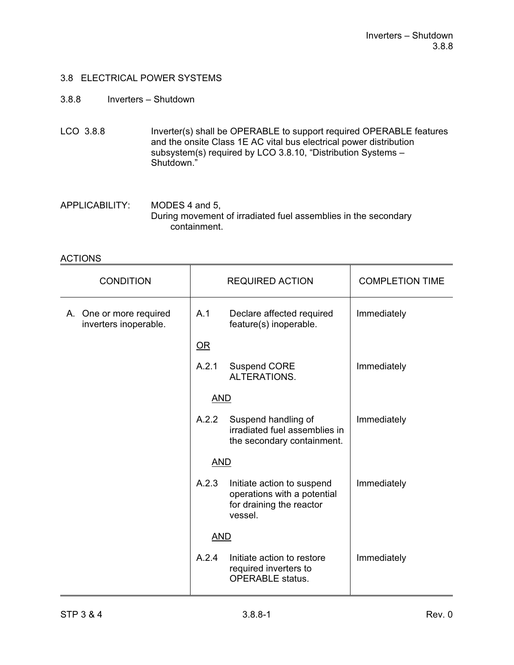### 3.8.8 Inverters – Shutdown

- LCO 3.8.8 Inverter(s) shall be OPERABLE to support required OPERABLE features and the onsite Class 1E AC vital bus electrical power distribution subsystem(s) required by LCO 3.8.10, "Distribution Systems – Shutdown."
- APPLICABILITY: MODES 4 and 5, During movement of irradiated fuel assemblies in the secondary containment.

| <b>CONDITION</b>                                 | <b>REQUIRED ACTION</b>   |                                                                                                  | <b>COMPLETION TIME</b> |
|--------------------------------------------------|--------------------------|--------------------------------------------------------------------------------------------------|------------------------|
| A. One or more required<br>inverters inoperable. | A.1                      | Declare affected required<br>feature(s) inoperable.                                              | Immediately            |
|                                                  | $\overline{\mathsf{OR}}$ |                                                                                                  |                        |
|                                                  | A.2.1                    | <b>Suspend CORE</b><br>ALTERATIONS.                                                              | Immediately            |
|                                                  | <b>AND</b>               |                                                                                                  |                        |
|                                                  | A.2.2                    | Suspend handling of<br>irradiated fuel assemblies in<br>the secondary containment.               | Immediately            |
|                                                  | <b>AND</b>               |                                                                                                  |                        |
|                                                  | A.2.3                    | Initiate action to suspend<br>operations with a potential<br>for draining the reactor<br>vessel. | Immediately            |
|                                                  | <b>AND</b>               |                                                                                                  |                        |
|                                                  | A.2.4                    | Initiate action to restore<br>required inverters to<br><b>OPERABLE</b> status.                   | Immediately            |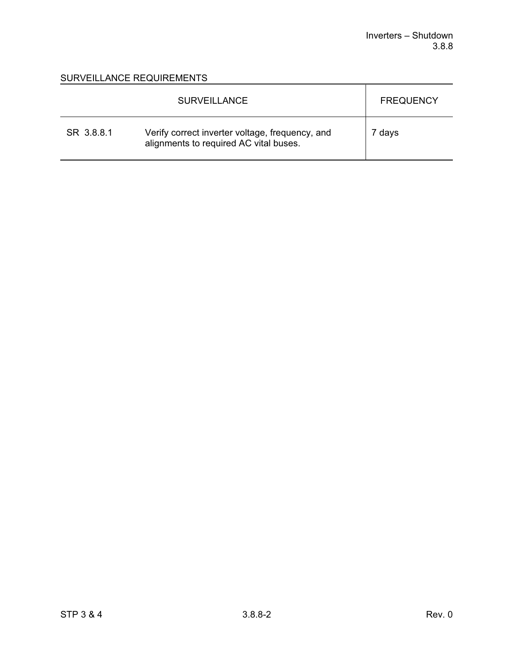|            | <b>SURVEILLANCE</b>                                                                       | <b>FREQUENCY</b> |
|------------|-------------------------------------------------------------------------------------------|------------------|
| SR 3.8.8.1 | Verify correct inverter voltage, frequency, and<br>alignments to required AC vital buses. | 7 days           |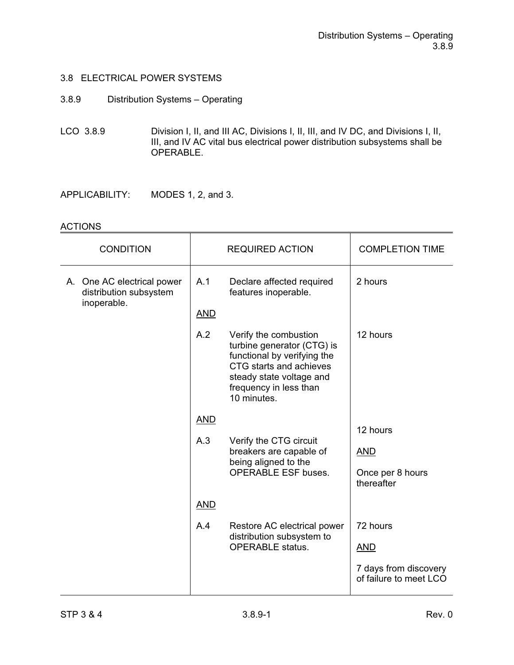- 3.8.9 Distribution Systems Operating
- LCO 3.8.9 Division I, II, and III AC, Divisions I, II, III, and IV DC, and Divisions I, II, III, and IV AC vital bus electrical power distribution subsystems shall be OPERABLE.

APPLICABILITY: MODES 1, 2, and 3.

| <b>CONDITION</b>                                                    |                                                                                                                | <b>REQUIRED ACTION</b>                                                                                                                                                             | <b>COMPLETION TIME</b>                          |
|---------------------------------------------------------------------|----------------------------------------------------------------------------------------------------------------|------------------------------------------------------------------------------------------------------------------------------------------------------------------------------------|-------------------------------------------------|
| A. One AC electrical power<br>distribution subsystem<br>inoperable. | A.1                                                                                                            | Declare affected required<br>features inoperable.                                                                                                                                  | 2 hours                                         |
|                                                                     | <b>AND</b>                                                                                                     |                                                                                                                                                                                    |                                                 |
|                                                                     | A.2                                                                                                            | Verify the combustion<br>turbine generator (CTG) is<br>functional by verifying the<br>CTG starts and achieves<br>steady state voltage and<br>frequency in less than<br>10 minutes. | 12 hours                                        |
|                                                                     | <b>AND</b>                                                                                                     |                                                                                                                                                                                    |                                                 |
|                                                                     | A.3<br>Verify the CTG circuit<br>breakers are capable of<br>being aligned to the<br><b>OPERABLE ESF buses.</b> |                                                                                                                                                                                    | 12 hours                                        |
|                                                                     |                                                                                                                |                                                                                                                                                                                    | <b>AND</b>                                      |
|                                                                     |                                                                                                                | Once per 8 hours<br>thereafter                                                                                                                                                     |                                                 |
|                                                                     | <b>AND</b>                                                                                                     |                                                                                                                                                                                    |                                                 |
|                                                                     | A.4                                                                                                            | Restore AC electrical power<br>distribution subsystem to<br><b>OPERABLE</b> status.                                                                                                | 72 hours                                        |
|                                                                     |                                                                                                                |                                                                                                                                                                                    | <u>AND</u>                                      |
|                                                                     |                                                                                                                |                                                                                                                                                                                    | 7 days from discovery<br>of failure to meet LCO |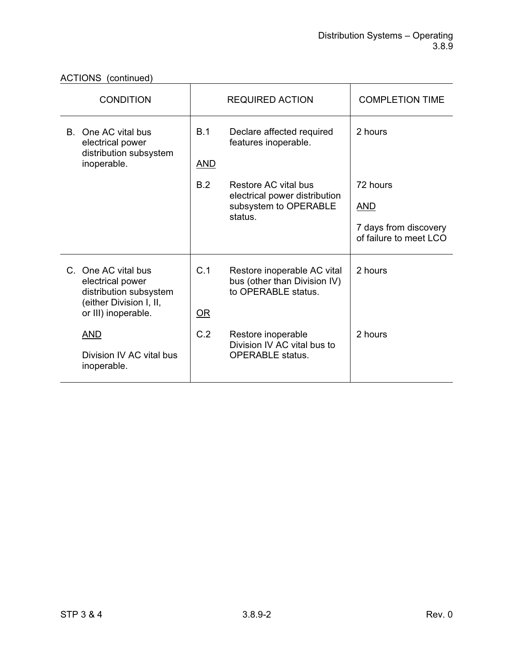| ACTIONS (continued)                                                                 |                                            |                                                                                    |                                                                         |  |
|-------------------------------------------------------------------------------------|--------------------------------------------|------------------------------------------------------------------------------------|-------------------------------------------------------------------------|--|
| <b>CONDITION</b>                                                                    |                                            | <b>REQUIRED ACTION</b>                                                             | <b>COMPLETION TIME</b>                                                  |  |
| One AC vital bus<br>B.<br>electrical power<br>distribution subsystem<br>inoperable. | B.1<br><u>AND</u>                          | Declare affected required<br>features inoperable.                                  | 2 hours                                                                 |  |
|                                                                                     | B.2                                        | Restore AC vital bus                                                               | 72 hours                                                                |  |
|                                                                                     | subsystem to OPERABLE                      | <u>AND</u>                                                                         |                                                                         |  |
|                                                                                     |                                            |                                                                                    | 7 days from discovery<br>of failure to meet LCO                         |  |
| electrical power<br>distribution subsystem<br>(either Division I, II,               | C.1                                        | Restore inoperable AC vital<br>bus (other than Division IV)<br>to OPERABLE status. | 2 hours                                                                 |  |
|                                                                                     |                                            |                                                                                    |                                                                         |  |
| <b>AND</b>                                                                          | C.2                                        | Restore inoperable                                                                 | 2 hours                                                                 |  |
| Division IV AC vital bus<br>inoperable.                                             |                                            | <b>OPERABLE</b> status.                                                            |                                                                         |  |
|                                                                                     | C. One AC vital bus<br>or III) inoperable. | $\overline{\mathsf{OR}}$                                                           | electrical power distribution<br>status.<br>Division IV AC vital bus to |  |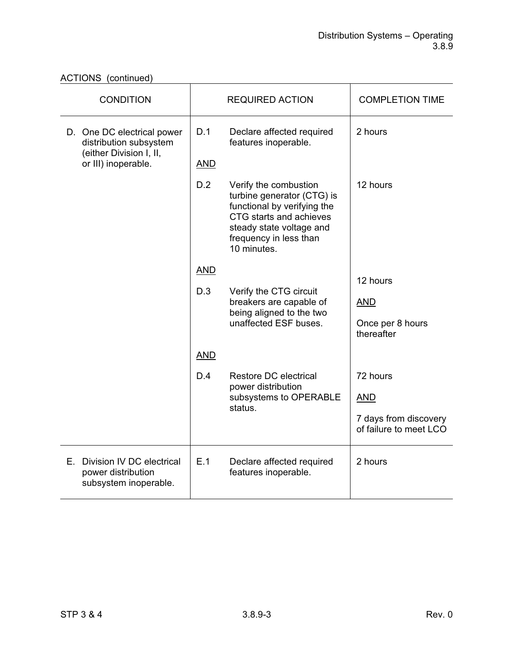| <b>CONDITION</b>                                                                                       | <b>REQUIRED ACTION</b> |                                                                                                                                                                                    | <b>COMPLETION TIME</b>                                   |
|--------------------------------------------------------------------------------------------------------|------------------------|------------------------------------------------------------------------------------------------------------------------------------------------------------------------------------|----------------------------------------------------------|
| D. One DC electrical power<br>distribution subsystem<br>(either Division I, II,<br>or III) inoperable. | D.1<br><b>AND</b>      | Declare affected required<br>features inoperable.                                                                                                                                  | 2 hours                                                  |
|                                                                                                        | D.2                    | Verify the combustion<br>turbine generator (CTG) is<br>functional by verifying the<br>CTG starts and achieves<br>steady state voltage and<br>frequency in less than<br>10 minutes. | 12 hours                                                 |
|                                                                                                        | <b>AND</b>             |                                                                                                                                                                                    |                                                          |
|                                                                                                        | D.3                    | Verify the CTG circuit<br>breakers are capable of<br>being aligned to the two<br>unaffected ESF buses.                                                                             | 12 hours<br><b>AND</b><br>Once per 8 hours<br>thereafter |
|                                                                                                        | <b>AND</b>             |                                                                                                                                                                                    |                                                          |
|                                                                                                        | D.4                    | Restore DC electrical<br>power distribution<br>subsystems to OPERABLE<br>status.                                                                                                   | 72 hours                                                 |
|                                                                                                        |                        |                                                                                                                                                                                    | <b>AND</b>                                               |
|                                                                                                        |                        |                                                                                                                                                                                    | 7 days from discovery<br>of failure to meet LCO          |
| E. Division IV DC electrical<br>power distribution<br>subsystem inoperable.                            | E.1                    | Declare affected required<br>features inoperable.                                                                                                                                  | 2 hours                                                  |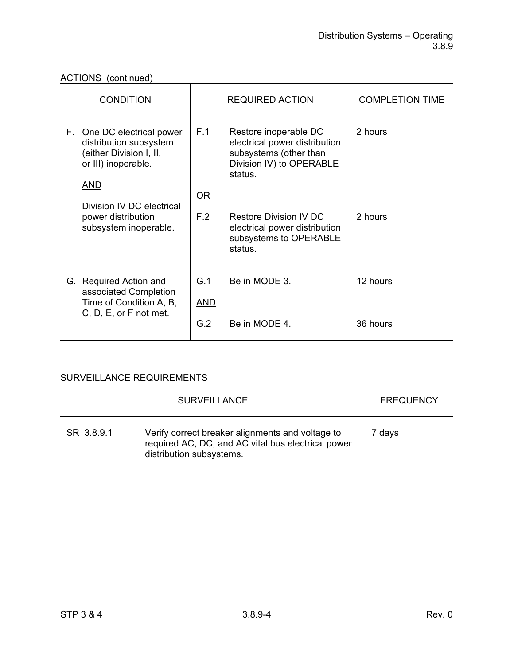| <b>CONDITION</b>                                                                                              | <b>REQUIRED ACTION</b>                                                                                                                      | <b>COMPLETION TIME</b> |
|---------------------------------------------------------------------------------------------------------------|---------------------------------------------------------------------------------------------------------------------------------------------|------------------------|
| F. One DC electrical power<br>distribution subsystem<br>(either Division I, II,<br>or III) inoperable.<br>AND | F.1<br>Restore inoperable DC<br>electrical power distribution<br>subsystems (other than<br>Division IV) to OPERABLE<br>status.<br><u>OR</u> | 2 hours                |
| Division IV DC electrical<br>power distribution<br>subsystem inoperable.                                      | F.2<br><b>Restore Division IV DC</b><br>electrical power distribution<br>subsystems to OPERABLE<br>status.                                  | 2 hours                |
| G. Required Action and<br>associated Completion<br>Time of Condition A, B,<br>C, D, E, or F not met.          | G.1<br>Be in MODE 3.<br><b>AND</b><br>G.2<br>Be in MODE 4.                                                                                  | 12 hours<br>36 hours   |

|            | <b>SURVEILLANCE</b>                                                                                                                | <b>FREQUENCY</b> |
|------------|------------------------------------------------------------------------------------------------------------------------------------|------------------|
| SR 3.8.9.1 | Verify correct breaker alignments and voltage to<br>required AC, DC, and AC vital bus electrical power<br>distribution subsystems. | 7 da∨s           |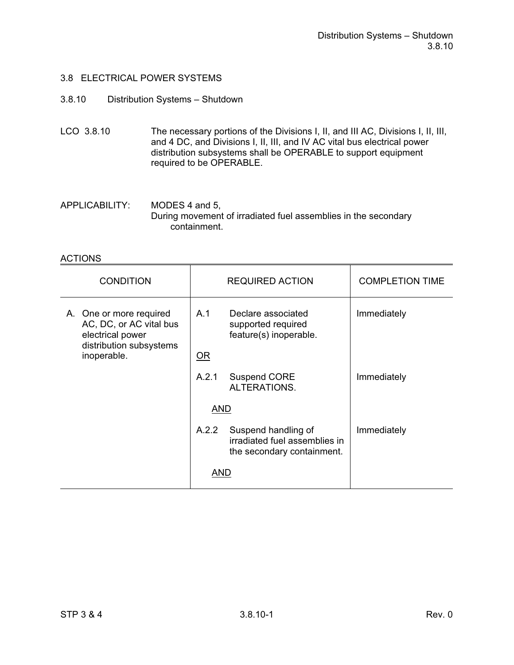#### 3.8.10 Distribution Systems – Shutdown

- LCO 3.8.10 The necessary portions of the Divisions I, II, and III AC, Divisions I, II, III, and 4 DC, and Divisions I, II, III, and IV AC vital bus electrical power distribution subsystems shall be OPERABLE to support equipment required to be OPERABLE.
- APPLICABILITY: MODES 4 and 5, During movement of irradiated fuel assemblies in the secondary containment.

| <b>CONDITION</b>                                                                                                 | <b>REQUIRED ACTION</b> |                                                                                    | <b>COMPLETION TIME</b> |
|------------------------------------------------------------------------------------------------------------------|------------------------|------------------------------------------------------------------------------------|------------------------|
| A. One or more required<br>AC, DC, or AC vital bus<br>electrical power<br>distribution subsystems<br>inoperable. | A.1<br>OR              | Declare associated<br>supported required<br>feature(s) inoperable.                 | Immediately            |
|                                                                                                                  | A.2.1                  | Suspend CORE<br>ALTERATIONS.                                                       | Immediately            |
|                                                                                                                  | <b>AND</b>             |                                                                                    |                        |
|                                                                                                                  | A.2.2                  | Suspend handling of<br>irradiated fuel assemblies in<br>the secondary containment. | Immediately            |
|                                                                                                                  | AND                    |                                                                                    |                        |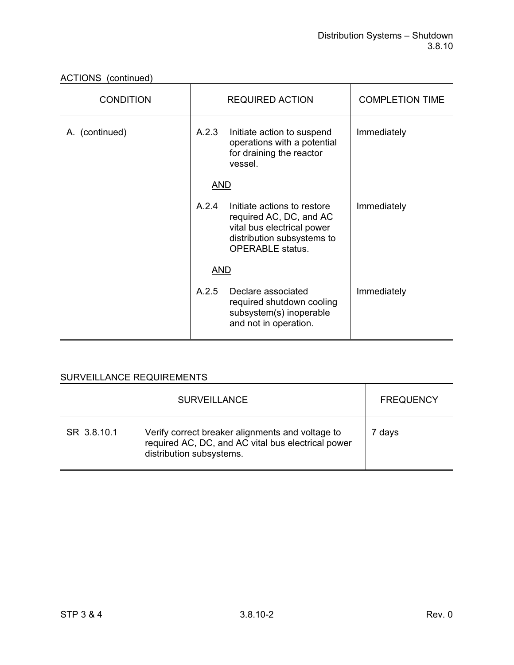| <b>CONDITION</b> | <b>REQUIRED ACTION</b> |                                                                                                                                               | <b>COMPLETION TIME</b> |
|------------------|------------------------|-----------------------------------------------------------------------------------------------------------------------------------------------|------------------------|
| A. (continued)   | A.2.3                  | Initiate action to suspend<br>operations with a potential<br>for draining the reactor<br>vessel.                                              | Immediately            |
|                  | <b>AND</b>             |                                                                                                                                               |                        |
|                  | A.2.4                  | Initiate actions to restore<br>required AC, DC, and AC<br>vital bus electrical power<br>distribution subsystems to<br><b>OPERABLE</b> status. | Immediately            |
|                  | <b>AND</b>             |                                                                                                                                               |                        |
|                  | A.2.5                  | Declare associated<br>required shutdown cooling<br>subsystem(s) inoperable<br>and not in operation.                                           | Immediately            |

|             | <b>SURVEILLANCE</b>                                                                                                                | <b>FREQUENCY</b> |
|-------------|------------------------------------------------------------------------------------------------------------------------------------|------------------|
| SR 3.8.10.1 | Verify correct breaker alignments and voltage to<br>required AC, DC, and AC vital bus electrical power<br>distribution subsystems. | 7 days           |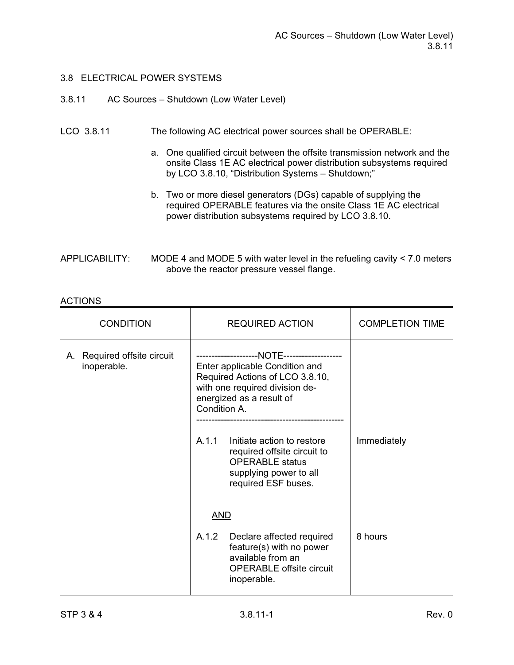#### 3.8.11 AC Sources – Shutdown (Low Water Level)

#### LCO 3.8.11 The following AC electrical power sources shall be OPERABLE:

- a. One qualified circuit between the offsite transmission network and the onsite Class 1E AC electrical power distribution subsystems required by LCO 3.8.10, "Distribution Systems – Shutdown;"
- b. Two or more diesel generators (DGs) capable of supplying the required OPERABLE features via the onsite Class 1E AC electrical power distribution subsystems required by LCO 3.8.10.

| APPLICABILITY: | MODE 4 and MODE 5 with water level in the refueling cavity $<$ 7.0 meters |
|----------------|---------------------------------------------------------------------------|
|                | above the reactor pressure vessel flange.                                 |

| <b>CONDITION</b>                           | <b>REQUIRED ACTION</b>                                                                                                                          | <b>COMPLETION TIME</b> |
|--------------------------------------------|-------------------------------------------------------------------------------------------------------------------------------------------------|------------------------|
| A. Required offsite circuit<br>inoperable. | Enter applicable Condition and<br>Required Actions of LCO 3.8.10,<br>with one required division de-<br>energized as a result of<br>Condition A. |                        |
|                                            | A.1.1<br>Initiate action to restore<br>required offsite circuit to<br><b>OPERABLE</b> status<br>supplying power to all<br>required ESF buses.   | Immediately            |
|                                            | <b>AND</b>                                                                                                                                      |                        |
|                                            | A.1.2<br>Declare affected required<br>feature(s) with no power<br>available from an<br><b>OPERABLE</b> offsite circuit<br>inoperable.           | 8 hours                |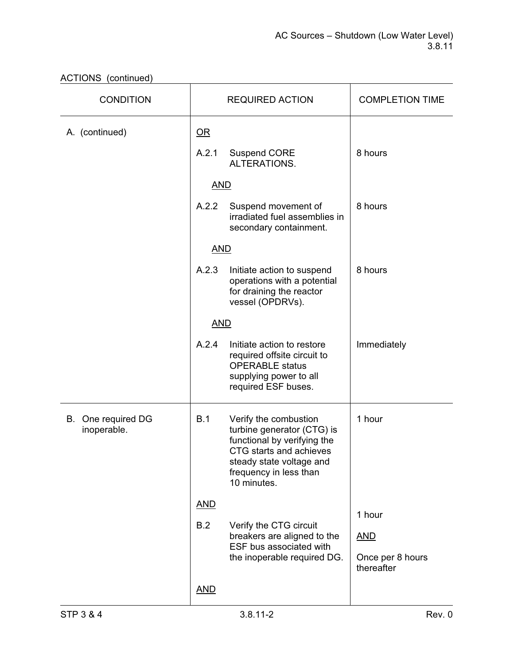| <b>CONDITION</b>                  |            | <b>REQUIRED ACTION</b>                                                                                                                                                             | <b>COMPLETION TIME</b>                       |
|-----------------------------------|------------|------------------------------------------------------------------------------------------------------------------------------------------------------------------------------------|----------------------------------------------|
| A. (continued)                    | $OR$       |                                                                                                                                                                                    |                                              |
|                                   | A.2.1      | <b>Suspend CORE</b><br>ALTERATIONS.                                                                                                                                                | 8 hours                                      |
|                                   | <b>AND</b> |                                                                                                                                                                                    |                                              |
|                                   | A.2.2      | Suspend movement of<br>irradiated fuel assemblies in<br>secondary containment.                                                                                                     | 8 hours                                      |
|                                   | <b>AND</b> |                                                                                                                                                                                    |                                              |
|                                   | A.2.3      | Initiate action to suspend<br>operations with a potential<br>for draining the reactor<br>vessel (OPDRVs).                                                                          | 8 hours                                      |
|                                   | <b>AND</b> |                                                                                                                                                                                    |                                              |
|                                   | A.2.4      | Initiate action to restore<br>required offsite circuit to<br><b>OPERABLE</b> status<br>supplying power to all<br>required ESF buses.                                               | Immediately                                  |
| B. One required DG<br>inoperable. | B.1        | Verify the combustion<br>turbine generator (CTG) is<br>functional by verifying the<br>CTG starts and achieves<br>steady state voltage and<br>frequency in less than<br>10 minutes. | 1 hour                                       |
|                                   | <b>AND</b> |                                                                                                                                                                                    | 1 hour                                       |
|                                   | B.2        | Verify the CTG circuit<br>breakers are aligned to the<br>ESF bus associated with<br>the inoperable required DG.                                                                    | <b>AND</b><br>Once per 8 hours<br>thereafter |
|                                   | <b>AND</b> |                                                                                                                                                                                    |                                              |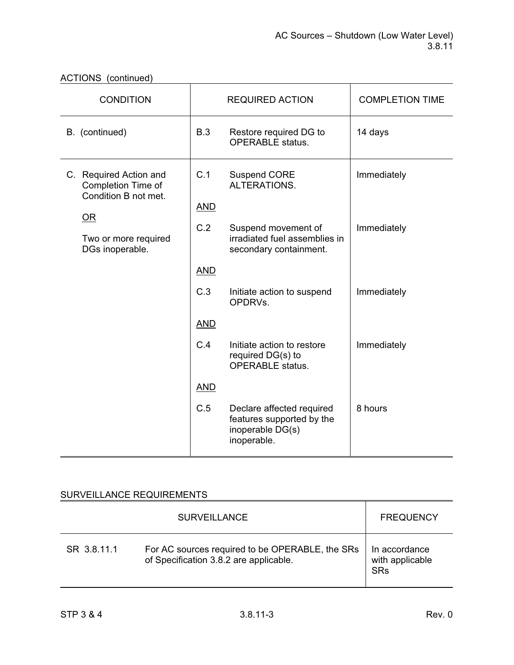| <b>CONDITION</b>                                                     |                   | <b>REQUIRED ACTION</b>                                                                    | <b>COMPLETION TIME</b> |
|----------------------------------------------------------------------|-------------------|-------------------------------------------------------------------------------------------|------------------------|
| B. (continued)                                                       | B.3               | Restore required DG to<br><b>OPERABLE</b> status.                                         | 14 days                |
| C. Required Action and<br>Completion Time of<br>Condition B not met. | C.1<br><b>AND</b> | <b>Suspend CORE</b><br>ALTERATIONS.                                                       | Immediately            |
| $OR$<br>Two or more required<br>DGs inoperable.                      | C.2               | Suspend movement of<br>irradiated fuel assemblies in<br>secondary containment.            | Immediately            |
|                                                                      | <b>AND</b>        |                                                                                           |                        |
|                                                                      | C.3               | Initiate action to suspend<br>OPDRVs.                                                     | Immediately            |
|                                                                      | <b>AND</b>        |                                                                                           |                        |
|                                                                      | C.4               | Initiate action to restore<br>required DG(s) to<br><b>OPERABLE</b> status.                | Immediately            |
|                                                                      | <b>AND</b>        |                                                                                           |                        |
|                                                                      | C.5               | Declare affected required<br>features supported by the<br>inoperable DG(s)<br>inoperable. | 8 hours                |

|             | <b>SURVEILLANCE</b>                                                                       | <b>FREQUENCY</b>                               |
|-------------|-------------------------------------------------------------------------------------------|------------------------------------------------|
| SR 3.8.11.1 | For AC sources required to be OPERABLE, the SRs<br>of Specification 3.8.2 are applicable. | In accordance<br>with applicable<br><b>SRs</b> |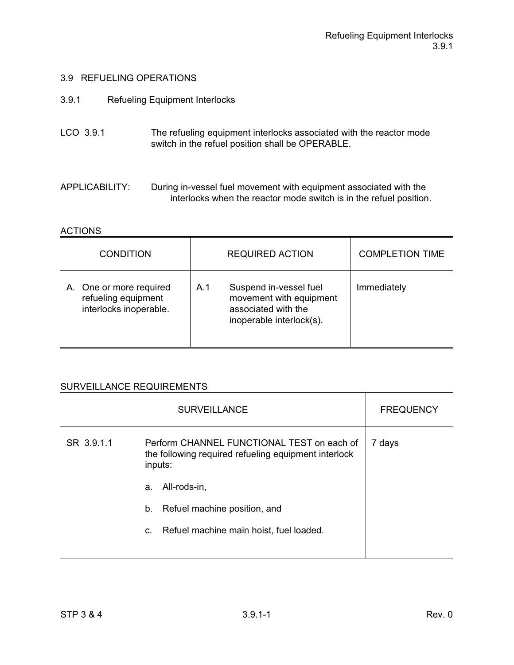- 3.9.1 Refueling Equipment Interlocks
- LCO 3.9.1 The refueling equipment interlocks associated with the reactor mode switch in the refuel position shall be OPERABLE.

APPLICABILITY: During in-vessel fuel movement with equipment associated with the interlocks when the reactor mode switch is in the refuel position.

#### **ACTIONS**

| <b>CONDITION</b>                                                         | <b>REQUIRED ACTION</b>                                                                                      | <b>COMPLETION TIME</b> |
|--------------------------------------------------------------------------|-------------------------------------------------------------------------------------------------------------|------------------------|
| A. One or more required<br>refueling equipment<br>interlocks inoperable. | Suspend in-vessel fuel<br>A.1<br>movement with equipment<br>associated with the<br>inoperable interlock(s). | Immediately            |

|            | <b>FREQUENCY</b>                                                                                              |        |
|------------|---------------------------------------------------------------------------------------------------------------|--------|
| SR 3.9.1.1 | Perform CHANNEL FUNCTIONAL TEST on each of<br>the following required refueling equipment interlock<br>inputs: | 7 days |
|            | All-rods-in,<br>a.                                                                                            |        |
|            | b.<br>Refuel machine position, and                                                                            |        |
|            | Refuel machine main hoist, fuel loaded.<br>C.                                                                 |        |
|            |                                                                                                               |        |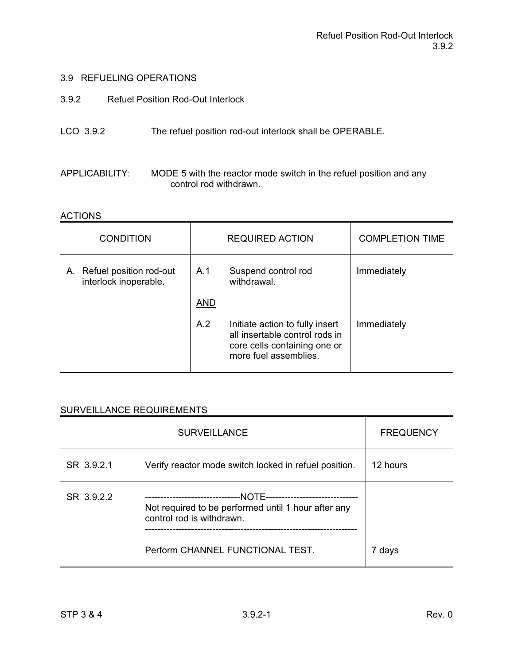- 3.9.2 Refuel Position Rod-Out Interlock
- LCO 3.9.2 The refuel position rod-out interlock shall be OPERABLE.
- APPLICABILITY: MODE 5 with the reactor mode switch in the refuel position and any control rod withdrawn.

#### **ACTIONS**

| <b>CONDITION</b>                                    |            | <b>REQUIRED ACTION</b>                                                                                                     | <b>COMPLETION TIME</b> |
|-----------------------------------------------------|------------|----------------------------------------------------------------------------------------------------------------------------|------------------------|
| A. Refuel position rod-out<br>interlock inoperable. | A.1        | Suspend control rod<br>withdrawal.                                                                                         | Immediately            |
|                                                     | <b>AND</b> |                                                                                                                            |                        |
|                                                     | A.2        | Initiate action to fully insert<br>all insertable control rods in<br>core cells containing one or<br>more fuel assemblies. | Immediately            |

|            | <b>SURVEILLANCE</b>                                                              | <b>FREQUENCY</b> |
|------------|----------------------------------------------------------------------------------|------------------|
| SR 3.9.2.1 | Verify reactor mode switch locked in refuel position.                            | 12 hours         |
| SR 3.9.2.2 | Not required to be performed until 1 hour after any<br>control rod is withdrawn. |                  |
|            | Perform CHANNEL FUNCTIONAL TEST.                                                 | 7 days           |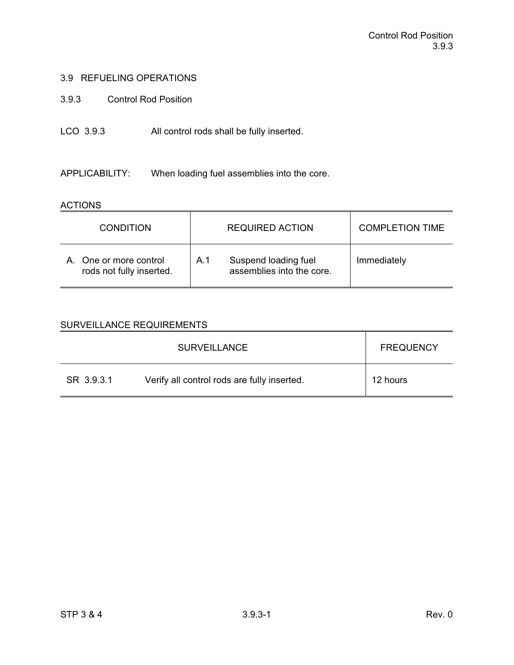3.9.3 Control Rod Position

### LCO 3.9.3 All control rods shall be fully inserted.

APPLICABILITY: When loading fuel assemblies into the core.

#### **ACTIONS**

| <b>CONDITION</b>                                   | <b>REQUIRED ACTION</b>                                   | <b>COMPLETION TIME</b> |
|----------------------------------------------------|----------------------------------------------------------|------------------------|
| A. One or more control<br>rods not fully inserted. | Suspend loading fuel<br>A.1<br>assemblies into the core. | Immediately            |

|            | <b>SURVEILLANCE</b>                         | <b>FREQUENCY</b> |
|------------|---------------------------------------------|------------------|
| SR 3.9.3.1 | Verify all control rods are fully inserted. | 12 hours         |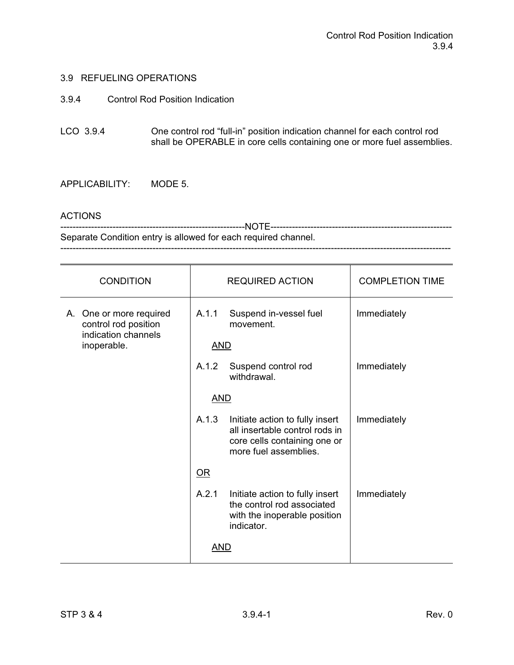3.9.4 Control Rod Position Indication

LCO 3.9.4 One control rod "full-in" position indication channel for each control rod shall be OPERABLE in core cells containing one or more fuel assemblies.

APPLICABILITY: MODE 5.

#### ACTIONS

------------------------------------------------------------NOTE----------------------------------------------------------- Separate Condition entry is allowed for each required channel. -------------------------------------------------------------------------------------------------------------------------------

| <b>CONDITION</b>                                                       | <b>REQUIRED ACTION</b> |                                                                                                                            | <b>COMPLETION TIME</b> |
|------------------------------------------------------------------------|------------------------|----------------------------------------------------------------------------------------------------------------------------|------------------------|
| A. One or more required<br>control rod position<br>indication channels | A.1.1                  | Suspend in-vessel fuel<br>movement.                                                                                        | Immediately            |
| inoperable.                                                            | <b>AND</b>             |                                                                                                                            |                        |
|                                                                        | A.1.2                  | Suspend control rod<br>withdrawal.                                                                                         | Immediately            |
|                                                                        | <b>AND</b>             |                                                                                                                            |                        |
|                                                                        | A.1.3                  | Initiate action to fully insert<br>all insertable control rods in<br>core cells containing one or<br>more fuel assemblies. | Immediately            |
|                                                                        | $OR$                   |                                                                                                                            |                        |
|                                                                        | A.2.1                  | Initiate action to fully insert<br>the control rod associated<br>with the inoperable position<br>indicator.                | Immediately            |
|                                                                        | <b>AND</b>             |                                                                                                                            |                        |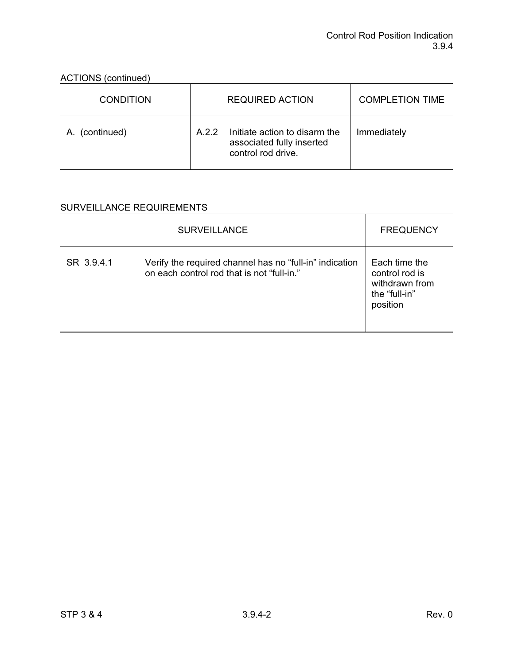| <b>CONDITION</b> | <b>REQUIRED ACTION</b>                                                                    | <b>COMPLETION TIME</b> |
|------------------|-------------------------------------------------------------------------------------------|------------------------|
| A. (continued)   | Initiate action to disarm the<br>A 2 2<br>associated fully inserted<br>control rod drive. | Immediately            |

|            | <b>SURVEILLANCE</b>                                                                                   | <b>FREQUENCY</b>                                                               |
|------------|-------------------------------------------------------------------------------------------------------|--------------------------------------------------------------------------------|
| SR 3.9.4.1 | Verify the required channel has no "full-in" indication<br>on each control rod that is not "full-in." | Each time the<br>control rod is<br>withdrawn from<br>the "full-in"<br>position |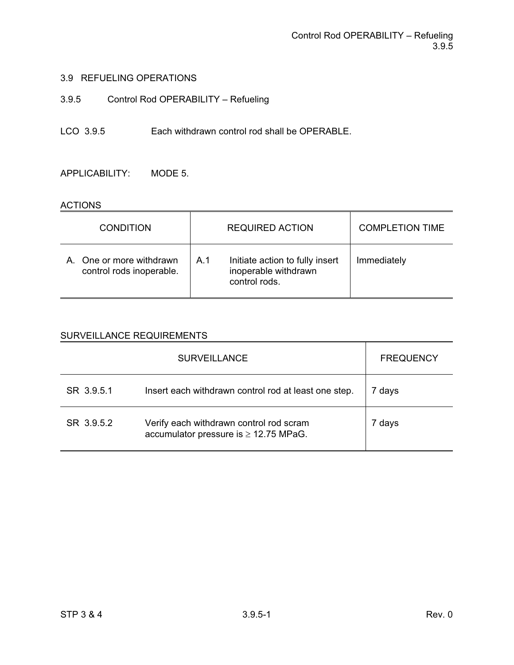3.9.5 Control Rod OPERABILITY – Refueling

LCO 3.9.5 Each withdrawn control rod shall be OPERABLE.

APPLICABILITY: MODE 5.

#### **ACTIONS**

| <b>CONDITION</b>                                     | <b>REQUIRED ACTION</b>                                                          | <b>COMPLETION TIME</b> |
|------------------------------------------------------|---------------------------------------------------------------------------------|------------------------|
| A. One or more withdrawn<br>control rods inoperable. | Initiate action to fully insert<br>A.1<br>inoperable withdrawn<br>control rods. | Immediately            |

|            | <b>SURVEILLANCE</b>                                                                   | <b>FREQUENCY</b> |
|------------|---------------------------------------------------------------------------------------|------------------|
| SR 3.9.5.1 | Insert each withdrawn control rod at least one step.                                  | 7 days           |
| SR 3.9.5.2 | Verify each withdrawn control rod scram<br>accumulator pressure is $\geq$ 12.75 MPaG. | 7 days           |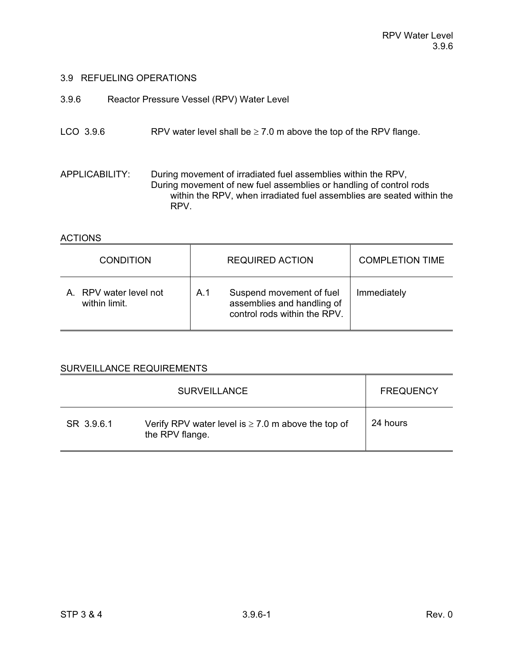- 3.9.6 Reactor Pressure Vessel (RPV) Water Level
- LCO 3.9.6 RPV water level shall be  $\geq 7.0$  m above the top of the RPV flange.

APPLICABILITY: During movement of irradiated fuel assemblies within the RPV, During movement of new fuel assemblies or handling of control rods within the RPV, when irradiated fuel assemblies are seated within the RPV.

#### **ACTIONS**

| <b>CONDITION</b>                        | <b>REQUIRED ACTION</b>                                                                        | <b>COMPLETION TIME</b> |
|-----------------------------------------|-----------------------------------------------------------------------------------------------|------------------------|
| A. RPV water level not<br>within limit. | Suspend movement of fuel<br>A.1<br>assemblies and handling of<br>control rods within the RPV. | Immediately            |

|            | <b>SURVEILLANCE</b>                                                        | <b>FREQUENCY</b> |
|------------|----------------------------------------------------------------------------|------------------|
| SR 3.9.6.1 | Verify RPV water level is $\geq 7.0$ m above the top of<br>the RPV flange. | 24 hours         |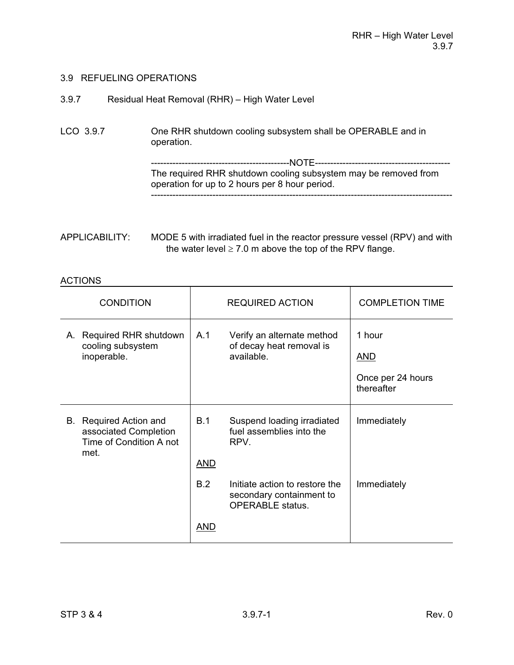| 3.9.7 | Residual Heat Removal (RHR) - High Water Level |
|-------|------------------------------------------------|
|       |                                                |

LCO 3.9.7 One RHR shutdown cooling subsystem shall be OPERABLE and in operation. ---------------------------------------------NOTE-------------------------------------------- The required RHR shutdown cooling subsystem may be removed from operation for up to 2 hours per 8 hour period. --------------------------------------------------------------------------------------------------

| <b>CONDITION</b> |                                                                                    | <b>REQUIRED ACTION</b>   |                                                                                       | <b>COMPLETION TIME</b>                                  |
|------------------|------------------------------------------------------------------------------------|--------------------------|---------------------------------------------------------------------------------------|---------------------------------------------------------|
|                  | A. Required RHR shutdown<br>cooling subsystem<br>inoperable.                       | A.1                      | Verify an alternate method<br>of decay heat removal is<br>available.                  | 1 hour<br><b>AND</b><br>Once per 24 hours<br>thereafter |
|                  | B. Required Action and<br>associated Completion<br>Time of Condition A not<br>met. | <b>B.1</b><br><b>AND</b> | Suspend loading irradiated<br>fuel assemblies into the<br>RPV.                        | Immediately                                             |
|                  |                                                                                    | B.2                      | Initiate action to restore the<br>secondary containment to<br><b>OPERABLE</b> status. | Immediately                                             |
|                  |                                                                                    | AND                      |                                                                                       |                                                         |

APPLICABILITY: MODE 5 with irradiated fuel in the reactor pressure vessel (RPV) and with the water level  $\geq 7.0$  m above the top of the RPV flange.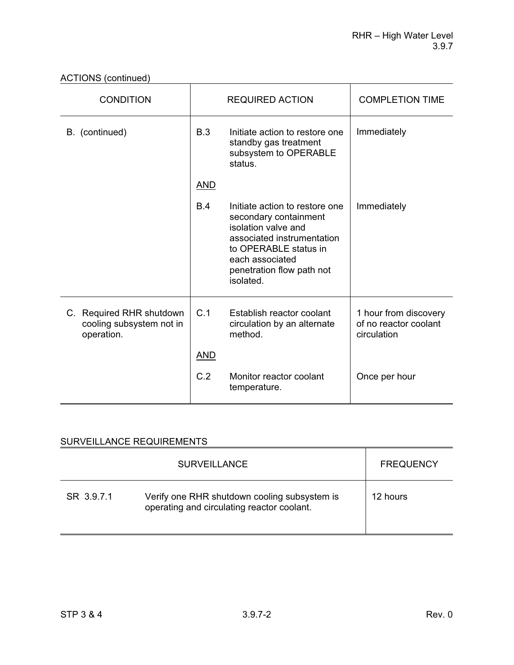ACTIONS (continued)

| <b>CONDITION</b>                                                   |            | <b>REQUIRED ACTION</b>                                                                                                                                                                             | <b>COMPLETION TIME</b>                                        |
|--------------------------------------------------------------------|------------|----------------------------------------------------------------------------------------------------------------------------------------------------------------------------------------------------|---------------------------------------------------------------|
| B. (continued)                                                     | B.3        | Initiate action to restore one<br>standby gas treatment<br>subsystem to OPERABLE<br>status.                                                                                                        | Immediately                                                   |
|                                                                    | <b>AND</b> |                                                                                                                                                                                                    |                                                               |
|                                                                    | B.4        | Initiate action to restore one<br>secondary containment<br>isolation valve and<br>associated instrumentation<br>to OPERABLE status in<br>each associated<br>penetration flow path not<br>isolated. | Immediately                                                   |
| C. Required RHR shutdown<br>cooling subsystem not in<br>operation. | C.1        | Establish reactor coolant<br>circulation by an alternate<br>method.                                                                                                                                | 1 hour from discovery<br>of no reactor coolant<br>circulation |
|                                                                    | <u>AND</u> |                                                                                                                                                                                                    |                                                               |
|                                                                    | C.2        | Monitor reactor coolant<br>temperature.                                                                                                                                                            | Once per hour                                                 |

|            | <b>SURVEILLANCE</b>                                                                        | <b>FREQUENCY</b> |
|------------|--------------------------------------------------------------------------------------------|------------------|
| SR 3.9.7.1 | Verify one RHR shutdown cooling subsystem is<br>operating and circulating reactor coolant. | 12 hours         |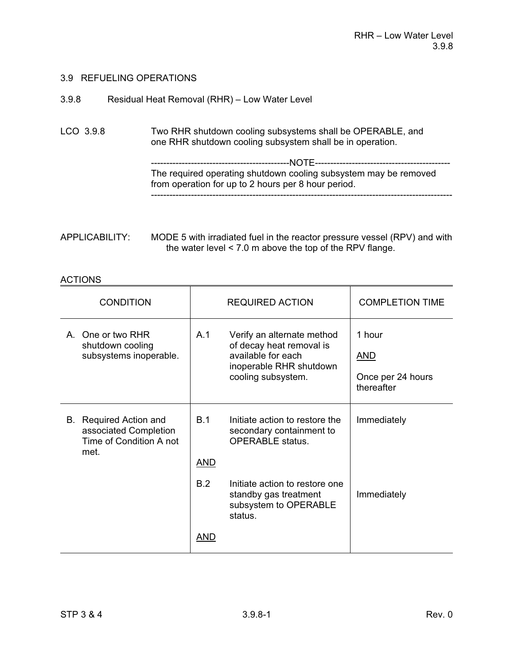| 3.9.8 | Residual Heat Removal (RHR) - Low Water Level |  |  |
|-------|-----------------------------------------------|--|--|
|-------|-----------------------------------------------|--|--|

LCO 3.9.8 Two RHR shutdown cooling subsystems shall be OPERABLE, and one RHR shutdown cooling subsystem shall be in operation.

 ---------------------------------------------NOTE-------------------------------------------- The required operating shutdown cooling subsystem may be removed from operation for up to 2 hours per 8 hour period. --------------------------------------------------------------------------------------------------

| APPLICABILITY: | MODE 5 with irradiated fuel in the reactor pressure vessel (RPV) and with |
|----------------|---------------------------------------------------------------------------|
|                | the water level $\leq 7.0$ m above the top of the RPV flange.             |

| <b>CONDITION</b>                                                                   | <b>REQUIRED ACTION</b> |                                                                                                                               | <b>COMPLETION TIME</b>                                  |
|------------------------------------------------------------------------------------|------------------------|-------------------------------------------------------------------------------------------------------------------------------|---------------------------------------------------------|
| A. One or two RHR<br>shutdown cooling<br>subsystems inoperable.                    | A.1                    | Verify an alternate method<br>of decay heat removal is<br>available for each<br>inoperable RHR shutdown<br>cooling subsystem. | 1 hour<br><u>AND</u><br>Once per 24 hours<br>thereafter |
| B. Required Action and<br>associated Completion<br>Time of Condition A not<br>met. | B.1<br><u>AND</u>      | Initiate action to restore the<br>secondary containment to<br><b>OPERABLE</b> status.                                         | Immediately                                             |
|                                                                                    | B.2                    | Initiate action to restore one<br>standby gas treatment<br>subsystem to OPERABLE<br>status.                                   | Immediately                                             |
|                                                                                    | AND                    |                                                                                                                               |                                                         |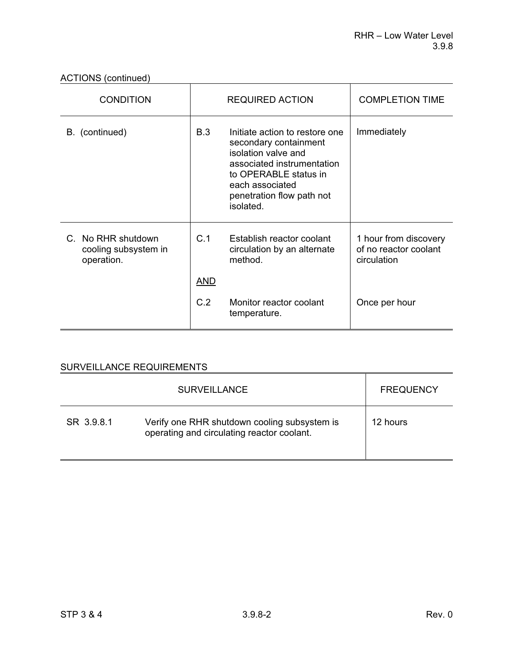ACTIONS (continued)

| <b>CONDITION</b>                                         | <b>REQUIRED ACTION</b> |                                                                                                                                                                                                    | <b>COMPLETION TIME</b>                                        |
|----------------------------------------------------------|------------------------|----------------------------------------------------------------------------------------------------------------------------------------------------------------------------------------------------|---------------------------------------------------------------|
| B. (continued)                                           | <b>B.3</b>             | Initiate action to restore one<br>secondary containment<br>isolation valve and<br>associated instrumentation<br>to OPERABLE status in<br>each associated<br>penetration flow path not<br>isolated. | Immediately                                                   |
| C. No RHR shutdown<br>cooling subsystem in<br>operation. | C.1                    | Establish reactor coolant<br>circulation by an alternate<br>method.                                                                                                                                | 1 hour from discovery<br>of no reactor coolant<br>circulation |
|                                                          | <u>AND</u>             |                                                                                                                                                                                                    |                                                               |
|                                                          | C.2                    | Monitor reactor coolant<br>temperature.                                                                                                                                                            | Once per hour                                                 |

|            | <b>SURVEILLANCE</b>                                                                        | <b>FREQUENCY</b> |
|------------|--------------------------------------------------------------------------------------------|------------------|
| SR 3.9.8.1 | Verify one RHR shutdown cooling subsystem is<br>operating and circulating reactor coolant. | 12 hours         |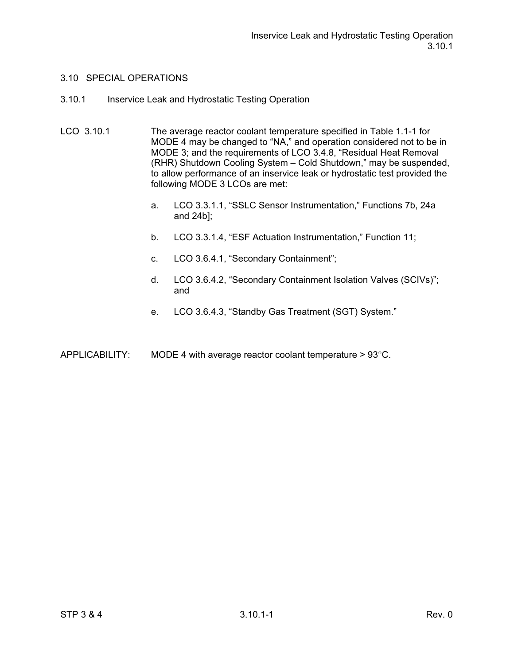#### 3.10 SPECIAL OPERATIONS

- 3.10.1 Inservice Leak and Hydrostatic Testing Operation
- LCO 3.10.1 The average reactor coolant temperature specified in Table 1.1-1 for MODE 4 may be changed to "NA," and operation considered not to be in MODE 3; and the requirements of LCO 3.4.8, "Residual Heat Removal (RHR) Shutdown Cooling System – Cold Shutdown," may be suspended, to allow performance of an inservice leak or hydrostatic test provided the following MODE 3 LCOs are met:
	- a. LCO 3.3.1.1, "SSLC Sensor Instrumentation," Functions 7b, 24a and 24b];
	- b. LCO 3.3.1.4, "ESF Actuation Instrumentation," Function 11;
	- c. LCO 3.6.4.1, "Secondary Containment";
	- d. LCO 3.6.4.2, "Secondary Containment Isolation Valves (SCIVs)"; and
	- e. LCO 3.6.4.3, "Standby Gas Treatment (SGT) System."
- APPLICABILITY: MODE 4 with average reactor coolant temperature  $> 93^{\circ}$ C.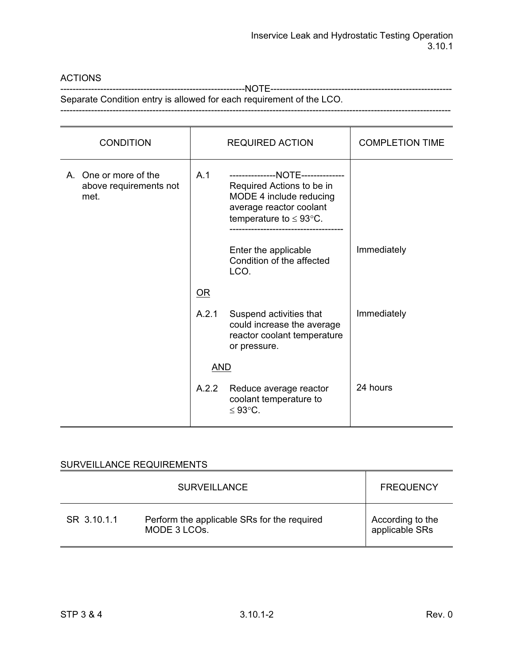### ACTIONS

------------------------------------------------------------NOTE-----------------------------------------------------------

Separate Condition entry is allowed for each requirement of the LCO. -------------------------------------------------------------------------------------------------------------------------------

| <b>CONDITION</b>                                        |            | <b>REQUIRED ACTION</b>                                                                                                                                      | <b>COMPLETION TIME</b> |
|---------------------------------------------------------|------------|-------------------------------------------------------------------------------------------------------------------------------------------------------------|------------------------|
| A. One or more of the<br>above requirements not<br>met. | A.1        | ---------------NOTE--------------<br>Required Actions to be in<br>MODE 4 include reducing<br>average reactor coolant<br>temperature to $\leq 93^{\circ}$ C. |                        |
|                                                         |            | Enter the applicable<br>Condition of the affected<br>LCO.                                                                                                   | Immediately            |
|                                                         | $OR$       |                                                                                                                                                             |                        |
|                                                         | A.2.1      | Suspend activities that<br>could increase the average<br>reactor coolant temperature<br>or pressure.                                                        | Immediately            |
|                                                         | <b>AND</b> |                                                                                                                                                             |                        |
|                                                         | A.2.2      | Reduce average reactor<br>coolant temperature to<br>$≤ 93$ °C.                                                                                              | 24 hours               |

|             | <b>SURVEILLANCE</b>                                                      | <b>FREQUENCY</b>                   |
|-------------|--------------------------------------------------------------------------|------------------------------------|
| SR 3.10.1.1 | Perform the applicable SRs for the required<br>MODE 3 LCO <sub>s</sub> . | According to the<br>applicable SRs |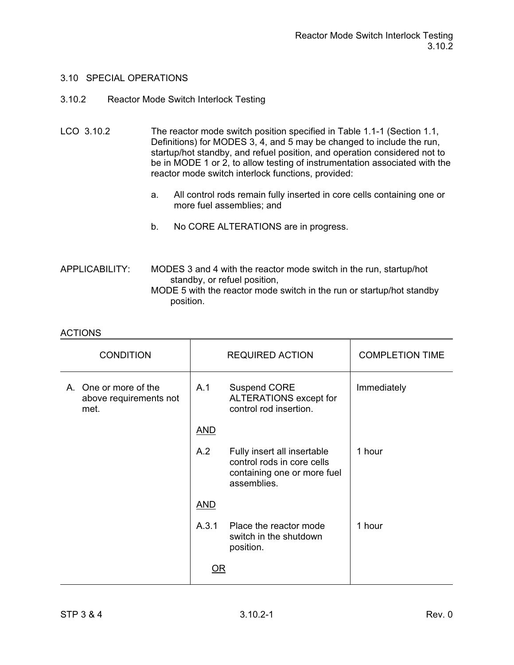#### 3.10 SPECIAL OPERATIONS

### 3.10.2 Reactor Mode Switch Interlock Testing

- LCO 3.10.2 The reactor mode switch position specified in Table 1.1-1 (Section 1.1, Definitions) for MODES 3, 4, and 5 may be changed to include the run, startup/hot standby, and refuel position, and operation considered not to be in MODE 1 or 2, to allow testing of instrumentation associated with the reactor mode switch interlock functions, provided:
	- a. All control rods remain fully inserted in core cells containing one or more fuel assemblies; and
	- b. No CORE ALTERATIONS are in progress.

#### APPLICABILITY: MODES 3 and 4 with the reactor mode switch in the run, startup/hot standby, or refuel position, MODE 5 with the reactor mode switch in the run or startup/hot standby position.

| <b>CONDITION</b>                                        | <b>REQUIRED ACTION</b> |                                                                                                         | <b>COMPLETION TIME</b> |
|---------------------------------------------------------|------------------------|---------------------------------------------------------------------------------------------------------|------------------------|
| A. One or more of the<br>above requirements not<br>met. | A.1                    | <b>Suspend CORE</b><br>ALTERATIONS except for<br>control rod insertion.                                 | Immediately            |
|                                                         | <b>AND</b>             |                                                                                                         |                        |
|                                                         | A.2                    | Fully insert all insertable<br>control rods in core cells<br>containing one or more fuel<br>assemblies. | 1 hour                 |
|                                                         | <b>AND</b>             |                                                                                                         |                        |
|                                                         | A.3.1                  | Place the reactor mode<br>switch in the shutdown<br>position.                                           | 1 hour                 |
|                                                         | <u>OR</u>              |                                                                                                         |                        |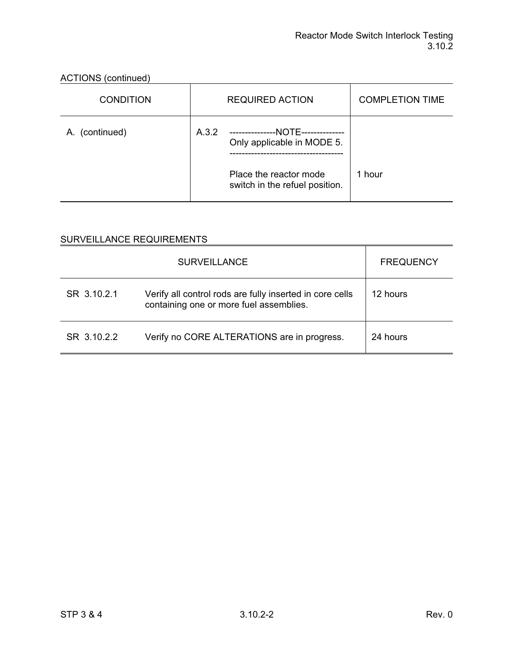| ACTIONS (continued) |       |                                                                 |                        |  |
|---------------------|-------|-----------------------------------------------------------------|------------------------|--|
| <b>CONDITION</b>    |       | <b>REQUIRED ACTION</b>                                          | <b>COMPLETION TIME</b> |  |
| A. (continued)      | A.3.2 | ---------------NOTE--------------<br>Only applicable in MODE 5. |                        |  |
|                     |       | Place the reactor mode<br>switch in the refuel position.        | 1 hour                 |  |

# ACTIONS (continued)

|             | <b>SURVEILLANCE</b>                                                                                 | <b>FREQUENCY</b> |
|-------------|-----------------------------------------------------------------------------------------------------|------------------|
| SR 3.10.2.1 | Verify all control rods are fully inserted in core cells<br>containing one or more fuel assemblies. | 12 hours         |
| SR 3.10.2.2 | Verify no CORE ALTERATIONS are in progress.                                                         | 24 hours         |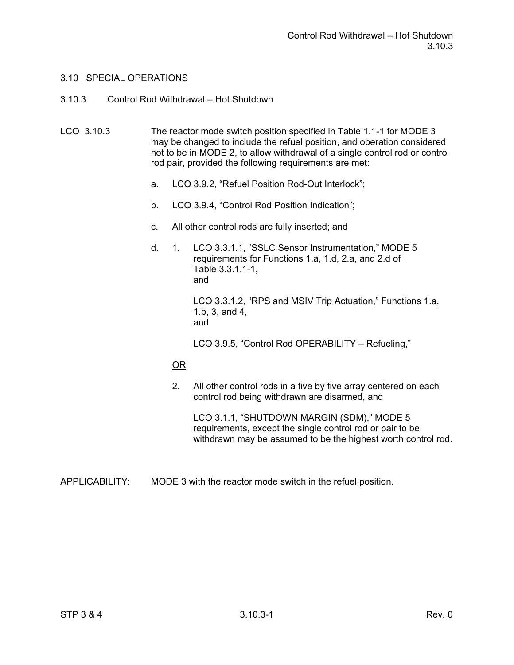### 3.10.3 Control Rod Withdrawal – Hot Shutdown

LCO 3.10.3 The reactor mode switch position specified in Table 1.1-1 for MODE 3 may be changed to include the refuel position, and operation considered not to be in MODE 2, to allow withdrawal of a single control rod or control rod pair, provided the following requirements are met:

- a. LCO 3.9.2, "Refuel Position Rod-Out Interlock";
- b. LCO 3.9.4, "Control Rod Position Indication";
- c. All other control rods are fully inserted; and
- d. 1. LCO 3.3.1.1, "SSLC Sensor Instrumentation," MODE 5 requirements for Functions 1.a, 1.d, 2.a, and 2.d of Table 3.3.1.1-1, and LCO 3.3.1.2, "RPS and MSIV Trip Actuation," Functions 1.a, 1.b, 3, and 4, and

LCO 3.9.5, "Control Rod OPERABILITY – Refueling,"

### OR

 2. All other control rods in a five by five array centered on each control rod being withdrawn are disarmed, and

 LCO 3.1.1, "SHUTDOWN MARGIN (SDM)," MODE 5 requirements, except the single control rod or pair to be withdrawn may be assumed to be the highest worth control rod.

APPLICABILITY: MODE 3 with the reactor mode switch in the refuel position.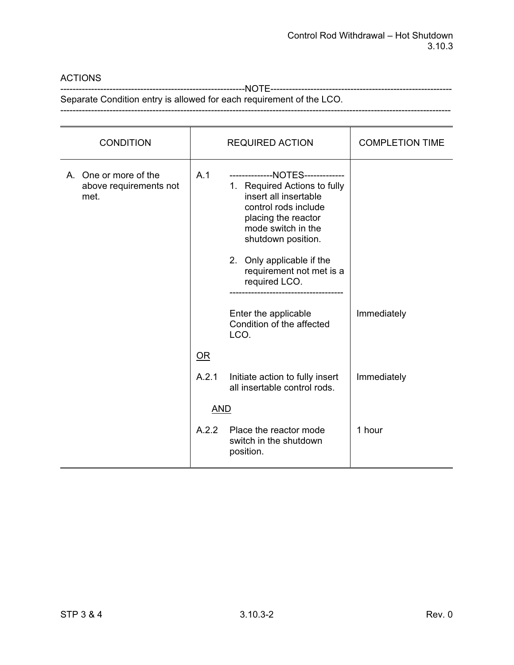## ACTIONS

------------------------------------------------------------NOTE-----------------------------------------------------------

Separate Condition entry is allowed for each requirement of the LCO. -------------------------------------------------------------------------------------------------------------------------------

| <b>CONDITION</b>                                        |            | <b>REQUIRED ACTION</b>                                                                                                                                                                                                                                         | <b>COMPLETION TIME</b> |
|---------------------------------------------------------|------------|----------------------------------------------------------------------------------------------------------------------------------------------------------------------------------------------------------------------------------------------------------------|------------------------|
| A. One or more of the<br>above requirements not<br>met. | A.1        | --------------NOTES-------------<br>1. Required Actions to fully<br>insert all insertable<br>control rods include<br>placing the reactor<br>mode switch in the<br>shutdown position.<br>2. Only applicable if the<br>requirement not met is a<br>required LCO. |                        |
|                                                         |            | Enter the applicable<br>Condition of the affected<br>LCO.                                                                                                                                                                                                      | Immediately            |
|                                                         | $OR$       |                                                                                                                                                                                                                                                                |                        |
|                                                         | A.2.1      | Initiate action to fully insert<br>all insertable control rods.                                                                                                                                                                                                | Immediately            |
|                                                         | <b>AND</b> |                                                                                                                                                                                                                                                                |                        |
|                                                         | A.2.2      | Place the reactor mode<br>switch in the shutdown<br>position.                                                                                                                                                                                                  | 1 hour                 |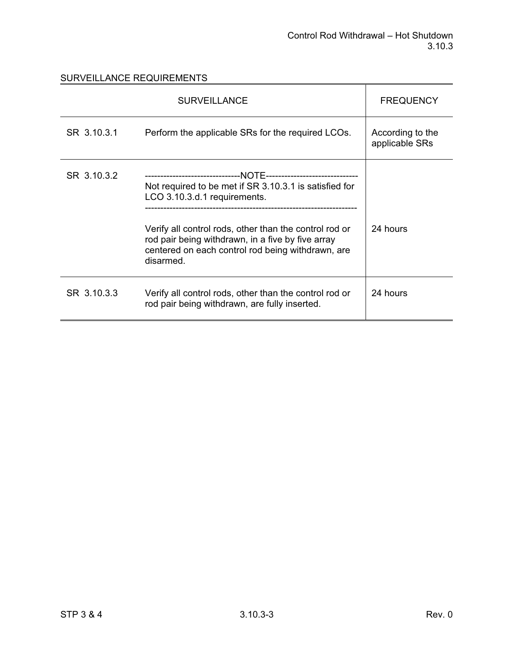|             | <b>FREQUENCY</b>                                                                                                                                                                                                                                                        |                                    |
|-------------|-------------------------------------------------------------------------------------------------------------------------------------------------------------------------------------------------------------------------------------------------------------------------|------------------------------------|
| SR 3.10.3.1 | Perform the applicable SRs for the required LCOs.                                                                                                                                                                                                                       | According to the<br>applicable SRs |
| SR 3.10.3.2 | Not required to be met if SR 3.10.3.1 is satisfied for<br>LCO 3.10.3.d.1 requirements.<br>Verify all control rods, other than the control rod or<br>rod pair being withdrawn, in a five by five array<br>centered on each control rod being withdrawn, are<br>disarmed. | 24 hours                           |
| SR 3.10.3.3 | Verify all control rods, other than the control rod or<br>rod pair being withdrawn, are fully inserted.                                                                                                                                                                 | 24 hours                           |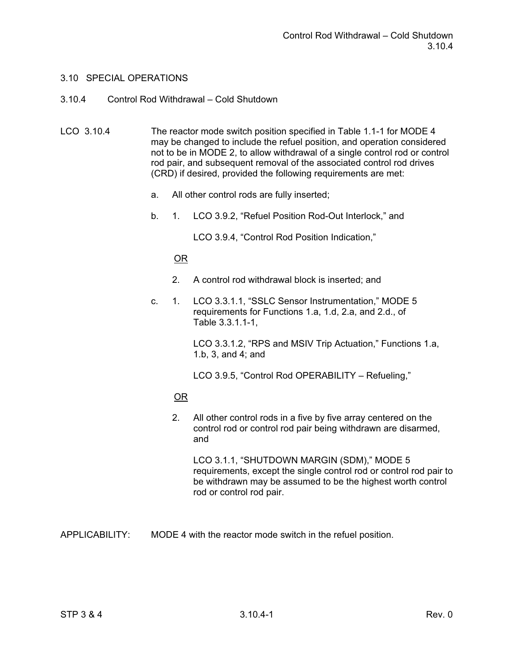#### 3.10.4 Control Rod Withdrawal – Cold Shutdown

- LCO 3.10.4 The reactor mode switch position specified in Table 1.1-1 for MODE 4 may be changed to include the refuel position, and operation considered not to be in MODE 2, to allow withdrawal of a single control rod or control rod pair, and subsequent removal of the associated control rod drives (CRD) if desired, provided the following requirements are met:
	- a. All other control rods are fully inserted;
	- b. 1. LCO 3.9.2, "Refuel Position Rod-Out Interlock," and

LCO 3.9.4, "Control Rod Position Indication,"

## OR

- 2. A control rod withdrawal block is inserted; and
- c. 1. LCO 3.3.1.1, "SSLC Sensor Instrumentation," MODE 5 requirements for Functions 1.a, 1.d, 2.a, and 2.d., of Table 3.3.1.1-1,

 LCO 3.3.1.2, "RPS and MSIV Trip Actuation," Functions 1.a, 1.b, 3, and 4; and

LCO 3.9.5, "Control Rod OPERABILITY – Refueling,"

### OR

 2. All other control rods in a five by five array centered on the control rod or control rod pair being withdrawn are disarmed, and

 LCO 3.1.1, "SHUTDOWN MARGIN (SDM)," MODE 5 requirements, except the single control rod or control rod pair to be withdrawn may be assumed to be the highest worth control rod or control rod pair.

APPLICABILITY: MODE 4 with the reactor mode switch in the refuel position.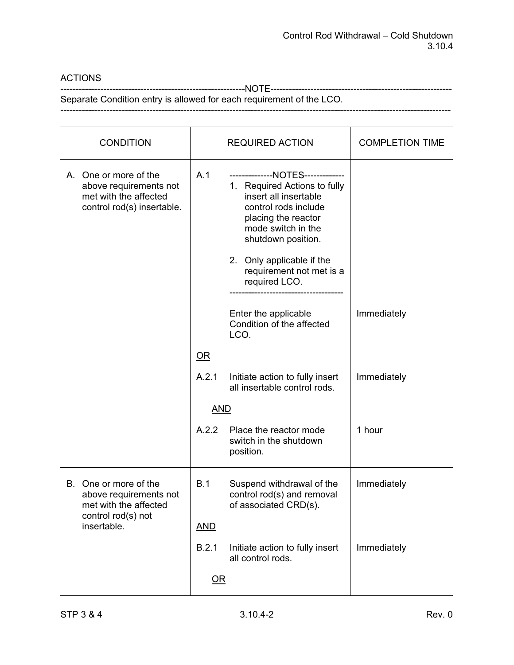## ACTIONS

------------------------------------------------------------NOTE-----------------------------------------------------------

Separate Condition entry is allowed for each requirement of the LCO. -------------------------------------------------------------------------------------------------------------------------------

| <b>CONDITION</b>                                                                                       | <b>REQUIRED ACTION</b>                                                                                                                                                                                                                                                | <b>COMPLETION TIME</b> |
|--------------------------------------------------------------------------------------------------------|-----------------------------------------------------------------------------------------------------------------------------------------------------------------------------------------------------------------------------------------------------------------------|------------------------|
| A. One or more of the<br>above requirements not<br>met with the affected<br>control rod(s) insertable. | A.1<br>--------------NOTES-------------<br>1. Required Actions to fully<br>insert all insertable<br>control rods include<br>placing the reactor<br>mode switch in the<br>shutdown position.<br>2. Only applicable if the<br>requirement not met is a<br>required LCO. |                        |
|                                                                                                        | Enter the applicable<br>Condition of the affected<br>LCO.                                                                                                                                                                                                             | Immediately            |
|                                                                                                        | OR                                                                                                                                                                                                                                                                    |                        |
|                                                                                                        | A.2.1<br>Initiate action to fully insert<br>all insertable control rods.                                                                                                                                                                                              | Immediately            |
|                                                                                                        | <b>AND</b>                                                                                                                                                                                                                                                            |                        |
|                                                                                                        | A.2.2<br>Place the reactor mode<br>switch in the shutdown<br>position.                                                                                                                                                                                                | 1 hour                 |
| B. One or more of the<br>above requirements not<br>met with the affected                               | B.1<br>Suspend withdrawal of the<br>control rod(s) and removal<br>of associated CRD(s).                                                                                                                                                                               | Immediately            |
| control rod(s) not<br>insertable.                                                                      | <b>AND</b>                                                                                                                                                                                                                                                            |                        |
|                                                                                                        | B.2.1<br>Initiate action to fully insert<br>all control rods.                                                                                                                                                                                                         | Immediately            |
|                                                                                                        | $\overline{\text{OR}}$                                                                                                                                                                                                                                                |                        |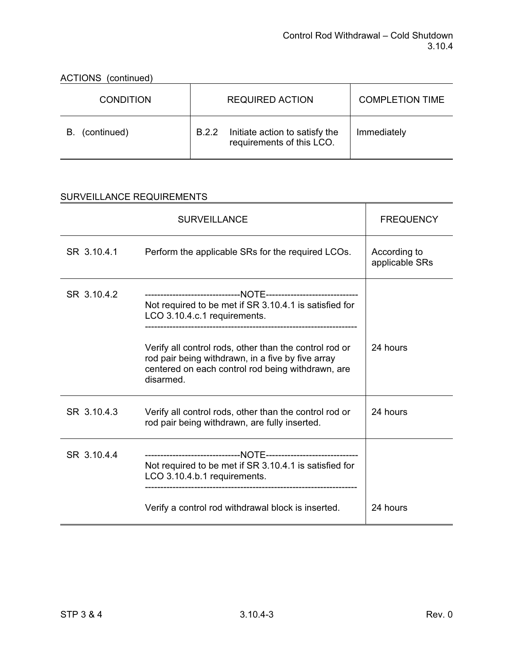| <b>AUTION</b><br><u>(CONTININGU)</u> |                                                                      |                        |  |  |
|--------------------------------------|----------------------------------------------------------------------|------------------------|--|--|
| <b>CONDITION</b>                     | <b>REQUIRED ACTION</b>                                               | <b>COMPLETION TIME</b> |  |  |
| (continued)<br>В.                    | Initiate action to satisfy the<br>B.2.2<br>requirements of this LCO. | Immediately            |  |  |

## ACTIONS (continued)

|             | <b>SURVEILLANCE</b>                                                                                                                                                                                                                                                     | <b>FREQUENCY</b>               |
|-------------|-------------------------------------------------------------------------------------------------------------------------------------------------------------------------------------------------------------------------------------------------------------------------|--------------------------------|
| SR 3.10.4.1 | Perform the applicable SRs for the required LCOs.                                                                                                                                                                                                                       | According to<br>applicable SRs |
| SR 3.10.4.2 | Not required to be met if SR 3.10.4.1 is satisfied for<br>LCO 3.10.4.c.1 requirements.<br>Verify all control rods, other than the control rod or<br>rod pair being withdrawn, in a five by five array<br>centered on each control rod being withdrawn, are<br>disarmed. | 24 hours                       |
| SR 3.10.4.3 | Verify all control rods, other than the control rod or<br>rod pair being withdrawn, are fully inserted.                                                                                                                                                                 | 24 hours                       |
| SR 3.10.4.4 | Not required to be met if SR 3.10.4.1 is satisfied for<br>LCO 3.10.4.b.1 requirements.<br>Verify a control rod withdrawal block is inserted.                                                                                                                            | 24 hours                       |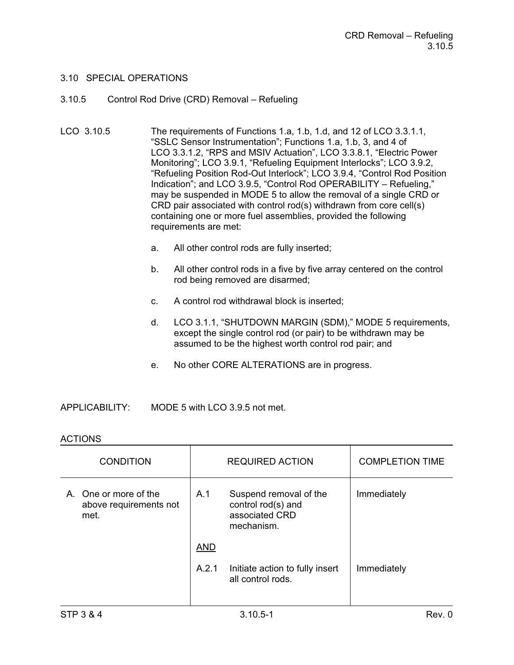#### 3.10.5 Control Rod Drive (CRD) Removal – Refueling

- LCO 3.10.5 The requirements of Functions 1.a, 1.b, 1.d, and 12 of LCO 3.3.1.1, "SSLC Sensor Instrumentation"; Functions 1.a, 1.b, 3, and 4 of LCO 3.3.1.2, "RPS and MSIV Actuation", LCO 3.3.8.1, "Electric Power Monitoring"; LCO 3.9.1, "Refueling Equipment Interlocks"; LCO 3.9.2, "Refueling Position Rod-Out Interlock"; LCO 3.9.4, "Control Rod Position Indication"; and LCO 3.9.5, "Control Rod OPERABILITY – Refueling," may be suspended in MODE 5 to allow the removal of a single CRD or CRD pair associated with control rod(s) withdrawn from core cell(s) containing one or more fuel assemblies, provided the following requirements are met:
	- a. All other control rods are fully inserted;
	- b. All other control rods in a five by five array centered on the control rod being removed are disarmed;
	- c. A control rod withdrawal block is inserted;
	- d. LCO 3.1.1, "SHUTDOWN MARGIN (SDM)," MODE 5 requirements, except the single control rod (or pair) to be withdrawn may be assumed to be the highest worth control rod pair; and
	- e. No other CORE ALTERATIONS are in progress.

APPLICABILITY: MODE 5 with LCO 3.9.5 not met.

### **ACTIONS**

| <b>CONDITION</b>                                        |            | <b>REQUIRED ACTION</b>                                                       | <b>COMPLETION TIME</b> |
|---------------------------------------------------------|------------|------------------------------------------------------------------------------|------------------------|
| A. One or more of the<br>above requirements not<br>met. | A.1        | Suspend removal of the<br>control rod(s) and<br>associated CRD<br>mechanism. | Immediately            |
|                                                         | <b>AND</b> |                                                                              |                        |
|                                                         | A.2.1      | Initiate action to fully insert<br>all control rods.                         | Immediately            |
|                                                         |            |                                                                              |                        |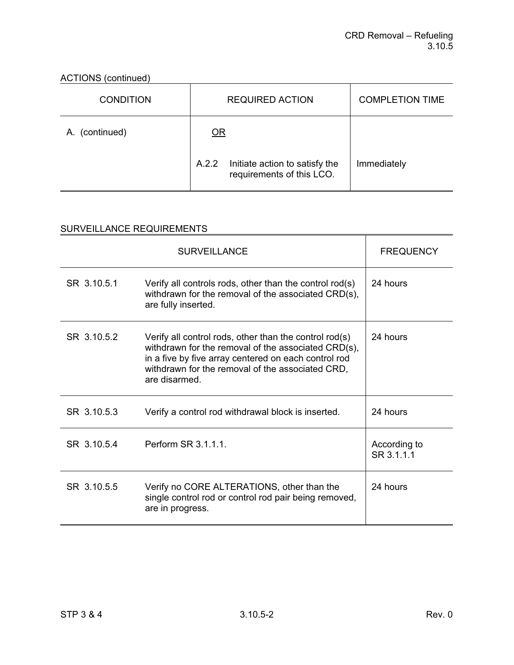## ACTIONS (continued)

| <b>CONDITION</b> | <b>REQUIRED ACTION</b>                                               | <b>COMPLETION TIME</b> |
|------------------|----------------------------------------------------------------------|------------------------|
| A. (continued)   | <u>OR</u>                                                            |                        |
|                  | Initiate action to satisfy the<br>A.2.2<br>requirements of this LCO. | Immediately            |

|             | <b>SURVEILLANCE</b>                                                                                                                                                                                                                        | <b>FREQUENCY</b>           |
|-------------|--------------------------------------------------------------------------------------------------------------------------------------------------------------------------------------------------------------------------------------------|----------------------------|
| SR 3.10.5.1 | Verify all controls rods, other than the control $rod(s)$<br>withdrawn for the removal of the associated CRD(s),<br>are fully inserted.                                                                                                    | 24 hours                   |
| SR 31052    | Verify all control rods, other than the control rod(s)<br>withdrawn for the removal of the associated CRD(s),<br>in a five by five array centered on each control rod<br>withdrawn for the removal of the associated CRD,<br>are disarmed. | 24 hours                   |
| SR 3.10.5.3 | Verify a control rod withdrawal block is inserted.                                                                                                                                                                                         | 24 hours                   |
| SR 3.10.5.4 | Perform SR 3.1.1.1.                                                                                                                                                                                                                        | According to<br>SR 3.1.1.1 |
| SR 3.10.5.5 | Verify no CORE ALTERATIONS, other than the<br>single control rod or control rod pair being removed,<br>are in progress.                                                                                                                    | 24 hours                   |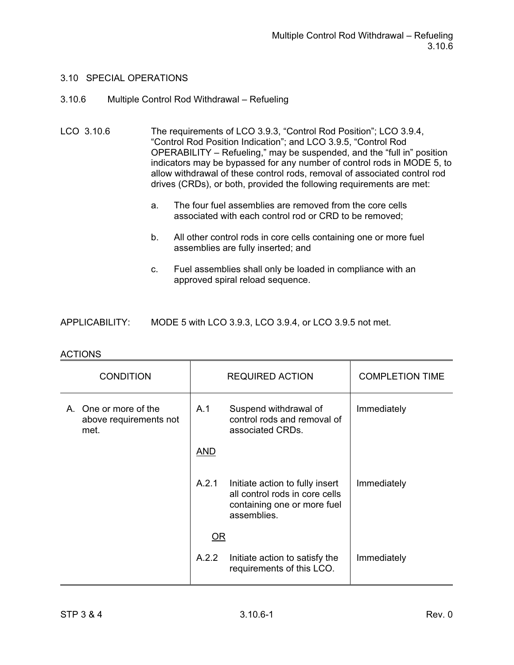#### 3.10.6 Multiple Control Rod Withdrawal – Refueling

LCO 3.10.6 The requirements of LCO 3.9.3, "Control Rod Position"; LCO 3.9.4, "Control Rod Position Indication"; and LCO 3.9.5, "Control Rod OPERABILITY – Refueling," may be suspended, and the "full in" position indicators may be bypassed for any number of control rods in MODE 5, to allow withdrawal of these control rods, removal of associated control rod drives (CRDs), or both, provided the following requirements are met:

- a. The four fuel assemblies are removed from the core cells associated with each control rod or CRD to be removed;
- b. All other control rods in core cells containing one or more fuel assemblies are fully inserted; and
- c. Fuel assemblies shall only be loaded in compliance with an approved spiral reload sequence.

| <b>APPLICABILITY:</b> | MODE 5 with LCO 3.9.3, LCO 3.9.4, or LCO 3.9.5 not met. |
|-----------------------|---------------------------------------------------------|
|-----------------------|---------------------------------------------------------|

| , , , , , , , , ,                                       |            |                                                                                                                 |                        |
|---------------------------------------------------------|------------|-----------------------------------------------------------------------------------------------------------------|------------------------|
| <b>CONDITION</b>                                        |            | <b>REQUIRED ACTION</b>                                                                                          | <b>COMPLETION TIME</b> |
| A. One or more of the<br>above requirements not<br>met. | A.1        | Suspend withdrawal of<br>control rods and removal of<br>associated CRDs.                                        | Immediately            |
|                                                         | <b>AND</b> |                                                                                                                 |                        |
|                                                         | A.2.1      | Initiate action to fully insert<br>all control rods in core cells<br>containing one or more fuel<br>assemblies. | Immediately            |
|                                                         | OR         |                                                                                                                 |                        |
|                                                         | A.2.2      | Initiate action to satisfy the<br>requirements of this LCO.                                                     | Immediately            |

#### **ACTIONS**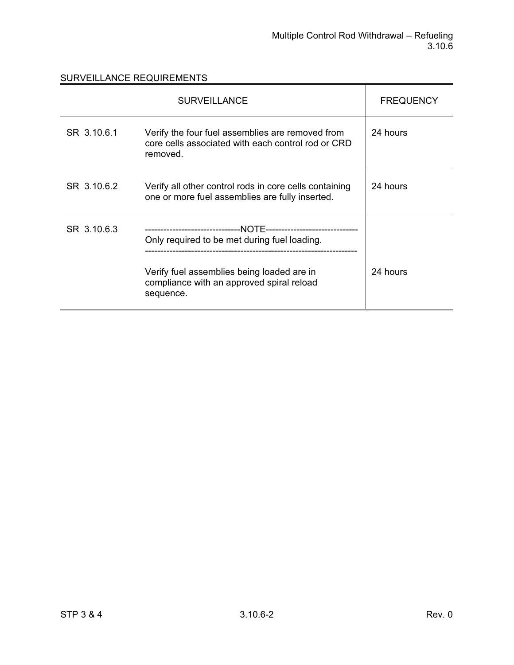|             | <b>SURVEILLANCE</b>                                                                                                                                  | <b>FREQUENCY</b> |
|-------------|------------------------------------------------------------------------------------------------------------------------------------------------------|------------------|
| SR 3.10.6.1 | Verify the four fuel assemblies are removed from<br>core cells associated with each control rod or CRD<br>removed.                                   | 24 hours         |
| SR 3.10.6.2 | Verify all other control rods in core cells containing<br>one or more fuel assemblies are fully inserted.                                            | 24 hours         |
| SR 3.10.6.3 | Only required to be met during fuel loading.<br>Verify fuel assemblies being loaded are in<br>compliance with an approved spiral reload<br>sequence. | 24 hours         |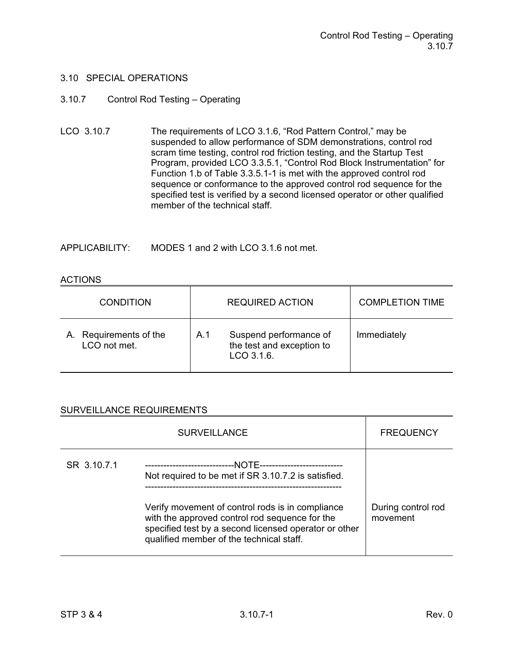#### 3.10.7 Control Rod Testing – Operating

LCO 3.10.7 The requirements of LCO 3.1.6, "Rod Pattern Control," may be suspended to allow performance of SDM demonstrations, control rod scram time testing, control rod friction testing, and the Startup Test Program, provided LCO 3.3.5.1, "Control Rod Block Instrumentation" for Function 1.b of Table 3.3.5.1-1 is met with the approved control rod sequence or conformance to the approved control rod sequence for the specified test is verified by a second licensed operator or other qualified member of the technical staff.

APPLICABILITY: MODES 1 and 2 with LCO 3.1.6 not met.

#### ACTIONS

| <b>CONDITION</b>                       | <b>REQUIRED ACTION</b>                                                   | <b>COMPLETION TIME</b> |
|----------------------------------------|--------------------------------------------------------------------------|------------------------|
| A. Requirements of the<br>LCO not met. | Suspend performance of<br>A.1<br>the test and exception to<br>LCO 3.1.6. | Immediately            |

|             | <b>SURVEILLANCE</b>                                                                                                                                                                                                                                            | <b>FREQUENCY</b>               |
|-------------|----------------------------------------------------------------------------------------------------------------------------------------------------------------------------------------------------------------------------------------------------------------|--------------------------------|
| SR 3.10.7.1 | Not required to be met if SR 3.10.7.2 is satisfied.<br>Verify movement of control rods is in compliance<br>with the approved control rod sequence for the<br>specified test by a second licensed operator or other<br>qualified member of the technical staff. | During control rod<br>movement |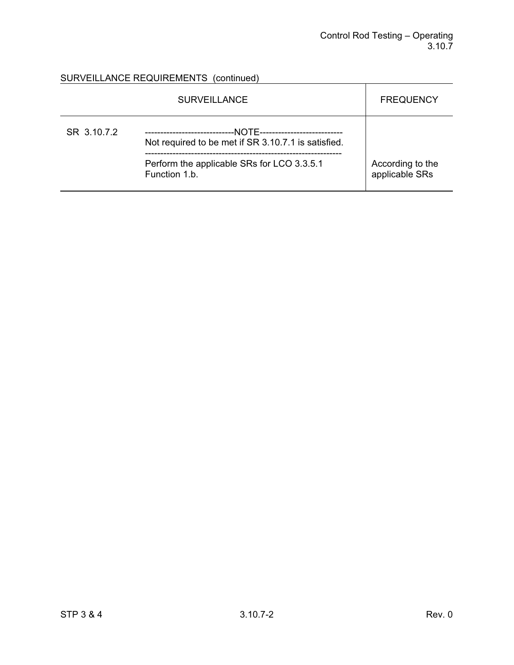# SURVEILLANCE REQUIREMENTS (continued)

|             | <b>SURVEILLANCE</b>                                                                                                  | <b>FREQUENCY</b>                   |
|-------------|----------------------------------------------------------------------------------------------------------------------|------------------------------------|
| SR 3.10.7.2 | -NOTE----------------------------<br>------------------------<br>Not required to be met if SR 3.10.7.1 is satisfied. |                                    |
|             | Perform the applicable SRs for LCO 3.3.5.1<br>Function 1.b.                                                          | According to the<br>applicable SRs |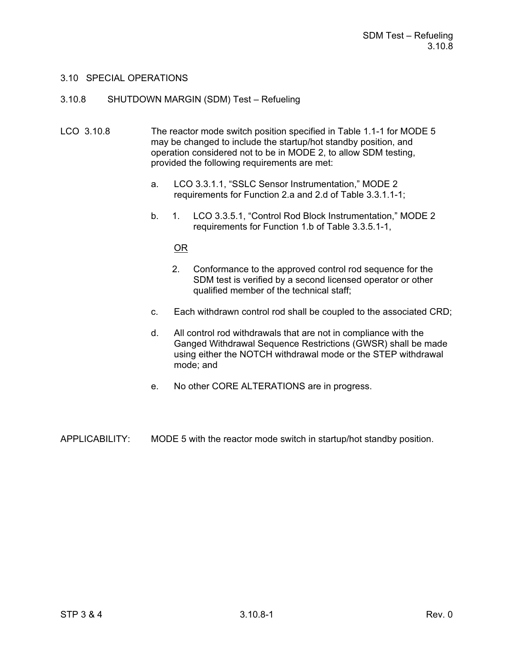#### 3.10.8 SHUTDOWN MARGIN (SDM) Test – Refueling

- LCO 3.10.8 The reactor mode switch position specified in Table 1.1-1 for MODE 5 may be changed to include the startup/hot standby position, and operation considered not to be in MODE 2, to allow SDM testing, provided the following requirements are met:
	- a. LCO 3.3.1.1, "SSLC Sensor Instrumentation," MODE 2 requirements for Function 2.a and 2.d of Table 3.3.1.1-1;
	- b. 1. LCO 3.3.5.1, "Control Rod Block Instrumentation," MODE 2 requirements for Function 1.b of Table 3.3.5.1-1,

#### OR

- 2. Conformance to the approved control rod sequence for the SDM test is verified by a second licensed operator or other qualified member of the technical staff;
- c. Each withdrawn control rod shall be coupled to the associated CRD;
- d. All control rod withdrawals that are not in compliance with the Ganged Withdrawal Sequence Restrictions (GWSR) shall be made using either the NOTCH withdrawal mode or the STEP withdrawal mode; and
- e. No other CORE ALTERATIONS are in progress.

APPLICABILITY: MODE 5 with the reactor mode switch in startup/hot standby position.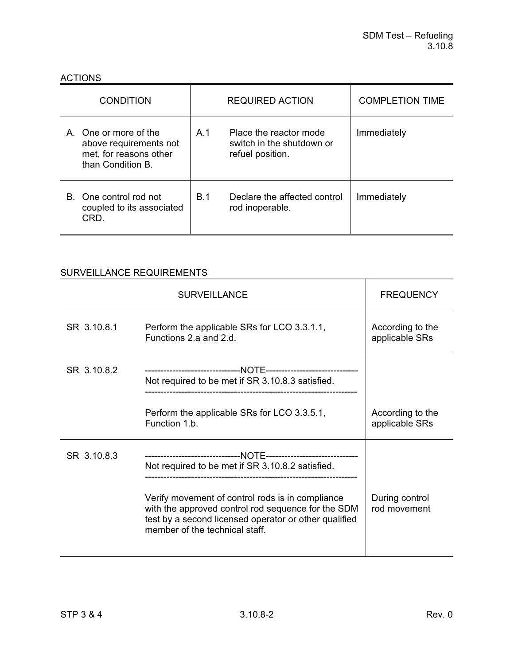#### ACTIONS

| <b>CONDITION</b>                                                                               | <b>REQUIRED ACTION</b>                                                         | <b>COMPLETION TIME</b> |
|------------------------------------------------------------------------------------------------|--------------------------------------------------------------------------------|------------------------|
| A. One or more of the<br>above requirements not<br>met, for reasons other<br>than Condition B. | Place the reactor mode<br>A 1<br>switch in the shutdown or<br>refuel position. | Immediately            |
| B. One control rod not<br>coupled to its associated<br>CRD.                                    | B.1<br>Declare the affected control<br>rod inoperable.                         | Immediately            |

|             | <b>SURVEILLANCE</b>                                                                                                                                                                                                                                   | <b>FREQUENCY</b>                   |
|-------------|-------------------------------------------------------------------------------------------------------------------------------------------------------------------------------------------------------------------------------------------------------|------------------------------------|
| SR 3.10.8.1 | Perform the applicable SRs for LCO 3.3.1.1,<br>Functions 2.a and 2.d.                                                                                                                                                                                 | According to the<br>applicable SRs |
| SR 3.10.8.2 | Not required to be met if SR 3.10.8.3 satisfied.                                                                                                                                                                                                      |                                    |
|             | Perform the applicable SRs for LCO 3.3.5.1,<br>Function 1.b.                                                                                                                                                                                          | According to the<br>applicable SRs |
| SR 3.10.8.3 | Not required to be met if SR 3.10.8.2 satisfied.<br>Verify movement of control rods is in compliance<br>with the approved control rod sequence for the SDM<br>test by a second licensed operator or other qualified<br>member of the technical staff. | During control<br>rod movement     |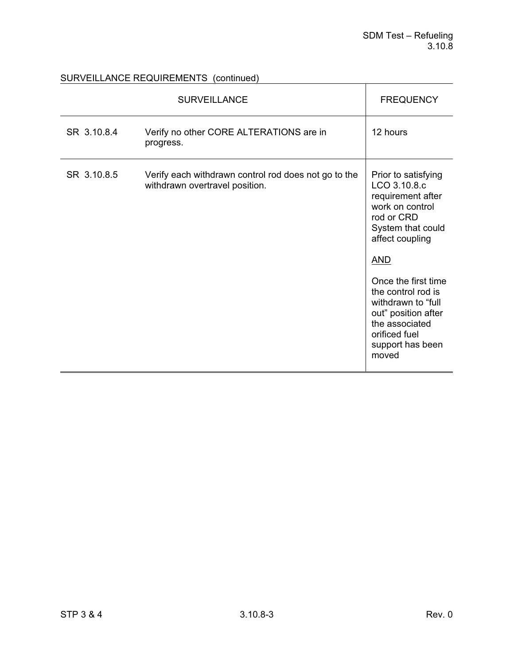## SURVEILLANCE REQUIREMENTS (continued)

|             | <b>SURVEILLANCE</b>                                                                    | <b>FREQUENCY</b>                                                                                                                                                                                                                                                                                          |
|-------------|----------------------------------------------------------------------------------------|-----------------------------------------------------------------------------------------------------------------------------------------------------------------------------------------------------------------------------------------------------------------------------------------------------------|
| SR 3.10.8.4 | Verify no other CORE ALTERATIONS are in<br>progress.                                   | 12 hours                                                                                                                                                                                                                                                                                                  |
| SR 3.10.8.5 | Verify each withdrawn control rod does not go to the<br>withdrawn overtravel position. | Prior to satisfying<br>LCO 3.10.8.c<br>requirement after<br>work on control<br>rod or CRD<br>System that could<br>affect coupling<br><u>AND</u><br>Once the first time<br>the control rod is<br>withdrawn to "full<br>out" position after<br>the associated<br>orificed fuel<br>support has been<br>moved |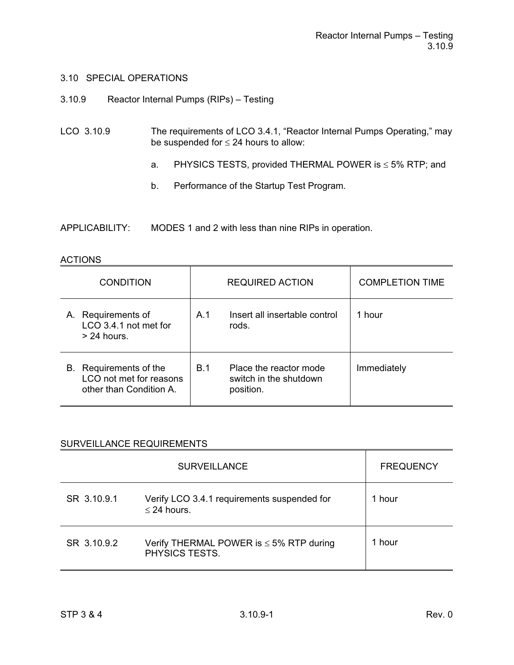- 3.10.9 Reactor Internal Pumps (RIPs) Testing
- LCO 3.10.9 The requirements of LCO 3.4.1, "Reactor Internal Pumps Operating," may be suspended for  $\leq$  24 hours to allow:
	- a. PHYSICS TESTS, provided THERMAL POWER is  $\leq$  5% RTP; and
	- b. Performance of the Startup Test Program.

APPLICABILITY: MODES 1 and 2 with less than nine RIPs in operation.

#### ACTIONS

| <b>CONDITION</b>                                                             | <b>REQUIRED ACTION</b>                                                      | <b>COMPLETION TIME</b> |
|------------------------------------------------------------------------------|-----------------------------------------------------------------------------|------------------------|
| Requirements of<br>А.<br>LCO 3.4.1 not met for<br>$> 24$ hours.              | Insert all insertable control<br>A.1<br>rods.                               | 1 hour                 |
| B. Requirements of the<br>LCO not met for reasons<br>other than Condition A. | Place the reactor mode<br><b>B.1</b><br>switch in the shutdown<br>position. | Immediately            |

|             | <b>SURVEILLANCE</b>                                                   | <b>FREQUENCY</b> |
|-------------|-----------------------------------------------------------------------|------------------|
| SR 3.10.9.1 | Verify LCO 3.4.1 requirements suspended for<br>$\leq$ 24 hours.       | hour             |
| SR 3.10.9.2 | Verify THERMAL POWER is $\leq$ 5% RTP during<br><b>PHYSICS TESTS.</b> | hour             |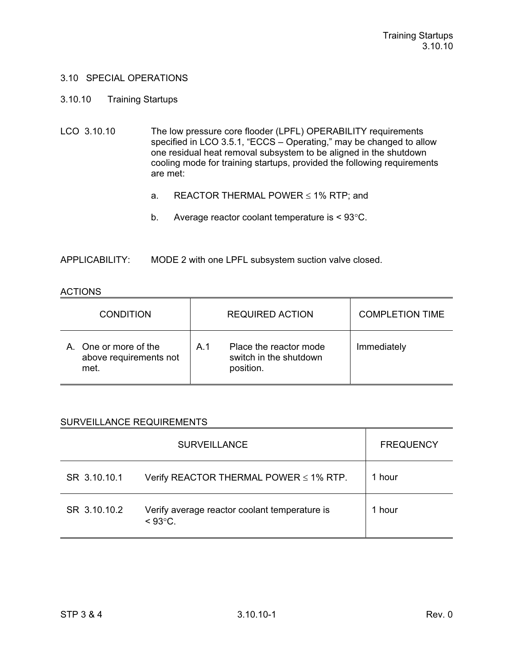#### 3.10.10 Training Startups

- LCO 3.10.10 The low pressure core flooder (LPFL) OPERABILITY requirements specified in LCO 3.5.1, "ECCS - Operating," may be changed to allow one residual heat removal subsystem to be aligned in the shutdown cooling mode for training startups, provided the following requirements are met:
	- a. REACTOR THERMAL POWER  $\leq$  1% RTP; and
	- b. Average reactor coolant temperature is  $< 93^{\circ}$ C.

APPLICABILITY: MODE 2 with one LPFL subsystem suction valve closed.

#### ACTIONS

| <b>CONDITION</b>                                     | <b>REQUIRED ACTION</b>                                                          | <b>COMPLETION TIME</b> |
|------------------------------------------------------|---------------------------------------------------------------------------------|------------------------|
| One or more of the<br>above requirements not<br>met. | Place the reactor mode<br>A <sub>1</sub><br>switch in the shutdown<br>position. | Immediately            |

|              | <b>SURVEILLANCE</b>                                                | <b>FREQUENCY</b> |
|--------------|--------------------------------------------------------------------|------------------|
| SR 3.10.10.1 | Verify REACTOR THERMAL POWER ≤ 1% RTP.                             | 1 hour           |
| SR 3.10.10.2 | Verify average reactor coolant temperature is<br>$< 93^{\circ}$ C. | 1 hour           |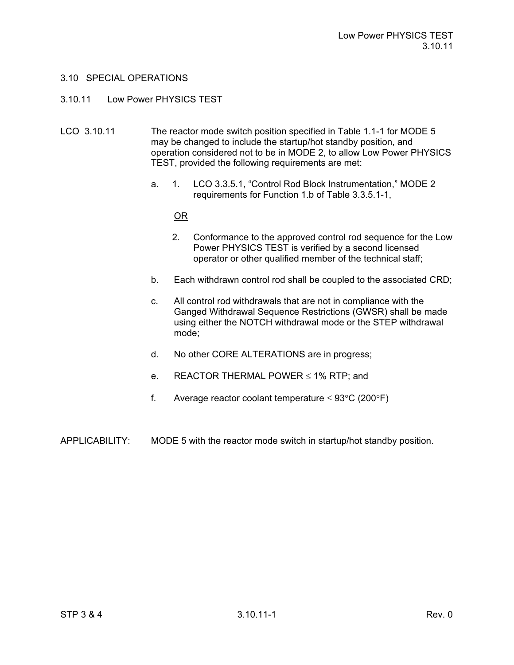#### 3.10.11 Low Power PHYSICS TEST

- LCO 3.10.11 The reactor mode switch position specified in Table 1.1-1 for MODE 5 may be changed to include the startup/hot standby position, and operation considered not to be in MODE 2, to allow Low Power PHYSICS TEST, provided the following requirements are met:
	- a. 1. LCO 3.3.5.1, "Control Rod Block Instrumentation," MODE 2 requirements for Function 1.b of Table 3.3.5.1-1,

<u>OR State of the State of the OR</u>

- 2. Conformance to the approved control rod sequence for the Low Power PHYSICS TEST is verified by a second licensed operator or other qualified member of the technical staff;
- b. Each withdrawn control rod shall be coupled to the associated CRD;
- c. All control rod withdrawals that are not in compliance with the Ganged Withdrawal Sequence Restrictions (GWSR) shall be made using either the NOTCH withdrawal mode or the STEP withdrawal mode;
- d. No other CORE ALTERATIONS are in progress;
- e. REACTOR THERMAL POWER  $\leq$  1% RTP; and
- f. Average reactor coolant temperature  $\leq 93^{\circ}$ C (200 $^{\circ}$ F)
- APPLICABILITY: MODE 5 with the reactor mode switch in startup/hot standby position.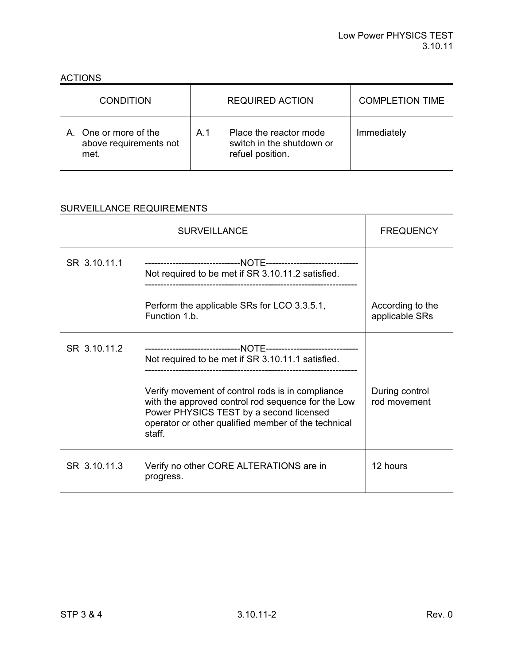ACTIONS

| <b>CONDITION</b>                                        | <b>REQUIRED ACTION</b> |                                                                         | <b>COMPLETION TIME</b> |
|---------------------------------------------------------|------------------------|-------------------------------------------------------------------------|------------------------|
| A. One or more of the<br>above requirements not<br>met. | A <sub>1</sub>         | Place the reactor mode<br>switch in the shutdown or<br>refuel position. | Immediately            |

|              | <b>FREQUENCY</b>                                                                                                                                                                                                                                                        |                                    |
|--------------|-------------------------------------------------------------------------------------------------------------------------------------------------------------------------------------------------------------------------------------------------------------------------|------------------------------------|
| SR 3.10.11.1 | Not required to be met if SR 3.10.11.2 satisfied.                                                                                                                                                                                                                       |                                    |
|              | Perform the applicable SRs for LCO 3.3.5.1,<br>Function 1.b.                                                                                                                                                                                                            | According to the<br>applicable SRs |
| SR 3.10.11.2 | Not required to be met if SR 3.10.11.1 satisfied.<br>Verify movement of control rods is in compliance<br>with the approved control rod sequence for the Low<br>Power PHYSICS TEST by a second licensed<br>operator or other qualified member of the technical<br>staff. | During control<br>rod movement     |
| SR 3.10.11.3 | Verify no other CORE ALTERATIONS are in<br>progress.                                                                                                                                                                                                                    | 12 hours                           |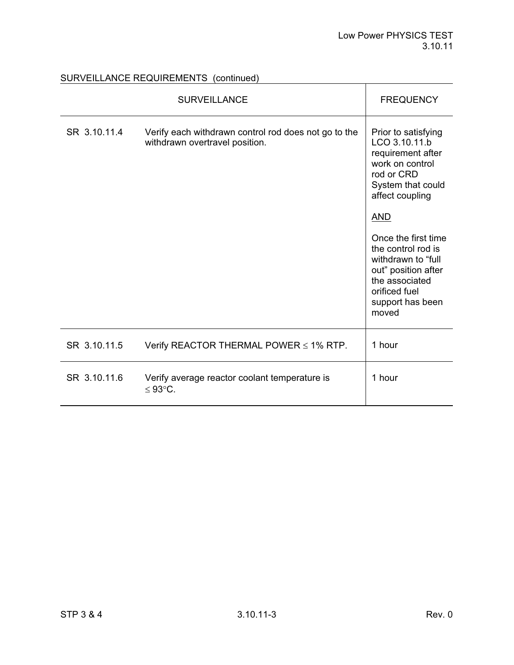SURVEILLANCE REQUIREMENTS (continued)

|              | <b>SURVEILLANCE</b>                                                                    | <b>FREQUENCY</b>                                                                                                                                                                                                                                                                                           |
|--------------|----------------------------------------------------------------------------------------|------------------------------------------------------------------------------------------------------------------------------------------------------------------------------------------------------------------------------------------------------------------------------------------------------------|
| SR 3.10.11.4 | Verify each withdrawn control rod does not go to the<br>withdrawn overtravel position. | Prior to satisfying<br>LCO 3.10.11.b<br>requirement after<br>work on control<br>rod or CRD<br>System that could<br>affect coupling<br><b>AND</b><br>Once the first time<br>the control rod is<br>withdrawn to "full<br>out" position after<br>the associated<br>orificed fuel<br>support has been<br>moved |
| SR 3.10.11.5 | Verify REACTOR THERMAL POWER $\leq$ 1% RTP.                                            | 1 hour                                                                                                                                                                                                                                                                                                     |
| SR 3.10.11.6 | Verify average reactor coolant temperature is<br>≤ 93 $°C$ .                           | 1 hour                                                                                                                                                                                                                                                                                                     |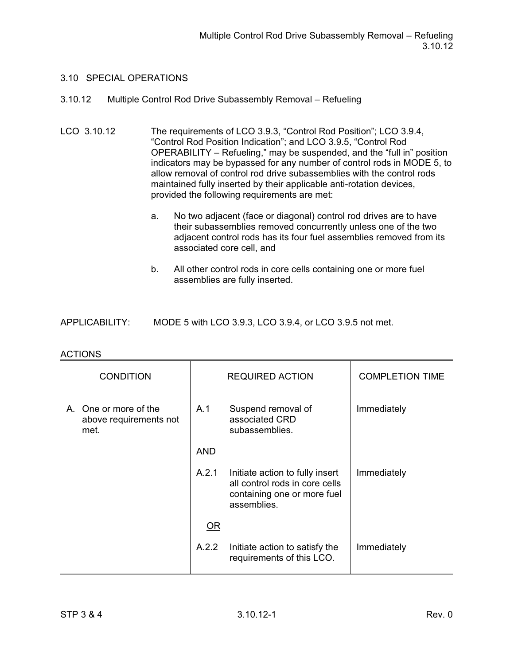## 3.10.12 Multiple Control Rod Drive Subassembly Removal – Refueling

- LCO 3.10.12 The requirements of LCO 3.9.3, "Control Rod Position"; LCO 3.9.4, "Control Rod Position Indication"; and LCO 3.9.5, "Control Rod OPERABILITY – Refueling," may be suspended, and the "full in" position indicators may be bypassed for any number of control rods in MODE 5, to allow removal of control rod drive subassemblies with the control rods maintained fully inserted by their applicable anti-rotation devices, provided the following requirements are met:
	- a. No two adjacent (face or diagonal) control rod drives are to have their subassemblies removed concurrently unless one of the two adjacent control rods has its four fuel assemblies removed from its associated core cell, and
	- b. All other control rods in core cells containing one or more fuel assemblies are fully inserted.

|  | <b>APPLICABILITY:</b> | MODE 5 with LCO 3.9.3, LCO 3.9.4, or LCO 3.9.5 not met. |
|--|-----------------------|---------------------------------------------------------|
|--|-----------------------|---------------------------------------------------------|

| <b>CONDITION</b>                                        |            | <b>REQUIRED ACTION</b>                                                                                          | <b>COMPLETION TIME</b> |
|---------------------------------------------------------|------------|-----------------------------------------------------------------------------------------------------------------|------------------------|
| A. One or more of the<br>above requirements not<br>met. | A.1        | Suspend removal of<br>associated CRD<br>subassemblies.                                                          | Immediately            |
|                                                         | <b>AND</b> |                                                                                                                 |                        |
|                                                         | A.2.1      | Initiate action to fully insert<br>all control rods in core cells<br>containing one or more fuel<br>assemblies. | Immediately            |
|                                                         | OR         |                                                                                                                 |                        |
|                                                         | A.2.2      | Initiate action to satisfy the<br>requirements of this LCO.                                                     | Immediately            |

#### ACTIONS